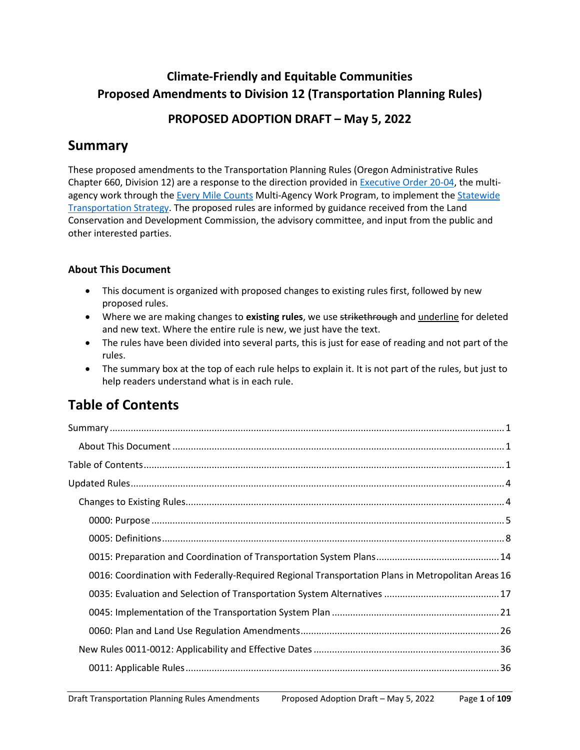# **Climate-Friendly and Equitable Communities Proposed Amendments to Division 12 (Transportation Planning Rules)**

## **PROPOSED ADOPTION DRAFT – May 5, 2022**

# <span id="page-0-0"></span>**Summary**

These proposed amendments to the Transportation Planning Rules (Oregon Administrative Rules Chapter 660, Division 12) are a response to the direction provided in [Executive Order 20-04,](https://www.oregon.gov/gov/Pages/carbonpolicy_climatechange.aspx) the multiagency work through th[e Every Mile Counts](https://www.oregon.gov/odot/Programs/Pages/Every-Mile-Counts.aspx) Multi-Agency Work Program, to implement the [Statewide](https://www.oregon.gov/odot/Planning/Pages/STS.aspx)  [Transportation Strategy.](https://www.oregon.gov/odot/Planning/Pages/STS.aspx) The proposed rules are informed by guidance received from the Land Conservation and Development Commission, the advisory committee, and input from the public and other interested parties.

### <span id="page-0-1"></span>**About This Document**

- This document is organized with proposed changes to existing rules first, followed by new proposed rules.
- Where we are making changes to **existing rules**, we use strikethrough and underline for deleted and new text. Where the entire rule is new, we just have the text.
- The rules have been divided into several parts, this is just for ease of reading and not part of the rules.
- The summary box at the top of each rule helps to explain it. It is not part of the rules, but just to help readers understand what is in each rule.

# <span id="page-0-2"></span>**Table of Contents**

| $\textbf{Summary} \textit{} \textit{} \textit{} \textit{} \textit{} \textit{} \textit{} \textit{} \textit{} \textit{} \textit{} \textit{} \textit{} \textit{} \textit{} \textit{} \textit{} \textit{} \textit{} \textit{} \textit{} \textit{} \textit{} \textit{} \textit{} \textit{} \textit{} \textit{} \textit{} \textit{} \textit{} \textit{} \textit{} \textit{} \textit{} \textit{$ |
|-------------------------------------------------------------------------------------------------------------------------------------------------------------------------------------------------------------------------------------------------------------------------------------------------------------------------------------------------------------------------------------------|
|                                                                                                                                                                                                                                                                                                                                                                                           |
|                                                                                                                                                                                                                                                                                                                                                                                           |
|                                                                                                                                                                                                                                                                                                                                                                                           |
|                                                                                                                                                                                                                                                                                                                                                                                           |
|                                                                                                                                                                                                                                                                                                                                                                                           |
|                                                                                                                                                                                                                                                                                                                                                                                           |
|                                                                                                                                                                                                                                                                                                                                                                                           |
| 0016: Coordination with Federally-Required Regional Transportation Plans in Metropolitan Areas 16                                                                                                                                                                                                                                                                                         |
|                                                                                                                                                                                                                                                                                                                                                                                           |
|                                                                                                                                                                                                                                                                                                                                                                                           |
|                                                                                                                                                                                                                                                                                                                                                                                           |
|                                                                                                                                                                                                                                                                                                                                                                                           |
|                                                                                                                                                                                                                                                                                                                                                                                           |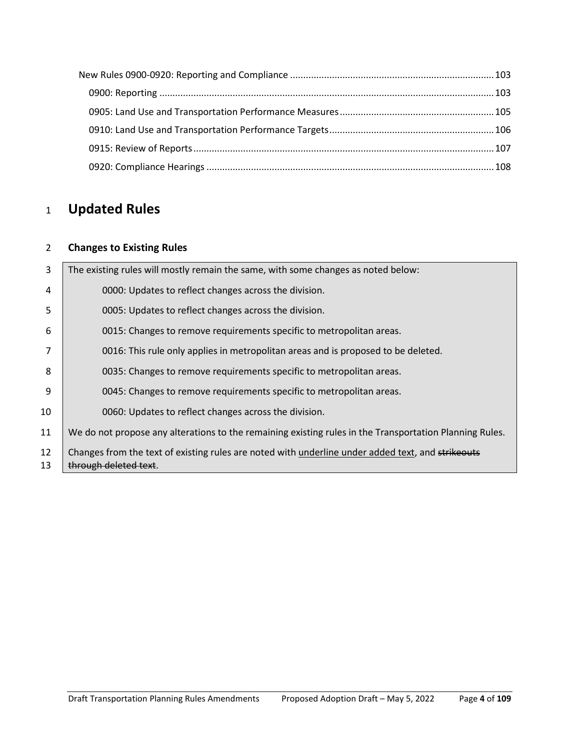# <span id="page-3-0"></span>**Updated Rules**

### <span id="page-3-1"></span>**Changes to Existing Rules**

| 3        | The existing rules will mostly remain the same, with some changes as noted below:                                          |
|----------|----------------------------------------------------------------------------------------------------------------------------|
| 4        | 0000: Updates to reflect changes across the division.                                                                      |
| 5        | 0005: Updates to reflect changes across the division.                                                                      |
| 6        | 0015: Changes to remove requirements specific to metropolitan areas.                                                       |
|          | 0016: This rule only applies in metropolitan areas and is proposed to be deleted.                                          |
| 8        | 0035: Changes to remove requirements specific to metropolitan areas.                                                       |
| 9        | 0045: Changes to remove requirements specific to metropolitan areas.                                                       |
| 10       | 0060: Updates to reflect changes across the division.                                                                      |
| 11       | We do not propose any alterations to the remaining existing rules in the Transportation Planning Rules.                    |
| 12<br>13 | Changes from the text of existing rules are noted with underline under added text, and strikeouts<br>through deleted text. |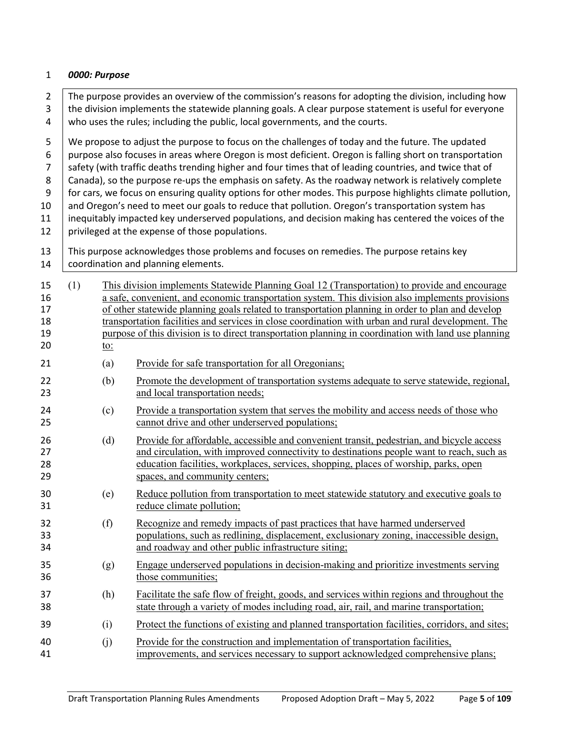#### <span id="page-4-0"></span>1 *0000: Purpose*

2 The purpose provides an overview of the commission's reasons for adopting the division, including how  $3$  the division implements the statewide planning goals. A clear purpose statement is useful for everyone  $4$  who uses the rules; including the public, local governments, and the courts.

5 We propose to adjust the purpose to focus on the challenges of today and the future. The updated 6 | purpose also focuses in areas where Oregon is most deficient. Oregon is falling short on transportation 7 Safety (with traffic deaths trending higher and four times that of leading countries, and twice that of 8 Canada), so the purpose re-ups the emphasis on safety. As the roadway network is relatively complete 9 for cars, we focus on ensuring quality options for other modes. This purpose highlights climate pollution, 10 and Oregon's need to meet our goals to reduce that pollution. Oregon's transportation system has 11 | inequitably impacted key underserved populations, and decision making has centered the voices of the

- 12 | privileged at the expense of those populations.
- 13 This purpose acknowledges those problems and focuses on remedies. The purpose retains key 14 | coordination and planning elements.

| 15<br>16<br>17<br>18<br>19<br>20 | (1) | <u>to:</u> | This division implements Statewide Planning Goal 12 (Transportation) to provide and encourage<br>a safe, convenient, and economic transportation system. This division also implements provisions<br>of other statewide planning goals related to transportation planning in order to plan and develop<br>transportation facilities and services in close coordination with urban and rural development. The<br>purpose of this division is to direct transportation planning in coordination with land use planning |
|----------------------------------|-----|------------|----------------------------------------------------------------------------------------------------------------------------------------------------------------------------------------------------------------------------------------------------------------------------------------------------------------------------------------------------------------------------------------------------------------------------------------------------------------------------------------------------------------------|
| 21                               |     | (a)        | Provide for safe transportation for all Oregonians;                                                                                                                                                                                                                                                                                                                                                                                                                                                                  |
| 22<br>23                         |     | (b)        | Promote the development of transportation systems adequate to serve statewide, regional,<br>and local transportation needs;                                                                                                                                                                                                                                                                                                                                                                                          |
| 24<br>25                         |     | (c)        | Provide a transportation system that serves the mobility and access needs of those who<br>cannot drive and other underserved populations;                                                                                                                                                                                                                                                                                                                                                                            |
| 26<br>27<br>28<br>29             |     | (d)        | Provide for affordable, accessible and convenient transit, pedestrian, and bicycle access<br>and circulation, with improved connectivity to destinations people want to reach, such as<br>education facilities, workplaces, services, shopping, places of worship, parks, open<br>spaces, and community centers;                                                                                                                                                                                                     |
| 30<br>31                         |     | (e)        | Reduce pollution from transportation to meet statewide statutory and executive goals to<br>reduce climate pollution;                                                                                                                                                                                                                                                                                                                                                                                                 |
| 32<br>33<br>34                   |     | (f)        | Recognize and remedy impacts of past practices that have harmed underserved<br>populations, such as redlining, displacement, exclusionary zoning, inaccessible design,<br>and roadway and other public infrastructure siting;                                                                                                                                                                                                                                                                                        |
| 35<br>36                         |     | (g)        | Engage underserved populations in decision-making and prioritize investments serving<br>those communities;                                                                                                                                                                                                                                                                                                                                                                                                           |
| 37<br>38                         |     | (h)        | Facilitate the safe flow of freight, goods, and services within regions and throughout the<br>state through a variety of modes including road, air, rail, and marine transportation;                                                                                                                                                                                                                                                                                                                                 |
| 39                               |     | (i)        | Protect the functions of existing and planned transportation facilities, corridors, and sites;                                                                                                                                                                                                                                                                                                                                                                                                                       |
| 40<br>41                         |     | (j)        | Provide for the construction and implementation of transportation facilities,<br>improvements, and services necessary to support acknowledged comprehensive plans;                                                                                                                                                                                                                                                                                                                                                   |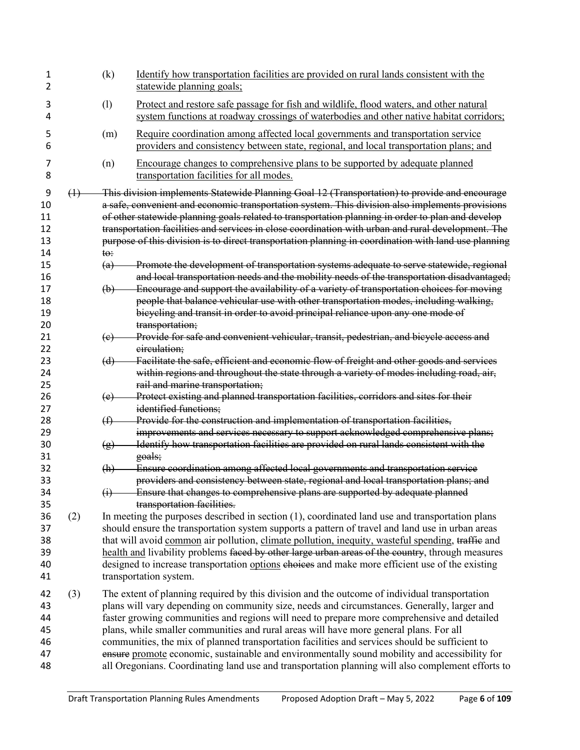| 1<br>2 |                   | (k)             | Identify how transportation facilities are provided on rural lands consistent with the<br>statewide planning goals;                                                                 |
|--------|-------------------|-----------------|-------------------------------------------------------------------------------------------------------------------------------------------------------------------------------------|
| 3<br>4 |                   | (1)             | Protect and restore safe passage for fish and wildlife, flood waters, and other natural<br>system functions at roadway crossings of waterbodies and other native habitat corridors; |
| 5<br>6 |                   | (m)             | Require coordination among affected local governments and transportation service<br>providers and consistency between state, regional, and local transportation plans; and          |
| 7<br>8 |                   | (n)             | Encourage changes to comprehensive plans to be supported by adequate planned<br>transportation facilities for all modes.                                                            |
| 9      | $\leftrightarrow$ |                 | This division implements Statewide Planning Goal 12 (Transportation) to provide and encourage                                                                                       |
| 10     |                   |                 | a safe, convenient and economic transportation system. This division also implements provisions                                                                                     |
| 11     |                   |                 | of other statewide planning goals related to transportation planning in order to plan and develop                                                                                   |
| 12     |                   |                 | transportation facilities and services in close coordination with urban and rural development. The                                                                                  |
| 13     |                   |                 | purpose of this division is to direct transportation planning in coordination with land use planning                                                                                |
| 14     |                   | $t\Theta$ :     |                                                                                                                                                                                     |
| 15     |                   | (a)             | Promote the development of transportation systems adequate to serve statewide, regional                                                                                             |
| 16     |                   |                 | and local transportation needs and the mobility needs of the transportation disadvantaged;                                                                                          |
| 17     |                   | $\biguplus$     | Encourage and support the availability of a variety of transportation choices for moving                                                                                            |
| 18     |                   |                 | people that balance vehicular use with other transportation modes, including walking,                                                                                               |
| 19     |                   |                 | bicycling and transit in order to avoid principal reliance upon any one mode of                                                                                                     |
| 20     |                   |                 | transportation;                                                                                                                                                                     |
| 21     |                   | (e)             | Provide for safe and convenient vehicular, transit, pedestrian, and bicycle access and                                                                                              |
| 22     |                   |                 | eirculation;                                                                                                                                                                        |
| 23     |                   | (d)             | Facilitate the safe, efficient and economic flow of freight and other goods and services                                                                                            |
| 24     |                   |                 | within regions and throughout the state through a variety of modes including road, air,                                                                                             |
| 25     |                   |                 | rail and marine transportation;                                                                                                                                                     |
| 26     |                   | (e)             | Protect existing and planned transportation facilities, corridors and sites for their                                                                                               |
| 27     |                   |                 | identified functions;                                                                                                                                                               |
| 28     |                   | (f)             | Provide for the construction and implementation of transportation facilities,                                                                                                       |
| 29     |                   |                 | improvements and services necessary to support acknowledged comprehensive plans;                                                                                                    |
| 30     |                   | $\circled{g}$   | Identify how transportation facilities are provided on rural lands consistent with the                                                                                              |
| 31     |                   |                 | goals;                                                                                                                                                                              |
| 32     |                   | (h)             | Ensure coordination among affected local governments and transportation service                                                                                                     |
| 33     |                   |                 | providers and consistency between state, regional and local transportation plans; and                                                                                               |
| 34     |                   | $\ddot{\theta}$ | Ensure that changes to comprehensive plans are supported by adequate planned                                                                                                        |
| 35     |                   |                 | transportation facilities.                                                                                                                                                          |
| 36     | (2)               |                 | In meeting the purposes described in section $(1)$ , coordinated land use and transportation plans                                                                                  |
| 37     |                   |                 | should ensure the transportation system supports a pattern of travel and land use in urban areas                                                                                    |
| 38     |                   |                 | that will avoid common air pollution, climate pollution, inequity, wasteful spending, traffic and                                                                                   |
| 39     |                   |                 | health and livability problems faced by other large urban areas of the country, through measures                                                                                    |
| 40     |                   |                 | designed to increase transportation options choices and make more efficient use of the existing                                                                                     |
| 41     |                   |                 | transportation system.                                                                                                                                                              |
| 42     | (3)               |                 | The extent of planning required by this division and the outcome of individual transportation                                                                                       |
| 43     |                   |                 | plans will vary depending on community size, needs and circumstances. Generally, larger and                                                                                         |
| 44     |                   |                 | faster growing communities and regions will need to prepare more comprehensive and detailed                                                                                         |
| 45     |                   |                 | plans, while smaller communities and rural areas will have more general plans. For all                                                                                              |
| 46     |                   |                 | communities, the mix of planned transportation facilities and services should be sufficient to                                                                                      |
| 47     |                   |                 | ensure promote economic, sustainable and environmentally sound mobility and accessibility for                                                                                       |
| 48     |                   |                 | all Oregonians. Coordinating land use and transportation planning will also complement efforts to                                                                                   |
|        |                   |                 |                                                                                                                                                                                     |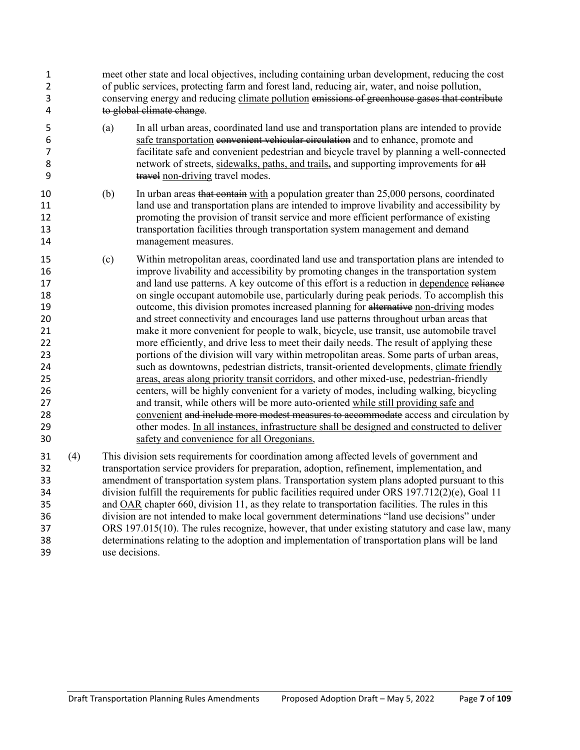| 1<br>2<br>3<br>4                                                                             |     | meet other state and local objectives, including containing urban development, reducing the cost<br>of public services, protecting farm and forest land, reducing air, water, and noise pollution,<br>conserving energy and reducing climate pollution emissions of greenhouse gases that contribute<br>to global climate change.                                                                                                                                                                                                                                                                                                                                                                                                                                                                                                                                                                                                                                                                                                                                                                                                                                                                                                                                                                                                                                                                                                                                 |  |  |  |  |
|----------------------------------------------------------------------------------------------|-----|-------------------------------------------------------------------------------------------------------------------------------------------------------------------------------------------------------------------------------------------------------------------------------------------------------------------------------------------------------------------------------------------------------------------------------------------------------------------------------------------------------------------------------------------------------------------------------------------------------------------------------------------------------------------------------------------------------------------------------------------------------------------------------------------------------------------------------------------------------------------------------------------------------------------------------------------------------------------------------------------------------------------------------------------------------------------------------------------------------------------------------------------------------------------------------------------------------------------------------------------------------------------------------------------------------------------------------------------------------------------------------------------------------------------------------------------------------------------|--|--|--|--|
| 5<br>6<br>7<br>8<br>9                                                                        |     | In all urban areas, coordinated land use and transportation plans are intended to provide<br>(a)<br>safe transportation convenient vehicular circulation and to enhance, promote and<br>facilitate safe and convenient pedestrian and bicycle travel by planning a well-connected<br>network of streets, sidewalks, paths, and trails, and supporting improvements for all<br>travel non-driving travel modes.                                                                                                                                                                                                                                                                                                                                                                                                                                                                                                                                                                                                                                                                                                                                                                                                                                                                                                                                                                                                                                                    |  |  |  |  |
| 10<br>11<br>12<br>13<br>14                                                                   |     | In urban areas that contain with a population greater than 25,000 persons, coordinated<br>(b)<br>land use and transportation plans are intended to improve livability and accessibility by<br>promoting the provision of transit service and more efficient performance of existing<br>transportation facilities through transportation system management and demand<br>management measures.                                                                                                                                                                                                                                                                                                                                                                                                                                                                                                                                                                                                                                                                                                                                                                                                                                                                                                                                                                                                                                                                      |  |  |  |  |
| 15<br>16<br>17<br>18<br>19<br>20<br>21<br>22<br>23<br>24<br>25<br>26<br>27<br>28<br>29<br>30 |     | (c)<br>Within metropolitan areas, coordinated land use and transportation plans are intended to<br>improve livability and accessibility by promoting changes in the transportation system<br>and land use patterns. A key outcome of this effort is a reduction in dependence reliance<br>on single occupant automobile use, particularly during peak periods. To accomplish this<br>outcome, this division promotes increased planning for alternative non-driving modes<br>and street connectivity and encourages land use patterns throughout urban areas that<br>make it more convenient for people to walk, bicycle, use transit, use automobile travel<br>more efficiently, and drive less to meet their daily needs. The result of applying these<br>portions of the division will vary within metropolitan areas. Some parts of urban areas,<br>such as downtowns, pedestrian districts, transit-oriented developments, climate friendly<br>areas, areas along priority transit corridors, and other mixed-use, pedestrian-friendly<br>centers, will be highly convenient for a variety of modes, including walking, bicycling<br>and transit, while others will be more auto-oriented while still providing safe and<br>convenient and include more modest measures to accommodate access and circulation by<br>other modes. In all instances, infrastructure shall be designed and constructed to deliver<br>safety and convenience for all Oregonians. |  |  |  |  |
| 31<br>32<br>33<br>34<br>35<br>36<br>37<br>38<br>39                                           | (4) | This division sets requirements for coordination among affected levels of government and<br>transportation service providers for preparation, adoption, refinement, implementation, and<br>amendment of transportation system plans. Transportation system plans adopted pursuant to this<br>division fulfill the requirements for public facilities required under ORS 197.712(2)(e), Goal 11<br>and OAR chapter 660, division 11, as they relate to transportation facilities. The rules in this<br>division are not intended to make local government determinations "land use decisions" under<br>ORS 197.015(10). The rules recognize, however, that under existing statutory and case law, many<br>determinations relating to the adoption and implementation of transportation plans will be land<br>use decisions.                                                                                                                                                                                                                                                                                                                                                                                                                                                                                                                                                                                                                                        |  |  |  |  |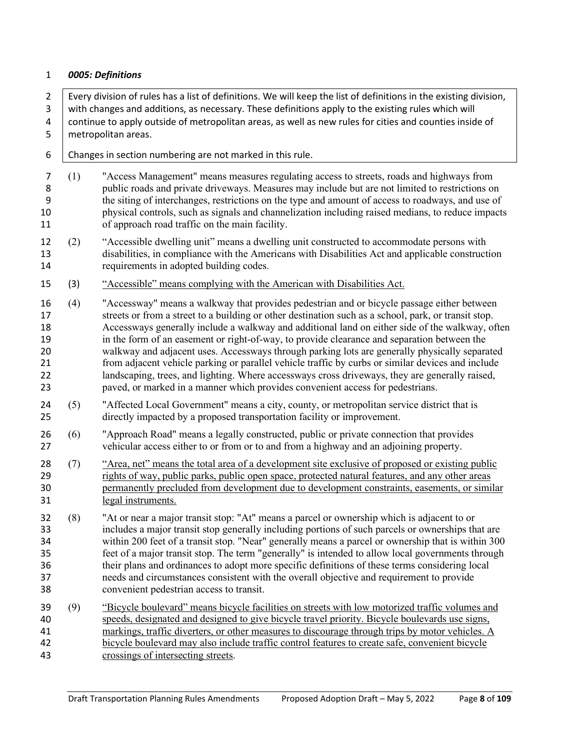#### <span id="page-7-0"></span>*0005: Definitions*

2 Every division of rules has a list of definitions. We will keep the list of definitions in the existing division, with changes and additions, as necessary. These definitions apply to the existing rules which will continue to apply outside of metropolitan areas, as well as new rules for cities and counties inside of 5 metropolitan areas.

- | Changes in section numbering are not marked in this rule.
- (1) "Access Management" means measures regulating access to streets, roads and highways from public roads and private driveways. Measures may include but are not limited to restrictions on the siting of interchanges, restrictions on the type and amount of access to roadways, and use of physical controls, such as signals and channelization including raised medians, to reduce impacts of approach road traffic on the main facility.
- (2) "Accessible dwelling unit" means a dwelling unit constructed to accommodate persons with disabilities, in compliance with the Americans with Disabilities Act and applicable construction requirements in adopted building codes.
- (3) "Accessible" means complying with the American with Disabilities Act.
- (4) "Accessway" means a walkway that provides pedestrian and or bicycle passage either between streets or from a street to a building or other destination such as a school, park, or transit stop. Accessways generally include a walkway and additional land on either side of the walkway, often in the form of an easement or right-of-way, to provide clearance and separation between the walkway and adjacent uses. Accessways through parking lots are generally physically separated from adjacent vehicle parking or parallel vehicle traffic by curbs or similar devices and include landscaping, trees, and lighting. Where accessways cross driveways, they are generally raised, paved, or marked in a manner which provides convenient access for pedestrians.
- (5) "Affected Local Government" means a city, county, or metropolitan service district that is directly impacted by a proposed transportation facility or improvement.
- (6) "Approach Road" means a legally constructed, public or private connection that provides vehicular access either to or from or to and from a highway and an adjoining property.
- (7) "Area, net" means the total area of a development site exclusive of proposed or existing public rights of way, public parks, public open space, protected natural features, and any other areas permanently precluded from development due to development constraints, easements, or similar legal instruments.
- (8) "At or near a major transit stop: "At" means a parcel or ownership which is adjacent to or includes a major transit stop generally including portions of such parcels or ownerships that are within 200 feet of a transit stop. "Near" generally means a parcel or ownership that is within 300 feet of a major transit stop. The term "generally" is intended to allow local governments through their plans and ordinances to adopt more specific definitions of these terms considering local needs and circumstances consistent with the overall objective and requirement to provide convenient pedestrian access to transit.
- (9) "Bicycle boulevard" means bicycle facilities on streets with low motorized traffic volumes and speeds, designated and designed to give bicycle travel priority. Bicycle boulevards use signs, markings, traffic diverters, or other measures to discourage through trips by motor vehicles. A bicycle boulevard may also include traffic control features to create safe, convenient bicycle crossings of intersecting streets.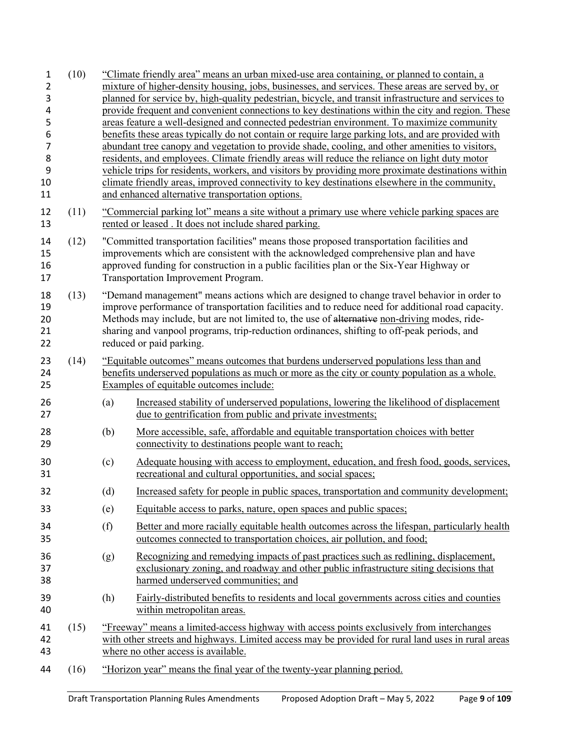| 1<br>2<br>3<br>4<br>5<br>6<br>$\overline{7}$<br>8<br>9<br>10<br>11 | (10) | "Climate friendly area" means an urban mixed-use area containing, or planned to contain, a<br>mixture of higher-density housing, jobs, businesses, and services. These areas are served by, or<br>planned for service by, high-quality pedestrian, bicycle, and transit infrastructure and services to<br>provide frequent and convenient connections to key destinations within the city and region. These<br>areas feature a well-designed and connected pedestrian environment. To maximize community<br>benefits these areas typically do not contain or require large parking lots, and are provided with<br>abundant tree canopy and vegetation to provide shade, cooling, and other amenities to visitors,<br>residents, and employees. Climate friendly areas will reduce the reliance on light duty motor<br>vehicle trips for residents, workers, and visitors by providing more proximate destinations within<br>climate friendly areas, improved connectivity to key destinations elsewhere in the community,<br>and enhanced alternative transportation options. |                                                                                                                                                                                                                                                                                                                    |  |  |  |
|--------------------------------------------------------------------|------|-------------------------------------------------------------------------------------------------------------------------------------------------------------------------------------------------------------------------------------------------------------------------------------------------------------------------------------------------------------------------------------------------------------------------------------------------------------------------------------------------------------------------------------------------------------------------------------------------------------------------------------------------------------------------------------------------------------------------------------------------------------------------------------------------------------------------------------------------------------------------------------------------------------------------------------------------------------------------------------------------------------------------------------------------------------------------------|--------------------------------------------------------------------------------------------------------------------------------------------------------------------------------------------------------------------------------------------------------------------------------------------------------------------|--|--|--|
| 12<br>13                                                           | (11) |                                                                                                                                                                                                                                                                                                                                                                                                                                                                                                                                                                                                                                                                                                                                                                                                                                                                                                                                                                                                                                                                               | "Commercial parking lot" means a site without a primary use where vehicle parking spaces are<br>rented or leased. It does not include shared parking.                                                                                                                                                              |  |  |  |
| 14<br>15<br>16<br>17                                               | (12) |                                                                                                                                                                                                                                                                                                                                                                                                                                                                                                                                                                                                                                                                                                                                                                                                                                                                                                                                                                                                                                                                               | "Committed transportation facilities" means those proposed transportation facilities and<br>improvements which are consistent with the acknowledged comprehensive plan and have<br>approved funding for construction in a public facilities plan or the Six-Year Highway or<br>Transportation Improvement Program. |  |  |  |
| 18<br>19<br>20<br>21<br>22                                         | (13) | "Demand management" means actions which are designed to change travel behavior in order to<br>improve performance of transportation facilities and to reduce need for additional road capacity.<br>Methods may include, but are not limited to, the use of alternative non-driving modes, ride-<br>sharing and vanpool programs, trip-reduction ordinances, shifting to off-peak periods, and<br>reduced or paid parking.                                                                                                                                                                                                                                                                                                                                                                                                                                                                                                                                                                                                                                                     |                                                                                                                                                                                                                                                                                                                    |  |  |  |
| 23<br>24<br>25                                                     | (14) | "Equitable outcomes" means outcomes that burdens underserved populations less than and<br>benefits underserved populations as much or more as the city or county population as a whole.<br>Examples of equitable outcomes include:                                                                                                                                                                                                                                                                                                                                                                                                                                                                                                                                                                                                                                                                                                                                                                                                                                            |                                                                                                                                                                                                                                                                                                                    |  |  |  |
| 26<br>27                                                           |      | (a)                                                                                                                                                                                                                                                                                                                                                                                                                                                                                                                                                                                                                                                                                                                                                                                                                                                                                                                                                                                                                                                                           | Increased stability of underserved populations, lowering the likelihood of displacement<br>due to gentrification from public and private investments;                                                                                                                                                              |  |  |  |
| 28<br>29                                                           |      | (b)                                                                                                                                                                                                                                                                                                                                                                                                                                                                                                                                                                                                                                                                                                                                                                                                                                                                                                                                                                                                                                                                           | More accessible, safe, affordable and equitable transportation choices with better<br>connectivity to destinations people want to reach;                                                                                                                                                                           |  |  |  |
| 30<br>31                                                           |      | (c)                                                                                                                                                                                                                                                                                                                                                                                                                                                                                                                                                                                                                                                                                                                                                                                                                                                                                                                                                                                                                                                                           | Adequate housing with access to employment, education, and fresh food, goods, services,<br>recreational and cultural opportunities, and social spaces;                                                                                                                                                             |  |  |  |
| 32                                                                 |      | (d)                                                                                                                                                                                                                                                                                                                                                                                                                                                                                                                                                                                                                                                                                                                                                                                                                                                                                                                                                                                                                                                                           | Increased safety for people in public spaces, transportation and community development;                                                                                                                                                                                                                            |  |  |  |
| 33                                                                 |      | (e)                                                                                                                                                                                                                                                                                                                                                                                                                                                                                                                                                                                                                                                                                                                                                                                                                                                                                                                                                                                                                                                                           | Equitable access to parks, nature, open spaces and public spaces;                                                                                                                                                                                                                                                  |  |  |  |
| 34<br>35                                                           |      | (f)                                                                                                                                                                                                                                                                                                                                                                                                                                                                                                                                                                                                                                                                                                                                                                                                                                                                                                                                                                                                                                                                           | Better and more racially equitable health outcomes across the lifespan, particularly health<br>outcomes connected to transportation choices, air pollution, and food;                                                                                                                                              |  |  |  |
| 36<br>37<br>38                                                     |      | (g)                                                                                                                                                                                                                                                                                                                                                                                                                                                                                                                                                                                                                                                                                                                                                                                                                                                                                                                                                                                                                                                                           | Recognizing and remedying impacts of past practices such as redlining, displacement,<br>exclusionary zoning, and roadway and other public infrastructure siting decisions that<br>harmed underserved communities; and                                                                                              |  |  |  |
| 39<br>40                                                           |      | (h)                                                                                                                                                                                                                                                                                                                                                                                                                                                                                                                                                                                                                                                                                                                                                                                                                                                                                                                                                                                                                                                                           | Fairly-distributed benefits to residents and local governments across cities and counties<br>within metropolitan areas.                                                                                                                                                                                            |  |  |  |
| 41<br>42<br>43                                                     | (15) |                                                                                                                                                                                                                                                                                                                                                                                                                                                                                                                                                                                                                                                                                                                                                                                                                                                                                                                                                                                                                                                                               | "Freeway" means a limited-access highway with access points exclusively from interchanges<br>with other streets and highways. Limited access may be provided for rural land uses in rural areas<br>where no other access is available.                                                                             |  |  |  |
| 44                                                                 | (16) |                                                                                                                                                                                                                                                                                                                                                                                                                                                                                                                                                                                                                                                                                                                                                                                                                                                                                                                                                                                                                                                                               | "Horizon year" means the final year of the twenty-year planning period.                                                                                                                                                                                                                                            |  |  |  |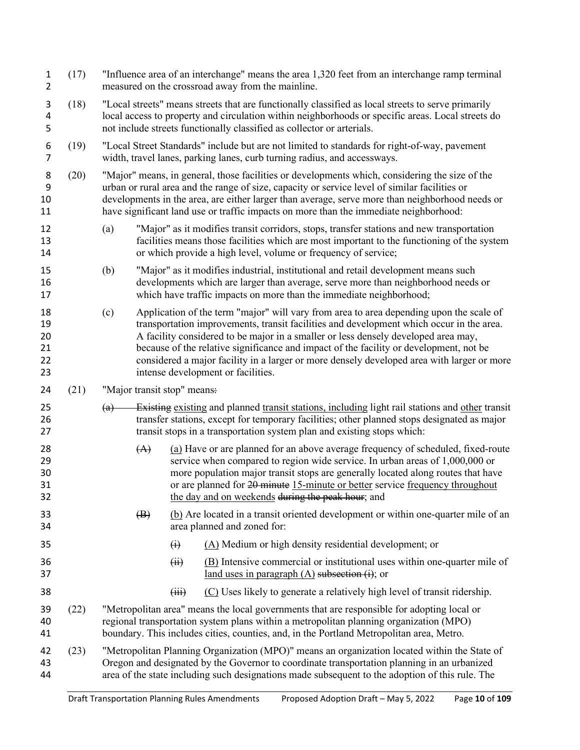| $\mathbf{1}$<br>$\overline{2}$   | (17) | "Influence area of an interchange" means the area 1,320 feet from an interchange ramp terminal<br>measured on the crossroad away from the mainline.                                                                                                                                                                                                                                         |                                                                                                                                                                                                                                                                           |                                                                                                                                                                                                                                                                                                                                                                                                                                                                                                         |  |
|----------------------------------|------|---------------------------------------------------------------------------------------------------------------------------------------------------------------------------------------------------------------------------------------------------------------------------------------------------------------------------------------------------------------------------------------------|---------------------------------------------------------------------------------------------------------------------------------------------------------------------------------------------------------------------------------------------------------------------------|---------------------------------------------------------------------------------------------------------------------------------------------------------------------------------------------------------------------------------------------------------------------------------------------------------------------------------------------------------------------------------------------------------------------------------------------------------------------------------------------------------|--|
| 3<br>4<br>5                      | (18) | "Local streets" means streets that are functionally classified as local streets to serve primarily<br>local access to property and circulation within neighborhoods or specific areas. Local streets do<br>not include streets functionally classified as collector or arterials.                                                                                                           |                                                                                                                                                                                                                                                                           |                                                                                                                                                                                                                                                                                                                                                                                                                                                                                                         |  |
| 6<br>$\overline{7}$              | (19) |                                                                                                                                                                                                                                                                                                                                                                                             |                                                                                                                                                                                                                                                                           | "Local Street Standards" include but are not limited to standards for right-of-way, pavement<br>width, travel lanes, parking lanes, curb turning radius, and accessways.                                                                                                                                                                                                                                                                                                                                |  |
| 8<br>9<br>10<br>11               | (20) | "Major" means, in general, those facilities or developments which, considering the size of the<br>urban or rural area and the range of size, capacity or service level of similar facilities or<br>developments in the area, are either larger than average, serve more than neighborhood needs or<br>have significant land use or traffic impacts on more than the immediate neighborhood: |                                                                                                                                                                                                                                                                           |                                                                                                                                                                                                                                                                                                                                                                                                                                                                                                         |  |
| 12<br>13<br>14                   |      | (a)                                                                                                                                                                                                                                                                                                                                                                                         |                                                                                                                                                                                                                                                                           | "Major" as it modifies transit corridors, stops, transfer stations and new transportation<br>facilities means those facilities which are most important to the functioning of the system<br>or which provide a high level, volume or frequency of service;                                                                                                                                                                                                                                              |  |
| 15<br>16<br>17                   |      | (b)                                                                                                                                                                                                                                                                                                                                                                                         |                                                                                                                                                                                                                                                                           | "Major" as it modifies industrial, institutional and retail development means such<br>developments which are larger than average, serve more than neighborhood needs or<br>which have traffic impacts on more than the immediate neighborhood;                                                                                                                                                                                                                                                          |  |
| 18<br>19<br>20<br>21<br>22<br>23 |      | (c)                                                                                                                                                                                                                                                                                                                                                                                         |                                                                                                                                                                                                                                                                           | Application of the term "major" will vary from area to area depending upon the scale of<br>transportation improvements, transit facilities and development which occur in the area.<br>A facility considered to be major in a smaller or less densely developed area may,<br>because of the relative significance and impact of the facility or development, not be<br>considered a major facility in a larger or more densely developed area with larger or more<br>intense development or facilities. |  |
| 24                               | (21) | "Major transit stop" means:                                                                                                                                                                                                                                                                                                                                                                 |                                                                                                                                                                                                                                                                           |                                                                                                                                                                                                                                                                                                                                                                                                                                                                                                         |  |
| 25<br>26<br>27                   |      | (a)                                                                                                                                                                                                                                                                                                                                                                                         | Existing existing and planned transit stations, including light rail stations and other transit<br>transfer stations, except for temporary facilities; other planned stops designated as major<br>transit stops in a transportation system plan and existing stops which: |                                                                                                                                                                                                                                                                                                                                                                                                                                                                                                         |  |
| 28<br>29<br>30<br>31<br>32       |      | (A)                                                                                                                                                                                                                                                                                                                                                                                         |                                                                                                                                                                                                                                                                           | (a) Have or are planned for an above average frequency of scheduled, fixed-route<br>service when compared to region wide service. In urban areas of 1,000,000 or<br>more population major transit stops are generally located along routes that have<br>or are planned for 20 minute 15-minute or better service frequency throughout<br>the day and on weekends during the peak hour; and                                                                                                              |  |
| 33<br>34                         |      | $\left( \mathbf{B} \right)$                                                                                                                                                                                                                                                                                                                                                                 |                                                                                                                                                                                                                                                                           | (b) Are located in a transit oriented development or within one-quarter mile of an<br>area planned and zoned for:                                                                                                                                                                                                                                                                                                                                                                                       |  |
| 35                               |      |                                                                                                                                                                                                                                                                                                                                                                                             | $\ddot{\theta}$                                                                                                                                                                                                                                                           | (A) Medium or high density residential development; or                                                                                                                                                                                                                                                                                                                                                                                                                                                  |  |
| 36<br>37                         |      |                                                                                                                                                                                                                                                                                                                                                                                             | (ii)                                                                                                                                                                                                                                                                      | $(B)$ Intensive commercial or institutional uses within one-quarter mile of<br>land uses in paragraph $(A)$ subsection $(i)$ ; or                                                                                                                                                                                                                                                                                                                                                                       |  |
| 38                               |      |                                                                                                                                                                                                                                                                                                                                                                                             | (iii)                                                                                                                                                                                                                                                                     | (C) Uses likely to generate a relatively high level of transit ridership.                                                                                                                                                                                                                                                                                                                                                                                                                               |  |
| 39<br>40<br>41                   | (22) |                                                                                                                                                                                                                                                                                                                                                                                             |                                                                                                                                                                                                                                                                           | "Metropolitan area" means the local governments that are responsible for adopting local or<br>regional transportation system plans within a metropolitan planning organization (MPO)<br>boundary. This includes cities, counties, and, in the Portland Metropolitan area, Metro.                                                                                                                                                                                                                        |  |
| 42<br>43<br>44                   | (23) |                                                                                                                                                                                                                                                                                                                                                                                             |                                                                                                                                                                                                                                                                           | "Metropolitan Planning Organization (MPO)" means an organization located within the State of<br>Oregon and designated by the Governor to coordinate transportation planning in an urbanized<br>area of the state including such designations made subsequent to the adoption of this rule. The                                                                                                                                                                                                          |  |
|                                  |      |                                                                                                                                                                                                                                                                                                                                                                                             |                                                                                                                                                                                                                                                                           |                                                                                                                                                                                                                                                                                                                                                                                                                                                                                                         |  |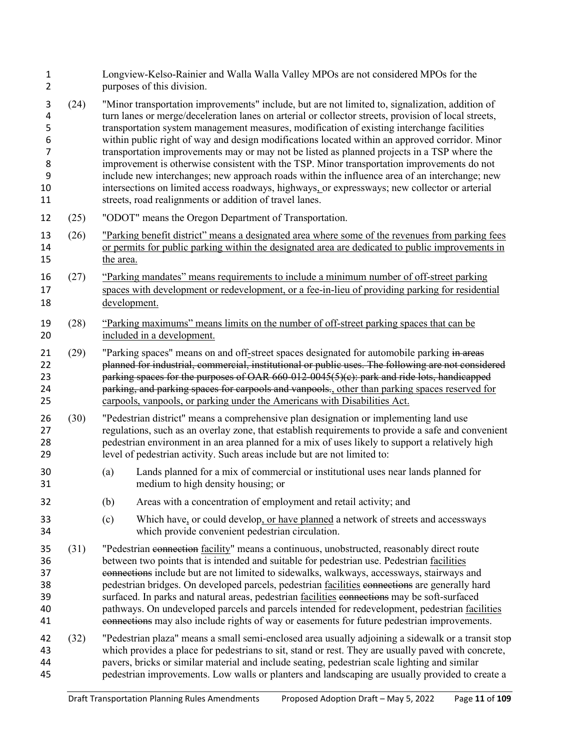| $\mathbf 1$<br>$\overline{2}$                            |      | Longview-Kelso-Rainier and Walla Walla Valley MPOs are not considered MPOs for the<br>purposes of this division.                                                                                                                                                                                                                                                                                                                                                                                                                                                                                                                                                                                                                                                                                                                                                  |  |  |  |  |
|----------------------------------------------------------|------|-------------------------------------------------------------------------------------------------------------------------------------------------------------------------------------------------------------------------------------------------------------------------------------------------------------------------------------------------------------------------------------------------------------------------------------------------------------------------------------------------------------------------------------------------------------------------------------------------------------------------------------------------------------------------------------------------------------------------------------------------------------------------------------------------------------------------------------------------------------------|--|--|--|--|
| 3<br>4<br>5<br>6<br>$\overline{7}$<br>8<br>9<br>10<br>11 | (24) | "Minor transportation improvements" include, but are not limited to, signalization, addition of<br>turn lanes or merge/deceleration lanes on arterial or collector streets, provision of local streets,<br>transportation system management measures, modification of existing interchange facilities<br>within public right of way and design modifications located within an approved corridor. Minor<br>transportation improvements may or may not be listed as planned projects in a TSP where the<br>improvement is otherwise consistent with the TSP. Minor transportation improvements do not<br>include new interchanges; new approach roads within the influence area of an interchange; new<br>intersections on limited access roadways, highways, or expressways; new collector or arterial<br>streets, road realignments or addition of travel lanes. |  |  |  |  |
| 12                                                       | (25) | "ODOT" means the Oregon Department of Transportation.                                                                                                                                                                                                                                                                                                                                                                                                                                                                                                                                                                                                                                                                                                                                                                                                             |  |  |  |  |
| 13<br>14<br>15                                           | (26) | "Parking benefit district" means a designated area where some of the revenues from parking fees<br>or permits for public parking within the designated area are dedicated to public improvements in<br>the area.                                                                                                                                                                                                                                                                                                                                                                                                                                                                                                                                                                                                                                                  |  |  |  |  |
| 16<br>17<br>18                                           | (27) | "Parking mandates" means requirements to include a minimum number of off-street parking<br>spaces with development or redevelopment, or a fee-in-lieu of providing parking for residential<br>development.                                                                                                                                                                                                                                                                                                                                                                                                                                                                                                                                                                                                                                                        |  |  |  |  |
| 19<br>20                                                 | (28) | "Parking maximums" means limits on the number of off-street parking spaces that can be<br>included in a development.                                                                                                                                                                                                                                                                                                                                                                                                                                                                                                                                                                                                                                                                                                                                              |  |  |  |  |
| 21<br>22<br>23<br>24<br>25                               | (29) | "Parking spaces" means on and off-street spaces designated for automobile parking in areas<br>planned for industrial, commercial, institutional or public uses. The following are not considered<br>parking spaces for the purposes of OAR 660-012-0045(5)(e): park and ride lots, handicapped<br>parking, and parking spaces for carpools and vanpools., other than parking spaces reserved for<br>carpools, vanpools, or parking under the Americans with Disabilities Act.                                                                                                                                                                                                                                                                                                                                                                                     |  |  |  |  |
| 26<br>27<br>28<br>29                                     | (30) | "Pedestrian district" means a comprehensive plan designation or implementing land use<br>regulations, such as an overlay zone, that establish requirements to provide a safe and convenient<br>pedestrian environment in an area planned for a mix of uses likely to support a relatively high<br>level of pedestrian activity. Such areas include but are not limited to:                                                                                                                                                                                                                                                                                                                                                                                                                                                                                        |  |  |  |  |
| 30<br>31                                                 |      | Lands planned for a mix of commercial or institutional uses near lands planned for<br>(a)<br>medium to high density housing; or                                                                                                                                                                                                                                                                                                                                                                                                                                                                                                                                                                                                                                                                                                                                   |  |  |  |  |
| 32                                                       |      | (b)<br>Areas with a concentration of employment and retail activity; and                                                                                                                                                                                                                                                                                                                                                                                                                                                                                                                                                                                                                                                                                                                                                                                          |  |  |  |  |
| 33<br>34                                                 |      | (c)<br>Which have, or could develop, or have planned a network of streets and accessways<br>which provide convenient pedestrian circulation.                                                                                                                                                                                                                                                                                                                                                                                                                                                                                                                                                                                                                                                                                                                      |  |  |  |  |
| 35<br>36<br>37<br>38<br>39<br>40<br>41                   | (31) | "Pedestrian connection facility" means a continuous, unobstructed, reasonably direct route<br>between two points that is intended and suitable for pedestrian use. Pedestrian facilities<br>connections include but are not limited to sidewalks, walkways, accessways, stairways and<br>pedestrian bridges. On developed parcels, pedestrian facilities connections are generally hard<br>surfaced. In parks and natural areas, pedestrian facilities connections may be soft-surfaced<br>pathways. On undeveloped parcels and parcels intended for redevelopment, pedestrian facilities<br>connections may also include rights of way or easements for future pedestrian improvements.                                                                                                                                                                          |  |  |  |  |
| 42<br>43<br>44<br>45                                     | (32) | "Pedestrian plaza" means a small semi-enclosed area usually adjoining a sidewalk or a transit stop<br>which provides a place for pedestrians to sit, stand or rest. They are usually paved with concrete,<br>pavers, bricks or similar material and include seating, pedestrian scale lighting and similar<br>pedestrian improvements. Low walls or planters and landscaping are usually provided to create a                                                                                                                                                                                                                                                                                                                                                                                                                                                     |  |  |  |  |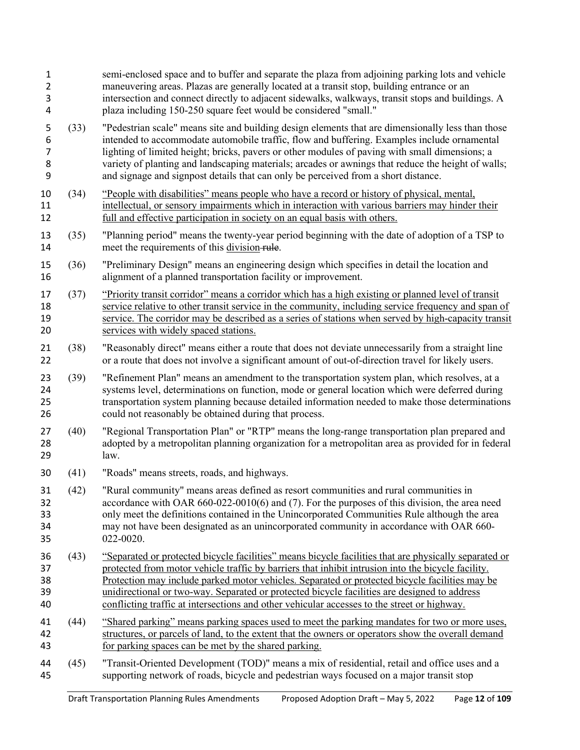| 1<br>2<br>3<br>4                   |      | semi-enclosed space and to buffer and separate the plaza from adjoining parking lots and vehicle<br>maneuvering areas. Plazas are generally located at a transit stop, building entrance or an<br>intersection and connect directly to adjacent sidewalks, walkways, transit stops and buildings. A<br>plaza including 150-250 square feet would be considered "small."                                                                                                                                      |
|------------------------------------|------|--------------------------------------------------------------------------------------------------------------------------------------------------------------------------------------------------------------------------------------------------------------------------------------------------------------------------------------------------------------------------------------------------------------------------------------------------------------------------------------------------------------|
| 5<br>6<br>$\overline{7}$<br>8<br>9 | (33) | "Pedestrian scale" means site and building design elements that are dimensionally less than those<br>intended to accommodate automobile traffic, flow and buffering. Examples include ornamental<br>lighting of limited height; bricks, pavers or other modules of paving with small dimensions; a<br>variety of planting and landscaping materials; arcades or awnings that reduce the height of walls;<br>and signage and signpost details that can only be perceived from a short distance.               |
| 10<br>11<br>12                     | (34) | "People with disabilities" means people who have a record or history of physical, mental,<br>intellectual, or sensory impairments which in interaction with various barriers may hinder their<br>full and effective participation in society on an equal basis with others.                                                                                                                                                                                                                                  |
| 13<br>14                           | (35) | "Planning period" means the twenty-year period beginning with the date of adoption of a TSP to<br>meet the requirements of this division-rule.                                                                                                                                                                                                                                                                                                                                                               |
| 15<br>16                           | (36) | "Preliminary Design" means an engineering design which specifies in detail the location and<br>alignment of a planned transportation facility or improvement.                                                                                                                                                                                                                                                                                                                                                |
| 17<br>18<br>19<br>20               | (37) | "Priority transit corridor" means a corridor which has a high existing or planned level of transit<br>service relative to other transit service in the community, including service frequency and span of<br>service. The corridor may be described as a series of stations when served by high-capacity transit<br>services with widely spaced stations.                                                                                                                                                    |
| 21<br>22                           | (38) | "Reasonably direct" means either a route that does not deviate unnecessarily from a straight line<br>or a route that does not involve a significant amount of out-of-direction travel for likely users.                                                                                                                                                                                                                                                                                                      |
| 23<br>24<br>25<br>26               | (39) | "Refinement Plan" means an amendment to the transportation system plan, which resolves, at a<br>systems level, determinations on function, mode or general location which were deferred during<br>transportation system planning because detailed information needed to make those determinations<br>could not reasonably be obtained during that process.                                                                                                                                                   |
| 27<br>28<br>29                     | (40) | "Regional Transportation Plan" or "RTP" means the long-range transportation plan prepared and<br>adopted by a metropolitan planning organization for a metropolitan area as provided for in federal<br>law.                                                                                                                                                                                                                                                                                                  |
| 30                                 | (41) | "Roads" means streets, roads, and highways.                                                                                                                                                                                                                                                                                                                                                                                                                                                                  |
| 31<br>32<br>33<br>34<br>35         | (42) | "Rural community" means areas defined as resort communities and rural communities in<br>accordance with OAR $660-022-0010(6)$ and (7). For the purposes of this division, the area need<br>only meet the definitions contained in the Unincorporated Communities Rule although the area<br>may not have been designated as an unincorporated community in accordance with OAR 660-<br>022-0020.                                                                                                              |
| 36<br>37<br>38<br>39<br>40         | (43) | "Separated or protected bicycle facilities" means bicycle facilities that are physically separated or<br>protected from motor vehicle traffic by barriers that inhibit intrusion into the bicycle facility.<br>Protection may include parked motor vehicles. Separated or protected bicycle facilities may be<br>unidirectional or two-way. Separated or protected bicycle facilities are designed to address<br>conflicting traffic at intersections and other vehicular accesses to the street or highway. |
| 41<br>42<br>43                     | (44) | "Shared parking" means parking spaces used to meet the parking mandates for two or more uses,<br>structures, or parcels of land, to the extent that the owners or operators show the overall demand<br>for parking spaces can be met by the shared parking.                                                                                                                                                                                                                                                  |
| 44<br>45                           | (45) | "Transit-Oriented Development (TOD)" means a mix of residential, retail and office uses and a<br>supporting network of roads, bicycle and pedestrian ways focused on a major transit stop                                                                                                                                                                                                                                                                                                                    |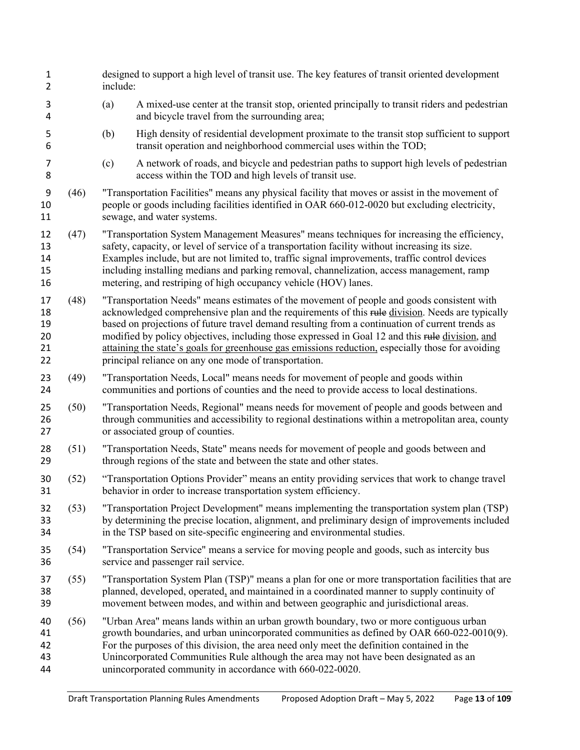| include: | designed to support a high level of transit use. The key features of transit oriented development                                                                                                                                                                                                                                                                                                                                                                                                                                                                 |
|----------|-------------------------------------------------------------------------------------------------------------------------------------------------------------------------------------------------------------------------------------------------------------------------------------------------------------------------------------------------------------------------------------------------------------------------------------------------------------------------------------------------------------------------------------------------------------------|
| (a)      | A mixed-use center at the transit stop, oriented principally to transit riders and pedestrian<br>and bicycle travel from the surrounding area;                                                                                                                                                                                                                                                                                                                                                                                                                    |
| (b)      | High density of residential development proximate to the transit stop sufficient to support<br>transit operation and neighborhood commercial uses within the TOD;                                                                                                                                                                                                                                                                                                                                                                                                 |
| (c)      | A network of roads, and bicycle and pedestrian paths to support high levels of pedestrian<br>access within the TOD and high levels of transit use.                                                                                                                                                                                                                                                                                                                                                                                                                |
|          | "Transportation Facilities" means any physical facility that moves or assist in the movement of<br>people or goods including facilities identified in OAR 660-012-0020 but excluding electricity,<br>sewage, and water systems.                                                                                                                                                                                                                                                                                                                                   |
|          | "Transportation System Management Measures" means techniques for increasing the efficiency,<br>safety, capacity, or level of service of a transportation facility without increasing its size.<br>Examples include, but are not limited to, traffic signal improvements, traffic control devices<br>including installing medians and parking removal, channelization, access management, ramp<br>metering, and restriping of high occupancy vehicle (HOV) lanes.                                                                                                  |
|          | "Transportation Needs" means estimates of the movement of people and goods consistent with<br>acknowledged comprehensive plan and the requirements of this rule division. Needs are typically<br>based on projections of future travel demand resulting from a continuation of current trends as<br>modified by policy objectives, including those expressed in Goal 12 and this rule division, and<br>attaining the state's goals for greenhouse gas emissions reduction, especially those for avoiding<br>principal reliance on any one mode of transportation. |
|          | "Transportation Needs, Local" means needs for movement of people and goods within<br>communities and portions of counties and the need to provide access to local destinations.                                                                                                                                                                                                                                                                                                                                                                                   |
|          | "Transportation Needs, Regional" means needs for movement of people and goods between and<br>through communities and accessibility to regional destinations within a metropolitan area, county<br>or associated group of counties.                                                                                                                                                                                                                                                                                                                                |
|          | "Transportation Needs, State" means needs for movement of people and goods between and<br>through regions of the state and between the state and other states.                                                                                                                                                                                                                                                                                                                                                                                                    |
|          | "Transportation Options Provider" means an entity providing services that work to change travel<br>behavior in order to increase transportation system efficiency.                                                                                                                                                                                                                                                                                                                                                                                                |
|          | "Transportation Project Development" means implementing the transportation system plan (TSP)<br>by determining the precise location, alignment, and preliminary design of improvements included<br>in the TSP based on site-specific engineering and environmental studies.                                                                                                                                                                                                                                                                                       |
|          | "Transportation Service" means a service for moving people and goods, such as intercity bus<br>service and passenger rail service.                                                                                                                                                                                                                                                                                                                                                                                                                                |
|          | "Transportation System Plan (TSP)" means a plan for one or more transportation facilities that are<br>planned, developed, operated, and maintained in a coordinated manner to supply continuity of<br>movement between modes, and within and between geographic and jurisdictional areas.                                                                                                                                                                                                                                                                         |
|          | "Urban Area" means lands within an urban growth boundary, two or more contiguous urban<br>growth boundaries, and urban unincorporated communities as defined by OAR 660-022-0010(9).<br>For the purposes of this division, the area need only meet the definition contained in the<br>Unincorporated Communities Rule although the area may not have been designated as an<br>unincorporated community in accordance with 660-022-0020.                                                                                                                           |
|          |                                                                                                                                                                                                                                                                                                                                                                                                                                                                                                                                                                   |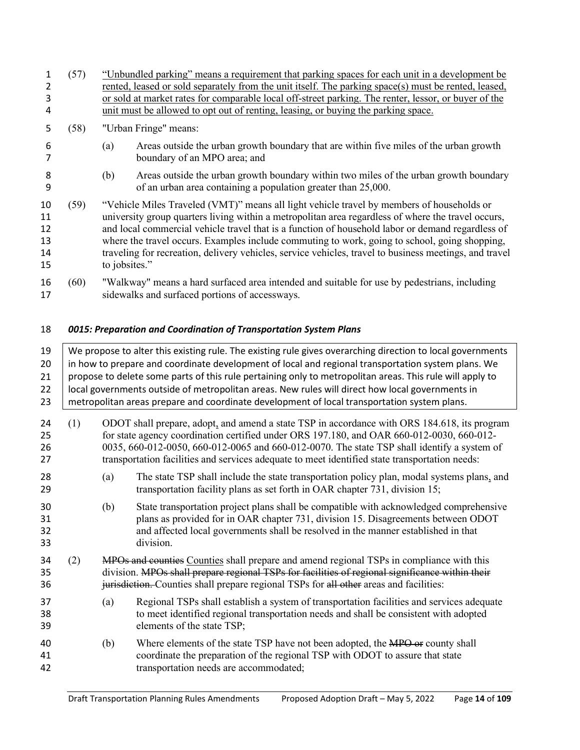|                                  | (57) | "Unbundled parking" means a requirement that parking spaces for each unit in a development be                                                                                                                                                                                                                                                                                                                                                                                                                                    |  |  |  |  |  |  |  |
|----------------------------------|------|----------------------------------------------------------------------------------------------------------------------------------------------------------------------------------------------------------------------------------------------------------------------------------------------------------------------------------------------------------------------------------------------------------------------------------------------------------------------------------------------------------------------------------|--|--|--|--|--|--|--|
|                                  |      | rented, leased or sold separately from the unit itself. The parking space(s) must be rented, leased,                                                                                                                                                                                                                                                                                                                                                                                                                             |  |  |  |  |  |  |  |
| 3                                |      | or sold at market rates for comparable local off-street parking. The renter, lessor, or buyer of the                                                                                                                                                                                                                                                                                                                                                                                                                             |  |  |  |  |  |  |  |
| 4                                |      | unit must be allowed to opt out of renting, leasing, or buying the parking space.                                                                                                                                                                                                                                                                                                                                                                                                                                                |  |  |  |  |  |  |  |
| 5                                | (58) | "Urban Fringe" means:                                                                                                                                                                                                                                                                                                                                                                                                                                                                                                            |  |  |  |  |  |  |  |
| 6                                |      | Areas outside the urban growth boundary that are within five miles of the urban growth<br>(a)<br>boundary of an MPO area; and                                                                                                                                                                                                                                                                                                                                                                                                    |  |  |  |  |  |  |  |
| 8<br>9                           |      | Areas outside the urban growth boundary within two miles of the urban growth boundary<br>(b)<br>of an urban area containing a population greater than 25,000.                                                                                                                                                                                                                                                                                                                                                                    |  |  |  |  |  |  |  |
| 10<br>11<br>12<br>13<br>14<br>15 | (59) | "Vehicle Miles Traveled (VMT)" means all light vehicle travel by members of households or<br>university group quarters living within a metropolitan area regardless of where the travel occurs,<br>and local commercial vehicle travel that is a function of household labor or demand regardless of<br>where the travel occurs. Examples include commuting to work, going to school, going shopping,<br>traveling for recreation, delivery vehicles, service vehicles, travel to business meetings, and travel<br>to jobsites." |  |  |  |  |  |  |  |
| 16                               | (60) | "Walkway" means a hard surfaced area intended and suitable for use by pedestrians, including                                                                                                                                                                                                                                                                                                                                                                                                                                     |  |  |  |  |  |  |  |

<span id="page-13-0"></span>sidewalks and surfaced portions of accessways.

## *0015: Preparation and Coordination of Transportation System Plans*

| 19<br>20<br>21<br>22<br>23 | We propose to alter this existing rule. The existing rule gives overarching direction to local governments<br>in how to prepare and coordinate development of local and regional transportation system plans. We<br>propose to delete some parts of this rule pertaining only to metropolitan areas. This rule will apply to<br>local governments outside of metropolitan areas. New rules will direct how local governments in<br>metropolitan areas prepare and coordinate development of local transportation system plans. |     |                                                                                                                                                                                                                                                                                                                                                                                            |  |  |  |  |  |  |
|----------------------------|--------------------------------------------------------------------------------------------------------------------------------------------------------------------------------------------------------------------------------------------------------------------------------------------------------------------------------------------------------------------------------------------------------------------------------------------------------------------------------------------------------------------------------|-----|--------------------------------------------------------------------------------------------------------------------------------------------------------------------------------------------------------------------------------------------------------------------------------------------------------------------------------------------------------------------------------------------|--|--|--|--|--|--|
| 24<br>25<br>26<br>27       | (1)                                                                                                                                                                                                                                                                                                                                                                                                                                                                                                                            |     | ODOT shall prepare, adopt, and amend a state TSP in accordance with ORS 184.618, its program<br>for state agency coordination certified under ORS 197.180, and OAR 660-012-0030, 660-012-<br>0035, 660-012-0050, 660-012-0065 and 660-012-0070. The state TSP shall identify a system of<br>transportation facilities and services adequate to meet identified state transportation needs: |  |  |  |  |  |  |
| 28<br>29                   |                                                                                                                                                                                                                                                                                                                                                                                                                                                                                                                                | (a) | The state TSP shall include the state transportation policy plan, modal systems plans, and<br>transportation facility plans as set forth in OAR chapter 731, division 15;                                                                                                                                                                                                                  |  |  |  |  |  |  |
| 30<br>31<br>32<br>33       |                                                                                                                                                                                                                                                                                                                                                                                                                                                                                                                                | (b) | State transportation project plans shall be compatible with acknowledged comprehensive<br>plans as provided for in OAR chapter 731, division 15. Disagreements between ODOT<br>and affected local governments shall be resolved in the manner established in that<br>division.                                                                                                             |  |  |  |  |  |  |
| 34<br>35<br>36             | (2)                                                                                                                                                                                                                                                                                                                                                                                                                                                                                                                            |     | MPOs and counties Counties shall prepare and amend regional TSPs in compliance with this<br>division. MPOs shall prepare regional TSPs for facilities of regional significance within their<br>jurisdiction. Counties shall prepare regional TSPs for all other areas and facilities:                                                                                                      |  |  |  |  |  |  |
| 37<br>38<br>39             |                                                                                                                                                                                                                                                                                                                                                                                                                                                                                                                                | (a) | Regional TSPs shall establish a system of transportation facilities and services adequate<br>to meet identified regional transportation needs and shall be consistent with adopted<br>elements of the state TSP;                                                                                                                                                                           |  |  |  |  |  |  |
|                            |                                                                                                                                                                                                                                                                                                                                                                                                                                                                                                                                |     |                                                                                                                                                                                                                                                                                                                                                                                            |  |  |  |  |  |  |

40 (b) Where elements of the state TSP have not been adopted, the MPO or county shall coordinate the preparation of the regional TSP with ODOT to assure that state transportation needs are accommodated;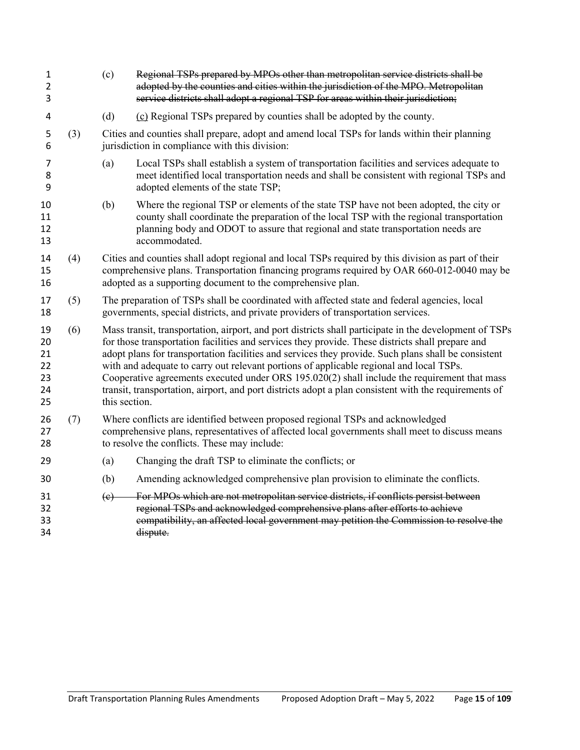| (d)<br>(c) Regional TSPs prepared by counties shall be adopted by the county.<br>4<br>Cities and counties shall prepare, adopt and amend local TSPs for lands within their planning<br>(3)<br>5<br>jurisdiction in compliance with this division:<br>6<br>7<br>(a)<br>8<br>adopted elements of the state TSP;<br>9<br>(b)<br>10<br>11<br>planning body and ODOT to assure that regional and state transportation needs are<br>12<br>accommodated.<br>13<br>(4)<br>14<br>15<br>adopted as a supporting document to the comprehensive plan.<br>16<br>The preparation of TSPs shall be coordinated with affected state and federal agencies, local<br>(5)<br>17<br>governments, special districts, and private providers of transportation services.<br>18<br>(6)<br>19<br>for those transportation facilities and services they provide. These districts shall prepare and<br>20<br>21<br>with and adequate to carry out relevant portions of applicable regional and local TSPs.<br>22<br>23<br>24<br>this section.<br>25<br>26<br>(7)<br>Where conflicts are identified between proposed regional TSPs and acknowledged<br>comprehensive plans, representatives of affected local governments shall meet to discuss means<br>27<br>to resolve the conflicts. These may include:<br>28<br>Changing the draft TSP to eliminate the conflicts; or<br>29<br>(a)<br>(b)<br>Amending acknowledged comprehensive plan provision to eliminate the conflicts.<br>30<br>For MPOs which are not metropolitan service districts, if conflicts persist between<br>31<br>(e)<br>regional TSPs and acknowledged comprehensive plans after efforts to achieve<br>32<br>33<br>34<br>dispute. | 1<br>$\overline{2}$<br>3 | (c)                                                                                                                                                                                                                                                                                                                                                                                                                    | Regional TSPs prepared by MPOs other than metropolitan service districts shall be<br>adopted by the counties and cities within the jurisdiction of the MPO. Metropolitan<br>service districts shall adopt a regional TSP for areas within their jurisdiction; |  |  |  |  |  |
|-----------------------------------------------------------------------------------------------------------------------------------------------------------------------------------------------------------------------------------------------------------------------------------------------------------------------------------------------------------------------------------------------------------------------------------------------------------------------------------------------------------------------------------------------------------------------------------------------------------------------------------------------------------------------------------------------------------------------------------------------------------------------------------------------------------------------------------------------------------------------------------------------------------------------------------------------------------------------------------------------------------------------------------------------------------------------------------------------------------------------------------------------------------------------------------------------------------------------------------------------------------------------------------------------------------------------------------------------------------------------------------------------------------------------------------------------------------------------------------------------------------------------------------------------------------------------------------------------------------------------------------------------------------------------------|--------------------------|------------------------------------------------------------------------------------------------------------------------------------------------------------------------------------------------------------------------------------------------------------------------------------------------------------------------------------------------------------------------------------------------------------------------|---------------------------------------------------------------------------------------------------------------------------------------------------------------------------------------------------------------------------------------------------------------|--|--|--|--|--|
|                                                                                                                                                                                                                                                                                                                                                                                                                                                                                                                                                                                                                                                                                                                                                                                                                                                                                                                                                                                                                                                                                                                                                                                                                                                                                                                                                                                                                                                                                                                                                                                                                                                                             |                          |                                                                                                                                                                                                                                                                                                                                                                                                                        |                                                                                                                                                                                                                                                               |  |  |  |  |  |
|                                                                                                                                                                                                                                                                                                                                                                                                                                                                                                                                                                                                                                                                                                                                                                                                                                                                                                                                                                                                                                                                                                                                                                                                                                                                                                                                                                                                                                                                                                                                                                                                                                                                             |                          |                                                                                                                                                                                                                                                                                                                                                                                                                        |                                                                                                                                                                                                                                                               |  |  |  |  |  |
|                                                                                                                                                                                                                                                                                                                                                                                                                                                                                                                                                                                                                                                                                                                                                                                                                                                                                                                                                                                                                                                                                                                                                                                                                                                                                                                                                                                                                                                                                                                                                                                                                                                                             |                          |                                                                                                                                                                                                                                                                                                                                                                                                                        | Local TSPs shall establish a system of transportation facilities and services adequate to<br>meet identified local transportation needs and shall be consistent with regional TSPs and                                                                        |  |  |  |  |  |
|                                                                                                                                                                                                                                                                                                                                                                                                                                                                                                                                                                                                                                                                                                                                                                                                                                                                                                                                                                                                                                                                                                                                                                                                                                                                                                                                                                                                                                                                                                                                                                                                                                                                             |                          |                                                                                                                                                                                                                                                                                                                                                                                                                        | Where the regional TSP or elements of the state TSP have not been adopted, the city or<br>county shall coordinate the preparation of the local TSP with the regional transportation                                                                           |  |  |  |  |  |
|                                                                                                                                                                                                                                                                                                                                                                                                                                                                                                                                                                                                                                                                                                                                                                                                                                                                                                                                                                                                                                                                                                                                                                                                                                                                                                                                                                                                                                                                                                                                                                                                                                                                             |                          | Cities and counties shall adopt regional and local TSPs required by this division as part of their<br>comprehensive plans. Transportation financing programs required by OAR 660-012-0040 may be                                                                                                                                                                                                                       |                                                                                                                                                                                                                                                               |  |  |  |  |  |
|                                                                                                                                                                                                                                                                                                                                                                                                                                                                                                                                                                                                                                                                                                                                                                                                                                                                                                                                                                                                                                                                                                                                                                                                                                                                                                                                                                                                                                                                                                                                                                                                                                                                             |                          |                                                                                                                                                                                                                                                                                                                                                                                                                        |                                                                                                                                                                                                                                                               |  |  |  |  |  |
|                                                                                                                                                                                                                                                                                                                                                                                                                                                                                                                                                                                                                                                                                                                                                                                                                                                                                                                                                                                                                                                                                                                                                                                                                                                                                                                                                                                                                                                                                                                                                                                                                                                                             |                          | Mass transit, transportation, airport, and port districts shall participate in the development of TSPs<br>adopt plans for transportation facilities and services they provide. Such plans shall be consistent<br>Cooperative agreements executed under ORS 195.020(2) shall include the requirement that mass<br>transit, transportation, airport, and port districts adopt a plan consistent with the requirements of |                                                                                                                                                                                                                                                               |  |  |  |  |  |
|                                                                                                                                                                                                                                                                                                                                                                                                                                                                                                                                                                                                                                                                                                                                                                                                                                                                                                                                                                                                                                                                                                                                                                                                                                                                                                                                                                                                                                                                                                                                                                                                                                                                             |                          |                                                                                                                                                                                                                                                                                                                                                                                                                        |                                                                                                                                                                                                                                                               |  |  |  |  |  |
|                                                                                                                                                                                                                                                                                                                                                                                                                                                                                                                                                                                                                                                                                                                                                                                                                                                                                                                                                                                                                                                                                                                                                                                                                                                                                                                                                                                                                                                                                                                                                                                                                                                                             |                          |                                                                                                                                                                                                                                                                                                                                                                                                                        |                                                                                                                                                                                                                                                               |  |  |  |  |  |
|                                                                                                                                                                                                                                                                                                                                                                                                                                                                                                                                                                                                                                                                                                                                                                                                                                                                                                                                                                                                                                                                                                                                                                                                                                                                                                                                                                                                                                                                                                                                                                                                                                                                             |                          |                                                                                                                                                                                                                                                                                                                                                                                                                        |                                                                                                                                                                                                                                                               |  |  |  |  |  |
|                                                                                                                                                                                                                                                                                                                                                                                                                                                                                                                                                                                                                                                                                                                                                                                                                                                                                                                                                                                                                                                                                                                                                                                                                                                                                                                                                                                                                                                                                                                                                                                                                                                                             |                          |                                                                                                                                                                                                                                                                                                                                                                                                                        | compatibility, an affected local government may petition the Commission to resolve the                                                                                                                                                                        |  |  |  |  |  |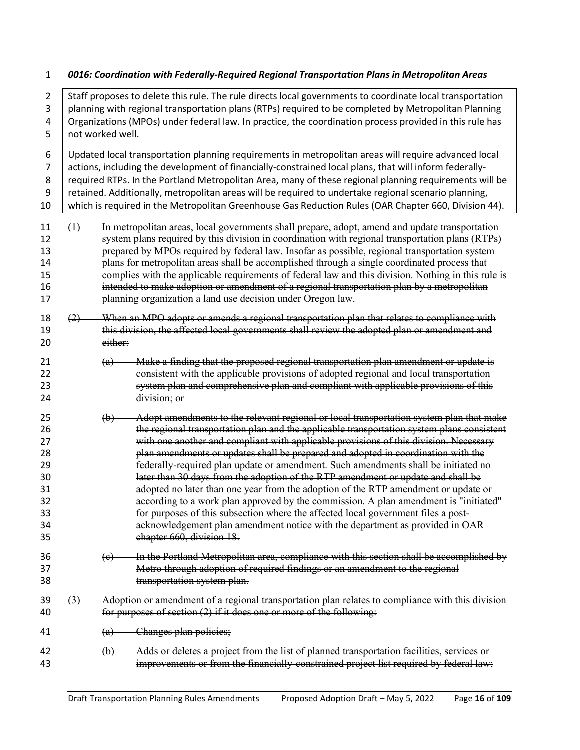#### <span id="page-15-0"></span>*0016: Coordination with Federally-Required Regional Transportation Plans in Metropolitan Areas*

2 Staff proposes to delete this rule. The rule directs local governments to coordinate local transportation 3 | planning with regional transportation plans (RTPs) required to be completed by Metropolitan Planning Organizations (MPOs) under federal law. In practice, the coordination process provided in this rule has not worked well. Updated local transportation planning requirements in metropolitan areas will require advanced local actions, including the development of financially-constrained local plans, that will inform federally-8 required RTPs. In the Portland Metropolitan Area, many of these regional planning requirements will be retained. Additionally, metropolitan areas will be required to undertake regional scenario planning, 10 which is required in the Metropolitan Greenhouse Gas Reduction Rules (OAR Chapter 660, Division 44). (1) In metropolitan areas, local governments shall prepare, adopt, amend and update transportation system plans required by this division in coordination with regional transportation plans (RTPs) prepared by MPOs required by federal law. Insofar as possible, regional transportation system plans for metropolitan areas shall be accomplished through a single coordinated process that complies with the applicable requirements of federal law and this division. Nothing in this rule is **intended to make adoption or amendment of a regional transportation plan by a metropolitan**  planning organization a land use decision under Oregon law. (2) When an MPO adopts or amends a regional transportation plan that relates to compliance with this division, the affected local governments shall review the adopted plan or amendment and either: (a) Make a finding that the proposed regional transportation plan amendment or update is 22 consistent with the applicable provisions of adopted regional and local transportation system plan and comprehensive plan and compliant with applicable provisions of this division; or (b) Adopt amendments to the relevant regional or local transportation system plan that make 26 the regional transportation plan and the applicable transportation system plans consistent with one another and compliant with applicable provisions of this division. Necessary plan amendments or updates shall be prepared and adopted in coordination with the federally-required plan update or amendment. Such amendments shall be initiated no later than 30 days from the adoption of the RTP amendment or update and shall be adopted no later than one year from the adoption of the RTP amendment or update or **according to a work plan approved by the commission.** A plan amendment is "initiated" for purposes of this subsection where the affected local government files a post- acknowledgement plan amendment notice with the department as provided in OAR chapter 660, division 18.  $\overline{c}$  36  $\overline{c}$  In the Portland Metropolitan area, compliance with this section shall be accomplished by Metro through adoption of required findings or an amendment to the regional transportation system plan. (3) Adoption or amendment of a regional transportation plan relates to compliance with this division for purposes of section (2) if it does one or more of the following: (a) Changes plan policies; (b) Adds or deletes a project from the list of planned transportation facilities, services or improvements or from the financially-constrained project list required by federal law;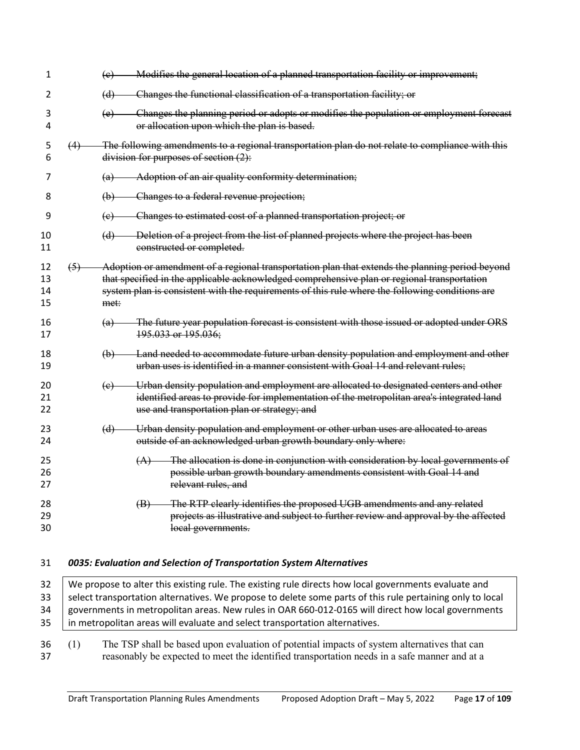| 1                    |     | Modifies the general location of a planned transportation facility or improvement;<br>(e)                                                                                                                                                                                                                 |
|----------------------|-----|-----------------------------------------------------------------------------------------------------------------------------------------------------------------------------------------------------------------------------------------------------------------------------------------------------------|
| 2                    |     | Changes the functional classification of a transportation facility; or<br>(d)                                                                                                                                                                                                                             |
| 3<br>4               |     | Changes the planning period or adopts or modifies the population or employment forecast<br>(e)<br>or allocation upon which the plan is based.                                                                                                                                                             |
| 5<br>6               | (4) | The following amendments to a regional transportation plan do not relate to compliance with this<br>division for purposes of section $(2)$ :                                                                                                                                                              |
| $\prime$             |     | Adoption of an air quality conformity determination;<br>(a)                                                                                                                                                                                                                                               |
| 8                    |     | Changes to a federal revenue projection;<br>$\Theta$                                                                                                                                                                                                                                                      |
| 9                    |     | Changes to estimated cost of a planned transportation project; or<br>(e)                                                                                                                                                                                                                                  |
| 10<br>11             |     | Deletion of a project from the list of planned projects where the project has been<br>(d)<br>constructed or completed.                                                                                                                                                                                    |
| 12<br>13<br>14<br>15 | (5) | Adoption or amendment of a regional transportation plan that extends the planning period beyond<br>that specified in the applicable acknowledged comprehensive plan or regional transportation<br>system plan is consistent with the requirements of this rule where the following conditions are<br>met: |
| 16<br>17             |     | The future year population forecast is consistent with those issued or adopted under ORS<br>(a)<br>195.033 or 195.036;                                                                                                                                                                                    |
| 18<br>19             |     | Land needed to accommodate future urban density population and employment and other<br>(b)<br>urban uses is identified in a manner consistent with Goal 14 and relevant rules;                                                                                                                            |
| 20<br>21<br>22       |     | Urban density population and employment are allocated to designated centers and other<br>(e)<br>identified areas to provide for implementation of the metropolitan area's integrated land<br>use and transportation plan or strategy; and                                                                 |
| 23<br>24             |     | Urban density population and employment or other urban uses are allocated to areas<br>(d)<br>outside of an acknowledged urban growth boundary only where:                                                                                                                                                 |
| 25<br>26<br>27       |     | The allocation is done in conjunction with consideration by local governments of<br>(A)<br>possible urban growth boundary amendments consistent with Goal 14 and<br>relevant rules, and                                                                                                                   |
| 28<br>29<br>30       |     | The RTP clearly identifies the proposed UGB amendments and any related<br>(B)<br>projects as illustrative and subject to further review and approval by the affected<br>local governments.                                                                                                                |
| 31                   |     | 0035: Evaluation and Selection of Transportation System Alternatives                                                                                                                                                                                                                                      |

- <span id="page-16-0"></span>32 We propose to alter this existing rule. The existing rule directs how local governments evaluate and 33 Select transportation alternatives. We propose to delete some parts of this rule pertaining only to local 34 | governments in metropolitan areas. New rules in OAR 660-012-0165 will direct how local governments 35 | in metropolitan areas will evaluate and select transportation alternatives.
- (1) The TSP shall be based upon evaluation of potential impacts of system alternatives that can reasonably be expected to meet the identified transportation needs in a safe manner and at a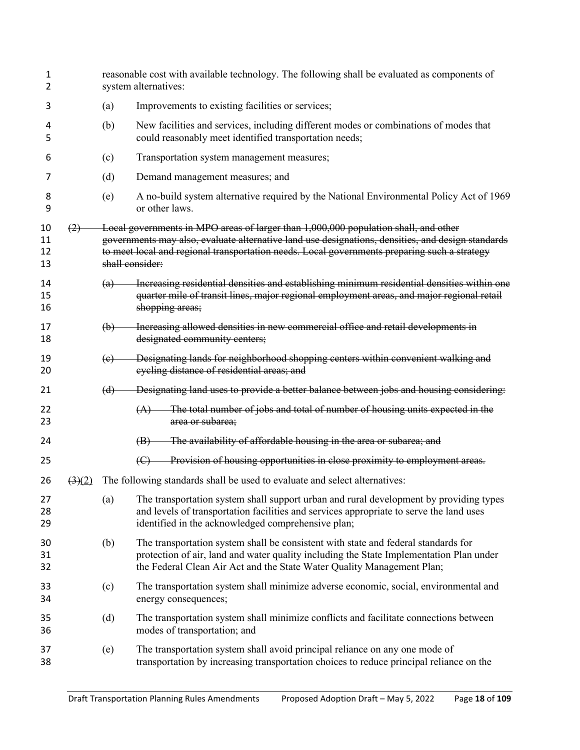| 1<br>2               |                                |     | reasonable cost with available technology. The following shall be evaluated as components of<br>system alternatives:                                                                                                                                                                                        |  |  |  |  |  |  |
|----------------------|--------------------------------|-----|-------------------------------------------------------------------------------------------------------------------------------------------------------------------------------------------------------------------------------------------------------------------------------------------------------------|--|--|--|--|--|--|
| 3                    |                                | (a) | Improvements to existing facilities or services;                                                                                                                                                                                                                                                            |  |  |  |  |  |  |
| 4<br>5               |                                | (b) | New facilities and services, including different modes or combinations of modes that<br>could reasonably meet identified transportation needs;                                                                                                                                                              |  |  |  |  |  |  |
| 6                    |                                | (c) | Transportation system management measures;                                                                                                                                                                                                                                                                  |  |  |  |  |  |  |
| 7                    |                                | (d) | Demand management measures; and                                                                                                                                                                                                                                                                             |  |  |  |  |  |  |
| 8<br>9               |                                | (e) | A no-build system alternative required by the National Environmental Policy Act of 1969<br>or other laws.                                                                                                                                                                                                   |  |  |  |  |  |  |
| 10<br>11<br>12<br>13 | (2)                            |     | Local governments in MPO areas of larger than 1,000,000 population shall, and other<br>governments may also, evaluate alternative land use designations, densities, and design standards<br>to meet local and regional transportation needs. Local governments preparing such a strategy<br>shall consider: |  |  |  |  |  |  |
| 14<br>15<br>16       |                                | (a) | Increasing residential densities and establishing minimum residential densities within one<br>quarter mile of transit lines, major regional employment areas, and major regional retail<br>shopping areas;                                                                                                  |  |  |  |  |  |  |
| 17<br>18             |                                | (b) | Increasing allowed densities in new commercial office and retail developments in<br>designated community centers;                                                                                                                                                                                           |  |  |  |  |  |  |
| 19<br>20             |                                | (e) | Designating lands for neighborhood shopping centers within convenient walking and<br>eyeling distance of residential areas; and                                                                                                                                                                             |  |  |  |  |  |  |
| 21                   |                                | (d) | Designating land uses to provide a better balance between jobs and housing considering:                                                                                                                                                                                                                     |  |  |  |  |  |  |
| 22<br>23             |                                |     | The total number of jobs and total of number of housing units expected in the<br>(A)<br>area or subarea;                                                                                                                                                                                                    |  |  |  |  |  |  |
| 24                   |                                |     | The availability of affordable housing in the area or subarea; and<br>$\left( \mathbf{B} \right)$                                                                                                                                                                                                           |  |  |  |  |  |  |
| 25                   |                                |     | Provision of housing opportunities in close proximity to employment areas.<br>$\left(\bigoplus\right)$                                                                                                                                                                                                      |  |  |  |  |  |  |
| 26                   | $\left(3\right)\left(2\right)$ |     | The following standards shall be used to evaluate and select alternatives:                                                                                                                                                                                                                                  |  |  |  |  |  |  |
| 27<br>28<br>29       |                                | (a) | The transportation system shall support urban and rural development by providing types<br>and levels of transportation facilities and services appropriate to serve the land uses<br>identified in the acknowledged comprehensive plan;                                                                     |  |  |  |  |  |  |
| 30<br>31<br>32       |                                | (b) | The transportation system shall be consistent with state and federal standards for<br>protection of air, land and water quality including the State Implementation Plan under<br>the Federal Clean Air Act and the State Water Quality Management Plan;                                                     |  |  |  |  |  |  |
| 33<br>34             |                                | (c) | The transportation system shall minimize adverse economic, social, environmental and<br>energy consequences;                                                                                                                                                                                                |  |  |  |  |  |  |
| 35<br>36             |                                | (d) | The transportation system shall minimize conflicts and facilitate connections between<br>modes of transportation; and                                                                                                                                                                                       |  |  |  |  |  |  |
| 37<br>38             |                                | (e) | The transportation system shall avoid principal reliance on any one mode of<br>transportation by increasing transportation choices to reduce principal reliance on the                                                                                                                                      |  |  |  |  |  |  |
|                      |                                |     |                                                                                                                                                                                                                                                                                                             |  |  |  |  |  |  |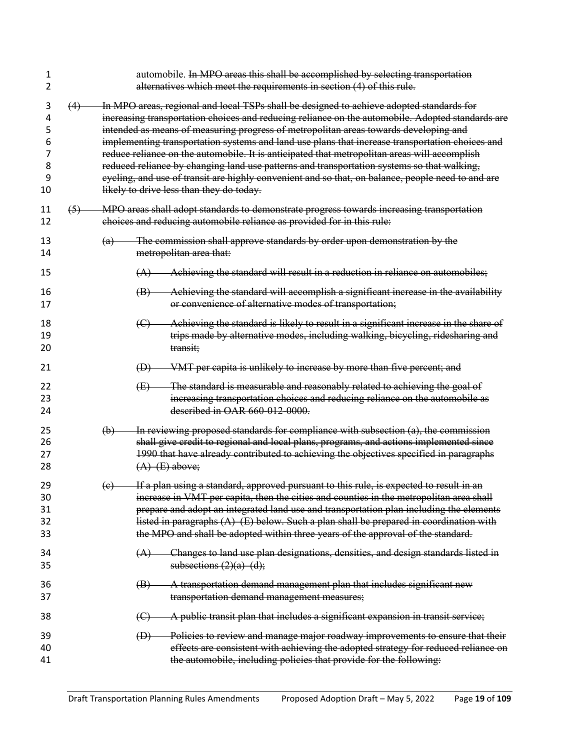| 1<br>2                                |     | automobile. In MPO areas this shall be accomplished by selecting transportation<br>alternatives which meet the requirements in section (4) of this rule.                                                                                                                                                                                                                                                                                                                                                                                                                                                                                                                                                                               |
|---------------------------------------|-----|----------------------------------------------------------------------------------------------------------------------------------------------------------------------------------------------------------------------------------------------------------------------------------------------------------------------------------------------------------------------------------------------------------------------------------------------------------------------------------------------------------------------------------------------------------------------------------------------------------------------------------------------------------------------------------------------------------------------------------------|
| 3<br>4<br>5<br>6<br>7<br>8<br>9<br>10 | (4) | In MPO areas, regional and local TSPs shall be designed to achieve adopted standards for<br>increasing transportation choices and reducing reliance on the automobile. Adopted standards are<br>intended as means of measuring progress of metropolitan areas towards developing and<br>implementing transportation systems and land use plans that increase transportation choices and<br>reduce reliance on the automobile. It is anticipated that metropolitan areas will accomplish<br>reduced reliance by changing land use patterns and transportation systems so that walking,<br>eyeling, and use of transit are highly convenient and so that, on balance, people need to and are<br>likely to drive less than they do today. |
| 11<br>12                              | (5) | MPO areas shall adopt standards to demonstrate progress towards increasing transportation<br>choices and reducing automobile reliance as provided for in this rule:                                                                                                                                                                                                                                                                                                                                                                                                                                                                                                                                                                    |
| 13<br>14                              |     | The commission shall approve standards by order upon demonstration by the<br>(a)<br>metropolitan area that:                                                                                                                                                                                                                                                                                                                                                                                                                                                                                                                                                                                                                            |
| 15                                    |     | Achieving the standard will result in a reduction in reliance on automobiles;<br>(A)                                                                                                                                                                                                                                                                                                                                                                                                                                                                                                                                                                                                                                                   |
| 16<br>17                              |     | Achieving the standard will accomplish a significant increase in the availability<br>$\left(\mathbf{B}\right)$<br>or convenience of alternative modes of transportation;                                                                                                                                                                                                                                                                                                                                                                                                                                                                                                                                                               |
| 18<br>19<br>20                        |     | Achieving the standard is likely to result in a significant increase in the share of<br>$\left(\text{C}\right)$<br>trips made by alternative modes, including walking, bicycling, ridesharing and<br>transit;                                                                                                                                                                                                                                                                                                                                                                                                                                                                                                                          |
| 21                                    |     | VMT per capita is unlikely to increase by more than five percent; and<br>$\bigoplus$                                                                                                                                                                                                                                                                                                                                                                                                                                                                                                                                                                                                                                                   |
| 22<br>23<br>24                        |     | The standard is measurable and reasonably related to achieving the goal of<br>$\bigoplus$<br>increasing transportation choices and reducing reliance on the automobile as<br>described in OAR 660-012-0000.                                                                                                                                                                                                                                                                                                                                                                                                                                                                                                                            |
| 25<br>26<br>27<br>28                  |     | In reviewing proposed standards for compliance with subsection (a), the commission<br>(b)<br>shall give credit to regional and local plans, programs, and actions implemented since<br>1990 that have already contributed to achieving the objectives specified in paragraphs<br>$(A)$ (E) above;                                                                                                                                                                                                                                                                                                                                                                                                                                      |
| 29<br>30<br>31<br>32<br>33            |     | If a plan using a standard, approved pursuant to this rule, is expected to result in an<br>(e)<br>increase in VMT per capita, then the cities and counties in the metropolitan area shall<br>prepare and adopt an integrated land use and transportation plan including the elements<br>listed in paragraphs $(A)$ (E) below. Such a plan shall be prepared in coordination with<br>the MPO and shall be adopted within three years of the approval of the standard.                                                                                                                                                                                                                                                                   |
| 34<br>35                              |     | Changes to land use plan designations, densities, and design standards listed in<br>(A)<br>subsections $(2)(a)$ $(d)$ ;                                                                                                                                                                                                                                                                                                                                                                                                                                                                                                                                                                                                                |
| 36<br>37                              |     | A transportation demand management plan that includes significant new<br>(B)<br>transportation demand management measures;                                                                                                                                                                                                                                                                                                                                                                                                                                                                                                                                                                                                             |
| 38                                    |     | A public transit plan that includes a significant expansion in transit service;<br>$\left(\bigoplus\right)$                                                                                                                                                                                                                                                                                                                                                                                                                                                                                                                                                                                                                            |
| 39<br>40<br>41                        |     | Policies to review and manage major roadway improvements to ensure that their<br>$\bigoplus$<br>effects are consistent with achieving the adopted strategy for reduced reliance on<br>the automobile, including policies that provide for the following:                                                                                                                                                                                                                                                                                                                                                                                                                                                                               |
|                                       |     |                                                                                                                                                                                                                                                                                                                                                                                                                                                                                                                                                                                                                                                                                                                                        |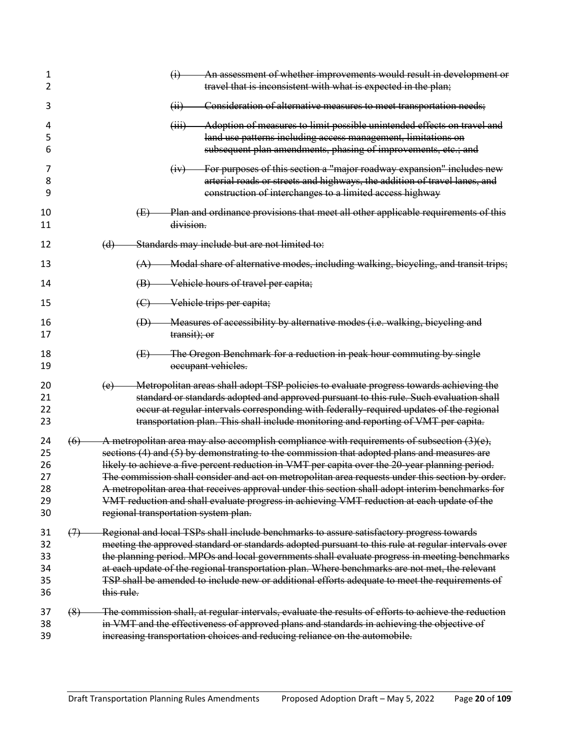| 1<br>2                                 |                   | $\ddot{\theta}$                                                                                                                                                                                                                                                                  | An assessment of whether improvements would result in development or<br>travel that is inconsistent with what is expected in the plan;                                                                                                                                                                                                                                                                                                                                                                                                                                                                                                       |  |  |  |
|----------------------------------------|-------------------|----------------------------------------------------------------------------------------------------------------------------------------------------------------------------------------------------------------------------------------------------------------------------------|----------------------------------------------------------------------------------------------------------------------------------------------------------------------------------------------------------------------------------------------------------------------------------------------------------------------------------------------------------------------------------------------------------------------------------------------------------------------------------------------------------------------------------------------------------------------------------------------------------------------------------------------|--|--|--|
| 3                                      |                   | (ii)                                                                                                                                                                                                                                                                             | Consideration of alternative measures to meet transportation needs;                                                                                                                                                                                                                                                                                                                                                                                                                                                                                                                                                                          |  |  |  |
| 4<br>5<br>6                            |                   | (iii)                                                                                                                                                                                                                                                                            | Adoption of measures to limit possible unintended effects on travel and<br>land use patterns including access management, limitations on<br>subsequent plan amendments, phasing of improvements, etc.; and                                                                                                                                                                                                                                                                                                                                                                                                                                   |  |  |  |
| 7<br>8<br>9                            |                   | (iv)                                                                                                                                                                                                                                                                             | For purposes of this section a "major roadway expansion" includes new<br>arterial roads or streets and highways, the addition of travel lanes, and<br>construction of interchanges to a limited access highway                                                                                                                                                                                                                                                                                                                                                                                                                               |  |  |  |
| 10<br>11                               | (E)               | division.                                                                                                                                                                                                                                                                        | Plan and ordinance provisions that meet all other applicable requirements of this                                                                                                                                                                                                                                                                                                                                                                                                                                                                                                                                                            |  |  |  |
| 12                                     | (d)               |                                                                                                                                                                                                                                                                                  | Standards may include but are not limited to:                                                                                                                                                                                                                                                                                                                                                                                                                                                                                                                                                                                                |  |  |  |
| 13                                     |                   |                                                                                                                                                                                                                                                                                  | (A) Modal share of alternative modes, including walking, bicycling, and transit trips;                                                                                                                                                                                                                                                                                                                                                                                                                                                                                                                                                       |  |  |  |
| 14                                     |                   |                                                                                                                                                                                                                                                                                  | (B) Vehicle hours of travel per capita;                                                                                                                                                                                                                                                                                                                                                                                                                                                                                                                                                                                                      |  |  |  |
| 15                                     |                   |                                                                                                                                                                                                                                                                                  | (C) Vehicle trips per capita;                                                                                                                                                                                                                                                                                                                                                                                                                                                                                                                                                                                                                |  |  |  |
| 16<br>17                               | $\bigoplus$       | transit); or                                                                                                                                                                                                                                                                     | Measures of accessibility by alternative modes (i.e. walking, bicycling and                                                                                                                                                                                                                                                                                                                                                                                                                                                                                                                                                                  |  |  |  |
| 18<br>19                               | (E)               |                                                                                                                                                                                                                                                                                  | The Oregon Benchmark for a reduction in peak hour commuting by single<br>occupant vehicles.                                                                                                                                                                                                                                                                                                                                                                                                                                                                                                                                                  |  |  |  |
| 20<br>21<br>22<br>23                   | (e)               |                                                                                                                                                                                                                                                                                  | Metropolitan areas shall adopt TSP policies to evaluate progress towards achieving the<br>standard or standards adopted and approved pursuant to this rule. Such evaluation shall<br>occur at regular intervals corresponding with federally-required updates of the regional<br>transportation plan. This shall include monitoring and reporting of VMT per capita.                                                                                                                                                                                                                                                                         |  |  |  |
| 24<br>25<br>26<br>27<br>28<br>29<br>30 | (6)               |                                                                                                                                                                                                                                                                                  | A metropolitan area may also accomplish compliance with requirements of subsection $(3)(e)$ ,<br>sections (4) and (5) by demonstrating to the commission that adopted plans and measures are<br>likely to achieve a five percent reduction in VMT per capita over the 20-year planning period.<br>The commission shall consider and act on metropolitan area requests under this section by order.<br>A metropolitan area that receives approval under this section shall adopt interim benchmarks for<br>VMT reduction and shall evaluate progress in achieving VMT reduction at each update of the<br>regional transportation system plan. |  |  |  |
| 31<br>32<br>33<br>34<br>35<br>36       | (7)<br>this rule. |                                                                                                                                                                                                                                                                                  | Regional and local TSPs shall include benchmarks to assure satisfactory progress towards<br>meeting the approved standard or standards adopted pursuant to this rule at regular intervals over<br>the planning period. MPOs and local governments shall evaluate progress in meeting benchmarks<br>at each update of the regional transportation plan. Where benchmarks are not met, the relevant<br>TSP shall be amended to include new or additional efforts adequate to meet the requirements of                                                                                                                                          |  |  |  |
| 37<br>38<br>39                         | (8)               | The commission shall, at regular intervals, evaluate the results of efforts to achieve the reduction<br>in VMT and the effectiveness of approved plans and standards in achieving the objective of<br>increasing transportation choices and reducing reliance on the automobile. |                                                                                                                                                                                                                                                                                                                                                                                                                                                                                                                                                                                                                                              |  |  |  |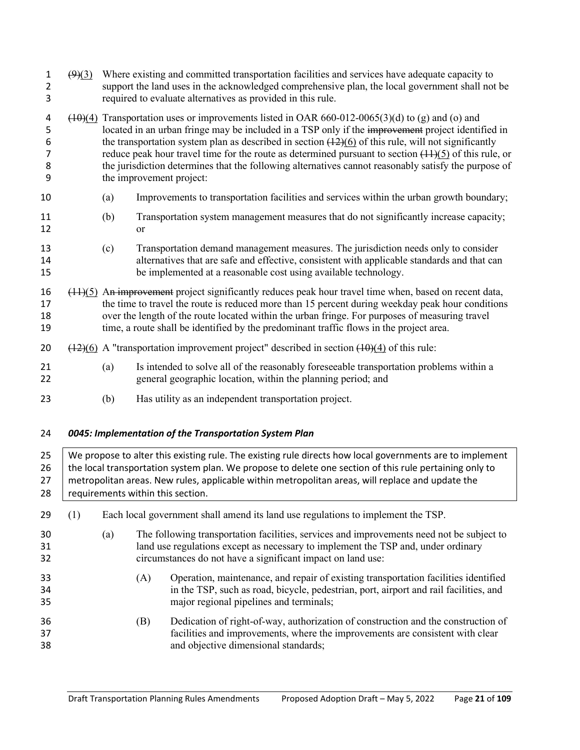| 1<br>2<br>3                | $\left(9\right)\left(3\right)$ | Where existing and committed transportation facilities and services have adequate capacity to<br>support the land uses in the acknowledged comprehensive plan, the local government shall not be<br>required to evaluate alternatives as provided in this rule.                                                                                                                                                                                                                                                                                                 |                                                                                                                                                                                                                                                                                                                                                                                                           |                                                                                                                                                                                                                                                                                                                                                             |  |  |  |  |  |
|----------------------------|--------------------------------|-----------------------------------------------------------------------------------------------------------------------------------------------------------------------------------------------------------------------------------------------------------------------------------------------------------------------------------------------------------------------------------------------------------------------------------------------------------------------------------------------------------------------------------------------------------------|-----------------------------------------------------------------------------------------------------------------------------------------------------------------------------------------------------------------------------------------------------------------------------------------------------------------------------------------------------------------------------------------------------------|-------------------------------------------------------------------------------------------------------------------------------------------------------------------------------------------------------------------------------------------------------------------------------------------------------------------------------------------------------------|--|--|--|--|--|
| 4<br>5<br>6<br>7<br>8<br>9 |                                | $(10)(4)$ Transportation uses or improvements listed in OAR 660-012-0065(3)(d) to (g) and (o) and<br>located in an urban fringe may be included in a TSP only if the improvement project identified in<br>the transportation system plan as described in section $(12)(6)$ of this rule, will not significantly<br>reduce peak hour travel time for the route as determined pursuant to section $(1.1)(5)$ of this rule, or<br>the jurisdiction determines that the following alternatives cannot reasonably satisfy the purpose of<br>the improvement project: |                                                                                                                                                                                                                                                                                                                                                                                                           |                                                                                                                                                                                                                                                                                                                                                             |  |  |  |  |  |
| 10                         |                                | (a)                                                                                                                                                                                                                                                                                                                                                                                                                                                                                                                                                             |                                                                                                                                                                                                                                                                                                                                                                                                           | Improvements to transportation facilities and services within the urban growth boundary;                                                                                                                                                                                                                                                                    |  |  |  |  |  |
| 11<br>12                   |                                | (b)                                                                                                                                                                                                                                                                                                                                                                                                                                                                                                                                                             | or                                                                                                                                                                                                                                                                                                                                                                                                        | Transportation system management measures that do not significantly increase capacity;                                                                                                                                                                                                                                                                      |  |  |  |  |  |
| 13<br>14<br>15             |                                | (c)                                                                                                                                                                                                                                                                                                                                                                                                                                                                                                                                                             |                                                                                                                                                                                                                                                                                                                                                                                                           | Transportation demand management measures. The jurisdiction needs only to consider<br>alternatives that are safe and effective, consistent with applicable standards and that can<br>be implemented at a reasonable cost using available technology.                                                                                                        |  |  |  |  |  |
| 16<br>17<br>18<br>19       |                                |                                                                                                                                                                                                                                                                                                                                                                                                                                                                                                                                                                 | $(11)(5)$ An improvement project significantly reduces peak hour travel time when, based on recent data,<br>the time to travel the route is reduced more than 15 percent during weekday peak hour conditions<br>over the length of the route located within the urban fringe. For purposes of measuring travel<br>time, a route shall be identified by the predominant traffic flows in the project area. |                                                                                                                                                                                                                                                                                                                                                             |  |  |  |  |  |
| 20                         |                                | $\frac{(12)(6)}{(12)(6)}$ A "transportation improvement project" described in section $\frac{(10)(4)}{(10)(4)}$ of this rule:                                                                                                                                                                                                                                                                                                                                                                                                                                   |                                                                                                                                                                                                                                                                                                                                                                                                           |                                                                                                                                                                                                                                                                                                                                                             |  |  |  |  |  |
| 21<br>22                   |                                | (a)                                                                                                                                                                                                                                                                                                                                                                                                                                                                                                                                                             |                                                                                                                                                                                                                                                                                                                                                                                                           | Is intended to solve all of the reasonably foreseeable transportation problems within a<br>general geographic location, within the planning period; and                                                                                                                                                                                                     |  |  |  |  |  |
| 23                         |                                | (b)                                                                                                                                                                                                                                                                                                                                                                                                                                                                                                                                                             |                                                                                                                                                                                                                                                                                                                                                                                                           | Has utility as an independent transportation project.                                                                                                                                                                                                                                                                                                       |  |  |  |  |  |
| 24                         |                                |                                                                                                                                                                                                                                                                                                                                                                                                                                                                                                                                                                 |                                                                                                                                                                                                                                                                                                                                                                                                           | 0045: Implementation of the Transportation System Plan                                                                                                                                                                                                                                                                                                      |  |  |  |  |  |
| 25<br>26<br>27<br>28       |                                |                                                                                                                                                                                                                                                                                                                                                                                                                                                                                                                                                                 |                                                                                                                                                                                                                                                                                                                                                                                                           | We propose to alter this existing rule. The existing rule directs how local governments are to implement<br>the local transportation system plan. We propose to delete one section of this rule pertaining only to<br>metropolitan areas. New rules, applicable within metropolitan areas, will replace and update the<br>requirements within this section. |  |  |  |  |  |
| 29                         | (1)                            |                                                                                                                                                                                                                                                                                                                                                                                                                                                                                                                                                                 |                                                                                                                                                                                                                                                                                                                                                                                                           | Each local government shall amend its land use regulations to implement the TSP.                                                                                                                                                                                                                                                                            |  |  |  |  |  |
| 30<br>31<br>32             |                                | (a)                                                                                                                                                                                                                                                                                                                                                                                                                                                                                                                                                             |                                                                                                                                                                                                                                                                                                                                                                                                           | The following transportation facilities, services and improvements need not be subject to<br>land use regulations except as necessary to implement the TSP and, under ordinary<br>circumstances do not have a significant impact on land use:                                                                                                               |  |  |  |  |  |
| 33<br>34<br>35             |                                |                                                                                                                                                                                                                                                                                                                                                                                                                                                                                                                                                                 | (A)                                                                                                                                                                                                                                                                                                                                                                                                       | Operation, maintenance, and repair of existing transportation facilities identified<br>in the TSP, such as road, bicycle, pedestrian, port, airport and rail facilities, and<br>major regional pipelines and terminals;                                                                                                                                     |  |  |  |  |  |
| 36                         |                                |                                                                                                                                                                                                                                                                                                                                                                                                                                                                                                                                                                 | (B)                                                                                                                                                                                                                                                                                                                                                                                                       | Dedication of right-of-way, authorization of construction and the construction of                                                                                                                                                                                                                                                                           |  |  |  |  |  |

<span id="page-20-0"></span> facilities and improvements, where the improvements are consistent with clear and objective dimensional standards;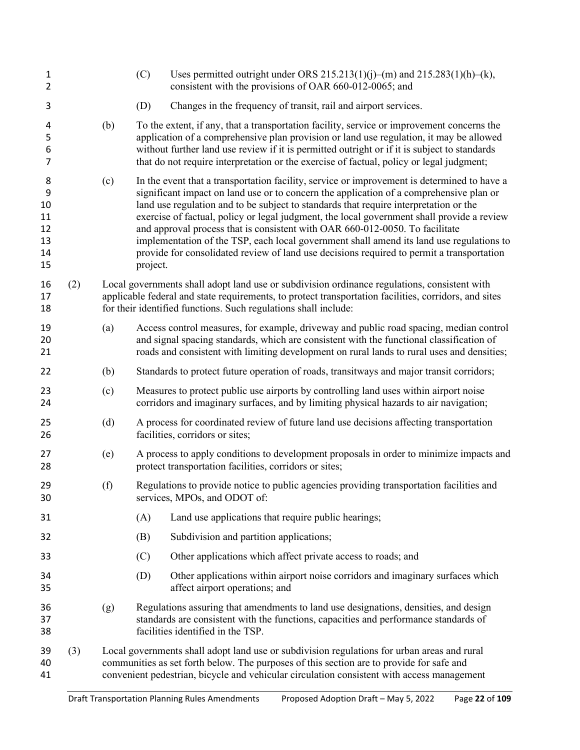| 1<br>2                                     |     |                                                                                                                                                                                                                                                                                       | (C)                                                                                                                      | Uses permitted outright under ORS 215.213(1)(j)–(m) and 215.283(1)(h)–(k),<br>consistent with the provisions of OAR 660-012-0065; and                                                                                                                                                                                                                                                                                                                                                                                                                                                                                                                  |  |  |  |  |  |  |
|--------------------------------------------|-----|---------------------------------------------------------------------------------------------------------------------------------------------------------------------------------------------------------------------------------------------------------------------------------------|--------------------------------------------------------------------------------------------------------------------------|--------------------------------------------------------------------------------------------------------------------------------------------------------------------------------------------------------------------------------------------------------------------------------------------------------------------------------------------------------------------------------------------------------------------------------------------------------------------------------------------------------------------------------------------------------------------------------------------------------------------------------------------------------|--|--|--|--|--|--|
| 3                                          |     |                                                                                                                                                                                                                                                                                       | (D)                                                                                                                      | Changes in the frequency of transit, rail and airport services.                                                                                                                                                                                                                                                                                                                                                                                                                                                                                                                                                                                        |  |  |  |  |  |  |
| 4<br>5<br>6<br>$\overline{7}$              |     | (b)                                                                                                                                                                                                                                                                                   |                                                                                                                          | To the extent, if any, that a transportation facility, service or improvement concerns the<br>application of a comprehensive plan provision or land use regulation, it may be allowed<br>without further land use review if it is permitted outright or if it is subject to standards<br>that do not require interpretation or the exercise of factual, policy or legal judgment;                                                                                                                                                                                                                                                                      |  |  |  |  |  |  |
| 8<br>9<br>10<br>11<br>12<br>13<br>14<br>15 |     | (c)                                                                                                                                                                                                                                                                                   | project.                                                                                                                 | In the event that a transportation facility, service or improvement is determined to have a<br>significant impact on land use or to concern the application of a comprehensive plan or<br>land use regulation and to be subject to standards that require interpretation or the<br>exercise of factual, policy or legal judgment, the local government shall provide a review<br>and approval process that is consistent with OAR 660-012-0050. To facilitate<br>implementation of the TSP, each local government shall amend its land use regulations to<br>provide for consolidated review of land use decisions required to permit a transportation |  |  |  |  |  |  |
| 16<br>17<br>18                             | (2) |                                                                                                                                                                                                                                                                                       |                                                                                                                          | Local governments shall adopt land use or subdivision ordinance regulations, consistent with<br>applicable federal and state requirements, to protect transportation facilities, corridors, and sites<br>for their identified functions. Such regulations shall include:                                                                                                                                                                                                                                                                                                                                                                               |  |  |  |  |  |  |
| 19<br>20<br>21                             |     | (a)                                                                                                                                                                                                                                                                                   |                                                                                                                          | Access control measures, for example, driveway and public road spacing, median control<br>and signal spacing standards, which are consistent with the functional classification of<br>roads and consistent with limiting development on rural lands to rural uses and densities;                                                                                                                                                                                                                                                                                                                                                                       |  |  |  |  |  |  |
| 22                                         |     | (b)                                                                                                                                                                                                                                                                                   |                                                                                                                          | Standards to protect future operation of roads, transitways and major transit corridors;                                                                                                                                                                                                                                                                                                                                                                                                                                                                                                                                                               |  |  |  |  |  |  |
| 23<br>24                                   |     | (c)                                                                                                                                                                                                                                                                                   |                                                                                                                          | Measures to protect public use airports by controlling land uses within airport noise<br>corridors and imaginary surfaces, and by limiting physical hazards to air navigation;                                                                                                                                                                                                                                                                                                                                                                                                                                                                         |  |  |  |  |  |  |
| 25<br>26                                   |     | (d)                                                                                                                                                                                                                                                                                   |                                                                                                                          | A process for coordinated review of future land use decisions affecting transportation<br>facilities, corridors or sites;                                                                                                                                                                                                                                                                                                                                                                                                                                                                                                                              |  |  |  |  |  |  |
| 27<br>28                                   |     | (e)                                                                                                                                                                                                                                                                                   |                                                                                                                          | A process to apply conditions to development proposals in order to minimize impacts and<br>protect transportation facilities, corridors or sites;                                                                                                                                                                                                                                                                                                                                                                                                                                                                                                      |  |  |  |  |  |  |
| 29<br>30                                   |     | (f)                                                                                                                                                                                                                                                                                   | Regulations to provide notice to public agencies providing transportation facilities and<br>services, MPOs, and ODOT of: |                                                                                                                                                                                                                                                                                                                                                                                                                                                                                                                                                                                                                                                        |  |  |  |  |  |  |
| 31                                         |     |                                                                                                                                                                                                                                                                                       | (A)                                                                                                                      | Land use applications that require public hearings;                                                                                                                                                                                                                                                                                                                                                                                                                                                                                                                                                                                                    |  |  |  |  |  |  |
| 32                                         |     |                                                                                                                                                                                                                                                                                       | (B)                                                                                                                      | Subdivision and partition applications;                                                                                                                                                                                                                                                                                                                                                                                                                                                                                                                                                                                                                |  |  |  |  |  |  |
| 33                                         |     |                                                                                                                                                                                                                                                                                       | (C)                                                                                                                      | Other applications which affect private access to roads; and                                                                                                                                                                                                                                                                                                                                                                                                                                                                                                                                                                                           |  |  |  |  |  |  |
| 34<br>35                                   |     |                                                                                                                                                                                                                                                                                       | (D)                                                                                                                      | Other applications within airport noise corridors and imaginary surfaces which<br>affect airport operations; and                                                                                                                                                                                                                                                                                                                                                                                                                                                                                                                                       |  |  |  |  |  |  |
| 36<br>37<br>38                             |     | (g)                                                                                                                                                                                                                                                                                   |                                                                                                                          | Regulations assuring that amendments to land use designations, densities, and design<br>standards are consistent with the functions, capacities and performance standards of<br>facilities identified in the TSP.                                                                                                                                                                                                                                                                                                                                                                                                                                      |  |  |  |  |  |  |
| 39<br>40<br>41                             | (3) | Local governments shall adopt land use or subdivision regulations for urban areas and rural<br>communities as set forth below. The purposes of this section are to provide for safe and<br>convenient pedestrian, bicycle and vehicular circulation consistent with access management |                                                                                                                          |                                                                                                                                                                                                                                                                                                                                                                                                                                                                                                                                                                                                                                                        |  |  |  |  |  |  |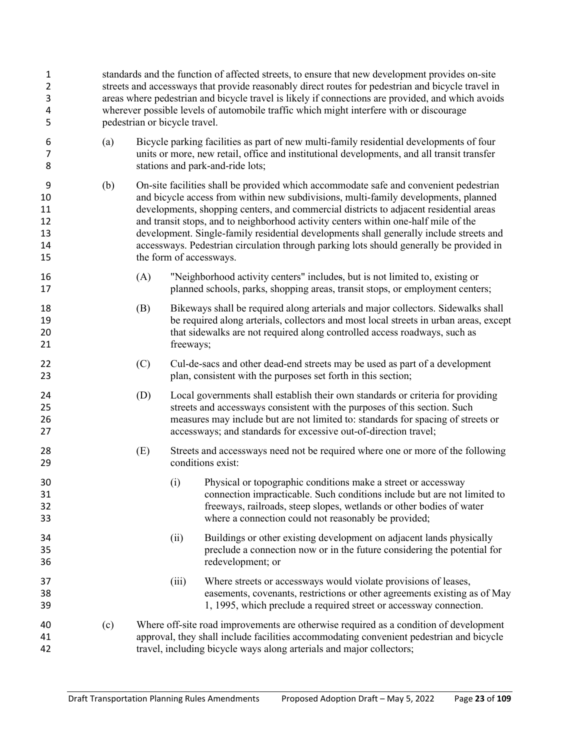| 1<br>2<br>3<br>4<br>5                 |     | standards and the function of affected streets, to ensure that new development provides on-site<br>streets and accessways that provide reasonably direct routes for pedestrian and bicycle travel in<br>areas where pedestrian and bicycle travel is likely if connections are provided, and which avoids<br>wherever possible levels of automobile traffic which might interfere with or discourage<br>pedestrian or bicycle travel. |           |                                                                                                                                                                                                                                                                                                                                                                                                                                                                                                                                                                                |  |  |  |
|---------------------------------------|-----|---------------------------------------------------------------------------------------------------------------------------------------------------------------------------------------------------------------------------------------------------------------------------------------------------------------------------------------------------------------------------------------------------------------------------------------|-----------|--------------------------------------------------------------------------------------------------------------------------------------------------------------------------------------------------------------------------------------------------------------------------------------------------------------------------------------------------------------------------------------------------------------------------------------------------------------------------------------------------------------------------------------------------------------------------------|--|--|--|
| 6<br>7<br>8                           | (a) | Bicycle parking facilities as part of new multi-family residential developments of four<br>units or more, new retail, office and institutional developments, and all transit transfer<br>stations and park-and-ride lots;                                                                                                                                                                                                             |           |                                                                                                                                                                                                                                                                                                                                                                                                                                                                                                                                                                                |  |  |  |
| 9<br>10<br>11<br>12<br>13<br>14<br>15 | (b) |                                                                                                                                                                                                                                                                                                                                                                                                                                       |           | On-site facilities shall be provided which accommodate safe and convenient pedestrian<br>and bicycle access from within new subdivisions, multi-family developments, planned<br>developments, shopping centers, and commercial districts to adjacent residential areas<br>and transit stops, and to neighborhood activity centers within one-half mile of the<br>development. Single-family residential developments shall generally include streets and<br>accessways. Pedestrian circulation through parking lots should generally be provided in<br>the form of accessways. |  |  |  |
| 16<br>17                              |     | (A)                                                                                                                                                                                                                                                                                                                                                                                                                                   |           | "Neighborhood activity centers" includes, but is not limited to, existing or<br>planned schools, parks, shopping areas, transit stops, or employment centers;                                                                                                                                                                                                                                                                                                                                                                                                                  |  |  |  |
| 18<br>19<br>20<br>21                  |     | (B)                                                                                                                                                                                                                                                                                                                                                                                                                                   | freeways; | Bikeways shall be required along arterials and major collectors. Sidewalks shall<br>be required along arterials, collectors and most local streets in urban areas, except<br>that sidewalks are not required along controlled access roadways, such as                                                                                                                                                                                                                                                                                                                         |  |  |  |
| 22<br>23                              |     | (C)                                                                                                                                                                                                                                                                                                                                                                                                                                   |           | Cul-de-sacs and other dead-end streets may be used as part of a development<br>plan, consistent with the purposes set forth in this section;                                                                                                                                                                                                                                                                                                                                                                                                                                   |  |  |  |
| 24<br>25<br>26<br>27                  |     | (D)                                                                                                                                                                                                                                                                                                                                                                                                                                   |           | Local governments shall establish their own standards or criteria for providing<br>streets and accessways consistent with the purposes of this section. Such<br>measures may include but are not limited to: standards for spacing of streets or<br>accessways; and standards for excessive out-of-direction travel;                                                                                                                                                                                                                                                           |  |  |  |
| 28<br>29                              |     | (E)                                                                                                                                                                                                                                                                                                                                                                                                                                   |           | Streets and accessways need not be required where one or more of the following<br>conditions exist:                                                                                                                                                                                                                                                                                                                                                                                                                                                                            |  |  |  |
| 30<br>31<br>32<br>33                  |     |                                                                                                                                                                                                                                                                                                                                                                                                                                       | (i)       | Physical or topographic conditions make a street or accessway<br>connection impracticable. Such conditions include but are not limited to<br>freeways, railroads, steep slopes, wetlands or other bodies of water<br>where a connection could not reasonably be provided;                                                                                                                                                                                                                                                                                                      |  |  |  |
| 34<br>35<br>36                        |     |                                                                                                                                                                                                                                                                                                                                                                                                                                       | (ii)      | Buildings or other existing development on adjacent lands physically<br>preclude a connection now or in the future considering the potential for<br>redevelopment; or                                                                                                                                                                                                                                                                                                                                                                                                          |  |  |  |
| 37<br>38<br>39                        |     |                                                                                                                                                                                                                                                                                                                                                                                                                                       | (iii)     | Where streets or accessways would violate provisions of leases,<br>easements, covenants, restrictions or other agreements existing as of May<br>1, 1995, which preclude a required street or accessway connection.                                                                                                                                                                                                                                                                                                                                                             |  |  |  |
| 40<br>41<br>42                        | (c) | Where off-site road improvements are otherwise required as a condition of development<br>approval, they shall include facilities accommodating convenient pedestrian and bicycle<br>travel, including bicycle ways along arterials and major collectors;                                                                                                                                                                              |           |                                                                                                                                                                                                                                                                                                                                                                                                                                                                                                                                                                                |  |  |  |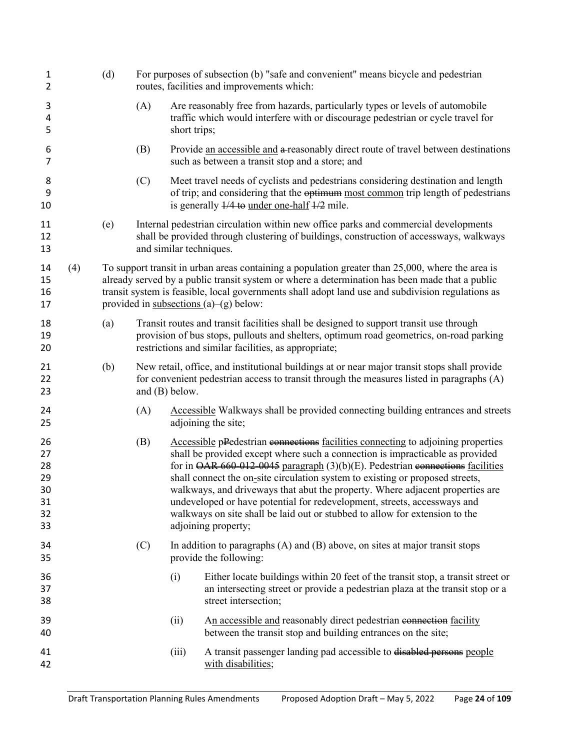| 1<br>2                                       |     | (d) |     |                                                                                                                                                                                                                                                                                                                                                         | For purposes of subsection (b) "safe and convenient" means bicycle and pedestrian<br>routes, facilities and improvements which:                                                                                                                                                                                                                                                                                                                                                                                                                                                                                         |  |  |
|----------------------------------------------|-----|-----|-----|---------------------------------------------------------------------------------------------------------------------------------------------------------------------------------------------------------------------------------------------------------------------------------------------------------------------------------------------------------|-------------------------------------------------------------------------------------------------------------------------------------------------------------------------------------------------------------------------------------------------------------------------------------------------------------------------------------------------------------------------------------------------------------------------------------------------------------------------------------------------------------------------------------------------------------------------------------------------------------------------|--|--|
| 3<br>4<br>5                                  |     |     | (A) | short trips;                                                                                                                                                                                                                                                                                                                                            | Are reasonably free from hazards, particularly types or levels of automobile<br>traffic which would interfere with or discourage pedestrian or cycle travel for                                                                                                                                                                                                                                                                                                                                                                                                                                                         |  |  |
| 6<br>7                                       |     |     | (B) |                                                                                                                                                                                                                                                                                                                                                         | Provide an accessible and a reasonably direct route of travel between destinations<br>such as between a transit stop and a store; and                                                                                                                                                                                                                                                                                                                                                                                                                                                                                   |  |  |
| 8<br>9<br>10                                 |     |     | (C) |                                                                                                                                                                                                                                                                                                                                                         | Meet travel needs of cyclists and pedestrians considering destination and length<br>of trip; and considering that the optimum most common trip length of pedestrians<br>is generally $\frac{1}{4}$ to under one-half $\frac{1}{2}$ mile.                                                                                                                                                                                                                                                                                                                                                                                |  |  |
| 11<br>12<br>13                               |     | (e) |     | and similar techniques.                                                                                                                                                                                                                                                                                                                                 | Internal pedestrian circulation within new office parks and commercial developments<br>shall be provided through clustering of buildings, construction of accessways, walkways                                                                                                                                                                                                                                                                                                                                                                                                                                          |  |  |
| 14<br>15<br>16<br>17                         | (4) |     |     | To support transit in urban areas containing a population greater than 25,000, where the area is<br>already served by a public transit system or where a determination has been made that a public<br>transit system is feasible, local governments shall adopt land use and subdivision regulations as<br>provided in subsections $(a)$ – $(g)$ below: |                                                                                                                                                                                                                                                                                                                                                                                                                                                                                                                                                                                                                         |  |  |
| 18<br>19<br>20                               |     | (a) |     | Transit routes and transit facilities shall be designed to support transit use through<br>provision of bus stops, pullouts and shelters, optimum road geometrics, on-road parking<br>restrictions and similar facilities, as appropriate;                                                                                                               |                                                                                                                                                                                                                                                                                                                                                                                                                                                                                                                                                                                                                         |  |  |
| 21<br>22<br>23                               |     | (b) |     | New retail, office, and institutional buildings at or near major transit stops shall provide<br>for convenient pedestrian access to transit through the measures listed in paragraphs (A)<br>and (B) below.                                                                                                                                             |                                                                                                                                                                                                                                                                                                                                                                                                                                                                                                                                                                                                                         |  |  |
| 24<br>25                                     |     |     | (A) |                                                                                                                                                                                                                                                                                                                                                         | Accessible Walkways shall be provided connecting building entrances and streets<br>adjoining the site;                                                                                                                                                                                                                                                                                                                                                                                                                                                                                                                  |  |  |
| 26<br>27<br>28<br>29<br>30<br>31<br>32<br>33 |     |     | (B) |                                                                                                                                                                                                                                                                                                                                                         | Accessible pPedestrian connections facilities connecting to adjoining properties<br>shall be provided except where such a connection is impracticable as provided<br>for in $\overline{OAR}$ 660–012–0045 paragraph $(3)(b)(E)$ . Pedestrian eonnections facilities<br>shall connect the on-site circulation system to existing or proposed streets,<br>walkways, and driveways that abut the property. Where adjacent properties are<br>undeveloped or have potential for redevelopment, streets, accessways and<br>walkways on site shall be laid out or stubbed to allow for extension to the<br>adjoining property; |  |  |
| 34<br>35                                     |     |     | (C) |                                                                                                                                                                                                                                                                                                                                                         | In addition to paragraphs $(A)$ and $(B)$ above, on sites at major transit stops<br>provide the following:                                                                                                                                                                                                                                                                                                                                                                                                                                                                                                              |  |  |
| 36<br>37<br>38                               |     |     |     | (i)                                                                                                                                                                                                                                                                                                                                                     | Either locate buildings within 20 feet of the transit stop, a transit street or<br>an intersecting street or provide a pedestrian plaza at the transit stop or a<br>street intersection;                                                                                                                                                                                                                                                                                                                                                                                                                                |  |  |
| 39<br>40                                     |     |     |     | (ii)                                                                                                                                                                                                                                                                                                                                                    | An accessible and reasonably direct pedestrian connection facility<br>between the transit stop and building entrances on the site;                                                                                                                                                                                                                                                                                                                                                                                                                                                                                      |  |  |
| 41<br>42                                     |     |     |     | (iii)                                                                                                                                                                                                                                                                                                                                                   | A transit passenger landing pad accessible to disabled persons people<br>with disabilities;                                                                                                                                                                                                                                                                                                                                                                                                                                                                                                                             |  |  |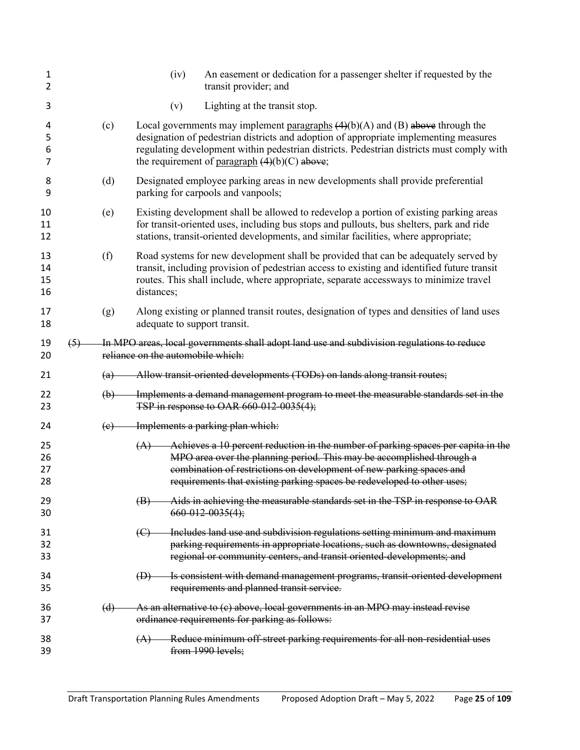| 1<br>2               |     | (iv)                              | An easement or dedication for a passenger shelter if requested by the<br>transit provider; and                                                                                                                                                                                                                                     |
|----------------------|-----|-----------------------------------|------------------------------------------------------------------------------------------------------------------------------------------------------------------------------------------------------------------------------------------------------------------------------------------------------------------------------------|
| 3                    |     | (v)                               | Lighting at the transit stop.                                                                                                                                                                                                                                                                                                      |
| 4<br>5<br>6<br>7     | (c) |                                   | Local governments may implement paragraphs $(4)(b)(A)$ and $(B)$ above through the<br>designation of pedestrian districts and adoption of appropriate implementing measures<br>regulating development within pedestrian districts. Pedestrian districts must comply with<br>the requirement of <u>paragraph</u> $(4)(b)(C)$ above; |
| 8<br>9               | (d) |                                   | Designated employee parking areas in new developments shall provide preferential<br>parking for carpools and vanpools;                                                                                                                                                                                                             |
| 10<br>11<br>12       | (e) |                                   | Existing development shall be allowed to redevelop a portion of existing parking areas<br>for transit-oriented uses, including bus stops and pullouts, bus shelters, park and ride<br>stations, transit-oriented developments, and similar facilities, where appropriate;                                                          |
| 13<br>14<br>15<br>16 | (f) | distances;                        | Road systems for new development shall be provided that can be adequately served by<br>transit, including provision of pedestrian access to existing and identified future transit<br>routes. This shall include, where appropriate, separate accessways to minimize travel                                                        |
| 17<br>18             | (g) | adequate to support transit.      | Along existing or planned transit routes, designation of types and densities of land uses                                                                                                                                                                                                                                          |
| 19<br>20             | (5) | reliance on the automobile which: | In MPO areas, local governments shall adopt land use and subdivision regulations to reduce                                                                                                                                                                                                                                         |
|                      |     |                                   |                                                                                                                                                                                                                                                                                                                                    |
| 21                   | (a) |                                   | Allow transit-oriented developments (TODs) on lands along transit routes;                                                                                                                                                                                                                                                          |
| 22<br>23             | (b) |                                   | Implements a demand management program to meet the measurable standards set in the<br>TSP in response to OAR 660-012-0035(4);                                                                                                                                                                                                      |
| 24                   | (e) |                                   | Implements a parking plan which:                                                                                                                                                                                                                                                                                                   |
| 25<br>26<br>27<br>28 |     |                                   | $(A)$ Achieves a 10 percent reduction in the number of parking spaces per capita in the<br>MPO area over the planning period. This may be accomplished through a<br>combination of restrictions on development of new parking spaces and<br>requirements that existing parking spaces be redeveloped to other uses;                |
| 29<br>30             |     | $\left(\mathbf{B}\right)$         | Aids in achieving the measurable standards set in the TSP in response to OAR<br>$660 - 012 - 0035(4);$                                                                                                                                                                                                                             |
| 31<br>32<br>33       |     | $\left(\bigoplus\right)$          | Includes land use and subdivision regulations setting minimum and maximum<br>parking requirements in appropriate locations, such as downtowns, designated<br>regional or community centers, and transit oriented-developments; and                                                                                                 |
| 34<br>35             |     | $\bigoplus$                       | Is consistent with demand management programs, transit-oriented development<br>requirements and planned transit service.                                                                                                                                                                                                           |
| 36<br>37             | (d) |                                   | As an alternative to (c) above, local governments in an MPO may instead revise<br>ordinance requirements for parking as follows:                                                                                                                                                                                                   |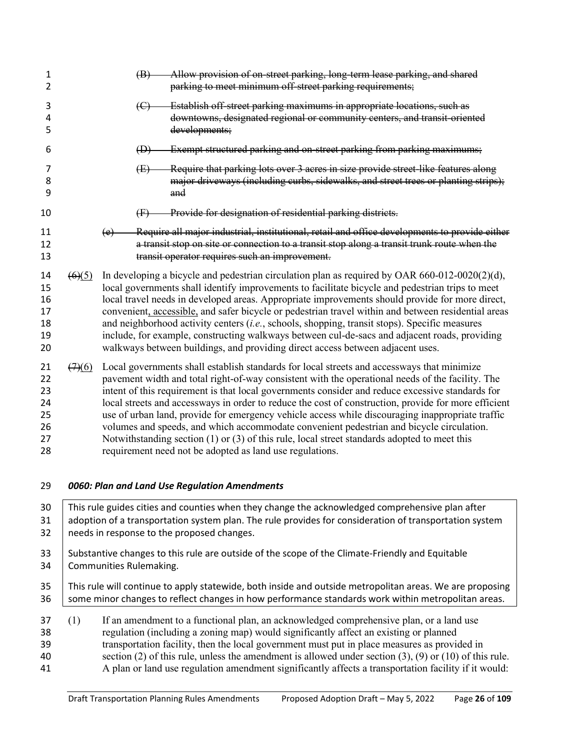| 1<br>2                                       |                                | Allow provision of on-street parking, long-term lease parking, and shared<br>(B)<br>parking to meet minimum off-street parking requirements;                                                                                                                                                                                                                                                                                                                                                                                                                                                                                                                                                                                                                               |
|----------------------------------------------|--------------------------------|----------------------------------------------------------------------------------------------------------------------------------------------------------------------------------------------------------------------------------------------------------------------------------------------------------------------------------------------------------------------------------------------------------------------------------------------------------------------------------------------------------------------------------------------------------------------------------------------------------------------------------------------------------------------------------------------------------------------------------------------------------------------------|
| 3<br>4<br>5                                  |                                | Establish off-street parking maximums in appropriate locations, such as<br>$\left(\mathrm{C}\right)$<br>downtowns, designated regional or community centers, and transit-oriented<br>developments;                                                                                                                                                                                                                                                                                                                                                                                                                                                                                                                                                                         |
| 6                                            |                                | Exempt structured parking and on-street parking from parking maximums;<br>$\bigoplus$                                                                                                                                                                                                                                                                                                                                                                                                                                                                                                                                                                                                                                                                                      |
| 7<br>8<br>9                                  |                                | Require that parking lots over 3 acres in size provide street-like features along<br>(E)<br>major driveways (including curbs, sidewalks, and street trees or planting strips);<br>and                                                                                                                                                                                                                                                                                                                                                                                                                                                                                                                                                                                      |
| 10                                           |                                | Provide for designation of residential parking districts.<br>$\oplus$                                                                                                                                                                                                                                                                                                                                                                                                                                                                                                                                                                                                                                                                                                      |
| 11<br>12<br>13                               |                                | Require all major industrial, institutional, retail and office developments to provide either<br>(e)<br>a transit stop on site or connection to a transit stop along a transit trunk route when the<br>transit operator requires such an improvement.                                                                                                                                                                                                                                                                                                                                                                                                                                                                                                                      |
| 14<br>15<br>16<br>17<br>18<br>19<br>20       | $\left(6\right)\left(5\right)$ | In developing a bicycle and pedestrian circulation plan as required by OAR $660-012-0020(2)(d)$ ,<br>local governments shall identify improvements to facilitate bicycle and pedestrian trips to meet<br>local travel needs in developed areas. Appropriate improvements should provide for more direct,<br>convenient, accessible, and safer bicycle or pedestrian travel within and between residential areas<br>and neighborhood activity centers $(i.e.,$ schools, shopping, transit stops). Specific measures<br>include, for example, constructing walkways between cul-de-sacs and adjacent roads, providing<br>walkways between buildings, and providing direct access between adjacent uses.                                                                      |
| 21<br>22<br>23<br>24<br>25<br>26<br>27<br>28 | (7)(6)                         | Local governments shall establish standards for local streets and accessways that minimize<br>pavement width and total right-of-way consistent with the operational needs of the facility. The<br>intent of this requirement is that local governments consider and reduce excessive standards for<br>local streets and accessways in order to reduce the cost of construction, provide for more efficient<br>use of urban land, provide for emergency vehicle access while discouraging inappropriate traffic<br>volumes and speeds, and which accommodate convenient pedestrian and bicycle circulation.<br>Notwithstanding section $(1)$ or $(3)$ of this rule, local street standards adopted to meet this<br>requirement need not be adopted as land use regulations. |
| 29                                           |                                | 0060: Plan and Land Use Regulation Amendments                                                                                                                                                                                                                                                                                                                                                                                                                                                                                                                                                                                                                                                                                                                              |
| 30<br>31<br>32                               |                                | This rule guides cities and counties when they change the acknowledged comprehensive plan after<br>adoption of a transportation system plan. The rule provides for consideration of transportation system<br>needs in response to the proposed changes.                                                                                                                                                                                                                                                                                                                                                                                                                                                                                                                    |
| 33<br>34                                     |                                | Substantive changes to this rule are outside of the scope of the Climate-Friendly and Equitable<br>Communities Rulemaking.                                                                                                                                                                                                                                                                                                                                                                                                                                                                                                                                                                                                                                                 |
| 35<br>36                                     |                                | This rule will continue to apply statewide, both inside and outside metropolitan areas. We are proposing<br>some minor changes to reflect changes in how performance standards work within metropolitan areas.                                                                                                                                                                                                                                                                                                                                                                                                                                                                                                                                                             |

<span id="page-25-0"></span> (1) If an amendment to a functional plan, an acknowledged comprehensive plan, or a land use regulation (including a zoning map) would significantly affect an existing or planned 39 transportation facility, then the local government must put in place measures as provided in section (2) of this rule, unless the amendment is allowed under section (3), (9) or (10) of this section (2) of this rule, unless the amendment is allowed under section  $(3)$ ,  $(9)$  or  $(10)$  of this rule. A plan or land use regulation amendment significantly affects a transportation facility if it would: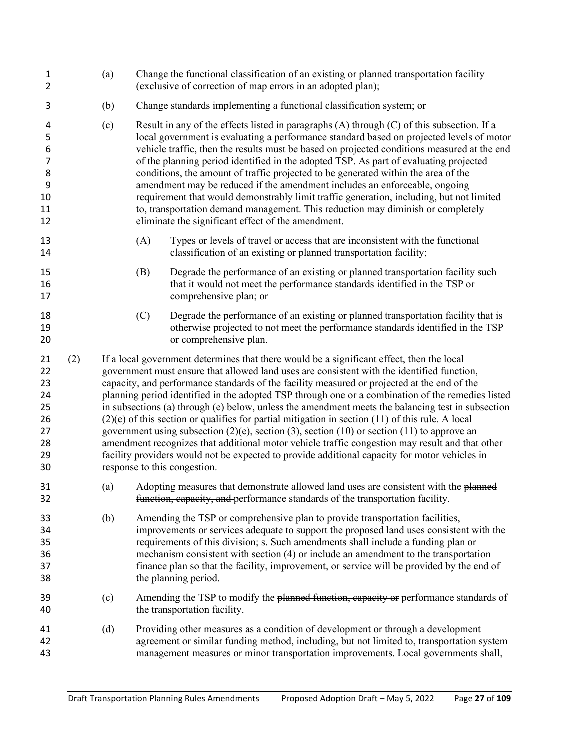| $\mathbf{1}$<br>2                                         |     | (a) | Change the functional classification of an existing or planned transportation facility<br>(exclusive of correction of map errors in an adopted plan);                                                                                                                                                                                                                                                                                                                                                                                                                                                                                                                                                                                                                                                                                                                                                                                        |  |  |  |  |  |
|-----------------------------------------------------------|-----|-----|----------------------------------------------------------------------------------------------------------------------------------------------------------------------------------------------------------------------------------------------------------------------------------------------------------------------------------------------------------------------------------------------------------------------------------------------------------------------------------------------------------------------------------------------------------------------------------------------------------------------------------------------------------------------------------------------------------------------------------------------------------------------------------------------------------------------------------------------------------------------------------------------------------------------------------------------|--|--|--|--|--|
| 3                                                         |     | (b) | Change standards implementing a functional classification system; or                                                                                                                                                                                                                                                                                                                                                                                                                                                                                                                                                                                                                                                                                                                                                                                                                                                                         |  |  |  |  |  |
| 4<br>5<br>6<br>$\overline{7}$<br>8<br>9<br>10<br>11<br>12 |     | (c) | Result in any of the effects listed in paragraphs (A) through (C) of this subsection. If a<br>local government is evaluating a performance standard based on projected levels of motor<br>vehicle traffic, then the results must be based on projected conditions measured at the end<br>of the planning period identified in the adopted TSP. As part of evaluating projected<br>conditions, the amount of traffic projected to be generated within the area of the<br>amendment may be reduced if the amendment includes an enforceable, ongoing<br>requirement that would demonstrably limit traffic generation, including, but not limited<br>to, transportation demand management. This reduction may diminish or completely<br>eliminate the significant effect of the amendment.                                                                                                                                                      |  |  |  |  |  |
| 13<br>14                                                  |     |     | (A)<br>Types or levels of travel or access that are inconsistent with the functional<br>classification of an existing or planned transportation facility;                                                                                                                                                                                                                                                                                                                                                                                                                                                                                                                                                                                                                                                                                                                                                                                    |  |  |  |  |  |
| 15<br>16<br>17                                            |     |     | Degrade the performance of an existing or planned transportation facility such<br>(B)<br>that it would not meet the performance standards identified in the TSP or<br>comprehensive plan; or                                                                                                                                                                                                                                                                                                                                                                                                                                                                                                                                                                                                                                                                                                                                                 |  |  |  |  |  |
| 18<br>19<br>20                                            |     |     | (C)<br>Degrade the performance of an existing or planned transportation facility that is<br>otherwise projected to not meet the performance standards identified in the TSP<br>or comprehensive plan.                                                                                                                                                                                                                                                                                                                                                                                                                                                                                                                                                                                                                                                                                                                                        |  |  |  |  |  |
| 21<br>22<br>23<br>24<br>25<br>26<br>27<br>28<br>29<br>30  | (2) |     | If a local government determines that there would be a significant effect, then the local<br>government must ensure that allowed land uses are consistent with the identified function,<br>eapacity, and performance standards of the facility measured or projected at the end of the<br>planning period identified in the adopted TSP through one or a combination of the remedies listed<br>in subsections (a) through (e) below, unless the amendment meets the balancing test in subsection<br>$(2)(e)$ of this section or qualifies for partial mitigation in section (11) of this rule. A local<br>government using subsection $(2)(e)$ , section (3), section (10) or section (11) to approve an<br>amendment recognizes that additional motor vehicle traffic congestion may result and that other<br>facility providers would not be expected to provide additional capacity for motor vehicles in<br>response to this congestion. |  |  |  |  |  |
| 31<br>32                                                  |     | (a) | Adopting measures that demonstrate allowed land uses are consistent with the planned<br>function, capacity, and performance standards of the transportation facility.                                                                                                                                                                                                                                                                                                                                                                                                                                                                                                                                                                                                                                                                                                                                                                        |  |  |  |  |  |
| 33<br>34<br>35<br>36<br>37<br>38                          |     | (b) | Amending the TSP or comprehensive plan to provide transportation facilities,<br>improvements or services adequate to support the proposed land uses consistent with the<br>requirements of this division; s. Such amendments shall include a funding plan or<br>mechanism consistent with section (4) or include an amendment to the transportation<br>finance plan so that the facility, improvement, or service will be provided by the end of<br>the planning period.                                                                                                                                                                                                                                                                                                                                                                                                                                                                     |  |  |  |  |  |
| 39<br>40                                                  |     | (c) | Amending the TSP to modify the planned function, capacity or performance standards of<br>the transportation facility.                                                                                                                                                                                                                                                                                                                                                                                                                                                                                                                                                                                                                                                                                                                                                                                                                        |  |  |  |  |  |
| 41<br>42<br>43                                            |     | (d) | Providing other measures as a condition of development or through a development<br>agreement or similar funding method, including, but not limited to, transportation system<br>management measures or minor transportation improvements. Local governments shall,                                                                                                                                                                                                                                                                                                                                                                                                                                                                                                                                                                                                                                                                           |  |  |  |  |  |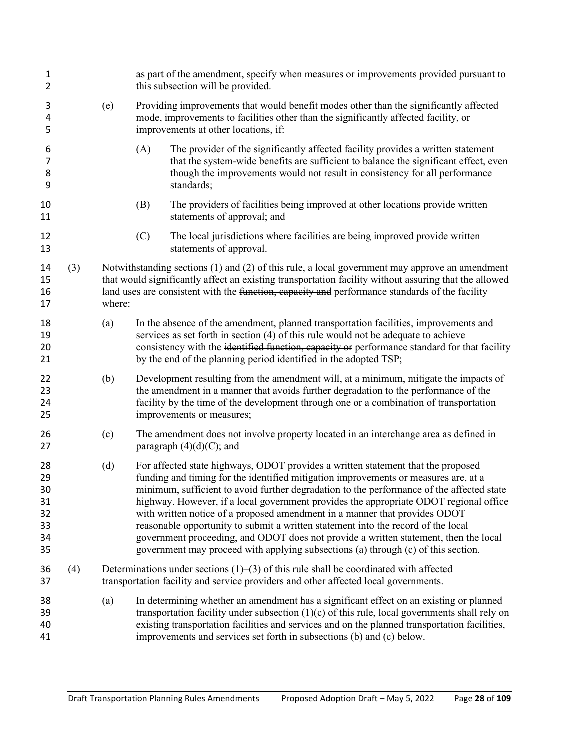| $\mathbf{1}$<br>$\overline{2}$               |     |        | as part of the amendment, specify when measures or improvements provided pursuant to<br>this subsection will be provided.                                                                                                                                                                                                                                                                                                                                                                                                                                                                                                                                                                                     |  |  |  |
|----------------------------------------------|-----|--------|---------------------------------------------------------------------------------------------------------------------------------------------------------------------------------------------------------------------------------------------------------------------------------------------------------------------------------------------------------------------------------------------------------------------------------------------------------------------------------------------------------------------------------------------------------------------------------------------------------------------------------------------------------------------------------------------------------------|--|--|--|
| 3<br>4<br>5                                  |     | (e)    | Providing improvements that would benefit modes other than the significantly affected<br>mode, improvements to facilities other than the significantly affected facility, or<br>improvements at other locations, if:                                                                                                                                                                                                                                                                                                                                                                                                                                                                                          |  |  |  |
| 6<br>7<br>8<br>9                             |     |        | The provider of the significantly affected facility provides a written statement<br>(A)<br>that the system-wide benefits are sufficient to balance the significant effect, even<br>though the improvements would not result in consistency for all performance<br>standards;                                                                                                                                                                                                                                                                                                                                                                                                                                  |  |  |  |
| 10<br>11                                     |     |        | (B)<br>The providers of facilities being improved at other locations provide written<br>statements of approval; and                                                                                                                                                                                                                                                                                                                                                                                                                                                                                                                                                                                           |  |  |  |
| 12<br>13                                     |     |        | (C)<br>The local jurisdictions where facilities are being improved provide written<br>statements of approval.                                                                                                                                                                                                                                                                                                                                                                                                                                                                                                                                                                                                 |  |  |  |
| 14<br>15<br>16<br>17                         | (3) | where: | Notwithstanding sections $(1)$ and $(2)$ of this rule, a local government may approve an amendment<br>that would significantly affect an existing transportation facility without assuring that the allowed<br>land uses are consistent with the function, capacity and performance standards of the facility                                                                                                                                                                                                                                                                                                                                                                                                 |  |  |  |
| 18<br>19<br>20<br>21                         |     | (a)    | In the absence of the amendment, planned transportation facilities, improvements and<br>services as set forth in section (4) of this rule would not be adequate to achieve<br>consistency with the identified function, capacity or performance standard for that facility<br>by the end of the planning period identified in the adopted TSP;                                                                                                                                                                                                                                                                                                                                                                |  |  |  |
| 22<br>23<br>24<br>25                         |     | (b)    | Development resulting from the amendment will, at a minimum, mitigate the impacts of<br>the amendment in a manner that avoids further degradation to the performance of the<br>facility by the time of the development through one or a combination of transportation<br>improvements or measures;                                                                                                                                                                                                                                                                                                                                                                                                            |  |  |  |
| 26<br>27                                     |     | (c)    | The amendment does not involve property located in an interchange area as defined in<br>paragraph $(4)(d)(C)$ ; and                                                                                                                                                                                                                                                                                                                                                                                                                                                                                                                                                                                           |  |  |  |
| 28<br>29<br>30<br>31<br>32<br>33<br>34<br>35 |     | (d)    | For affected state highways, ODOT provides a written statement that the proposed<br>funding and timing for the identified mitigation improvements or measures are, at a<br>minimum, sufficient to avoid further degradation to the performance of the affected state<br>highway. However, if a local government provides the appropriate ODOT regional office<br>with written notice of a proposed amendment in a manner that provides ODOT<br>reasonable opportunity to submit a written statement into the record of the local<br>government proceeding, and ODOT does not provide a written statement, then the local<br>government may proceed with applying subsections (a) through (c) of this section. |  |  |  |
| 36<br>37                                     | (4) |        | Determinations under sections $(1)$ – $(3)$ of this rule shall be coordinated with affected<br>transportation facility and service providers and other affected local governments.                                                                                                                                                                                                                                                                                                                                                                                                                                                                                                                            |  |  |  |
| 38<br>39<br>40<br>41                         |     | (a)    | In determining whether an amendment has a significant effect on an existing or planned<br>transportation facility under subsection $(1)(c)$ of this rule, local governments shall rely on<br>existing transportation facilities and services and on the planned transportation facilities,<br>improvements and services set forth in subsections (b) and (c) below.                                                                                                                                                                                                                                                                                                                                           |  |  |  |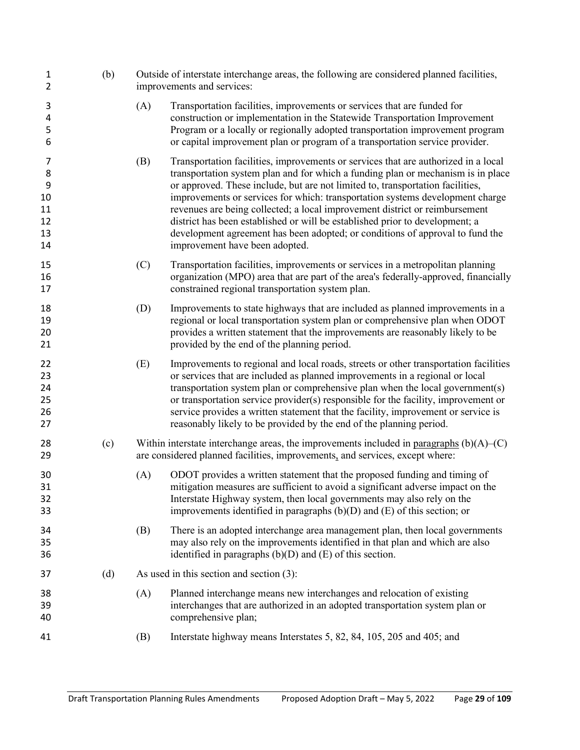| $\mathbf{1}$<br>$\overline{2}$            | (b) |     | Outside of interstate interchange areas, the following are considered planned facilities,<br>improvements and services:                                                                                                                                                                                                                                                                                                                                                                                                                                                                                                     |
|-------------------------------------------|-----|-----|-----------------------------------------------------------------------------------------------------------------------------------------------------------------------------------------------------------------------------------------------------------------------------------------------------------------------------------------------------------------------------------------------------------------------------------------------------------------------------------------------------------------------------------------------------------------------------------------------------------------------------|
| 3<br>4<br>5<br>6                          |     | (A) | Transportation facilities, improvements or services that are funded for<br>construction or implementation in the Statewide Transportation Improvement<br>Program or a locally or regionally adopted transportation improvement program<br>or capital improvement plan or program of a transportation service provider.                                                                                                                                                                                                                                                                                                      |
| 7<br>8<br>9<br>10<br>11<br>12<br>13<br>14 |     | (B) | Transportation facilities, improvements or services that are authorized in a local<br>transportation system plan and for which a funding plan or mechanism is in place<br>or approved. These include, but are not limited to, transportation facilities,<br>improvements or services for which: transportation systems development charge<br>revenues are being collected; a local improvement district or reimbursement<br>district has been established or will be established prior to development; a<br>development agreement has been adopted; or conditions of approval to fund the<br>improvement have been adopted. |
| 15<br>16<br>17                            |     | (C) | Transportation facilities, improvements or services in a metropolitan planning<br>organization (MPO) area that are part of the area's federally-approved, financially<br>constrained regional transportation system plan.                                                                                                                                                                                                                                                                                                                                                                                                   |
| 18<br>19<br>20<br>21                      |     | (D) | Improvements to state highways that are included as planned improvements in a<br>regional or local transportation system plan or comprehensive plan when ODOT<br>provides a written statement that the improvements are reasonably likely to be<br>provided by the end of the planning period.                                                                                                                                                                                                                                                                                                                              |
| 22<br>23<br>24<br>25<br>26<br>27          |     | (E) | Improvements to regional and local roads, streets or other transportation facilities<br>or services that are included as planned improvements in a regional or local<br>transportation system plan or comprehensive plan when the local government(s)<br>or transportation service provider(s) responsible for the facility, improvement or<br>service provides a written statement that the facility, improvement or service is<br>reasonably likely to be provided by the end of the planning period.                                                                                                                     |
| 28<br>29                                  | (c) |     | Within interstate interchange areas, the improvements included in paragraphs $(b)(A)$ (C)<br>are considered planned facilities, improvements, and services, except where:                                                                                                                                                                                                                                                                                                                                                                                                                                                   |
| 30<br>31<br>32<br>33                      |     | (A) | ODOT provides a written statement that the proposed funding and timing of<br>mitigation measures are sufficient to avoid a significant adverse impact on the<br>Interstate Highway system, then local governments may also rely on the<br>improvements identified in paragraphs $(b)(D)$ and $(E)$ of this section; or                                                                                                                                                                                                                                                                                                      |
| 34<br>35<br>36                            |     | (B) | There is an adopted interchange area management plan, then local governments<br>may also rely on the improvements identified in that plan and which are also<br>identified in paragraphs $(b)(D)$ and $(E)$ of this section.                                                                                                                                                                                                                                                                                                                                                                                                |
| 37                                        | (d) |     | As used in this section and section $(3)$ :                                                                                                                                                                                                                                                                                                                                                                                                                                                                                                                                                                                 |
| 38<br>39<br>40                            |     | (A) | Planned interchange means new interchanges and relocation of existing<br>interchanges that are authorized in an adopted transportation system plan or<br>comprehensive plan;                                                                                                                                                                                                                                                                                                                                                                                                                                                |
| 41                                        |     | (B) | Interstate highway means Interstates 5, 82, 84, 105, 205 and 405; and                                                                                                                                                                                                                                                                                                                                                                                                                                                                                                                                                       |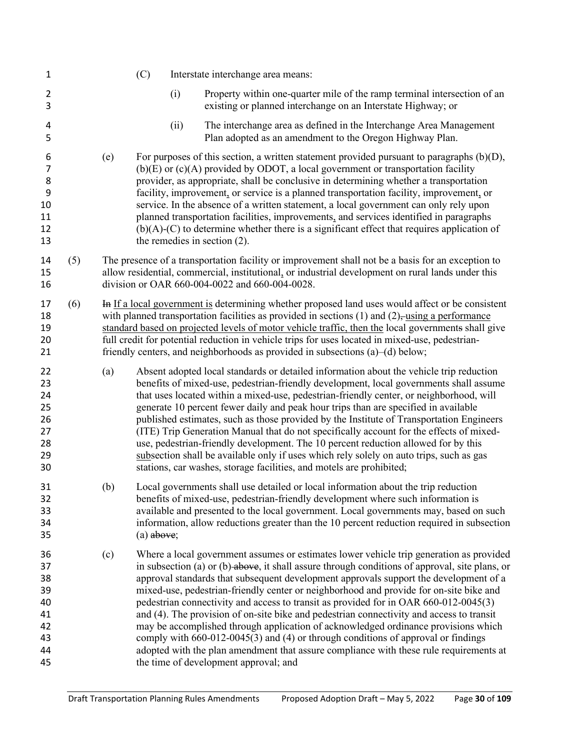| $\mathbf{1}$                                             |     |     | (C)          |      | Interstate interchange area means:                                                                                                                                                                                                                                                                                                                                                                                                                                                                                                                                                                                                                                                                                                                                                                                                                                                 |
|----------------------------------------------------------|-----|-----|--------------|------|------------------------------------------------------------------------------------------------------------------------------------------------------------------------------------------------------------------------------------------------------------------------------------------------------------------------------------------------------------------------------------------------------------------------------------------------------------------------------------------------------------------------------------------------------------------------------------------------------------------------------------------------------------------------------------------------------------------------------------------------------------------------------------------------------------------------------------------------------------------------------------|
| $\overline{2}$<br>3                                      |     |     |              | (i)  | Property within one-quarter mile of the ramp terminal intersection of an<br>existing or planned interchange on an Interstate Highway; or                                                                                                                                                                                                                                                                                                                                                                                                                                                                                                                                                                                                                                                                                                                                           |
| 4<br>5                                                   |     |     |              | (ii) | The interchange area as defined in the Interchange Area Management<br>Plan adopted as an amendment to the Oregon Highway Plan.                                                                                                                                                                                                                                                                                                                                                                                                                                                                                                                                                                                                                                                                                                                                                     |
| 6<br>$\overline{7}$<br>8<br>9<br>10<br>11<br>12<br>13    |     | (e) |              |      | For purposes of this section, a written statement provided pursuant to paragraphs $(b)(D)$ ,<br>$(b)(E)$ or $(c)(A)$ provided by ODOT, a local government or transportation facility<br>provider, as appropriate, shall be conclusive in determining whether a transportation<br>facility, improvement, or service is a planned transportation facility, improvement, or<br>service. In the absence of a written statement, a local government can only rely upon<br>planned transportation facilities, improvements, and services identified in paragraphs<br>$(b)(A)-(C)$ to determine whether there is a significant effect that requires application of<br>the remedies in section $(2)$ .                                                                                                                                                                                     |
| 14<br>15<br>16                                           | (5) |     |              |      | The presence of a transportation facility or improvement shall not be a basis for an exception to<br>allow residential, commercial, institutional, or industrial development on rural lands under this<br>division or OAR 660-004-0022 and 660-004-0028.                                                                                                                                                                                                                                                                                                                                                                                                                                                                                                                                                                                                                           |
| 17<br>18<br>19<br>20<br>21                               | (6) |     |              |      | In If a local government is determining whether proposed land uses would affect or be consistent<br>with planned transportation facilities as provided in sections $(1)$ and $(2)$ , using a performance<br>standard based on projected levels of motor vehicle traffic, then the local governments shall give<br>full credit for potential reduction in vehicle trips for uses located in mixed-use, pedestrian-<br>friendly centers, and neighborhoods as provided in subsections (a)–(d) below;                                                                                                                                                                                                                                                                                                                                                                                 |
| 22<br>23<br>24<br>25<br>26<br>27<br>28<br>29<br>30       |     | (a) |              |      | Absent adopted local standards or detailed information about the vehicle trip reduction<br>benefits of mixed-use, pedestrian-friendly development, local governments shall assume<br>that uses located within a mixed-use, pedestrian-friendly center, or neighborhood, will<br>generate 10 percent fewer daily and peak hour trips than are specified in available<br>published estimates, such as those provided by the Institute of Transportation Engineers<br>(ITE) Trip Generation Manual that do not specifically account for the effects of mixed-<br>use, pedestrian-friendly development. The 10 percent reduction allowed for by this<br>subsection shall be available only if uses which rely solely on auto trips, such as gas<br>stations, car washes, storage facilities, and motels are prohibited;                                                                |
| 31<br>32<br>33<br>34<br>35                               |     | (b) | $(a)$ above; |      | Local governments shall use detailed or local information about the trip reduction<br>benefits of mixed-use, pedestrian-friendly development where such information is<br>available and presented to the local government. Local governments may, based on such<br>information, allow reductions greater than the 10 percent reduction required in subsection                                                                                                                                                                                                                                                                                                                                                                                                                                                                                                                      |
| 36<br>37<br>38<br>39<br>40<br>41<br>42<br>43<br>44<br>45 |     | (c) |              |      | Where a local government assumes or estimates lower vehicle trip generation as provided<br>in subsection (a) or (b)-above, it shall assure through conditions of approval, site plans, or<br>approval standards that subsequent development approvals support the development of a<br>mixed-use, pedestrian-friendly center or neighborhood and provide for on-site bike and<br>pedestrian connectivity and access to transit as provided for in OAR 660-012-0045(3)<br>and (4). The provision of on-site bike and pedestrian connectivity and access to transit<br>may be accomplished through application of acknowledged ordinance provisions which<br>comply with $660-012-0045(3)$ and $(4)$ or through conditions of approval or findings<br>adopted with the plan amendment that assure compliance with these rule requirements at<br>the time of development approval; and |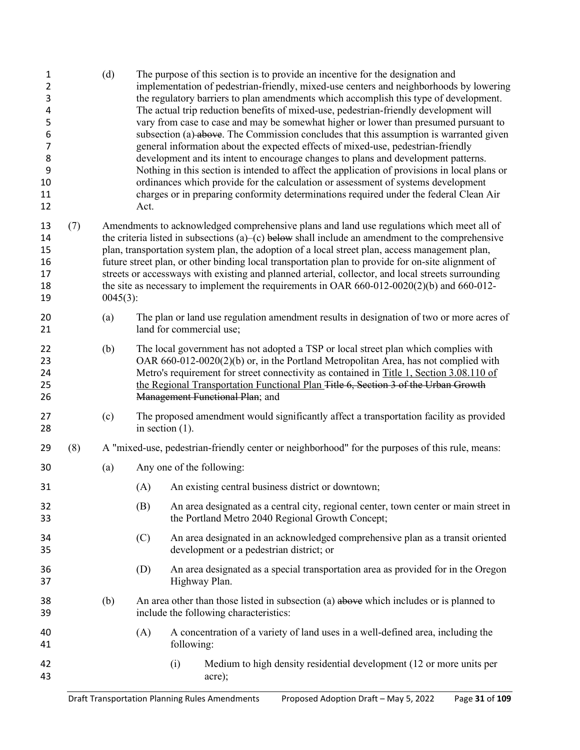| $\mathbf{1}$<br>$\overline{2}$<br>3<br>4<br>5<br>6<br>7<br>8<br>9<br>10<br>11<br>12 |     | (d)         | Act.               |                                                                                                                                                                                                                                                                                                                                                                                                                                                                                                                                                                                                               | The purpose of this section is to provide an incentive for the designation and<br>implementation of pedestrian-friendly, mixed-use centers and neighborhoods by lowering<br>the regulatory barriers to plan amendments which accomplish this type of development.<br>The actual trip reduction benefits of mixed-use, pedestrian-friendly development will<br>vary from case to case and may be somewhat higher or lower than presumed pursuant to<br>subsection (a)-above. The Commission concludes that this assumption is warranted given<br>general information about the expected effects of mixed-use, pedestrian-friendly<br>development and its intent to encourage changes to plans and development patterns.<br>Nothing in this section is intended to affect the application of provisions in local plans or<br>ordinances which provide for the calculation or assessment of systems development<br>charges or in preparing conformity determinations required under the federal Clean Air |  |  |  |  |
|-------------------------------------------------------------------------------------|-----|-------------|--------------------|---------------------------------------------------------------------------------------------------------------------------------------------------------------------------------------------------------------------------------------------------------------------------------------------------------------------------------------------------------------------------------------------------------------------------------------------------------------------------------------------------------------------------------------------------------------------------------------------------------------|--------------------------------------------------------------------------------------------------------------------------------------------------------------------------------------------------------------------------------------------------------------------------------------------------------------------------------------------------------------------------------------------------------------------------------------------------------------------------------------------------------------------------------------------------------------------------------------------------------------------------------------------------------------------------------------------------------------------------------------------------------------------------------------------------------------------------------------------------------------------------------------------------------------------------------------------------------------------------------------------------------|--|--|--|--|
| 13<br>14<br>15<br>16<br>17<br>18<br>19                                              | (7) | $0045(3)$ : |                    | Amendments to acknowledged comprehensive plans and land use regulations which meet all of<br>the criteria listed in subsections (a)–(c) below shall include an amendment to the comprehensive<br>plan, transportation system plan, the adoption of a local street plan, access management plan,<br>future street plan, or other binding local transportation plan to provide for on-site alignment of<br>streets or accessways with existing and planned arterial, collector, and local streets surrounding<br>the site as necessary to implement the requirements in OAR $660-012-0020(2)(b)$ and $660-012-$ |                                                                                                                                                                                                                                                                                                                                                                                                                                                                                                                                                                                                                                                                                                                                                                                                                                                                                                                                                                                                        |  |  |  |  |
| 20<br>21                                                                            |     | (a)         |                    |                                                                                                                                                                                                                                                                                                                                                                                                                                                                                                                                                                                                               | The plan or land use regulation amendment results in designation of two or more acres of<br>land for commercial use;                                                                                                                                                                                                                                                                                                                                                                                                                                                                                                                                                                                                                                                                                                                                                                                                                                                                                   |  |  |  |  |
| 22<br>23<br>24<br>25<br>26                                                          |     | (b)         |                    |                                                                                                                                                                                                                                                                                                                                                                                                                                                                                                                                                                                                               | The local government has not adopted a TSP or local street plan which complies with<br>OAR 660-012-0020(2)(b) or, in the Portland Metropolitan Area, has not complied with<br>Metro's requirement for street connectivity as contained in Title 1, Section 3.08.110 of<br>the Regional Transportation Functional Plan Title 6, Section 3 of the Urban Growth<br>Management Functional Plan; and                                                                                                                                                                                                                                                                                                                                                                                                                                                                                                                                                                                                        |  |  |  |  |
| 27<br>28                                                                            |     | (c)         | in section $(1)$ . |                                                                                                                                                                                                                                                                                                                                                                                                                                                                                                                                                                                                               | The proposed amendment would significantly affect a transportation facility as provided                                                                                                                                                                                                                                                                                                                                                                                                                                                                                                                                                                                                                                                                                                                                                                                                                                                                                                                |  |  |  |  |
| 29                                                                                  | (8) |             |                    |                                                                                                                                                                                                                                                                                                                                                                                                                                                                                                                                                                                                               | A "mixed-use, pedestrian-friendly center or neighborhood" for the purposes of this rule, means:                                                                                                                                                                                                                                                                                                                                                                                                                                                                                                                                                                                                                                                                                                                                                                                                                                                                                                        |  |  |  |  |
| 30                                                                                  |     | (a)         |                    |                                                                                                                                                                                                                                                                                                                                                                                                                                                                                                                                                                                                               | Any one of the following:                                                                                                                                                                                                                                                                                                                                                                                                                                                                                                                                                                                                                                                                                                                                                                                                                                                                                                                                                                              |  |  |  |  |
| 31                                                                                  |     |             | (A)                |                                                                                                                                                                                                                                                                                                                                                                                                                                                                                                                                                                                                               | An existing central business district or downtown;                                                                                                                                                                                                                                                                                                                                                                                                                                                                                                                                                                                                                                                                                                                                                                                                                                                                                                                                                     |  |  |  |  |
| 32<br>33                                                                            |     |             | (B)                |                                                                                                                                                                                                                                                                                                                                                                                                                                                                                                                                                                                                               | An area designated as a central city, regional center, town center or main street in<br>the Portland Metro 2040 Regional Growth Concept;                                                                                                                                                                                                                                                                                                                                                                                                                                                                                                                                                                                                                                                                                                                                                                                                                                                               |  |  |  |  |
| 34<br>35                                                                            |     |             | (C)                |                                                                                                                                                                                                                                                                                                                                                                                                                                                                                                                                                                                                               | An area designated in an acknowledged comprehensive plan as a transit oriented<br>development or a pedestrian district; or                                                                                                                                                                                                                                                                                                                                                                                                                                                                                                                                                                                                                                                                                                                                                                                                                                                                             |  |  |  |  |
| 36<br>37                                                                            |     |             | (D)                | Highway Plan.                                                                                                                                                                                                                                                                                                                                                                                                                                                                                                                                                                                                 | An area designated as a special transportation area as provided for in the Oregon                                                                                                                                                                                                                                                                                                                                                                                                                                                                                                                                                                                                                                                                                                                                                                                                                                                                                                                      |  |  |  |  |
| 38<br>39                                                                            |     | (b)         |                    |                                                                                                                                                                                                                                                                                                                                                                                                                                                                                                                                                                                                               | An area other than those listed in subsection (a) above which includes or is planned to<br>include the following characteristics:                                                                                                                                                                                                                                                                                                                                                                                                                                                                                                                                                                                                                                                                                                                                                                                                                                                                      |  |  |  |  |
| 40<br>41                                                                            |     |             | (A)                | following:                                                                                                                                                                                                                                                                                                                                                                                                                                                                                                                                                                                                    | A concentration of a variety of land uses in a well-defined area, including the                                                                                                                                                                                                                                                                                                                                                                                                                                                                                                                                                                                                                                                                                                                                                                                                                                                                                                                        |  |  |  |  |
| 42<br>43                                                                            |     |             |                    | (i)                                                                                                                                                                                                                                                                                                                                                                                                                                                                                                                                                                                                           | Medium to high density residential development (12 or more units per<br>acre);                                                                                                                                                                                                                                                                                                                                                                                                                                                                                                                                                                                                                                                                                                                                                                                                                                                                                                                         |  |  |  |  |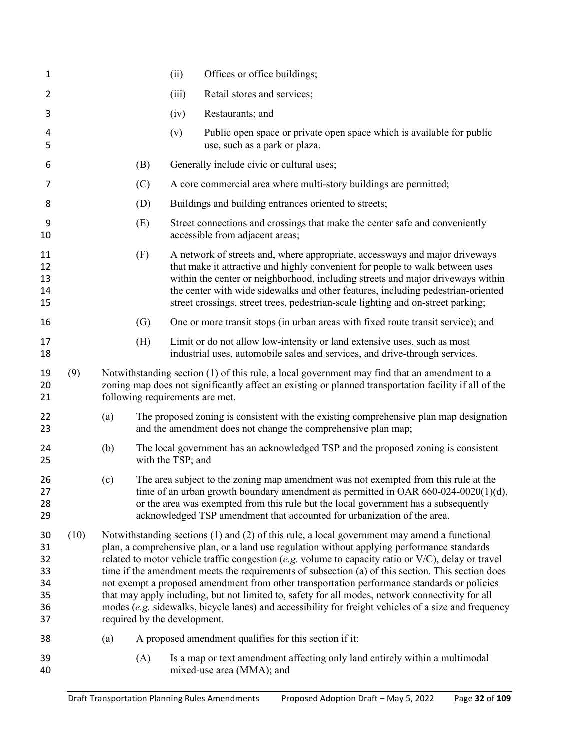| 1                                            |      |     |                              | (ii)              | Offices or office buildings;                                                                                                                                                                                                                                                                                                                                                                                                                                                                                                                                                                                                                                                                                           |
|----------------------------------------------|------|-----|------------------------------|-------------------|------------------------------------------------------------------------------------------------------------------------------------------------------------------------------------------------------------------------------------------------------------------------------------------------------------------------------------------------------------------------------------------------------------------------------------------------------------------------------------------------------------------------------------------------------------------------------------------------------------------------------------------------------------------------------------------------------------------------|
| $\overline{2}$                               |      |     |                              | (iii)             | Retail stores and services;                                                                                                                                                                                                                                                                                                                                                                                                                                                                                                                                                                                                                                                                                            |
| 3                                            |      |     |                              | (iv)              | Restaurants; and                                                                                                                                                                                                                                                                                                                                                                                                                                                                                                                                                                                                                                                                                                       |
| 4<br>5                                       |      |     |                              | (v)               | Public open space or private open space which is available for public<br>use, such as a park or plaza.                                                                                                                                                                                                                                                                                                                                                                                                                                                                                                                                                                                                                 |
| 6                                            |      |     | (B)                          |                   | Generally include civic or cultural uses;                                                                                                                                                                                                                                                                                                                                                                                                                                                                                                                                                                                                                                                                              |
| 7                                            |      |     | (C)                          |                   | A core commercial area where multi-story buildings are permitted;                                                                                                                                                                                                                                                                                                                                                                                                                                                                                                                                                                                                                                                      |
| 8                                            |      |     | (D)                          |                   | Buildings and building entrances oriented to streets;                                                                                                                                                                                                                                                                                                                                                                                                                                                                                                                                                                                                                                                                  |
| 9<br>10                                      |      |     | (E)                          |                   | Street connections and crossings that make the center safe and conveniently<br>accessible from adjacent areas;                                                                                                                                                                                                                                                                                                                                                                                                                                                                                                                                                                                                         |
| 11<br>12<br>13<br>14<br>15                   |      |     | (F)                          |                   | A network of streets and, where appropriate, accessways and major driveways<br>that make it attractive and highly convenient for people to walk between uses<br>within the center or neighborhood, including streets and major driveways within<br>the center with wide sidewalks and other features, including pedestrian-oriented<br>street crossings, street trees, pedestrian-scale lighting and on-street parking;                                                                                                                                                                                                                                                                                                |
| 16                                           |      |     | (G)                          |                   | One or more transit stops (in urban areas with fixed route transit service); and                                                                                                                                                                                                                                                                                                                                                                                                                                                                                                                                                                                                                                       |
| 17<br>18                                     |      |     | (H)                          |                   | Limit or do not allow low-intensity or land extensive uses, such as most<br>industrial uses, automobile sales and services, and drive-through services.                                                                                                                                                                                                                                                                                                                                                                                                                                                                                                                                                                |
| 19<br>20<br>21                               | (9)  |     |                              |                   | Notwithstanding section (1) of this rule, a local government may find that an amendment to a<br>zoning map does not significantly affect an existing or planned transportation facility if all of the<br>following requirements are met.                                                                                                                                                                                                                                                                                                                                                                                                                                                                               |
| 22<br>23                                     |      | (a) |                              |                   | The proposed zoning is consistent with the existing comprehensive plan map designation<br>and the amendment does not change the comprehensive plan map;                                                                                                                                                                                                                                                                                                                                                                                                                                                                                                                                                                |
| 24<br>25                                     |      | (b) |                              | with the TSP; and | The local government has an acknowledged TSP and the proposed zoning is consistent                                                                                                                                                                                                                                                                                                                                                                                                                                                                                                                                                                                                                                     |
| 26<br>27<br>28<br>29                         |      | (c) |                              |                   | The area subject to the zoning map amendment was not exempted from this rule at the<br>time of an urban growth boundary amendment as permitted in OAR 660-024-0020(1)(d),<br>or the area was exempted from this rule but the local government has a subsequently<br>acknowledged TSP amendment that accounted for urbanization of the area.                                                                                                                                                                                                                                                                                                                                                                            |
| 30<br>31<br>32<br>33<br>34<br>35<br>36<br>37 | (10) |     | required by the development. |                   | Notwithstanding sections $(1)$ and $(2)$ of this rule, a local government may amend a functional<br>plan, a comprehensive plan, or a land use regulation without applying performance standards<br>related to motor vehicle traffic congestion (e.g. volume to capacity ratio or V/C), delay or travel<br>time if the amendment meets the requirements of subsection (a) of this section. This section does<br>not exempt a proposed amendment from other transportation performance standards or policies<br>that may apply including, but not limited to, safety for all modes, network connectivity for all<br>modes (e.g. sidewalks, bicycle lanes) and accessibility for freight vehicles of a size and frequency |
| 38                                           |      | (a) |                              |                   | A proposed amendment qualifies for this section if it:                                                                                                                                                                                                                                                                                                                                                                                                                                                                                                                                                                                                                                                                 |
| 39<br>40                                     |      |     | (A)                          |                   | Is a map or text amendment affecting only land entirely within a multimodal<br>mixed-use area (MMA); and                                                                                                                                                                                                                                                                                                                                                                                                                                                                                                                                                                                                               |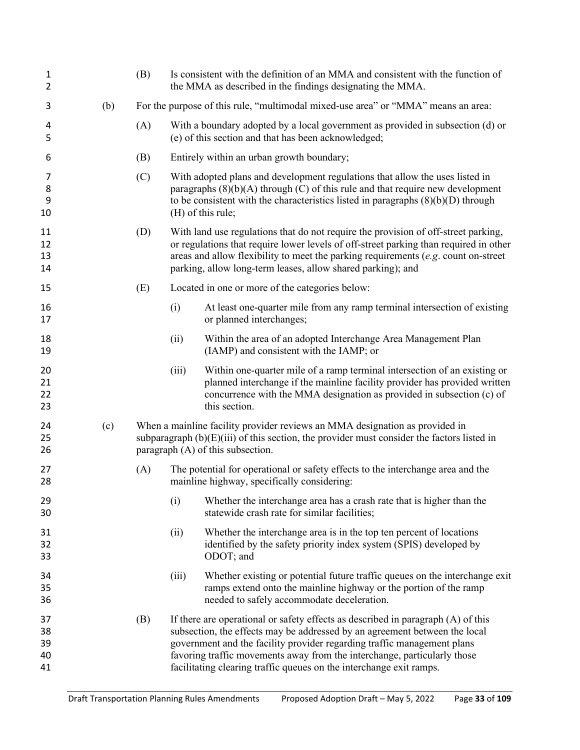| $\mathbf{1}$<br>$\overline{2}$ |     | (B) |                                                                                   | Is consistent with the definition of an MMA and consistent with the function of<br>the MMA as described in the findings designating the MMA.                                                                                                                                                                                                                                                 |  |
|--------------------------------|-----|-----|-----------------------------------------------------------------------------------|----------------------------------------------------------------------------------------------------------------------------------------------------------------------------------------------------------------------------------------------------------------------------------------------------------------------------------------------------------------------------------------------|--|
| 3                              | (b) |     | For the purpose of this rule, "multimodal mixed-use area" or "MMA" means an area: |                                                                                                                                                                                                                                                                                                                                                                                              |  |
| 4<br>5                         |     | (A) |                                                                                   | With a boundary adopted by a local government as provided in subsection (d) or<br>(e) of this section and that has been acknowledged;                                                                                                                                                                                                                                                        |  |
| 6                              |     | (B) |                                                                                   | Entirely within an urban growth boundary;                                                                                                                                                                                                                                                                                                                                                    |  |
| 7<br>8<br>9<br>10              |     | (C) |                                                                                   | With adopted plans and development regulations that allow the uses listed in<br>paragraphs $(8)(b)(A)$ through $(C)$ of this rule and that require new development<br>to be consistent with the characteristics listed in paragraphs $(8)(b)(D)$ through<br>(H) of this rule;                                                                                                                |  |
| 11<br>12<br>13<br>14           |     | (D) |                                                                                   | With land use regulations that do not require the provision of off-street parking,<br>or regulations that require lower levels of off-street parking than required in other<br>areas and allow flexibility to meet the parking requirements ( $e.g.$ count on-street<br>parking, allow long-term leases, allow shared parking); and                                                          |  |
| 15                             |     | (E) |                                                                                   | Located in one or more of the categories below:                                                                                                                                                                                                                                                                                                                                              |  |
| 16<br>17                       |     |     | (i)                                                                               | At least one-quarter mile from any ramp terminal intersection of existing<br>or planned interchanges;                                                                                                                                                                                                                                                                                        |  |
| 18<br>19                       |     |     | (ii)                                                                              | Within the area of an adopted Interchange Area Management Plan<br>(IAMP) and consistent with the IAMP; or                                                                                                                                                                                                                                                                                    |  |
| 20<br>21<br>22<br>23           |     |     | (iii)                                                                             | Within one-quarter mile of a ramp terminal intersection of an existing or<br>planned interchange if the mainline facility provider has provided written<br>concurrence with the MMA designation as provided in subsection (c) of<br>this section.                                                                                                                                            |  |
| 24<br>25<br>26                 | (c) |     |                                                                                   | When a mainline facility provider reviews an MMA designation as provided in<br>subparagraph $(b)(E)(iii)$ of this section, the provider must consider the factors listed in<br>paragraph (A) of this subsection.                                                                                                                                                                             |  |
| 27<br>28                       |     | (A) |                                                                                   | The potential for operational or safety effects to the interchange area and the<br>mainline highway, specifically considering:                                                                                                                                                                                                                                                               |  |
| 29<br>30                       |     |     | (i)                                                                               | Whether the interchange area has a crash rate that is higher than the<br>statewide crash rate for similar facilities;                                                                                                                                                                                                                                                                        |  |
| 31<br>32<br>33                 |     |     | (ii)                                                                              | Whether the interchange area is in the top ten percent of locations<br>identified by the safety priority index system (SPIS) developed by<br>ODOT; and                                                                                                                                                                                                                                       |  |
| 34<br>35<br>36                 |     |     | (iii)                                                                             | Whether existing or potential future traffic queues on the interchange exit<br>ramps extend onto the mainline highway or the portion of the ramp<br>needed to safely accommodate deceleration.                                                                                                                                                                                               |  |
| 37<br>38<br>39<br>40<br>41     |     | (B) |                                                                                   | If there are operational or safety effects as described in paragraph (A) of this<br>subsection, the effects may be addressed by an agreement between the local<br>government and the facility provider regarding traffic management plans<br>favoring traffic movements away from the interchange, particularly those<br>facilitating clearing traffic queues on the interchange exit ramps. |  |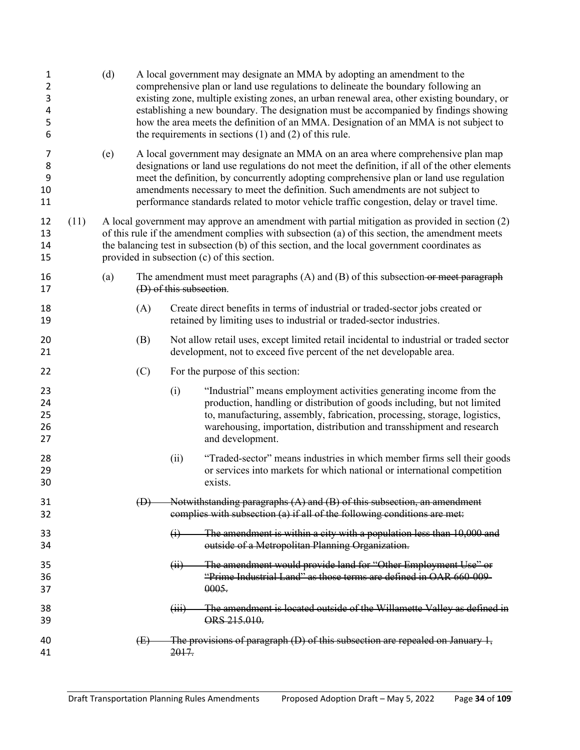| 1<br>2<br>3<br>4<br>5<br>6 |      | (d) |             |                                                                                                                                                                                                                                                                                                                                                   | A local government may designate an MMA by adopting an amendment to the<br>comprehensive plan or land use regulations to delineate the boundary following an<br>existing zone, multiple existing zones, an urban renewal area, other existing boundary, or<br>establishing a new boundary. The designation must be accompanied by findings showing<br>how the area meets the definition of an MMA. Designation of an MMA is not subject to<br>the requirements in sections $(1)$ and $(2)$ of this rule. |  |  |
|----------------------------|------|-----|-------------|---------------------------------------------------------------------------------------------------------------------------------------------------------------------------------------------------------------------------------------------------------------------------------------------------------------------------------------------------|----------------------------------------------------------------------------------------------------------------------------------------------------------------------------------------------------------------------------------------------------------------------------------------------------------------------------------------------------------------------------------------------------------------------------------------------------------------------------------------------------------|--|--|
| 7<br>8<br>9<br>10<br>11    |      | (e) |             |                                                                                                                                                                                                                                                                                                                                                   | A local government may designate an MMA on an area where comprehensive plan map<br>designations or land use regulations do not meet the definition, if all of the other elements<br>meet the definition, by concurrently adopting comprehensive plan or land use regulation<br>amendments necessary to meet the definition. Such amendments are not subject to<br>performance standards related to motor vehicle traffic congestion, delay or travel time.                                               |  |  |
| 12<br>13<br>14<br>15       | (11) |     |             | A local government may approve an amendment with partial mitigation as provided in section (2)<br>of this rule if the amendment complies with subsection (a) of this section, the amendment meets<br>the balancing test in subsection (b) of this section, and the local government coordinates as<br>provided in subsection (c) of this section. |                                                                                                                                                                                                                                                                                                                                                                                                                                                                                                          |  |  |
| 16<br>17                   |      | (a) |             | (D) of this subsection.                                                                                                                                                                                                                                                                                                                           | The amendment must meet paragraphs $(A)$ and $(B)$ of this subsection-or meet paragraph                                                                                                                                                                                                                                                                                                                                                                                                                  |  |  |
| 18<br>19                   |      |     | (A)         |                                                                                                                                                                                                                                                                                                                                                   | Create direct benefits in terms of industrial or traded-sector jobs created or<br>retained by limiting uses to industrial or traded-sector industries.                                                                                                                                                                                                                                                                                                                                                   |  |  |
| 20<br>21                   |      |     | (B)         |                                                                                                                                                                                                                                                                                                                                                   | Not allow retail uses, except limited retail incidental to industrial or traded sector<br>development, not to exceed five percent of the net developable area.                                                                                                                                                                                                                                                                                                                                           |  |  |
| 22                         |      |     | (C)         |                                                                                                                                                                                                                                                                                                                                                   | For the purpose of this section:                                                                                                                                                                                                                                                                                                                                                                                                                                                                         |  |  |
| 23<br>24<br>25<br>26<br>27 |      |     |             | (i)                                                                                                                                                                                                                                                                                                                                               | "Industrial" means employment activities generating income from the<br>production, handling or distribution of goods including, but not limited<br>to, manufacturing, assembly, fabrication, processing, storage, logistics,<br>warehousing, importation, distribution and transshipment and research<br>and development.                                                                                                                                                                                |  |  |
| 28<br>29<br>30             |      |     |             | (ii)                                                                                                                                                                                                                                                                                                                                              | "Traded-sector" means industries in which member firms sell their goods<br>or services into markets for which national or international competition<br>exists.                                                                                                                                                                                                                                                                                                                                           |  |  |
| 31<br>32                   |      |     | $\bigoplus$ |                                                                                                                                                                                                                                                                                                                                                   | Notwithstanding paragraphs $(A)$ and $(B)$ of this subsection, an amendment<br>complies with subsection (a) if all of the following conditions are met:                                                                                                                                                                                                                                                                                                                                                  |  |  |
| 33<br>34                   |      |     |             | $\bigoplus$                                                                                                                                                                                                                                                                                                                                       | The amendment is within a city with a population less than 10,000 and<br>outside of a Metropolitan Planning Organization.                                                                                                                                                                                                                                                                                                                                                                                |  |  |
| 35<br>36<br>37             |      |     |             |                                                                                                                                                                                                                                                                                                                                                   | (ii) The amendment would provide land for "Other Employment Use" or<br>"Prime Industrial Land" as those terms are defined in OAR 660-009-<br>0005.                                                                                                                                                                                                                                                                                                                                                       |  |  |
| 38<br>39                   |      |     |             | (H1)                                                                                                                                                                                                                                                                                                                                              | The amendment is located outside of the Willamette Valley as defined in<br>ORS 215.010.                                                                                                                                                                                                                                                                                                                                                                                                                  |  |  |
| 40<br>41                   |      |     | (E)         | 2017.                                                                                                                                                                                                                                                                                                                                             | The provisions of paragraph (D) of this subsection are repealed on January 1,                                                                                                                                                                                                                                                                                                                                                                                                                            |  |  |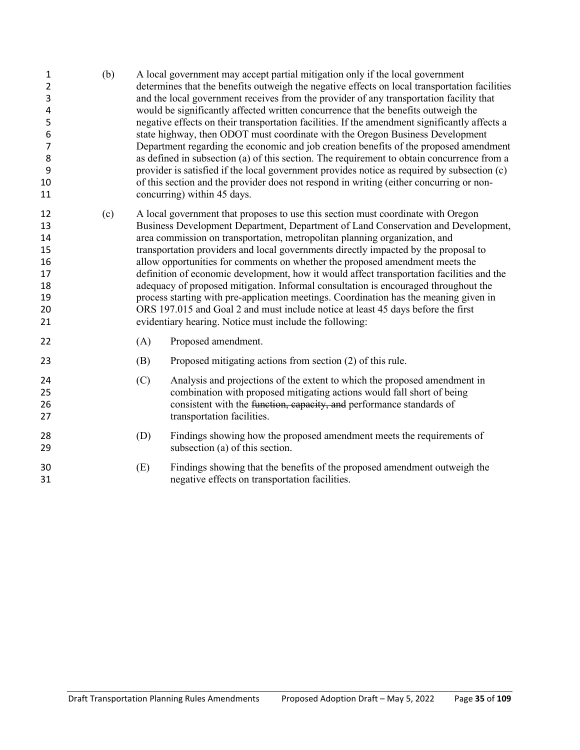| 1<br>2<br>3<br>4<br>5<br>6<br>$\overline{7}$<br>8<br>9<br>10<br>11 | (b) |     | A local government may accept partial mitigation only if the local government<br>determines that the benefits outweigh the negative effects on local transportation facilities<br>and the local government receives from the provider of any transportation facility that<br>would be significantly affected written concurrence that the benefits outweigh the<br>negative effects on their transportation facilities. If the amendment significantly affects a<br>state highway, then ODOT must coordinate with the Oregon Business Development<br>Department regarding the economic and job creation benefits of the proposed amendment<br>as defined in subsection (a) of this section. The requirement to obtain concurrence from a<br>provider is satisfied if the local government provides notice as required by subsection (c)<br>of this section and the provider does not respond in writing (either concurring or non-<br>concurring) within 45 days. |  |  |  |  |  |
|--------------------------------------------------------------------|-----|-----|-------------------------------------------------------------------------------------------------------------------------------------------------------------------------------------------------------------------------------------------------------------------------------------------------------------------------------------------------------------------------------------------------------------------------------------------------------------------------------------------------------------------------------------------------------------------------------------------------------------------------------------------------------------------------------------------------------------------------------------------------------------------------------------------------------------------------------------------------------------------------------------------------------------------------------------------------------------------|--|--|--|--|--|
| 12<br>13<br>14<br>15<br>16<br>17<br>18<br>19<br>20<br>21           | (c) |     | A local government that proposes to use this section must coordinate with Oregon<br>Business Development Department, Department of Land Conservation and Development,<br>area commission on transportation, metropolitan planning organization, and<br>transportation providers and local governments directly impacted by the proposal to<br>allow opportunities for comments on whether the proposed amendment meets the<br>definition of economic development, how it would affect transportation facilities and the<br>adequacy of proposed mitigation. Informal consultation is encouraged throughout the<br>process starting with pre-application meetings. Coordination has the meaning given in<br>ORS 197.015 and Goal 2 and must include notice at least 45 days before the first<br>evidentiary hearing. Notice must include the following:                                                                                                            |  |  |  |  |  |
| 22                                                                 |     | (A) | Proposed amendment.                                                                                                                                                                                                                                                                                                                                                                                                                                                                                                                                                                                                                                                                                                                                                                                                                                                                                                                                               |  |  |  |  |  |
| 23                                                                 |     | (B) | Proposed mitigating actions from section (2) of this rule.                                                                                                                                                                                                                                                                                                                                                                                                                                                                                                                                                                                                                                                                                                                                                                                                                                                                                                        |  |  |  |  |  |
| 24<br>25<br>26<br>27                                               |     | (C) | Analysis and projections of the extent to which the proposed amendment in<br>combination with proposed mitigating actions would fall short of being<br>consistent with the function, capacity, and performance standards of<br>transportation facilities.                                                                                                                                                                                                                                                                                                                                                                                                                                                                                                                                                                                                                                                                                                         |  |  |  |  |  |
| 28<br>29                                                           |     | (D) | Findings showing how the proposed amendment meets the requirements of<br>subsection (a) of this section.                                                                                                                                                                                                                                                                                                                                                                                                                                                                                                                                                                                                                                                                                                                                                                                                                                                          |  |  |  |  |  |
| 30<br>31                                                           |     | (E) | Findings showing that the benefits of the proposed amendment outweigh the<br>negative effects on transportation facilities.                                                                                                                                                                                                                                                                                                                                                                                                                                                                                                                                                                                                                                                                                                                                                                                                                                       |  |  |  |  |  |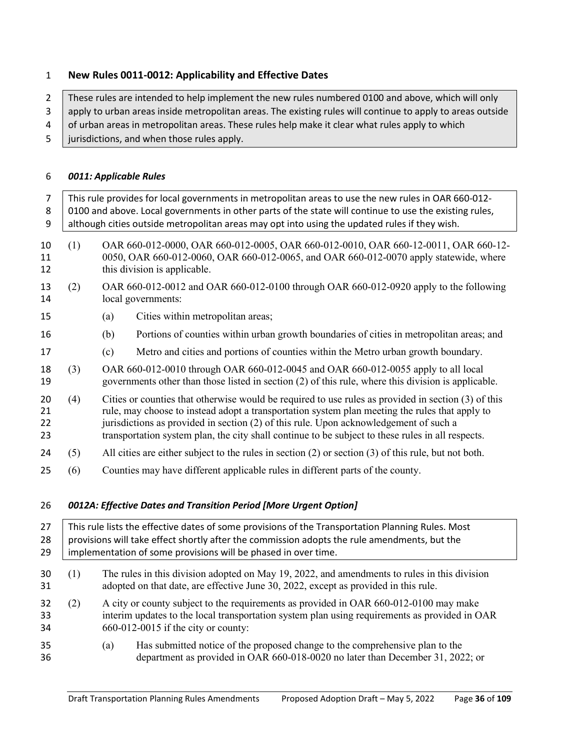#### <span id="page-35-0"></span>**New Rules 0011-0012: Applicability and Effective Dates**

2 These rules are intended to help implement the new rules numbered 0100 and above, which will only

- 3 apply to urban areas inside metropolitan areas. The existing rules will continue to apply to areas outside
- 4 of urban areas in metropolitan areas. These rules help make it clear what rules apply to which
- 5 jurisdictions, and when those rules apply.

#### <span id="page-35-1"></span>*0011: Applicable Rules*

<span id="page-35-2"></span>

| $\overline{7}$<br>8<br>9 |     | This rule provides for local governments in metropolitan areas to use the new rules in OAR 660-012-<br>0100 and above. Local governments in other parts of the state will continue to use the existing rules,<br>although cities outside metropolitan areas may opt into using the updated rules if they wish. |                                                                                                                                                                                                                                                                                                                                                                                                     |  |  |  |  |  |  |
|--------------------------|-----|----------------------------------------------------------------------------------------------------------------------------------------------------------------------------------------------------------------------------------------------------------------------------------------------------------------|-----------------------------------------------------------------------------------------------------------------------------------------------------------------------------------------------------------------------------------------------------------------------------------------------------------------------------------------------------------------------------------------------------|--|--|--|--|--|--|
| 10<br>11<br>12           | (1) |                                                                                                                                                                                                                                                                                                                | OAR 660-012-0000, OAR 660-012-0005, OAR 660-012-0010, OAR 660-12-0011, OAR 660-12-<br>0050, OAR 660-012-0060, OAR 660-012-0065, and OAR 660-012-0070 apply statewide, where<br>this division is applicable.                                                                                                                                                                                         |  |  |  |  |  |  |
| 13<br>14                 | (2) |                                                                                                                                                                                                                                                                                                                | OAR 660-012-0012 and OAR 660-012-0100 through OAR 660-012-0920 apply to the following<br>local governments:                                                                                                                                                                                                                                                                                         |  |  |  |  |  |  |
| 15                       |     | (a)                                                                                                                                                                                                                                                                                                            | Cities within metropolitan areas;                                                                                                                                                                                                                                                                                                                                                                   |  |  |  |  |  |  |
| 16                       |     | (b)                                                                                                                                                                                                                                                                                                            | Portions of counties within urban growth boundaries of cities in metropolitan areas; and                                                                                                                                                                                                                                                                                                            |  |  |  |  |  |  |
| 17                       |     | (c)                                                                                                                                                                                                                                                                                                            | Metro and cities and portions of counties within the Metro urban growth boundary.                                                                                                                                                                                                                                                                                                                   |  |  |  |  |  |  |
| 18<br>19                 | (3) |                                                                                                                                                                                                                                                                                                                | OAR 660-012-0010 through OAR 660-012-0045 and OAR 660-012-0055 apply to all local<br>governments other than those listed in section (2) of this rule, where this division is applicable.                                                                                                                                                                                                            |  |  |  |  |  |  |
| 20<br>21<br>22<br>23     | (4) |                                                                                                                                                                                                                                                                                                                | Cities or counties that otherwise would be required to use rules as provided in section (3) of this<br>rule, may choose to instead adopt a transportation system plan meeting the rules that apply to<br>jurisdictions as provided in section (2) of this rule. Upon acknowledgement of such a<br>transportation system plan, the city shall continue to be subject to these rules in all respects. |  |  |  |  |  |  |
| 24                       | (5) |                                                                                                                                                                                                                                                                                                                | All cities are either subject to the rules in section $(2)$ or section $(3)$ of this rule, but not both.                                                                                                                                                                                                                                                                                            |  |  |  |  |  |  |
| 25                       | (6) |                                                                                                                                                                                                                                                                                                                | Counties may have different applicable rules in different parts of the county.                                                                                                                                                                                                                                                                                                                      |  |  |  |  |  |  |
| 26                       |     |                                                                                                                                                                                                                                                                                                                | 0012A: Effective Dates and Transition Period [More Urgent Option]                                                                                                                                                                                                                                                                                                                                   |  |  |  |  |  |  |
| 27<br>28<br>29           |     |                                                                                                                                                                                                                                                                                                                | This rule lists the effective dates of some provisions of the Transportation Planning Rules. Most<br>provisions will take effect shortly after the commission adopts the rule amendments, but the<br>implementation of some provisions will be phased in over time.                                                                                                                                 |  |  |  |  |  |  |
| 30<br>31                 | (1) |                                                                                                                                                                                                                                                                                                                | The rules in this division adopted on May 19, 2022, and amendments to rules in this division<br>adopted on that date, are effective June 30, 2022, except as provided in this rule.                                                                                                                                                                                                                 |  |  |  |  |  |  |
| 32<br>33<br>34           | (2) |                                                                                                                                                                                                                                                                                                                | A city or county subject to the requirements as provided in OAR 660-012-0100 may make<br>interim updates to the local transportation system plan using requirements as provided in OAR<br>660-012-0015 if the city or county:                                                                                                                                                                       |  |  |  |  |  |  |
| 35<br>36                 |     | (a)                                                                                                                                                                                                                                                                                                            | Has submitted notice of the proposed change to the comprehensive plan to the<br>department as provided in OAR 660-018-0020 no later than December 31, 2022; or                                                                                                                                                                                                                                      |  |  |  |  |  |  |
|                          |     |                                                                                                                                                                                                                                                                                                                |                                                                                                                                                                                                                                                                                                                                                                                                     |  |  |  |  |  |  |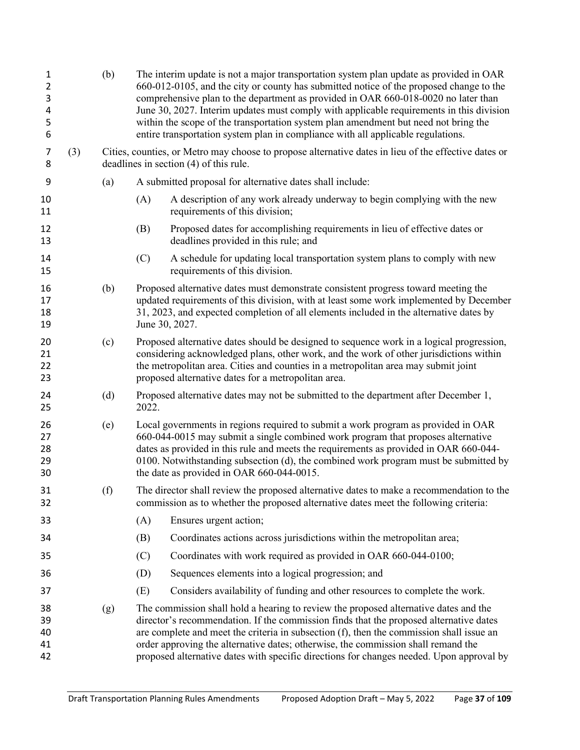| 1<br>$\overline{2}$<br>3<br>4<br>5<br>6 |     | (b) | entire transportation system plan in compliance with all applicable regulations.                                                          | The interim update is not a major transportation system plan update as provided in OAR<br>660-012-0105, and the city or county has submitted notice of the proposed change to the<br>comprehensive plan to the department as provided in OAR 660-018-0020 no later than<br>June 30, 2027. Interim updates must comply with applicable requirements in this division<br>within the scope of the transportation system plan amendment but need not bring the |
|-----------------------------------------|-----|-----|-------------------------------------------------------------------------------------------------------------------------------------------|------------------------------------------------------------------------------------------------------------------------------------------------------------------------------------------------------------------------------------------------------------------------------------------------------------------------------------------------------------------------------------------------------------------------------------------------------------|
| 7<br>8                                  | (3) |     | deadlines in section (4) of this rule.                                                                                                    | Cities, counties, or Metro may choose to propose alternative dates in lieu of the effective dates or                                                                                                                                                                                                                                                                                                                                                       |
| 9                                       |     | (a) | A submitted proposal for alternative dates shall include:                                                                                 |                                                                                                                                                                                                                                                                                                                                                                                                                                                            |
| 10<br>11                                |     |     | (A)<br>requirements of this division;                                                                                                     | A description of any work already underway to begin complying with the new                                                                                                                                                                                                                                                                                                                                                                                 |
| 12<br>13                                |     |     | (B)<br>deadlines provided in this rule; and                                                                                               | Proposed dates for accomplishing requirements in lieu of effective dates or                                                                                                                                                                                                                                                                                                                                                                                |
| 14<br>15                                |     |     | (C)<br>requirements of this division.                                                                                                     | A schedule for updating local transportation system plans to comply with new                                                                                                                                                                                                                                                                                                                                                                               |
| 16<br>17<br>18<br>19                    |     | (b) | June 30, 2027.                                                                                                                            | Proposed alternative dates must demonstrate consistent progress toward meeting the<br>updated requirements of this division, with at least some work implemented by December<br>31, 2023, and expected completion of all elements included in the alternative dates by                                                                                                                                                                                     |
| 20<br>21<br>22<br>23                    |     | (c) | the metropolitan area. Cities and counties in a metropolitan area may submit joint<br>proposed alternative dates for a metropolitan area. | Proposed alternative dates should be designed to sequence work in a logical progression,<br>considering acknowledged plans, other work, and the work of other jurisdictions within                                                                                                                                                                                                                                                                         |
| 24<br>25                                |     | (d) | 2022.                                                                                                                                     | Proposed alternative dates may not be submitted to the department after December 1,                                                                                                                                                                                                                                                                                                                                                                        |
| 26<br>27<br>28<br>29<br>30              |     | (e) | the date as provided in OAR 660-044-0015.                                                                                                 | Local governments in regions required to submit a work program as provided in OAR<br>660-044-0015 may submit a single combined work program that proposes alternative<br>dates as provided in this rule and meets the requirements as provided in OAR 660-044-<br>0100. Notwithstanding subsection (d), the combined work program must be submitted by                                                                                                     |
| 31<br>32                                |     | (f) |                                                                                                                                           | The director shall review the proposed alternative dates to make a recommendation to the<br>commission as to whether the proposed alternative dates meet the following criteria:                                                                                                                                                                                                                                                                           |
| 33                                      |     |     | (A)<br>Ensures urgent action;                                                                                                             |                                                                                                                                                                                                                                                                                                                                                                                                                                                            |
| 34                                      |     |     | (B)                                                                                                                                       | Coordinates actions across jurisdictions within the metropolitan area;                                                                                                                                                                                                                                                                                                                                                                                     |
| 35                                      |     |     | Coordinates with work required as provided in OAR 660-044-0100;<br>(C)                                                                    |                                                                                                                                                                                                                                                                                                                                                                                                                                                            |
| 36                                      |     |     | Sequences elements into a logical progression; and<br>(D)                                                                                 |                                                                                                                                                                                                                                                                                                                                                                                                                                                            |
| 37                                      |     |     | (E)                                                                                                                                       | Considers availability of funding and other resources to complete the work.                                                                                                                                                                                                                                                                                                                                                                                |
| 38<br>39<br>40<br>41<br>42              |     | (g) | order approving the alternative dates; otherwise, the commission shall remand the                                                         | The commission shall hold a hearing to review the proposed alternative dates and the<br>director's recommendation. If the commission finds that the proposed alternative dates<br>are complete and meet the criteria in subsection (f), then the commission shall issue an<br>proposed alternative dates with specific directions for changes needed. Upon approval by                                                                                     |
|                                         |     |     |                                                                                                                                           |                                                                                                                                                                                                                                                                                                                                                                                                                                                            |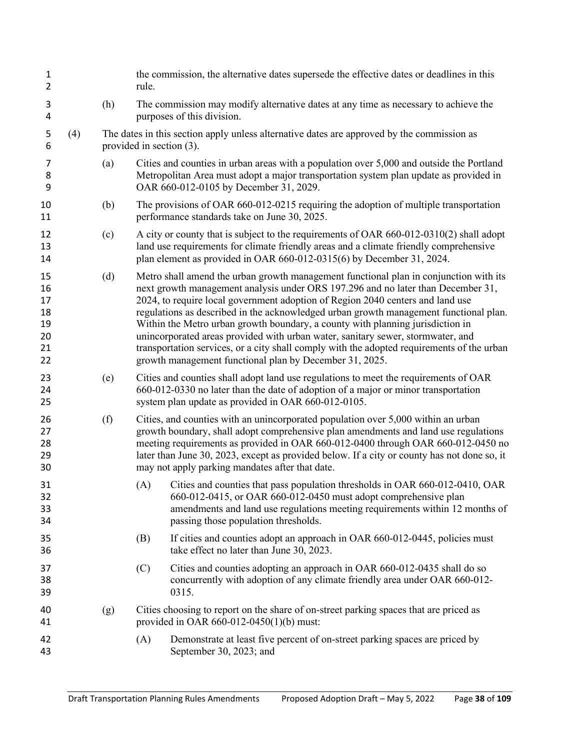| $\mathbf{1}$<br>$\overline{2}$               |     |     | rule. | the commission, the alternative dates supersede the effective dates or deadlines in this                                                                                                                                                                                                                                                                                                                                                                                                                                                                                                                                                                                           |
|----------------------------------------------|-----|-----|-------|------------------------------------------------------------------------------------------------------------------------------------------------------------------------------------------------------------------------------------------------------------------------------------------------------------------------------------------------------------------------------------------------------------------------------------------------------------------------------------------------------------------------------------------------------------------------------------------------------------------------------------------------------------------------------------|
| 3<br>4                                       |     | (h) |       | The commission may modify alternative dates at any time as necessary to achieve the<br>purposes of this division.                                                                                                                                                                                                                                                                                                                                                                                                                                                                                                                                                                  |
| 5<br>6                                       | (4) |     |       | The dates in this section apply unless alternative dates are approved by the commission as<br>provided in section $(3)$ .                                                                                                                                                                                                                                                                                                                                                                                                                                                                                                                                                          |
| 7<br>8<br>9                                  |     | (a) |       | Cities and counties in urban areas with a population over 5,000 and outside the Portland<br>Metropolitan Area must adopt a major transportation system plan update as provided in<br>OAR 660-012-0105 by December 31, 2029.                                                                                                                                                                                                                                                                                                                                                                                                                                                        |
| 10<br>11                                     |     | (b) |       | The provisions of OAR 660-012-0215 requiring the adoption of multiple transportation<br>performance standards take on June 30, 2025.                                                                                                                                                                                                                                                                                                                                                                                                                                                                                                                                               |
| 12<br>13<br>14                               |     | (c) |       | A city or county that is subject to the requirements of OAR 660-012-0310(2) shall adopt<br>land use requirements for climate friendly areas and a climate friendly comprehensive<br>plan element as provided in OAR 660-012-0315(6) by December 31, 2024.                                                                                                                                                                                                                                                                                                                                                                                                                          |
| 15<br>16<br>17<br>18<br>19<br>20<br>21<br>22 |     | (d) |       | Metro shall amend the urban growth management functional plan in conjunction with its<br>next growth management analysis under ORS 197.296 and no later than December 31,<br>2024, to require local government adoption of Region 2040 centers and land use<br>regulations as described in the acknowledged urban growth management functional plan.<br>Within the Metro urban growth boundary, a county with planning jurisdiction in<br>unincorporated areas provided with urban water, sanitary sewer, stormwater, and<br>transportation services, or a city shall comply with the adopted requirements of the urban<br>growth management functional plan by December 31, 2025. |
| 23<br>24<br>25                               |     | (e) |       | Cities and counties shall adopt land use regulations to meet the requirements of OAR<br>660-012-0330 no later than the date of adoption of a major or minor transportation<br>system plan update as provided in OAR 660-012-0105.                                                                                                                                                                                                                                                                                                                                                                                                                                                  |
| 26<br>27<br>28<br>29<br>30                   |     | (f) |       | Cities, and counties with an unincorporated population over 5,000 within an urban<br>growth boundary, shall adopt comprehensive plan amendments and land use regulations<br>meeting requirements as provided in OAR 660-012-0400 through OAR 660-012-0450 no<br>later than June 30, 2023, except as provided below. If a city or county has not done so, it<br>may not apply parking mandates after that date.                                                                                                                                                                                                                                                                     |
| 31<br>32<br>33<br>34                         |     |     | (A)   | Cities and counties that pass population thresholds in OAR 660-012-0410, OAR<br>$660-012-0415$ , or OAR $660-012-0450$ must adopt comprehensive plan<br>amendments and land use regulations meeting requirements within 12 months of<br>passing those population thresholds.                                                                                                                                                                                                                                                                                                                                                                                                       |
| 35<br>36                                     |     |     | (B)   | If cities and counties adopt an approach in OAR 660-012-0445, policies must<br>take effect no later than June 30, 2023.                                                                                                                                                                                                                                                                                                                                                                                                                                                                                                                                                            |
| 37<br>38<br>39                               |     |     | (C)   | Cities and counties adopting an approach in OAR 660-012-0435 shall do so<br>concurrently with adoption of any climate friendly area under OAR 660-012-<br>0315.                                                                                                                                                                                                                                                                                                                                                                                                                                                                                                                    |
| 40<br>41                                     |     | (g) |       | Cities choosing to report on the share of on-street parking spaces that are priced as<br>provided in OAR 660-012-0450(1)(b) must:                                                                                                                                                                                                                                                                                                                                                                                                                                                                                                                                                  |
| 42<br>43                                     |     |     | (A)   | Demonstrate at least five percent of on-street parking spaces are priced by<br>September 30, 2023; and                                                                                                                                                                                                                                                                                                                                                                                                                                                                                                                                                                             |
|                                              |     |     |       |                                                                                                                                                                                                                                                                                                                                                                                                                                                                                                                                                                                                                                                                                    |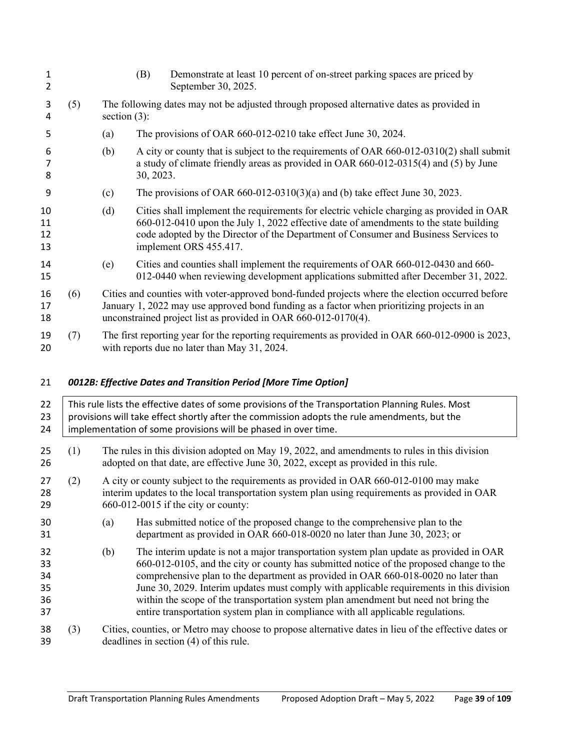| 1<br>$\overline{2}$  |     |                                                                                                              | Demonstrate at least 10 percent of on-street parking spaces are priced by<br>(B)<br>September 30, 2025.                                                                                                                                                                                            |  |  |  |  |
|----------------------|-----|--------------------------------------------------------------------------------------------------------------|----------------------------------------------------------------------------------------------------------------------------------------------------------------------------------------------------------------------------------------------------------------------------------------------------|--|--|--|--|
| 3<br>4               | (5) | The following dates may not be adjusted through proposed alternative dates as provided in<br>section $(3)$ : |                                                                                                                                                                                                                                                                                                    |  |  |  |  |
| 5                    |     | (a)                                                                                                          | The provisions of OAR 660-012-0210 take effect June 30, 2024.                                                                                                                                                                                                                                      |  |  |  |  |
| 6<br>7<br>8          |     | (b)                                                                                                          | A city or county that is subject to the requirements of OAR 660-012-0310(2) shall submit<br>a study of climate friendly areas as provided in OAR 660-012-0315(4) and (5) by June<br>30, 2023.                                                                                                      |  |  |  |  |
| 9                    |     | (c)                                                                                                          | The provisions of OAR $660-012-0310(3)(a)$ and (b) take effect June 30, 2023.                                                                                                                                                                                                                      |  |  |  |  |
| 10<br>11<br>12<br>13 |     | (d)                                                                                                          | Cities shall implement the requirements for electric vehicle charging as provided in OAR<br>660-012-0410 upon the July 1, 2022 effective date of amendments to the state building<br>code adopted by the Director of the Department of Consumer and Business Services to<br>implement ORS 455.417. |  |  |  |  |
| 14<br>15             |     | (e)                                                                                                          | Cities and counties shall implement the requirements of OAR 660-012-0430 and 660-<br>012-0440 when reviewing development applications submitted after December 31, 2022.                                                                                                                           |  |  |  |  |
| 16<br>17<br>18       | (6) |                                                                                                              | Cities and counties with voter-approved bond-funded projects where the election occurred before<br>January 1, 2022 may use approved bond funding as a factor when prioritizing projects in an<br>unconstrained project list as provided in OAR 660-012-0170(4).                                    |  |  |  |  |
| 19<br>20             | (7) |                                                                                                              | The first reporting year for the reporting requirements as provided in OAR 660-012-0900 is 2023,<br>with reports due no later than May 31, 2024.                                                                                                                                                   |  |  |  |  |
|                      |     |                                                                                                              |                                                                                                                                                                                                                                                                                                    |  |  |  |  |

# *0012B: Effective Dates and Transition Period [More Time Option]*

| 22<br>23<br>24                   |     | This rule lists the effective dates of some provisions of the Transportation Planning Rules. Most<br>provisions will take effect shortly after the commission adopts the rule amendments, but the<br>implementation of some provisions will be phased in over time. |                                                                                                                                                                                                                                                                                                                                                                                                                                                                                                                                                |  |  |  |  |
|----------------------------------|-----|---------------------------------------------------------------------------------------------------------------------------------------------------------------------------------------------------------------------------------------------------------------------|------------------------------------------------------------------------------------------------------------------------------------------------------------------------------------------------------------------------------------------------------------------------------------------------------------------------------------------------------------------------------------------------------------------------------------------------------------------------------------------------------------------------------------------------|--|--|--|--|
| 25<br>26                         | (1) |                                                                                                                                                                                                                                                                     | The rules in this division adopted on May 19, 2022, and amendments to rules in this division<br>adopted on that date, are effective June 30, 2022, except as provided in this rule.                                                                                                                                                                                                                                                                                                                                                            |  |  |  |  |
| 27<br>28<br>29                   | (2) | A city or county subject to the requirements as provided in OAR 660-012-0100 may make<br>interim updates to the local transportation system plan using requirements as provided in OAR<br>$660-012-0015$ if the city or county:                                     |                                                                                                                                                                                                                                                                                                                                                                                                                                                                                                                                                |  |  |  |  |
| 30<br>31                         |     | (a)                                                                                                                                                                                                                                                                 | Has submitted notice of the proposed change to the comprehensive plan to the<br>department as provided in OAR 660-018-0020 no later than June 30, 2023; or                                                                                                                                                                                                                                                                                                                                                                                     |  |  |  |  |
| 32<br>33<br>34<br>35<br>36<br>37 |     | (b)                                                                                                                                                                                                                                                                 | The interim update is not a major transportation system plan update as provided in OAR<br>660-012-0105, and the city or county has submitted notice of the proposed change to the<br>comprehensive plan to the department as provided in OAR 660-018-0020 no later than<br>June 30, 2029. Interim updates must comply with applicable requirements in this division<br>within the scope of the transportation system plan amendment but need not bring the<br>entire transportation system plan in compliance with all applicable regulations. |  |  |  |  |
| 38<br>39                         | (3) |                                                                                                                                                                                                                                                                     | Cities, counties, or Metro may choose to propose alternative dates in lieu of the effective dates or<br>deadlines in section (4) of this rule.                                                                                                                                                                                                                                                                                                                                                                                                 |  |  |  |  |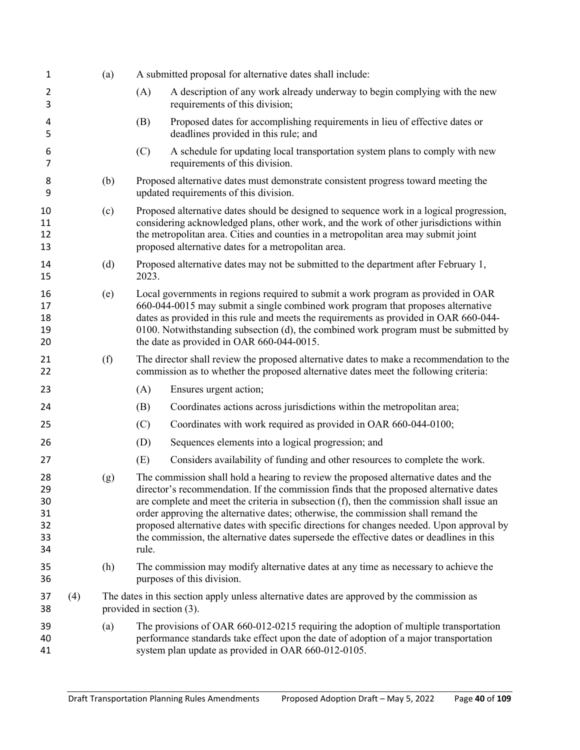| 1                                      |     | (a) |                             | A submitted proposal for alternative dates shall include:                                                                                                                                                                                                                                                                                                                                                                                                                                                                                               |
|----------------------------------------|-----|-----|-----------------------------|---------------------------------------------------------------------------------------------------------------------------------------------------------------------------------------------------------------------------------------------------------------------------------------------------------------------------------------------------------------------------------------------------------------------------------------------------------------------------------------------------------------------------------------------------------|
| 2<br>3                                 |     |     | (A)                         | A description of any work already underway to begin complying with the new<br>requirements of this division;                                                                                                                                                                                                                                                                                                                                                                                                                                            |
| 4<br>5                                 |     |     | (B)                         | Proposed dates for accomplishing requirements in lieu of effective dates or<br>deadlines provided in this rule; and                                                                                                                                                                                                                                                                                                                                                                                                                                     |
| 6<br>7                                 |     |     | (C)                         | A schedule for updating local transportation system plans to comply with new<br>requirements of this division.                                                                                                                                                                                                                                                                                                                                                                                                                                          |
| 8<br>9                                 |     | (b) |                             | Proposed alternative dates must demonstrate consistent progress toward meeting the<br>updated requirements of this division.                                                                                                                                                                                                                                                                                                                                                                                                                            |
| 10<br>11<br>12<br>13                   |     | (c) |                             | Proposed alternative dates should be designed to sequence work in a logical progression,<br>considering acknowledged plans, other work, and the work of other jurisdictions within<br>the metropolitan area. Cities and counties in a metropolitan area may submit joint<br>proposed alternative dates for a metropolitan area.                                                                                                                                                                                                                         |
| 14<br>15                               |     | (d) | 2023.                       | Proposed alternative dates may not be submitted to the department after February 1,                                                                                                                                                                                                                                                                                                                                                                                                                                                                     |
| 16<br>17<br>18<br>19<br>20             |     | (e) |                             | Local governments in regions required to submit a work program as provided in OAR<br>660-044-0015 may submit a single combined work program that proposes alternative<br>dates as provided in this rule and meets the requirements as provided in OAR 660-044-<br>0100. Notwithstanding subsection (d), the combined work program must be submitted by<br>the date as provided in OAR 660-044-0015.                                                                                                                                                     |
| 21<br>22                               |     | (f) |                             | The director shall review the proposed alternative dates to make a recommendation to the<br>commission as to whether the proposed alternative dates meet the following criteria:                                                                                                                                                                                                                                                                                                                                                                        |
| 23                                     |     |     | (A)                         | Ensures urgent action;                                                                                                                                                                                                                                                                                                                                                                                                                                                                                                                                  |
| 24                                     |     |     | (B)                         | Coordinates actions across jurisdictions within the metropolitan area;                                                                                                                                                                                                                                                                                                                                                                                                                                                                                  |
| 25                                     |     |     | (C)                         | Coordinates with work required as provided in OAR 660-044-0100;                                                                                                                                                                                                                                                                                                                                                                                                                                                                                         |
| 26                                     |     |     | (D)                         | Sequences elements into a logical progression; and                                                                                                                                                                                                                                                                                                                                                                                                                                                                                                      |
| 27                                     |     |     | (E)                         | Considers availability of funding and other resources to complete the work.                                                                                                                                                                                                                                                                                                                                                                                                                                                                             |
| 28<br>29<br>30<br>31<br>32<br>33<br>34 |     | (g) | rule.                       | The commission shall hold a hearing to review the proposed alternative dates and the<br>director's recommendation. If the commission finds that the proposed alternative dates<br>are complete and meet the criteria in subsection (f), then the commission shall issue an<br>order approving the alternative dates; otherwise, the commission shall remand the<br>proposed alternative dates with specific directions for changes needed. Upon approval by<br>the commission, the alternative dates supersede the effective dates or deadlines in this |
| 35<br>36                               |     | (h) |                             | The commission may modify alternative dates at any time as necessary to achieve the<br>purposes of this division.                                                                                                                                                                                                                                                                                                                                                                                                                                       |
| 37<br>38                               | (4) |     | provided in section $(3)$ . | The dates in this section apply unless alternative dates are approved by the commission as                                                                                                                                                                                                                                                                                                                                                                                                                                                              |
| 39<br>40<br>41                         |     | (a) |                             | The provisions of OAR 660-012-0215 requiring the adoption of multiple transportation<br>performance standards take effect upon the date of adoption of a major transportation<br>system plan update as provided in OAR 660-012-0105.                                                                                                                                                                                                                                                                                                                    |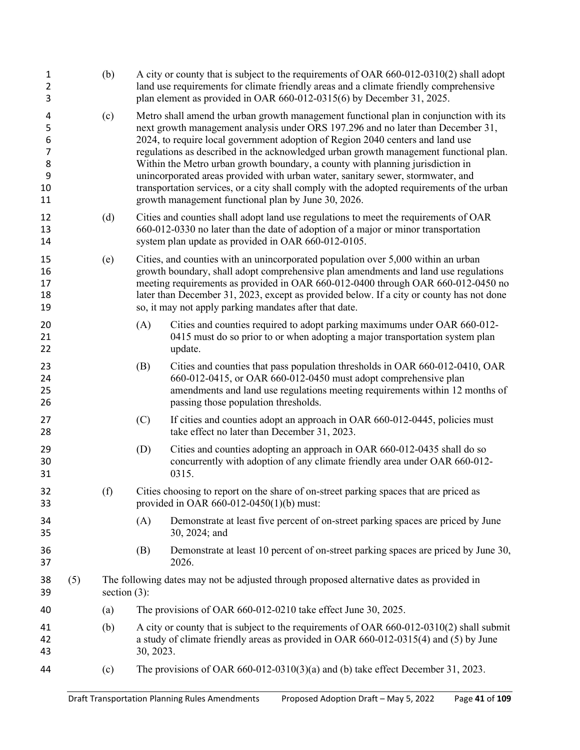| $\mathbf{1}$<br>$\overline{2}$<br>3                 |     | (b)             |           | A city or county that is subject to the requirements of OAR 660-012-0310(2) shall adopt<br>land use requirements for climate friendly areas and a climate friendly comprehensive<br>plan element as provided in OAR 660-012-0315(6) by December 31, 2025.                                                                                                                                                                                                                                                                                                                                                                                                                      |
|-----------------------------------------------------|-----|-----------------|-----------|--------------------------------------------------------------------------------------------------------------------------------------------------------------------------------------------------------------------------------------------------------------------------------------------------------------------------------------------------------------------------------------------------------------------------------------------------------------------------------------------------------------------------------------------------------------------------------------------------------------------------------------------------------------------------------|
| 4<br>5<br>6<br>$\overline{7}$<br>8<br>9<br>10<br>11 |     | (c)             |           | Metro shall amend the urban growth management functional plan in conjunction with its<br>next growth management analysis under ORS 197.296 and no later than December 31,<br>2024, to require local government adoption of Region 2040 centers and land use<br>regulations as described in the acknowledged urban growth management functional plan.<br>Within the Metro urban growth boundary, a county with planning jurisdiction in<br>unincorporated areas provided with urban water, sanitary sewer, stormwater, and<br>transportation services, or a city shall comply with the adopted requirements of the urban<br>growth management functional plan by June 30, 2026. |
| 12<br>13<br>14                                      |     | (d)             |           | Cities and counties shall adopt land use regulations to meet the requirements of OAR<br>660-012-0330 no later than the date of adoption of a major or minor transportation<br>system plan update as provided in OAR 660-012-0105.                                                                                                                                                                                                                                                                                                                                                                                                                                              |
| 15<br>16<br>17<br>18<br>19                          |     | (e)             |           | Cities, and counties with an unincorporated population over 5,000 within an urban<br>growth boundary, shall adopt comprehensive plan amendments and land use regulations<br>meeting requirements as provided in OAR 660-012-0400 through OAR 660-012-0450 no<br>later than December 31, 2023, except as provided below. If a city or county has not done<br>so, it may not apply parking mandates after that date.                                                                                                                                                                                                                                                             |
| 20<br>21<br>22                                      |     |                 | (A)       | Cities and counties required to adopt parking maximums under OAR 660-012-<br>0415 must do so prior to or when adopting a major transportation system plan<br>update.                                                                                                                                                                                                                                                                                                                                                                                                                                                                                                           |
| 23<br>24<br>25<br>26                                |     |                 | (B)       | Cities and counties that pass population thresholds in OAR 660-012-0410, OAR<br>660-012-0415, or OAR 660-012-0450 must adopt comprehensive plan<br>amendments and land use regulations meeting requirements within 12 months of<br>passing those population thresholds.                                                                                                                                                                                                                                                                                                                                                                                                        |
| 27<br>28                                            |     |                 | (C)       | If cities and counties adopt an approach in OAR 660-012-0445, policies must<br>take effect no later than December 31, 2023.                                                                                                                                                                                                                                                                                                                                                                                                                                                                                                                                                    |
| 29<br>30<br>31                                      |     |                 | (D)       | Cities and counties adopting an approach in OAR 660-012-0435 shall do so<br>concurrently with adoption of any climate friendly area under OAR 660-012-<br>0315.                                                                                                                                                                                                                                                                                                                                                                                                                                                                                                                |
| 32<br>33                                            |     | (f)             |           | Cities choosing to report on the share of on-street parking spaces that are priced as<br>provided in OAR $660-012-0450(1)(b)$ must:                                                                                                                                                                                                                                                                                                                                                                                                                                                                                                                                            |
| 34<br>35                                            |     |                 | (A)       | Demonstrate at least five percent of on-street parking spaces are priced by June<br>30, 2024; and                                                                                                                                                                                                                                                                                                                                                                                                                                                                                                                                                                              |
| 36<br>37                                            |     |                 | (B)       | Demonstrate at least 10 percent of on-street parking spaces are priced by June 30,<br>2026.                                                                                                                                                                                                                                                                                                                                                                                                                                                                                                                                                                                    |
| 38<br>39                                            | (5) | section $(3)$ : |           | The following dates may not be adjusted through proposed alternative dates as provided in                                                                                                                                                                                                                                                                                                                                                                                                                                                                                                                                                                                      |
| 40                                                  |     | (a)             |           | The provisions of OAR 660-012-0210 take effect June 30, 2025.                                                                                                                                                                                                                                                                                                                                                                                                                                                                                                                                                                                                                  |
| 41<br>42<br>43                                      |     | (b)             | 30, 2023. | A city or county that is subject to the requirements of OAR 660-012-0310(2) shall submit<br>a study of climate friendly areas as provided in OAR 660-012-0315(4) and (5) by June                                                                                                                                                                                                                                                                                                                                                                                                                                                                                               |
| 44                                                  |     | (c)             |           | The provisions of OAR $660-012-0310(3)(a)$ and (b) take effect December 31, 2023.                                                                                                                                                                                                                                                                                                                                                                                                                                                                                                                                                                                              |
|                                                     |     |                 |           |                                                                                                                                                                                                                                                                                                                                                                                                                                                                                                                                                                                                                                                                                |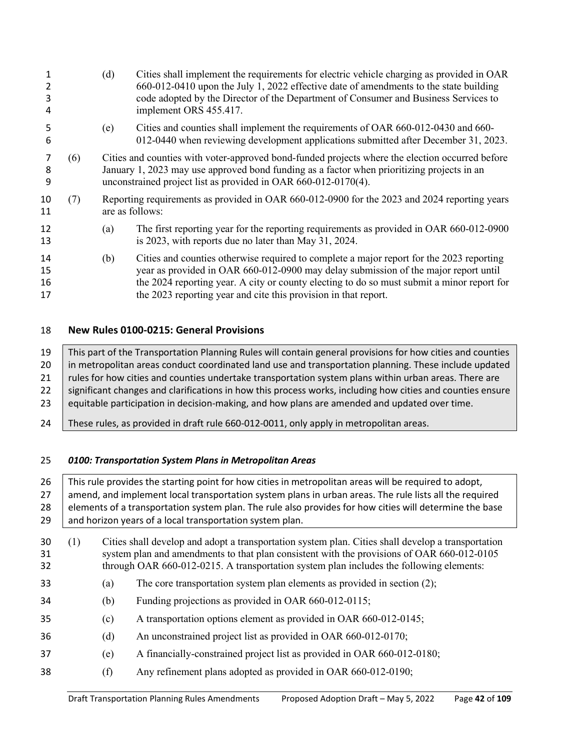| 3<br>4               |     | (d) | Cities shall implement the requirements for electric vehicle charging as provided in OAR<br>660-012-0410 upon the July 1, 2022 effective date of amendments to the state building<br>code adopted by the Director of the Department of Consumer and Business Services to<br>implement ORS 455.417.                                               |  |  |
|----------------------|-----|-----|--------------------------------------------------------------------------------------------------------------------------------------------------------------------------------------------------------------------------------------------------------------------------------------------------------------------------------------------------|--|--|
| 5<br>6               |     | (e) | Cities and counties shall implement the requirements of OAR 660-012-0430 and 660-<br>012-0440 when reviewing development applications submitted after December 31, 2023.                                                                                                                                                                         |  |  |
| 8<br>9               | (6) |     | Cities and counties with voter-approved bond-funded projects where the election occurred before<br>January 1, 2023 may use approved bond funding as a factor when prioritizing projects in an<br>unconstrained project list as provided in OAR 660-012-0170(4).                                                                                  |  |  |
| 10<br>11             | (7) |     | Reporting requirements as provided in OAR 660-012-0900 for the 2023 and 2024 reporting years<br>are as follows:                                                                                                                                                                                                                                  |  |  |
| 12<br>13             |     | (a) | The first reporting year for the reporting requirements as provided in OAR 660-012-0900<br>is 2023, with reports due no later than May 31, 2024.                                                                                                                                                                                                 |  |  |
| 14<br>15<br>16<br>17 |     | (b) | Cities and counties otherwise required to complete a major report for the 2023 reporting<br>year as provided in OAR 660-012-0900 may delay submission of the major report until<br>the 2024 reporting year. A city or county electing to do so must submit a minor report for<br>the 2023 reporting year and cite this provision in that report. |  |  |

# **New Rules 0100-0215: General Provisions**

 This part of the Transportation Planning Rules will contain general provisions for how cities and counties 20 | in metropolitan areas conduct coordinated land use and transportation planning. These include updated 21 | rules for how cities and counties undertake transportation system plans within urban areas. There are 22 Significant changes and clarifications in how this process works, including how cities and counties ensure equitable participation in decision-making, and how plans are amended and updated over time.

24 These rules, as provided in draft rule 660-012-0011, only apply in metropolitan areas.

# *0100: Transportation System Plans in Metropolitan Areas*

| 26<br>27<br>28 |     | This rule provides the starting point for how cities in metropolitan areas will be required to adopt,<br>amend, and implement local transportation system plans in urban areas. The rule lists all the required<br>elements of a transportation system plan. The rule also provides for how cities will determine the base |                                                                                                                                                                                                                                                                                             |  |  |  |  |
|----------------|-----|----------------------------------------------------------------------------------------------------------------------------------------------------------------------------------------------------------------------------------------------------------------------------------------------------------------------------|---------------------------------------------------------------------------------------------------------------------------------------------------------------------------------------------------------------------------------------------------------------------------------------------|--|--|--|--|
| 29             |     |                                                                                                                                                                                                                                                                                                                            | and horizon years of a local transportation system plan.                                                                                                                                                                                                                                    |  |  |  |  |
| 30<br>31<br>32 | (1) |                                                                                                                                                                                                                                                                                                                            | Cities shall develop and adopt a transportation system plan. Cities shall develop a transportation<br>system plan and amendments to that plan consistent with the provisions of OAR 660-012-0105<br>through OAR 660-012-0215. A transportation system plan includes the following elements: |  |  |  |  |
| 33             |     | (a)                                                                                                                                                                                                                                                                                                                        | The core transportation system plan elements as provided in section (2);                                                                                                                                                                                                                    |  |  |  |  |
| 34             |     | (b)                                                                                                                                                                                                                                                                                                                        | Funding projections as provided in OAR 660-012-0115;                                                                                                                                                                                                                                        |  |  |  |  |
| 35             |     | (c)                                                                                                                                                                                                                                                                                                                        | A transportation options element as provided in OAR 660-012-0145;                                                                                                                                                                                                                           |  |  |  |  |
| 36             |     | (d)                                                                                                                                                                                                                                                                                                                        | An unconstrained project list as provided in OAR 660-012-0170;                                                                                                                                                                                                                              |  |  |  |  |
| 37             |     | (e)                                                                                                                                                                                                                                                                                                                        | A financially-constrained project list as provided in OAR 660-012-0180;                                                                                                                                                                                                                     |  |  |  |  |
| 38             |     | (f)                                                                                                                                                                                                                                                                                                                        | Any refinement plans adopted as provided in OAR 660-012-0190;                                                                                                                                                                                                                               |  |  |  |  |
|                |     |                                                                                                                                                                                                                                                                                                                            |                                                                                                                                                                                                                                                                                             |  |  |  |  |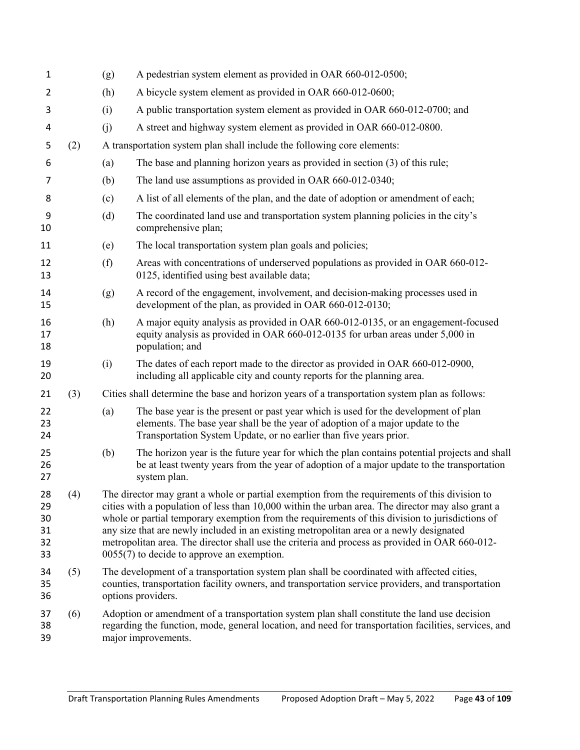| 1                                |     | (g)                                                                                                                                                                                                                                                                                                                                                                                                                                                                                                                                                | A pedestrian system element as provided in OAR 660-012-0500;                                                                                                                                                                                |  |  |  |
|----------------------------------|-----|----------------------------------------------------------------------------------------------------------------------------------------------------------------------------------------------------------------------------------------------------------------------------------------------------------------------------------------------------------------------------------------------------------------------------------------------------------------------------------------------------------------------------------------------------|---------------------------------------------------------------------------------------------------------------------------------------------------------------------------------------------------------------------------------------------|--|--|--|
| 2                                |     | (h)                                                                                                                                                                                                                                                                                                                                                                                                                                                                                                                                                | A bicycle system element as provided in OAR 660-012-0600;                                                                                                                                                                                   |  |  |  |
| 3                                |     | (i)                                                                                                                                                                                                                                                                                                                                                                                                                                                                                                                                                | A public transportation system element as provided in OAR 660-012-0700; and                                                                                                                                                                 |  |  |  |
| 4                                |     | (j)                                                                                                                                                                                                                                                                                                                                                                                                                                                                                                                                                | A street and highway system element as provided in OAR 660-012-0800.                                                                                                                                                                        |  |  |  |
| 5                                | (2) |                                                                                                                                                                                                                                                                                                                                                                                                                                                                                                                                                    | A transportation system plan shall include the following core elements:                                                                                                                                                                     |  |  |  |
| 6                                |     | (a)                                                                                                                                                                                                                                                                                                                                                                                                                                                                                                                                                | The base and planning horizon years as provided in section (3) of this rule;                                                                                                                                                                |  |  |  |
| 7                                |     | (b)                                                                                                                                                                                                                                                                                                                                                                                                                                                                                                                                                | The land use assumptions as provided in OAR 660-012-0340;                                                                                                                                                                                   |  |  |  |
| 8                                |     | (c)                                                                                                                                                                                                                                                                                                                                                                                                                                                                                                                                                | A list of all elements of the plan, and the date of adoption or amendment of each;                                                                                                                                                          |  |  |  |
| 9<br>10                          |     | (d)                                                                                                                                                                                                                                                                                                                                                                                                                                                                                                                                                | The coordinated land use and transportation system planning policies in the city's<br>comprehensive plan;                                                                                                                                   |  |  |  |
| 11                               |     | (e)                                                                                                                                                                                                                                                                                                                                                                                                                                                                                                                                                | The local transportation system plan goals and policies;                                                                                                                                                                                    |  |  |  |
| 12<br>13                         |     | (f)                                                                                                                                                                                                                                                                                                                                                                                                                                                                                                                                                | Areas with concentrations of underserved populations as provided in OAR 660-012-<br>0125, identified using best available data;                                                                                                             |  |  |  |
| 14<br>15                         |     | (g)                                                                                                                                                                                                                                                                                                                                                                                                                                                                                                                                                | A record of the engagement, involvement, and decision-making processes used in<br>development of the plan, as provided in OAR 660-012-0130;                                                                                                 |  |  |  |
| 16<br>17<br>18                   |     | (h)                                                                                                                                                                                                                                                                                                                                                                                                                                                                                                                                                | A major equity analysis as provided in OAR 660-012-0135, or an engagement-focused<br>equity analysis as provided in OAR 660-012-0135 for urban areas under 5,000 in<br>population; and                                                      |  |  |  |
| 19<br>20                         |     | (i)                                                                                                                                                                                                                                                                                                                                                                                                                                                                                                                                                | The dates of each report made to the director as provided in OAR 660-012-0900,<br>including all applicable city and county reports for the planning area.                                                                                   |  |  |  |
| 21                               | (3) |                                                                                                                                                                                                                                                                                                                                                                                                                                                                                                                                                    | Cities shall determine the base and horizon years of a transportation system plan as follows:                                                                                                                                               |  |  |  |
| 22<br>23<br>24                   |     | (a)                                                                                                                                                                                                                                                                                                                                                                                                                                                                                                                                                | The base year is the present or past year which is used for the development of plan<br>elements. The base year shall be the year of adoption of a major update to the<br>Transportation System Update, or no earlier than five years prior. |  |  |  |
| 25<br>26<br>27                   |     | (b)                                                                                                                                                                                                                                                                                                                                                                                                                                                                                                                                                | The horizon year is the future year for which the plan contains potential projects and shall<br>be at least twenty years from the year of adoption of a major update to the transportation<br>system plan.                                  |  |  |  |
| 28<br>29<br>30<br>31<br>32<br>33 | (4) | The director may grant a whole or partial exemption from the requirements of this division to<br>cities with a population of less than 10,000 within the urban area. The director may also grant a<br>whole or partial temporary exemption from the requirements of this division to jurisdictions of<br>any size that are newly included in an existing metropolitan area or a newly designated<br>metropolitan area. The director shall use the criteria and process as provided in OAR 660-012-<br>$0055(7)$ to decide to approve an exemption. |                                                                                                                                                                                                                                             |  |  |  |
| 34<br>35<br>36                   | (5) | The development of a transportation system plan shall be coordinated with affected cities,<br>counties, transportation facility owners, and transportation service providers, and transportation<br>options providers.                                                                                                                                                                                                                                                                                                                             |                                                                                                                                                                                                                                             |  |  |  |
| 37<br>38<br>39                   | (6) |                                                                                                                                                                                                                                                                                                                                                                                                                                                                                                                                                    | Adoption or amendment of a transportation system plan shall constitute the land use decision<br>regarding the function, mode, general location, and need for transportation facilities, services, and<br>major improvements.                |  |  |  |
|                                  |     |                                                                                                                                                                                                                                                                                                                                                                                                                                                                                                                                                    |                                                                                                                                                                                                                                             |  |  |  |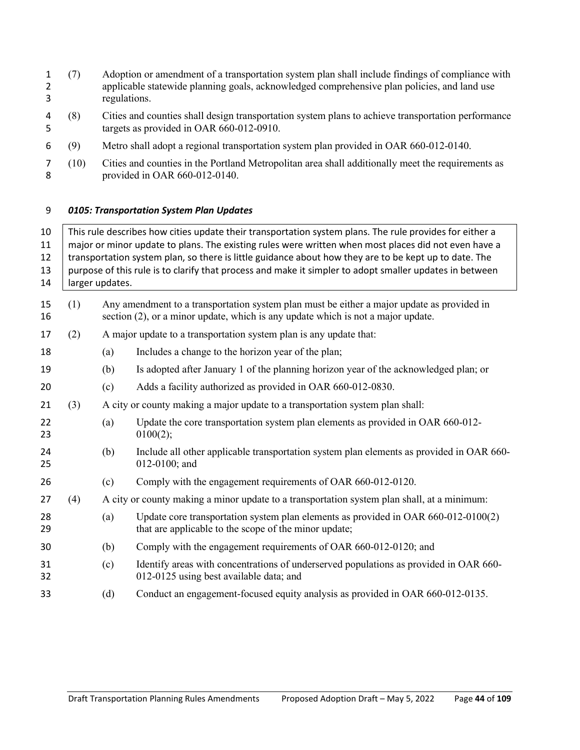- (7) Adoption or amendment of a transportation system plan shall include findings of compliance with applicable statewide planning goals, acknowledged comprehensive plan policies, and land use regulations.
- (8) Cities and counties shall design transportation system plans to achieve transportation performance targets as provided in OAR 660-012-0910.
- (9) Metro shall adopt a regional transportation system plan provided in OAR 660-012-0140.
- (10) Cities and counties in the Portland Metropolitan area shall additionally meet the requirements as provided in OAR 660-012-0140.

## *0105: Transportation System Plan Updates*

| 10<br>11<br>12<br>13<br>14 | This rule describes how cities update their transportation system plans. The rule provides for either a<br>major or minor update to plans. The existing rules were written when most places did not even have a<br>transportation system plan, so there is little guidance about how they are to be kept up to date. The<br>purpose of this rule is to clarify that process and make it simpler to adopt smaller updates in between<br>larger updates. |     |                                                                                                                                                                                |  |  |  |  |
|----------------------------|--------------------------------------------------------------------------------------------------------------------------------------------------------------------------------------------------------------------------------------------------------------------------------------------------------------------------------------------------------------------------------------------------------------------------------------------------------|-----|--------------------------------------------------------------------------------------------------------------------------------------------------------------------------------|--|--|--|--|
| 15<br>16                   | (1)                                                                                                                                                                                                                                                                                                                                                                                                                                                    |     | Any amendment to a transportation system plan must be either a major update as provided in<br>section (2), or a minor update, which is any update which is not a major update. |  |  |  |  |
| 17                         | (2)                                                                                                                                                                                                                                                                                                                                                                                                                                                    |     | A major update to a transportation system plan is any update that:                                                                                                             |  |  |  |  |
| 18                         |                                                                                                                                                                                                                                                                                                                                                                                                                                                        | (a) | Includes a change to the horizon year of the plan;                                                                                                                             |  |  |  |  |
| 19                         |                                                                                                                                                                                                                                                                                                                                                                                                                                                        | (b) | Is adopted after January 1 of the planning horizon year of the acknowledged plan; or                                                                                           |  |  |  |  |
| 20                         |                                                                                                                                                                                                                                                                                                                                                                                                                                                        | (c) | Adds a facility authorized as provided in OAR 660-012-0830.                                                                                                                    |  |  |  |  |
| 21                         | (3)                                                                                                                                                                                                                                                                                                                                                                                                                                                    |     | A city or county making a major update to a transportation system plan shall:                                                                                                  |  |  |  |  |
| 22<br>23                   |                                                                                                                                                                                                                                                                                                                                                                                                                                                        | (a) | Update the core transportation system plan elements as provided in OAR 660-012-<br>0100(2);                                                                                    |  |  |  |  |
| 24<br>25                   |                                                                                                                                                                                                                                                                                                                                                                                                                                                        | (b) | Include all other applicable transportation system plan elements as provided in OAR 660-<br>012-0100; and                                                                      |  |  |  |  |
| 26                         |                                                                                                                                                                                                                                                                                                                                                                                                                                                        | (c) | Comply with the engagement requirements of OAR 660-012-0120.                                                                                                                   |  |  |  |  |
| 27                         | (4)                                                                                                                                                                                                                                                                                                                                                                                                                                                    |     | A city or county making a minor update to a transportation system plan shall, at a minimum:                                                                                    |  |  |  |  |
| 28<br>29                   |                                                                                                                                                                                                                                                                                                                                                                                                                                                        | (a) | Update core transportation system plan elements as provided in OAR 660-012-0100(2)<br>that are applicable to the scope of the minor update;                                    |  |  |  |  |
| 30                         |                                                                                                                                                                                                                                                                                                                                                                                                                                                        | (b) | Comply with the engagement requirements of OAR 660-012-0120; and                                                                                                               |  |  |  |  |
| 31<br>32                   |                                                                                                                                                                                                                                                                                                                                                                                                                                                        | (c) | Identify areas with concentrations of underserved populations as provided in OAR 660-<br>012-0125 using best available data; and                                               |  |  |  |  |
| 33                         |                                                                                                                                                                                                                                                                                                                                                                                                                                                        | (d) | Conduct an engagement-focused equity analysis as provided in OAR 660-012-0135.                                                                                                 |  |  |  |  |
|                            |                                                                                                                                                                                                                                                                                                                                                                                                                                                        |     |                                                                                                                                                                                |  |  |  |  |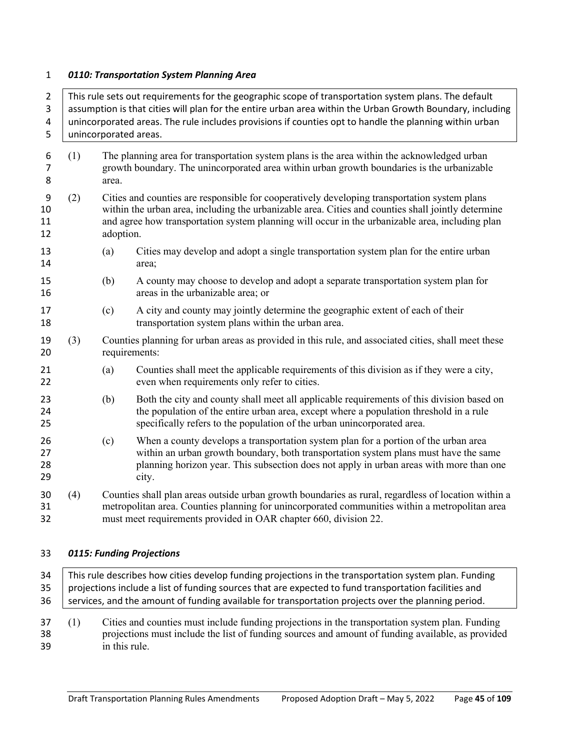#### *0110: Transportation System Planning Area*

2 This rule sets out requirements for the geographic scope of transportation system plans. The default 3 assumption is that cities will plan for the entire urban area within the Urban Growth Boundary, including unincorporated areas. The rule includes provisions if counties opt to handle the planning within urban 5 | unincorporated areas. (1) The planning area for transportation system plans is the area within the acknowledged urban growth boundary. The unincorporated area within urban growth boundaries is the urbanizable area. (2) Cities and counties are responsible for cooperatively developing transportation system plans within the urban area, including the urbanizable area. Cities and counties shall jointly determine and agree how transportation system planning will occur in the urbanizable area, including plan adoption. (a) Cities may develop and adopt a single transportation system plan for the entire urban area; (b) A county may choose to develop and adopt a separate transportation system plan for areas in the urbanizable area; or (c) A city and county may jointly determine the geographic extent of each of their transportation system plans within the urban area. (3) Counties planning for urban areas as provided in this rule, and associated cities, shall meet these requirements: (a) Counties shall meet the applicable requirements of this division as if they were a city, even when requirements only refer to cities. (b) Both the city and county shall meet all applicable requirements of this division based on the population of the entire urban area, except where a population threshold in a rule specifically refers to the population of the urban unincorporated area. (c) When a county develops a transportation system plan for a portion of the urban area within an urban growth boundary, both transportation system plans must have the same planning horizon year. This subsection does not apply in urban areas with more than one city. (4) Counties shall plan areas outside urban growth boundaries as rural, regardless of location within a metropolitan area. Counties planning for unincorporated communities within a metropolitan area must meet requirements provided in OAR chapter 660, division 22.

## *0115: Funding Projections*

 This rule describes how cities develop funding projections in the transportation system plan. Funding 35 | projections include a list of funding sources that are expected to fund transportation facilities and 36 services, and the amount of funding available for transportation projects over the planning period. (1) Cities and counties must include funding projections in the transportation system plan. Funding

 projections must include the list of funding sources and amount of funding available, as provided in this rule.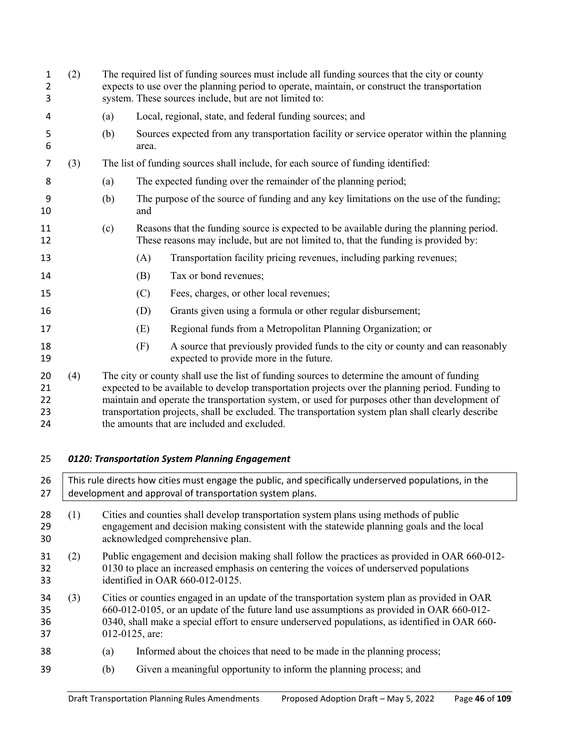|     | (a)<br>(b) |       | Local, regional, state, and federal funding sources; and                                                                                                                                                                                                                                                                                                                                                                                              |
|-----|------------|-------|-------------------------------------------------------------------------------------------------------------------------------------------------------------------------------------------------------------------------------------------------------------------------------------------------------------------------------------------------------------------------------------------------------------------------------------------------------|
|     |            |       |                                                                                                                                                                                                                                                                                                                                                                                                                                                       |
|     |            | area. | Sources expected from any transportation facility or service operator within the planning                                                                                                                                                                                                                                                                                                                                                             |
| (3) |            |       | The list of funding sources shall include, for each source of funding identified:                                                                                                                                                                                                                                                                                                                                                                     |
|     | (a)        |       | The expected funding over the remainder of the planning period;                                                                                                                                                                                                                                                                                                                                                                                       |
|     | (b)        | and   | The purpose of the source of funding and any key limitations on the use of the funding;                                                                                                                                                                                                                                                                                                                                                               |
|     | (c)        |       | Reasons that the funding source is expected to be available during the planning period.<br>These reasons may include, but are not limited to, that the funding is provided by:                                                                                                                                                                                                                                                                        |
|     |            | (A)   | Transportation facility pricing revenues, including parking revenues;                                                                                                                                                                                                                                                                                                                                                                                 |
|     |            | (B)   | Tax or bond revenues;                                                                                                                                                                                                                                                                                                                                                                                                                                 |
|     |            | (C)   | Fees, charges, or other local revenues;                                                                                                                                                                                                                                                                                                                                                                                                               |
|     |            | (D)   | Grants given using a formula or other regular disbursement;                                                                                                                                                                                                                                                                                                                                                                                           |
|     |            | (E)   | Regional funds from a Metropolitan Planning Organization; or                                                                                                                                                                                                                                                                                                                                                                                          |
|     |            | (F)   | A source that previously provided funds to the city or county and can reasonably<br>expected to provide more in the future.                                                                                                                                                                                                                                                                                                                           |
| (4) |            |       | The city or county shall use the list of funding sources to determine the amount of funding<br>expected to be available to develop transportation projects over the planning period. Funding to<br>maintain and operate the transportation system, or used for purposes other than development of<br>transportation projects, shall be excluded. The transportation system plan shall clearly describe<br>the amounts that are included and excluded. |
|     |            |       | 0120: Transportation System Planning Engagement                                                                                                                                                                                                                                                                                                                                                                                                       |
|     |            |       | This rule directs how cities must engage the public, and specifically underserved populations, in the<br>development and approval of transportation system plans.                                                                                                                                                                                                                                                                                     |
|     |            |       |                                                                                                                                                                                                                                                                                                                                                                                                                                                       |

- (1) Cities and counties shall develop transportation system plans using methods of public engagement and decision making consistent with the statewide planning goals and the local acknowledged comprehensive plan.
- (2) Public engagement and decision making shall follow the practices as provided in OAR 660-012- 0130 to place an increased emphasis on centering the voices of underserved populations identified in OAR 660-012-0125.
- (3) Cities or counties engaged in an update of the transportation system plan as provided in OAR 660-012-0105, or an update of the future land use assumptions as provided in OAR 660-012- 0340, shall make a special effort to ensure underserved populations, as identified in OAR 660- 012-0125, are:
- (a) Informed about the choices that need to be made in the planning process;
- (b) Given a meaningful opportunity to inform the planning process; and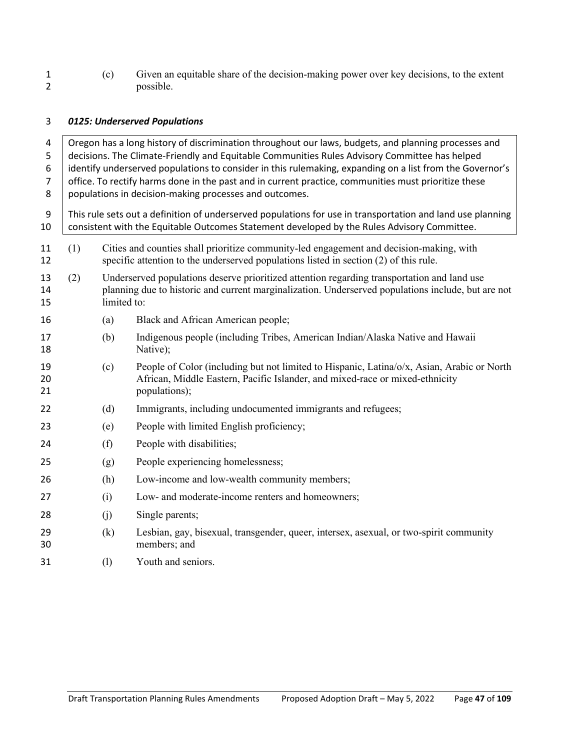(c) Given an equitable share of the decision-making power over key decisions, to the extent possible.

# *0125: Underserved Populations*

| 4<br>5<br>6<br>$\overline{7}$<br>8 | Oregon has a long history of discrimination throughout our laws, budgets, and planning processes and<br>decisions. The Climate-Friendly and Equitable Communities Rules Advisory Committee has helped<br>identify underserved populations to consider in this rulemaking, expanding on a list from the Governor's<br>office. To rectify harms done in the past and in current practice, communities must prioritize these<br>populations in decision-making processes and outcomes. |             |                                                                                                                                                                                                           |  |  |  |  |
|------------------------------------|-------------------------------------------------------------------------------------------------------------------------------------------------------------------------------------------------------------------------------------------------------------------------------------------------------------------------------------------------------------------------------------------------------------------------------------------------------------------------------------|-------------|-----------------------------------------------------------------------------------------------------------------------------------------------------------------------------------------------------------|--|--|--|--|
| 9<br>10                            |                                                                                                                                                                                                                                                                                                                                                                                                                                                                                     |             | This rule sets out a definition of underserved populations for use in transportation and land use planning<br>consistent with the Equitable Outcomes Statement developed by the Rules Advisory Committee. |  |  |  |  |
| 11<br>12                           | (1)                                                                                                                                                                                                                                                                                                                                                                                                                                                                                 |             | Cities and counties shall prioritize community-led engagement and decision-making, with<br>specific attention to the underserved populations listed in section (2) of this rule.                          |  |  |  |  |
| 13<br>14<br>15                     | (2)                                                                                                                                                                                                                                                                                                                                                                                                                                                                                 | limited to: | Underserved populations deserve prioritized attention regarding transportation and land use<br>planning due to historic and current marginalization. Underserved populations include, but are not         |  |  |  |  |
| 16                                 |                                                                                                                                                                                                                                                                                                                                                                                                                                                                                     | (a)         | Black and African American people;                                                                                                                                                                        |  |  |  |  |
| 17<br>18                           |                                                                                                                                                                                                                                                                                                                                                                                                                                                                                     | (b)         | Indigenous people (including Tribes, American Indian/Alaska Native and Hawaii<br>Native);                                                                                                                 |  |  |  |  |
| 19<br>20<br>21                     |                                                                                                                                                                                                                                                                                                                                                                                                                                                                                     | (c)         | People of Color (including but not limited to Hispanic, Latina/o/x, Asian, Arabic or North<br>African, Middle Eastern, Pacific Islander, and mixed-race or mixed-ethnicity<br>populations);               |  |  |  |  |
| 22                                 |                                                                                                                                                                                                                                                                                                                                                                                                                                                                                     | (d)         | Immigrants, including undocumented immigrants and refugees;                                                                                                                                               |  |  |  |  |
| 23                                 |                                                                                                                                                                                                                                                                                                                                                                                                                                                                                     | (e)         | People with limited English proficiency;                                                                                                                                                                  |  |  |  |  |
| 24                                 |                                                                                                                                                                                                                                                                                                                                                                                                                                                                                     | (f)         | People with disabilities;                                                                                                                                                                                 |  |  |  |  |
| 25                                 |                                                                                                                                                                                                                                                                                                                                                                                                                                                                                     | (g)         | People experiencing homelessness;                                                                                                                                                                         |  |  |  |  |
| 26                                 |                                                                                                                                                                                                                                                                                                                                                                                                                                                                                     | (h)         | Low-income and low-wealth community members;                                                                                                                                                              |  |  |  |  |
| 27                                 |                                                                                                                                                                                                                                                                                                                                                                                                                                                                                     | (i)         | Low- and moderate-income renters and homeowners;                                                                                                                                                          |  |  |  |  |
| 28                                 |                                                                                                                                                                                                                                                                                                                                                                                                                                                                                     | (i)         | Single parents;                                                                                                                                                                                           |  |  |  |  |
| 29<br>30                           |                                                                                                                                                                                                                                                                                                                                                                                                                                                                                     | (k)         | Lesbian, gay, bisexual, transgender, queer, intersex, asexual, or two-spirit community<br>members; and                                                                                                    |  |  |  |  |
| 31                                 |                                                                                                                                                                                                                                                                                                                                                                                                                                                                                     | (1)         | Youth and seniors.                                                                                                                                                                                        |  |  |  |  |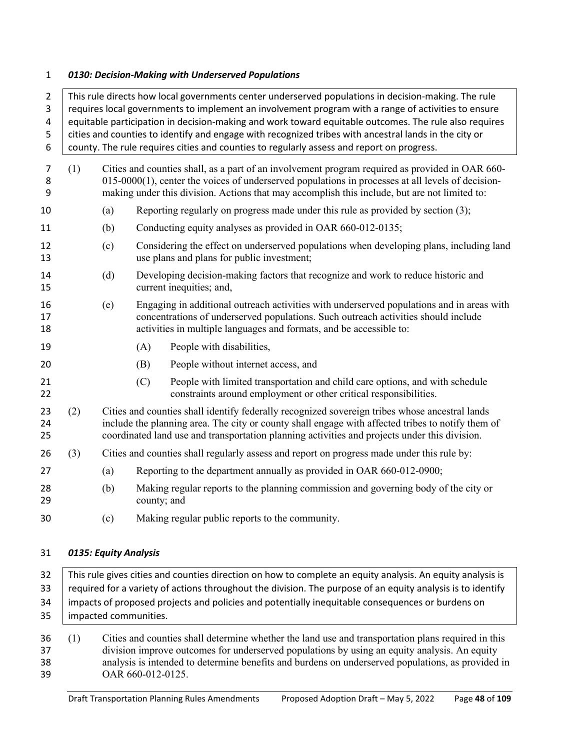#### *0130: Decision-Making with Underserved Populations*

| $\overline{2}$<br>3<br>4<br>5<br>6 | This rule directs how local governments center underserved populations in decision-making. The rule<br>requires local governments to implement an involvement program with a range of activities to ensure<br>equitable participation in decision-making and work toward equitable outcomes. The rule also requires<br>cities and counties to identify and engage with recognized tribes with ancestral lands in the city or<br>county. The rule requires cities and counties to regularly assess and report on progress. |                                                                                                                                                                                                                                                                                                          |                                                                                                                                                                                                                                                        |  |  |  |
|------------------------------------|---------------------------------------------------------------------------------------------------------------------------------------------------------------------------------------------------------------------------------------------------------------------------------------------------------------------------------------------------------------------------------------------------------------------------------------------------------------------------------------------------------------------------|----------------------------------------------------------------------------------------------------------------------------------------------------------------------------------------------------------------------------------------------------------------------------------------------------------|--------------------------------------------------------------------------------------------------------------------------------------------------------------------------------------------------------------------------------------------------------|--|--|--|
| 7<br>8<br>9                        | (1)                                                                                                                                                                                                                                                                                                                                                                                                                                                                                                                       | Cities and counties shall, as a part of an involvement program required as provided in OAR 660-<br>$015-0000(1)$ , center the voices of underserved populations in processes at all levels of decision-<br>making under this division. Actions that may accomplish this include, but are not limited to: |                                                                                                                                                                                                                                                        |  |  |  |
| 10                                 |                                                                                                                                                                                                                                                                                                                                                                                                                                                                                                                           | (a)                                                                                                                                                                                                                                                                                                      | Reporting regularly on progress made under this rule as provided by section (3);                                                                                                                                                                       |  |  |  |
| 11                                 |                                                                                                                                                                                                                                                                                                                                                                                                                                                                                                                           | (b)                                                                                                                                                                                                                                                                                                      | Conducting equity analyses as provided in OAR 660-012-0135;                                                                                                                                                                                            |  |  |  |
| 12<br>13                           |                                                                                                                                                                                                                                                                                                                                                                                                                                                                                                                           | (c)                                                                                                                                                                                                                                                                                                      | Considering the effect on underserved populations when developing plans, including land<br>use plans and plans for public investment;                                                                                                                  |  |  |  |
| 14<br>15                           |                                                                                                                                                                                                                                                                                                                                                                                                                                                                                                                           | (d)                                                                                                                                                                                                                                                                                                      | Developing decision-making factors that recognize and work to reduce historic and<br>current inequities; and,                                                                                                                                          |  |  |  |
| 16<br>17<br>18                     |                                                                                                                                                                                                                                                                                                                                                                                                                                                                                                                           | (e)                                                                                                                                                                                                                                                                                                      | Engaging in additional outreach activities with underserved populations and in areas with<br>concentrations of underserved populations. Such outreach activities should include<br>activities in multiple languages and formats, and be accessible to: |  |  |  |
| 19                                 |                                                                                                                                                                                                                                                                                                                                                                                                                                                                                                                           |                                                                                                                                                                                                                                                                                                          | People with disabilities,<br>(A)                                                                                                                                                                                                                       |  |  |  |
| 20                                 |                                                                                                                                                                                                                                                                                                                                                                                                                                                                                                                           |                                                                                                                                                                                                                                                                                                          | People without internet access, and<br>(B)                                                                                                                                                                                                             |  |  |  |
| 21<br>22                           |                                                                                                                                                                                                                                                                                                                                                                                                                                                                                                                           |                                                                                                                                                                                                                                                                                                          | (C)<br>People with limited transportation and child care options, and with schedule<br>constraints around employment or other critical responsibilities.                                                                                               |  |  |  |
| 23<br>24<br>25                     | (2)                                                                                                                                                                                                                                                                                                                                                                                                                                                                                                                       | Cities and counties shall identify federally recognized sovereign tribes whose ancestral lands<br>include the planning area. The city or county shall engage with affected tribes to notify them of<br>coordinated land use and transportation planning activities and projects under this division.     |                                                                                                                                                                                                                                                        |  |  |  |
| 26                                 | (3)                                                                                                                                                                                                                                                                                                                                                                                                                                                                                                                       |                                                                                                                                                                                                                                                                                                          | Cities and counties shall regularly assess and report on progress made under this rule by:                                                                                                                                                             |  |  |  |
| 27                                 |                                                                                                                                                                                                                                                                                                                                                                                                                                                                                                                           | (a)                                                                                                                                                                                                                                                                                                      | Reporting to the department annually as provided in OAR 660-012-0900;                                                                                                                                                                                  |  |  |  |
| 28<br>29                           |                                                                                                                                                                                                                                                                                                                                                                                                                                                                                                                           | (b)                                                                                                                                                                                                                                                                                                      | Making regular reports to the planning commission and governing body of the city or<br>county; and                                                                                                                                                     |  |  |  |
| 30                                 |                                                                                                                                                                                                                                                                                                                                                                                                                                                                                                                           | (c)                                                                                                                                                                                                                                                                                                      | Making regular public reports to the community.                                                                                                                                                                                                        |  |  |  |
|                                    |                                                                                                                                                                                                                                                                                                                                                                                                                                                                                                                           |                                                                                                                                                                                                                                                                                                          |                                                                                                                                                                                                                                                        |  |  |  |

# *0135: Equity Analysis*

32 This rule gives cities and counties direction on how to complete an equity analysis. An equity analysis is 33 | required for a variety of actions throughout the division. The purpose of an equity analysis is to identify impacts of proposed projects and policies and potentially inequitable consequences or burdens on impacted communities.

 (1) Cities and counties shall determine whether the land use and transportation plans required in this division improve outcomes for underserved populations by using an equity analysis. An equity analysis is intended to determine benefits and burdens on underserved populations, as provided in OAR 660-012-0125.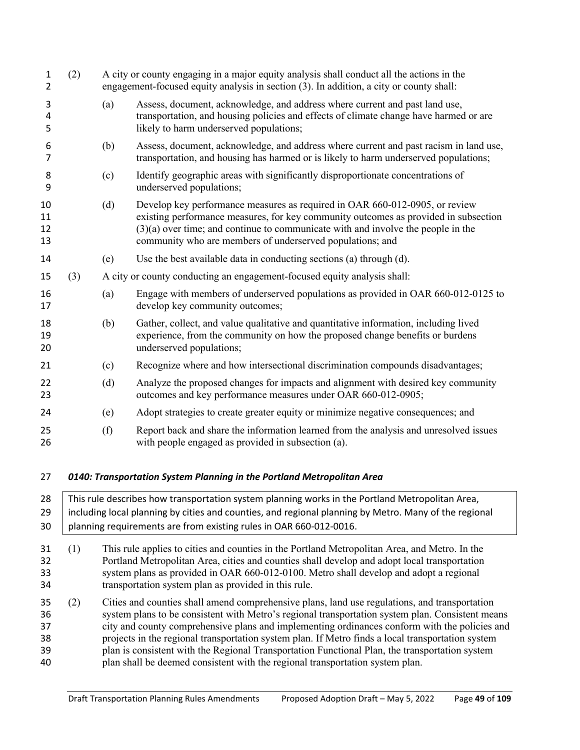| $\mathbf{1}$<br>$\overline{2}$ | (2) |     | A city or county engaging in a major equity analysis shall conduct all the actions in the<br>engagement-focused equity analysis in section (3). In addition, a city or county shall:                                                                                                                                  |  |  |
|--------------------------------|-----|-----|-----------------------------------------------------------------------------------------------------------------------------------------------------------------------------------------------------------------------------------------------------------------------------------------------------------------------|--|--|
| 3<br>4<br>5                    |     | (a) | Assess, document, acknowledge, and address where current and past land use,<br>transportation, and housing policies and effects of climate change have harmed or are<br>likely to harm underserved populations;                                                                                                       |  |  |
| 6<br>7                         |     | (b) | Assess, document, acknowledge, and address where current and past racism in land use,<br>transportation, and housing has harmed or is likely to harm underserved populations;                                                                                                                                         |  |  |
| 8<br>9                         |     | (c) | Identify geographic areas with significantly disproportionate concentrations of<br>underserved populations;                                                                                                                                                                                                           |  |  |
| 10<br>11<br>12<br>13           |     | (d) | Develop key performance measures as required in OAR 660-012-0905, or review<br>existing performance measures, for key community outcomes as provided in subsection<br>$(3)(a)$ over time; and continue to communicate with and involve the people in the<br>community who are members of underserved populations; and |  |  |
| 14                             |     | (e) | Use the best available data in conducting sections (a) through (d).                                                                                                                                                                                                                                                   |  |  |
| 15                             | (3) |     | A city or county conducting an engagement-focused equity analysis shall:                                                                                                                                                                                                                                              |  |  |
| 16<br>17                       |     | (a) | Engage with members of underserved populations as provided in OAR 660-012-0125 to<br>develop key community outcomes;                                                                                                                                                                                                  |  |  |
| 18<br>19<br>20                 |     | (b) | Gather, collect, and value qualitative and quantitative information, including lived<br>experience, from the community on how the proposed change benefits or burdens<br>underserved populations;                                                                                                                     |  |  |
| 21                             |     | (c) | Recognize where and how intersectional discrimination compounds disadvantages;                                                                                                                                                                                                                                        |  |  |
| 22<br>23                       |     | (d) | Analyze the proposed changes for impacts and alignment with desired key community<br>outcomes and key performance measures under OAR 660-012-0905;                                                                                                                                                                    |  |  |
| 24                             |     | (e) | Adopt strategies to create greater equity or minimize negative consequences; and                                                                                                                                                                                                                                      |  |  |
| 25<br>26                       |     | (f) | Report back and share the information learned from the analysis and unresolved issues<br>with people engaged as provided in subsection (a).                                                                                                                                                                           |  |  |
| 27                             |     |     | 0140: Transportation System Planning in the Portland Metropolitan Area                                                                                                                                                                                                                                                |  |  |

- 28 This rule describes how transportation system planning works in the Portland Metropolitan Area, 29 | including local planning by cities and counties, and regional planning by Metro. Many of the regional planning requirements are from existing rules in OAR 660-012-0016.
- (1) This rule applies to cities and counties in the Portland Metropolitan Area, and Metro. In the Portland Metropolitan Area, cities and counties shall develop and adopt local transportation system plans as provided in OAR 660-012-0100. Metro shall develop and adopt a regional transportation system plan as provided in this rule.
- (2) Cities and counties shall amend comprehensive plans, land use regulations, and transportation system plans to be consistent with Metro's regional transportation system plan. Consistent means city and county comprehensive plans and implementing ordinances conform with the policies and projects in the regional transportation system plan. If Metro finds a local transportation system plan is consistent with the Regional Transportation Functional Plan, the transportation system plan shall be deemed consistent with the regional transportation system plan.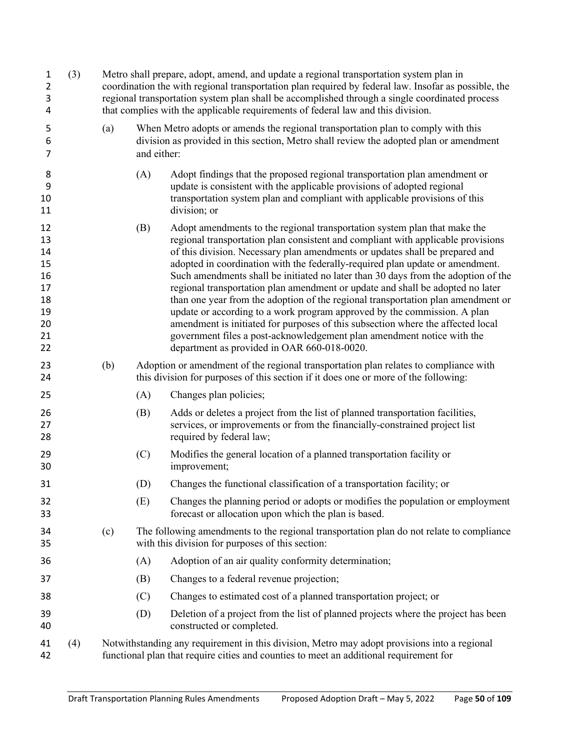| 1<br>$\overline{2}$<br>3<br>4                                  | (3) |                                                                                                                                                                                        | Metro shall prepare, adopt, amend, and update a regional transportation system plan in<br>coordination the with regional transportation plan required by federal law. Insofar as possible, the<br>regional transportation system plan shall be accomplished through a single coordinated process<br>that complies with the applicable requirements of federal law and this division. |                                                                                                                                                                                                                                                                                                                                                                                                                                                                                                                                                                                                                                                                                                                                                                                                                                                                                   |  |  |  |
|----------------------------------------------------------------|-----|----------------------------------------------------------------------------------------------------------------------------------------------------------------------------------------|--------------------------------------------------------------------------------------------------------------------------------------------------------------------------------------------------------------------------------------------------------------------------------------------------------------------------------------------------------------------------------------|-----------------------------------------------------------------------------------------------------------------------------------------------------------------------------------------------------------------------------------------------------------------------------------------------------------------------------------------------------------------------------------------------------------------------------------------------------------------------------------------------------------------------------------------------------------------------------------------------------------------------------------------------------------------------------------------------------------------------------------------------------------------------------------------------------------------------------------------------------------------------------------|--|--|--|
| 5<br>6<br>7                                                    |     | (a)                                                                                                                                                                                    | and either:                                                                                                                                                                                                                                                                                                                                                                          | When Metro adopts or amends the regional transportation plan to comply with this<br>division as provided in this section, Metro shall review the adopted plan or amendment                                                                                                                                                                                                                                                                                                                                                                                                                                                                                                                                                                                                                                                                                                        |  |  |  |
| 8<br>9<br>10<br>11                                             |     |                                                                                                                                                                                        | (A)                                                                                                                                                                                                                                                                                                                                                                                  | Adopt findings that the proposed regional transportation plan amendment or<br>update is consistent with the applicable provisions of adopted regional<br>transportation system plan and compliant with applicable provisions of this<br>division; or                                                                                                                                                                                                                                                                                                                                                                                                                                                                                                                                                                                                                              |  |  |  |
| 12<br>13<br>14<br>15<br>16<br>17<br>18<br>19<br>20<br>21<br>22 |     |                                                                                                                                                                                        | (B)                                                                                                                                                                                                                                                                                                                                                                                  | Adopt amendments to the regional transportation system plan that make the<br>regional transportation plan consistent and compliant with applicable provisions<br>of this division. Necessary plan amendments or updates shall be prepared and<br>adopted in coordination with the federally-required plan update or amendment.<br>Such amendments shall be initiated no later than 30 days from the adoption of the<br>regional transportation plan amendment or update and shall be adopted no later<br>than one year from the adoption of the regional transportation plan amendment or<br>update or according to a work program approved by the commission. A plan<br>amendment is initiated for purposes of this subsection where the affected local<br>government files a post-acknowledgement plan amendment notice with the<br>department as provided in OAR 660-018-0020. |  |  |  |
| 23<br>24                                                       |     | (b)                                                                                                                                                                                    |                                                                                                                                                                                                                                                                                                                                                                                      | Adoption or amendment of the regional transportation plan relates to compliance with<br>this division for purposes of this section if it does one or more of the following:                                                                                                                                                                                                                                                                                                                                                                                                                                                                                                                                                                                                                                                                                                       |  |  |  |
| 25                                                             |     |                                                                                                                                                                                        | (A)                                                                                                                                                                                                                                                                                                                                                                                  | Changes plan policies;                                                                                                                                                                                                                                                                                                                                                                                                                                                                                                                                                                                                                                                                                                                                                                                                                                                            |  |  |  |
| 26<br>27<br>28                                                 |     |                                                                                                                                                                                        | (B)                                                                                                                                                                                                                                                                                                                                                                                  | Adds or deletes a project from the list of planned transportation facilities,<br>services, or improvements or from the financially-constrained project list<br>required by federal law;                                                                                                                                                                                                                                                                                                                                                                                                                                                                                                                                                                                                                                                                                           |  |  |  |
| 29<br>30                                                       |     |                                                                                                                                                                                        | (C)                                                                                                                                                                                                                                                                                                                                                                                  | Modifies the general location of a planned transportation facility or<br>improvement;                                                                                                                                                                                                                                                                                                                                                                                                                                                                                                                                                                                                                                                                                                                                                                                             |  |  |  |
| 31                                                             |     |                                                                                                                                                                                        | (D)                                                                                                                                                                                                                                                                                                                                                                                  | Changes the functional classification of a transportation facility; or                                                                                                                                                                                                                                                                                                                                                                                                                                                                                                                                                                                                                                                                                                                                                                                                            |  |  |  |
| 32<br>33                                                       |     |                                                                                                                                                                                        | (E)                                                                                                                                                                                                                                                                                                                                                                                  | Changes the planning period or adopts or modifies the population or employment<br>forecast or allocation upon which the plan is based.                                                                                                                                                                                                                                                                                                                                                                                                                                                                                                                                                                                                                                                                                                                                            |  |  |  |
| 34<br>35                                                       |     | (c)                                                                                                                                                                                    |                                                                                                                                                                                                                                                                                                                                                                                      | The following amendments to the regional transportation plan do not relate to compliance<br>with this division for purposes of this section:                                                                                                                                                                                                                                                                                                                                                                                                                                                                                                                                                                                                                                                                                                                                      |  |  |  |
| 36                                                             |     |                                                                                                                                                                                        | (A)                                                                                                                                                                                                                                                                                                                                                                                  | Adoption of an air quality conformity determination;                                                                                                                                                                                                                                                                                                                                                                                                                                                                                                                                                                                                                                                                                                                                                                                                                              |  |  |  |
| 37                                                             |     |                                                                                                                                                                                        | (B)                                                                                                                                                                                                                                                                                                                                                                                  | Changes to a federal revenue projection;                                                                                                                                                                                                                                                                                                                                                                                                                                                                                                                                                                                                                                                                                                                                                                                                                                          |  |  |  |
| 38                                                             |     |                                                                                                                                                                                        | (C)                                                                                                                                                                                                                                                                                                                                                                                  | Changes to estimated cost of a planned transportation project; or                                                                                                                                                                                                                                                                                                                                                                                                                                                                                                                                                                                                                                                                                                                                                                                                                 |  |  |  |
| 39<br>40                                                       |     |                                                                                                                                                                                        | (D)                                                                                                                                                                                                                                                                                                                                                                                  | Deletion of a project from the list of planned projects where the project has been<br>constructed or completed.                                                                                                                                                                                                                                                                                                                                                                                                                                                                                                                                                                                                                                                                                                                                                                   |  |  |  |
| 41<br>42                                                       | (4) | Notwithstanding any requirement in this division, Metro may adopt provisions into a regional<br>functional plan that require cities and counties to meet an additional requirement for |                                                                                                                                                                                                                                                                                                                                                                                      |                                                                                                                                                                                                                                                                                                                                                                                                                                                                                                                                                                                                                                                                                                                                                                                                                                                                                   |  |  |  |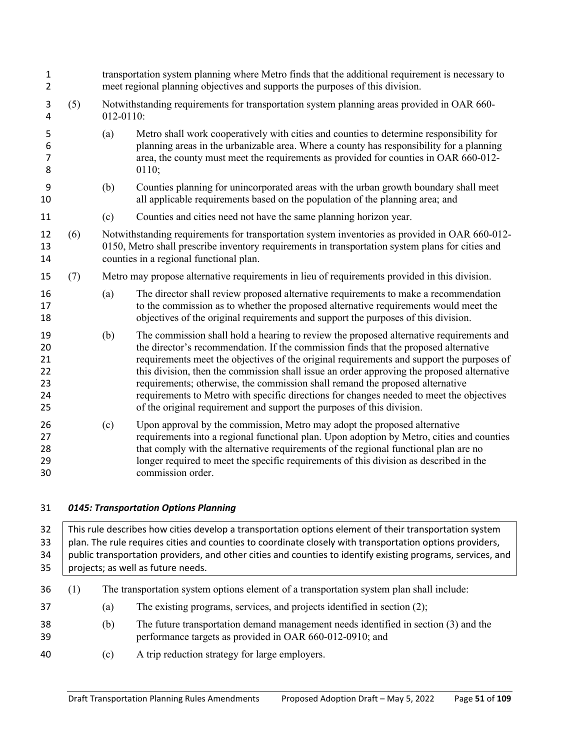| $\mathbf{1}$<br>$\overline{2}$         |     | transportation system planning where Metro finds that the additional requirement is necessary to<br>meet regional planning objectives and supports the purposes of this division. |                                                                                                                                                                                                                                                                                                                                                                                                                                                                                                                                                                                                                                   |  |  |  |
|----------------------------------------|-----|-----------------------------------------------------------------------------------------------------------------------------------------------------------------------------------|-----------------------------------------------------------------------------------------------------------------------------------------------------------------------------------------------------------------------------------------------------------------------------------------------------------------------------------------------------------------------------------------------------------------------------------------------------------------------------------------------------------------------------------------------------------------------------------------------------------------------------------|--|--|--|
| 3<br>4                                 | (5) | 012-0110:                                                                                                                                                                         | Notwithstanding requirements for transportation system planning areas provided in OAR 660-                                                                                                                                                                                                                                                                                                                                                                                                                                                                                                                                        |  |  |  |
| 5<br>6<br>$\overline{7}$<br>8          |     | (a)                                                                                                                                                                               | Metro shall work cooperatively with cities and counties to determine responsibility for<br>planning areas in the urbanizable area. Where a county has responsibility for a planning<br>area, the county must meet the requirements as provided for counties in OAR 660-012-<br>0110;                                                                                                                                                                                                                                                                                                                                              |  |  |  |
| 9<br>10                                |     | (b)                                                                                                                                                                               | Counties planning for unincorporated areas with the urban growth boundary shall meet<br>all applicable requirements based on the population of the planning area; and                                                                                                                                                                                                                                                                                                                                                                                                                                                             |  |  |  |
| 11                                     |     | (c)                                                                                                                                                                               | Counties and cities need not have the same planning horizon year.                                                                                                                                                                                                                                                                                                                                                                                                                                                                                                                                                                 |  |  |  |
| 12<br>13<br>14                         | (6) |                                                                                                                                                                                   | Notwithstanding requirements for transportation system inventories as provided in OAR 660-012-<br>0150, Metro shall prescribe inventory requirements in transportation system plans for cities and<br>counties in a regional functional plan.                                                                                                                                                                                                                                                                                                                                                                                     |  |  |  |
| 15                                     | (7) |                                                                                                                                                                                   | Metro may propose alternative requirements in lieu of requirements provided in this division.                                                                                                                                                                                                                                                                                                                                                                                                                                                                                                                                     |  |  |  |
| 16<br>17<br>18                         |     | (a)                                                                                                                                                                               | The director shall review proposed alternative requirements to make a recommendation<br>to the commission as to whether the proposed alternative requirements would meet the<br>objectives of the original requirements and support the purposes of this division.                                                                                                                                                                                                                                                                                                                                                                |  |  |  |
| 19<br>20<br>21<br>22<br>23<br>24<br>25 |     | (b)                                                                                                                                                                               | The commission shall hold a hearing to review the proposed alternative requirements and<br>the director's recommendation. If the commission finds that the proposed alternative<br>requirements meet the objectives of the original requirements and support the purposes of<br>this division, then the commission shall issue an order approving the proposed alternative<br>requirements; otherwise, the commission shall remand the proposed alternative<br>requirements to Metro with specific directions for changes needed to meet the objectives<br>of the original requirement and support the purposes of this division. |  |  |  |
| 26<br>27<br>28<br>29<br>30             |     | (c)                                                                                                                                                                               | Upon approval by the commission, Metro may adopt the proposed alternative<br>requirements into a regional functional plan. Upon adoption by Metro, cities and counties<br>that comply with the alternative requirements of the regional functional plan are no<br>longer required to meet the specific requirements of this division as described in the<br>commission order.                                                                                                                                                                                                                                                     |  |  |  |
| 31                                     |     |                                                                                                                                                                                   | 0145: Transportation Options Planning                                                                                                                                                                                                                                                                                                                                                                                                                                                                                                                                                                                             |  |  |  |

32 This rule describes how cities develop a transportation options element of their transportation system 33 | plan. The rule requires cities and counties to coordinate closely with transportation options providers, 34 | public transportation providers, and other cities and counties to identify existing programs, services, and 35 | projects; as well as future needs. (1) The transportation system options element of a transportation system plan shall include: (a) The existing programs, services, and projects identified in section (2); (b) The future transportation demand management needs identified in section (3) and the performance targets as provided in OAR 660-012-0910; and (c) A trip reduction strategy for large employers.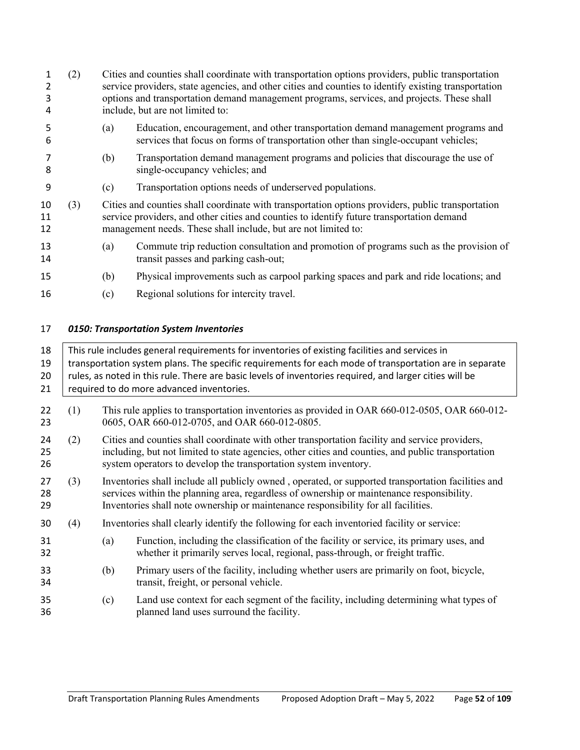| 2<br>3<br>4    | (2) |     | Cities and counties shall coordinate with transportation options providers, public transportation<br>service providers, state agencies, and other cities and counties to identify existing transportation<br>options and transportation demand management programs, services, and projects. These shall<br>include, but are not limited to: |  |  |  |
|----------------|-----|-----|---------------------------------------------------------------------------------------------------------------------------------------------------------------------------------------------------------------------------------------------------------------------------------------------------------------------------------------------|--|--|--|
| 5<br>6         |     | (a) | Education, encouragement, and other transportation demand management programs and<br>services that focus on forms of transportation other than single-occupant vehicles;                                                                                                                                                                    |  |  |  |
| 8              |     | (b) | Transportation demand management programs and policies that discourage the use of<br>single-occupancy vehicles; and                                                                                                                                                                                                                         |  |  |  |
| 9              |     | (c) | Transportation options needs of underserved populations.                                                                                                                                                                                                                                                                                    |  |  |  |
| 10<br>11<br>12 | (3) |     | Cities and counties shall coordinate with transportation options providers, public transportation<br>service providers, and other cities and counties to identify future transportation demand<br>management needs. These shall include, but are not limited to:                                                                            |  |  |  |
| 13<br>14       |     | (a) | Commute trip reduction consultation and promotion of programs such as the provision of<br>transit passes and parking cash-out;                                                                                                                                                                                                              |  |  |  |
| 15             |     | (b) | Physical improvements such as carpool parking spaces and park and ride locations; and                                                                                                                                                                                                                                                       |  |  |  |
| 16             |     | (c) | Regional solutions for intercity travel.                                                                                                                                                                                                                                                                                                    |  |  |  |
|                |     |     |                                                                                                                                                                                                                                                                                                                                             |  |  |  |

# *0150: Transportation System Inventories*

| 18<br>19<br>20<br>21 | This rule includes general requirements for inventories of existing facilities and services in<br>transportation system plans. The specific requirements for each mode of transportation are in separate<br>rules, as noted in this rule. There are basic levels of inventories required, and larger cities will be<br>required to do more advanced inventories. |                                                                                                                                                |                                                                                                                                                                                                                                                                                       |  |  |  |
|----------------------|------------------------------------------------------------------------------------------------------------------------------------------------------------------------------------------------------------------------------------------------------------------------------------------------------------------------------------------------------------------|------------------------------------------------------------------------------------------------------------------------------------------------|---------------------------------------------------------------------------------------------------------------------------------------------------------------------------------------------------------------------------------------------------------------------------------------|--|--|--|
| 22<br>23             | (1)                                                                                                                                                                                                                                                                                                                                                              | This rule applies to transportation inventories as provided in OAR 660-012-0505, OAR 660-012-<br>0605, OAR 660-012-0705, and OAR 660-012-0805. |                                                                                                                                                                                                                                                                                       |  |  |  |
| 24<br>25<br>26       | (2)                                                                                                                                                                                                                                                                                                                                                              |                                                                                                                                                | Cities and counties shall coordinate with other transportation facility and service providers,<br>including, but not limited to state agencies, other cities and counties, and public transportation<br>system operators to develop the transportation system inventory.              |  |  |  |
| 27<br>28<br>29       | (3)                                                                                                                                                                                                                                                                                                                                                              |                                                                                                                                                | Inventories shall include all publicly owned, operated, or supported transportation facilities and<br>services within the planning area, regardless of ownership or maintenance responsibility.<br>Inventories shall note ownership or maintenance responsibility for all facilities. |  |  |  |
| 30                   | (4)                                                                                                                                                                                                                                                                                                                                                              |                                                                                                                                                | Inventories shall clearly identify the following for each inventoried facility or service:                                                                                                                                                                                            |  |  |  |
| 31<br>32             |                                                                                                                                                                                                                                                                                                                                                                  | (a)                                                                                                                                            | Function, including the classification of the facility or service, its primary uses, and<br>whether it primarily serves local, regional, pass-through, or freight traffic.                                                                                                            |  |  |  |
| 33<br>34             |                                                                                                                                                                                                                                                                                                                                                                  | (b)                                                                                                                                            | Primary users of the facility, including whether users are primarily on foot, bicycle,<br>transit, freight, or personal vehicle.                                                                                                                                                      |  |  |  |
| 35<br>36             |                                                                                                                                                                                                                                                                                                                                                                  | (c)                                                                                                                                            | Land use context for each segment of the facility, including determining what types of<br>planned land uses surround the facility.                                                                                                                                                    |  |  |  |
|                      |                                                                                                                                                                                                                                                                                                                                                                  |                                                                                                                                                |                                                                                                                                                                                                                                                                                       |  |  |  |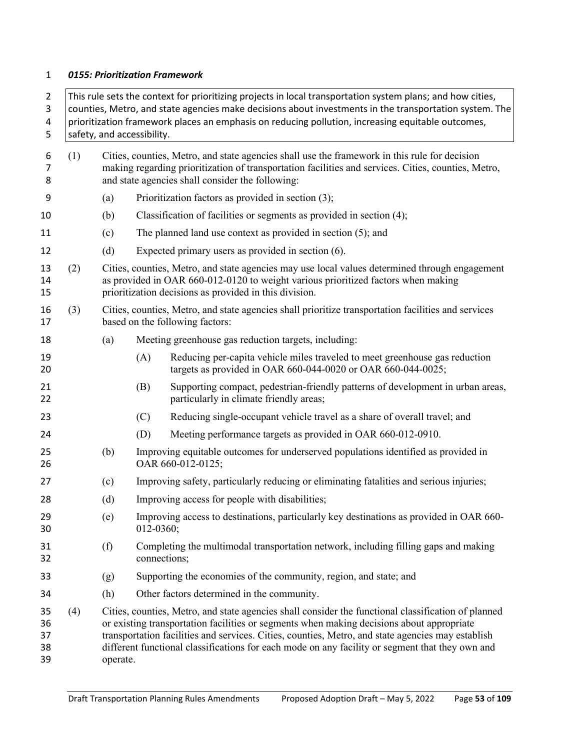#### *0155: Prioritization Framework*

 This rule sets the context for prioritizing projects in local transportation system plans; and how cities, counties, Metro, and state agencies make decisions about investments in the transportation system. The prioritization framework places an emphasis on reducing pollution, increasing equitable outcomes, safety, and accessibility. (1) Cities, counties, Metro, and state agencies shall use the framework in this rule for decision making regarding prioritization of transportation facilities and services. Cities, counties, Metro, and state agencies shall consider the following: (a) Prioritization factors as provided in section (3); (b) Classification of facilities or segments as provided in section (4); (c) The planned land use context as provided in section (5); and (d) Expected primary users as provided in section (6). (2) Cities, counties, Metro, and state agencies may use local values determined through engagement as provided in OAR 660-012-0120 to weight various prioritized factors when making prioritization decisions as provided in this division. (3) Cities, counties, Metro, and state agencies shall prioritize transportation facilities and services based on the following factors: (a) Meeting greenhouse gas reduction targets, including: (A) Reducing per-capita vehicle miles traveled to meet greenhouse gas reduction targets as provided in OAR 660-044-0020 or OAR 660-044-0025; (B) Supporting compact, pedestrian-friendly patterns of development in urban areas, particularly in climate friendly areas; (C) Reducing single-occupant vehicle travel as a share of overall travel; and (D) Meeting performance targets as provided in OAR 660-012-0910. (b) Improving equitable outcomes for underserved populations identified as provided in OAR 660-012-0125; (c) Improving safety, particularly reducing or eliminating fatalities and serious injuries; 28 (d) Improving access for people with disabilities; (e) Improving access to destinations, particularly key destinations as provided in OAR 660- 012-0360; (f) Completing the multimodal transportation network, including filling gaps and making connections; (g) Supporting the economies of the community, region, and state; and (h) Other factors determined in the community. (4) Cities, counties, Metro, and state agencies shall consider the functional classification of planned or existing transportation facilities or segments when making decisions about appropriate transportation facilities and services. Cities, counties, Metro, and state agencies may establish different functional classifications for each mode on any facility or segment that they own and operate.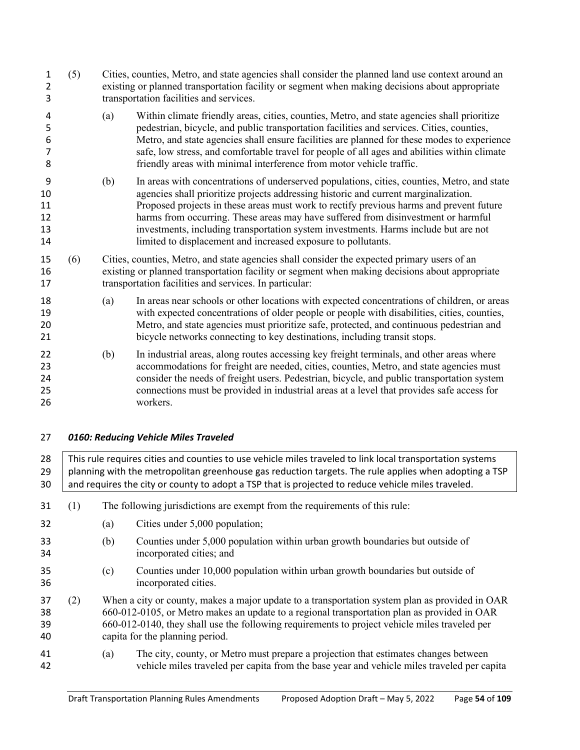- (5) Cities, counties, Metro, and state agencies shall consider the planned land use context around an existing or planned transportation facility or segment when making decisions about appropriate transportation facilities and services.
- (a) Within climate friendly areas, cities, counties, Metro, and state agencies shall prioritize pedestrian, bicycle, and public transportation facilities and services. Cities, counties, Metro, and state agencies shall ensure facilities are planned for these modes to experience safe, low stress, and comfortable travel for people of all ages and abilities within climate friendly areas with minimal interference from motor vehicle traffic.
- (b) In areas with concentrations of underserved populations, cities, counties, Metro, and state agencies shall prioritize projects addressing historic and current marginalization. Proposed projects in these areas must work to rectify previous harms and prevent future harms from occurring. These areas may have suffered from disinvestment or harmful investments, including transportation system investments. Harms include but are not limited to displacement and increased exposure to pollutants.
- (6) Cities, counties, Metro, and state agencies shall consider the expected primary users of an existing or planned transportation facility or segment when making decisions about appropriate transportation facilities and services. In particular:
- (a) In areas near schools or other locations with expected concentrations of children, or areas with expected concentrations of older people or people with disabilities, cities, counties, Metro, and state agencies must prioritize safe, protected, and continuous pedestrian and bicycle networks connecting to key destinations, including transit stops.
- (b) In industrial areas, along routes accessing key freight terminals, and other areas where accommodations for freight are needed, cities, counties, Metro, and state agencies must consider the needs of freight users. Pedestrian, bicycle, and public transportation system connections must be provided in industrial areas at a level that provides safe access for workers.
- *0160: Reducing Vehicle Miles Traveled*

28 This rule requires cities and counties to use vehicle miles traveled to link local transportation systems 29 planning with the metropolitan greenhouse gas reduction targets. The rule applies when adopting a TSP 30 and requires the city or county to adopt a TSP that is projected to reduce vehicle miles traveled.

- (1) The following jurisdictions are exempt from the requirements of this rule:
- (a) Cities under 5,000 population;
- (b) Counties under 5,000 population within urban growth boundaries but outside of incorporated cities; and
- (c) Counties under 10,000 population within urban growth boundaries but outside of incorporated cities.
- (2) When a city or county, makes a major update to a transportation system plan as provided in OAR 660-012-0105, or Metro makes an update to a regional transportation plan as provided in OAR 660-012-0140, they shall use the following requirements to project vehicle miles traveled per capita for the planning period.
- (a) The city, county, or Metro must prepare a projection that estimates changes between vehicle miles traveled per capita from the base year and vehicle miles traveled per capita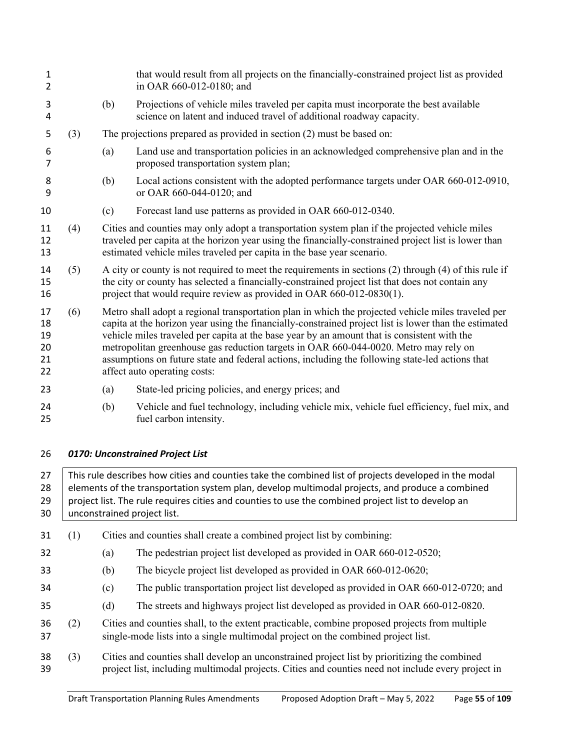| 1<br>$\overline{2}$              |     |                                                                                                                                                                                                                                                                                                                                                                                                                                                                                                                                       | that would result from all projects on the financially-constrained project list as provided<br>in OAR 660-012-0180; and                                                                                                                                                          |  |  |  |
|----------------------------------|-----|---------------------------------------------------------------------------------------------------------------------------------------------------------------------------------------------------------------------------------------------------------------------------------------------------------------------------------------------------------------------------------------------------------------------------------------------------------------------------------------------------------------------------------------|----------------------------------------------------------------------------------------------------------------------------------------------------------------------------------------------------------------------------------------------------------------------------------|--|--|--|
| 3<br>4                           |     | (b)                                                                                                                                                                                                                                                                                                                                                                                                                                                                                                                                   | Projections of vehicle miles traveled per capita must incorporate the best available<br>science on latent and induced travel of additional roadway capacity.                                                                                                                     |  |  |  |
| 5                                | (3) |                                                                                                                                                                                                                                                                                                                                                                                                                                                                                                                                       | The projections prepared as provided in section (2) must be based on:                                                                                                                                                                                                            |  |  |  |
| 6<br>7                           |     | (a)                                                                                                                                                                                                                                                                                                                                                                                                                                                                                                                                   | Land use and transportation policies in an acknowledged comprehensive plan and in the<br>proposed transportation system plan;                                                                                                                                                    |  |  |  |
| 8<br>9                           |     | (b)                                                                                                                                                                                                                                                                                                                                                                                                                                                                                                                                   | Local actions consistent with the adopted performance targets under OAR 660-012-0910,<br>or OAR 660-044-0120; and                                                                                                                                                                |  |  |  |
| 10                               |     | (c)                                                                                                                                                                                                                                                                                                                                                                                                                                                                                                                                   | Forecast land use patterns as provided in OAR 660-012-0340.                                                                                                                                                                                                                      |  |  |  |
| 11<br>12<br>13                   | (4) |                                                                                                                                                                                                                                                                                                                                                                                                                                                                                                                                       | Cities and counties may only adopt a transportation system plan if the projected vehicle miles<br>traveled per capita at the horizon year using the financially-constrained project list is lower than<br>estimated vehicle miles traveled per capita in the base year scenario. |  |  |  |
| 14<br>15<br>16                   | (5) | A city or county is not required to meet the requirements in sections (2) through (4) of this rule if<br>the city or county has selected a financially-constrained project list that does not contain any<br>project that would require review as provided in OAR 660-012-0830(1).                                                                                                                                                                                                                                                    |                                                                                                                                                                                                                                                                                  |  |  |  |
| 17<br>18<br>19<br>20<br>21<br>22 | (6) | Metro shall adopt a regional transportation plan in which the projected vehicle miles traveled per<br>capita at the horizon year using the financially-constrained project list is lower than the estimated<br>vehicle miles traveled per capita at the base year by an amount that is consistent with the<br>metropolitan greenhouse gas reduction targets in OAR 660-044-0020. Metro may rely on<br>assumptions on future state and federal actions, including the following state-led actions that<br>affect auto operating costs: |                                                                                                                                                                                                                                                                                  |  |  |  |
| 23                               |     | (a)                                                                                                                                                                                                                                                                                                                                                                                                                                                                                                                                   | State-led pricing policies, and energy prices; and                                                                                                                                                                                                                               |  |  |  |
| 24<br>25                         |     | (b)                                                                                                                                                                                                                                                                                                                                                                                                                                                                                                                                   | Vehicle and fuel technology, including vehicle mix, vehicle fuel efficiency, fuel mix, and<br>fuel carbon intensity.                                                                                                                                                             |  |  |  |
|                                  |     |                                                                                                                                                                                                                                                                                                                                                                                                                                                                                                                                       |                                                                                                                                                                                                                                                                                  |  |  |  |

# *0170: Unconstrained Project List*

27 This rule describes how cities and counties take the combined list of projects developed in the modal 28 elements of the transportation system plan, develop multimodal projects, and produce a combined 29 project list. The rule requires cities and counties to use the combined project list to develop an unconstrained project list.

 (1) Cities and counties shall create a combined project list by combining: (a) The pedestrian project list developed as provided in OAR 660-012-0520; (b) The bicycle project list developed as provided in OAR 660-012-0620; (c) The public transportation project list developed as provided in OAR 660-012-0720; and (d) The streets and highways project list developed as provided in OAR 660-012-0820. (2) Cities and counties shall, to the extent practicable, combine proposed projects from multiple single-mode lists into a single multimodal project on the combined project list. (3) Cities and counties shall develop an unconstrained project list by prioritizing the combined project list, including multimodal projects. Cities and counties need not include every project in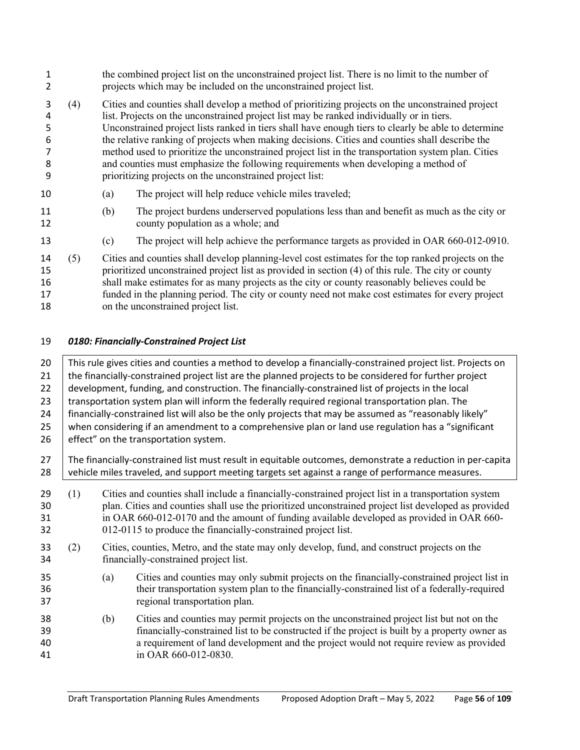- the combined project list on the unconstrained project list. There is no limit to the number of projects which may be included on the unconstrained project list. (4) Cities and counties shall develop a method of prioritizing projects on the unconstrained project list. Projects on the unconstrained project list may be ranked individually or in tiers. Unconstrained project lists ranked in tiers shall have enough tiers to clearly be able to determine the relative ranking of projects when making decisions. Cities and counties shall describe the method used to prioritize the unconstrained project list in the transportation system plan. Cities and counties must emphasize the following requirements when developing a method of prioritizing projects on the unconstrained project list: (a) The project will help reduce vehicle miles traveled;
- (b) The project burdens underserved populations less than and benefit as much as the city or county population as a whole; and
- (c) The project will help achieve the performance targets as provided in OAR 660-012-0910.
- (5) Cities and counties shall develop planning-level cost estimates for the top ranked projects on the prioritized unconstrained project list as provided in section (4) of this rule. The city or county shall make estimates for as many projects as the city or county reasonably believes could be funded in the planning period. The city or county need not make cost estimates for every project on the unconstrained project list.

## *0180: Financially-Constrained Project List*

20 This rule gives cities and counties a method to develop a financially-constrained project list. Projects on 21 the financially-constrained project list are the planned projects to be considered for further project 22 development, funding, and construction. The financially-constrained list of projects in the local 23 Transportation system plan will inform the federally required regional transportation plan. The 24 financially-constrained list will also be the only projects that may be assumed as "reasonably likely" 25 when considering if an amendment to a comprehensive plan or land use regulation has a "significant" effect" on the transportation system. The financially-constrained list must result in equitable outcomes, demonstrate a reduction in per-capita 28 vehicle miles traveled, and support meeting targets set against a range of performance measures. (1) Cities and counties shall include a financially-constrained project list in a transportation system plan. Cities and counties shall use the prioritized unconstrained project list developed as provided in OAR 660-012-0170 and the amount of funding available developed as provided in OAR 660- 012-0115 to produce the financially-constrained project list. (2) Cities, counties, Metro, and the state may only develop, fund, and construct projects on the financially-constrained project list. (a) Cities and counties may only submit projects on the financially-constrained project list in their transportation system plan to the financially-constrained list of a federally-required regional transportation plan. (b) Cities and counties may permit projects on the unconstrained project list but not on the financially-constrained list to be constructed if the project is built by a property owner as a requirement of land development and the project would not require review as provided in OAR 660-012-0830.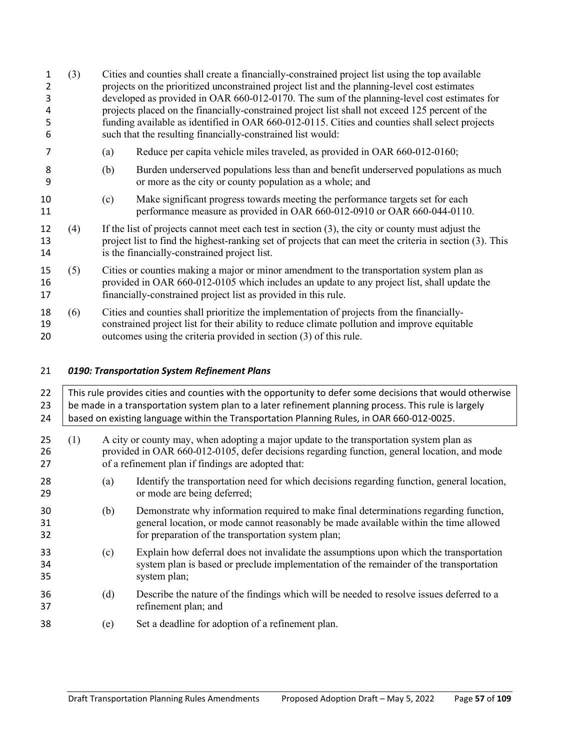(3) Cities and counties shall create a financially-constrained project list using the top available projects on the prioritized unconstrained project list and the planning-level cost estimates developed as provided in OAR 660-012-0170. The sum of the planning-level cost estimates for projects placed on the financially-constrained project list shall not exceed 125 percent of the funding available as identified in OAR 660-012-0115. Cities and counties shall select projects such that the resulting financially-constrained list would: (a) Reduce per capita vehicle miles traveled, as provided in OAR 660-012-0160; (b) Burden underserved populations less than and benefit underserved populations as much or more as the city or county population as a whole; and (c) Make significant progress towards meeting the performance targets set for each performance measure as provided in OAR 660-012-0910 or OAR 660-044-0110. (4) If the list of projects cannot meet each test in section (3), the city or county must adjust the project list to find the highest-ranking set of projects that can meet the criteria in section (3). This is the financially-constrained project list. (5) Cities or counties making a major or minor amendment to the transportation system plan as provided in OAR 660-012-0105 which includes an update to any project list, shall update the financially-constrained project list as provided in this rule. (6) Cities and counties shall prioritize the implementation of projects from the financially- constrained project list for their ability to reduce climate pollution and improve equitable outcomes using the criteria provided in section (3) of this rule.

# *0190: Transportation System Refinement Plans*

| 22<br>23<br>24 |     | This rule provides cities and counties with the opportunity to defer some decisions that would otherwise<br>be made in a transportation system plan to a later refinement planning process. This rule is largely<br>based on existing language within the Transportation Planning Rules, in OAR 660-012-0025. |                                                                                                                                                                                                                                               |  |  |  |  |
|----------------|-----|---------------------------------------------------------------------------------------------------------------------------------------------------------------------------------------------------------------------------------------------------------------------------------------------------------------|-----------------------------------------------------------------------------------------------------------------------------------------------------------------------------------------------------------------------------------------------|--|--|--|--|
| 25<br>26<br>27 | (1) |                                                                                                                                                                                                                                                                                                               | A city or county may, when adopting a major update to the transportation system plan as<br>provided in OAR 660-012-0105, defer decisions regarding function, general location, and mode<br>of a refinement plan if findings are adopted that: |  |  |  |  |
| 28<br>29       |     | (a)                                                                                                                                                                                                                                                                                                           | Identify the transportation need for which decisions regarding function, general location,<br>or mode are being deferred;                                                                                                                     |  |  |  |  |
| 30<br>31<br>32 |     | (b)                                                                                                                                                                                                                                                                                                           | Demonstrate why information required to make final determinations regarding function,<br>general location, or mode cannot reasonably be made available within the time allowed<br>for preparation of the transportation system plan;          |  |  |  |  |
| 33<br>34<br>35 |     | (c)                                                                                                                                                                                                                                                                                                           | Explain how deferral does not invalidate the assumptions upon which the transportation<br>system plan is based or preclude implementation of the remainder of the transportation<br>system plan;                                              |  |  |  |  |
| 36<br>37       |     | (d)                                                                                                                                                                                                                                                                                                           | Describe the nature of the findings which will be needed to resolve issues deferred to a<br>refinement plan; and                                                                                                                              |  |  |  |  |
| 38             |     | (e)                                                                                                                                                                                                                                                                                                           | Set a deadline for adoption of a refinement plan.                                                                                                                                                                                             |  |  |  |  |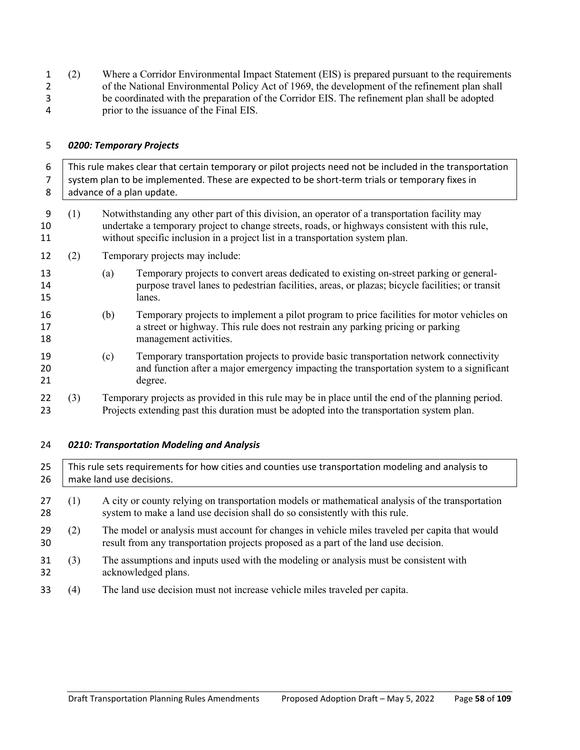(2) Where a Corridor Environmental Impact Statement (EIS) is prepared pursuant to the requirements of the National Environmental Policy Act of 1969, the development of the refinement plan shall be coordinated with the preparation of the Corridor EIS. The refinement plan shall be adopted prior to the issuance of the Final EIS.

#### *0200: Temporary Projects*

 This rule makes clear that certain temporary or pilot projects need not be included in the transportation 7 System plan to be implemented. These are expected to be short-term trials or temporary fixes in 8 advance of a plan update. (1) Notwithstanding any other part of this division, an operator of a transportation facility may undertake a temporary project to change streets, roads, or highways consistent with this rule, without specific inclusion in a project list in a transportation system plan. (2) Temporary projects may include: (a) Temporary projects to convert areas dedicated to existing on-street parking or general- purpose travel lanes to pedestrian facilities, areas, or plazas; bicycle facilities; or transit lanes. (b) Temporary projects to implement a pilot program to price facilities for motor vehicles on a street or highway. This rule does not restrain any parking pricing or parking 18 management activities. (c) Temporary transportation projects to provide basic transportation network connectivity and function after a major emergency impacting the transportation system to a significant degree. (3) Temporary projects as provided in this rule may be in place until the end of the planning period. Projects extending past this duration must be adopted into the transportation system plan.

*0210: Transportation Modeling and Analysis*

| 25<br>26 | This rule sets requirements for how cities and counties use transportation modeling and analysis to<br>make land use decisions. |                                                                                                                                                                                        |  |  |
|----------|---------------------------------------------------------------------------------------------------------------------------------|----------------------------------------------------------------------------------------------------------------------------------------------------------------------------------------|--|--|
| 27<br>28 | (1)                                                                                                                             | A city or county relying on transportation models or mathematical analysis of the transportation<br>system to make a land use decision shall do so consistently with this rule.        |  |  |
| 29<br>30 | (2)                                                                                                                             | The model or analysis must account for changes in vehicle miles traveled per capita that would<br>result from any transportation projects proposed as a part of the land use decision. |  |  |
| 31<br>32 | (3)                                                                                                                             | The assumptions and inputs used with the modeling or analysis must be consistent with<br>acknowledged plans.                                                                           |  |  |
| 33       | (4)                                                                                                                             | The land use decision must not increase vehicle miles traveled per capita.                                                                                                             |  |  |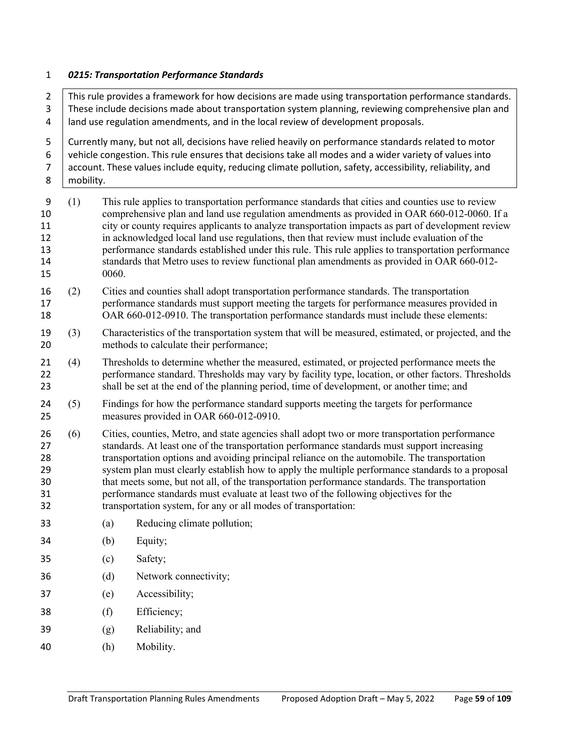#### *0215: Transportation Performance Standards*

 $\parallel$  This rule provides a framework for how decisions are made using transportation performance standards. 3 These include decisions made about transportation system planning, reviewing comprehensive plan and land use regulation amendments, and in the local review of development proposals. Currently many, but not all, decisions have relied heavily on performance standards related to motor vehicle congestion. This rule ensures that decisions take all modes and a wider variety of values into 7 account. These values include equity, reducing climate pollution, safety, accessibility, reliability, and 8 | mobility. (1) This rule applies to transportation performance standards that cities and counties use to review comprehensive plan and land use regulation amendments as provided in OAR 660-012-0060. If a city or county requires applicants to analyze transportation impacts as part of development review in acknowledged local land use regulations, then that review must include evaluation of the performance standards established under this rule. This rule applies to transportation performance standards that Metro uses to review functional plan amendments as provided in OAR 660-012- 0060. (2) Cities and counties shall adopt transportation performance standards. The transportation performance standards must support meeting the targets for performance measures provided in OAR 660-012-0910. The transportation performance standards must include these elements: (3) Characteristics of the transportation system that will be measured, estimated, or projected, and the methods to calculate their performance; (4) Thresholds to determine whether the measured, estimated, or projected performance meets the performance standard. Thresholds may vary by facility type, location, or other factors. Thresholds shall be set at the end of the planning period, time of development, or another time; and (5) Findings for how the performance standard supports meeting the targets for performance measures provided in OAR 660-012-0910. (6) Cities, counties, Metro, and state agencies shall adopt two or more transportation performance standards. At least one of the transportation performance standards must support increasing transportation options and avoiding principal reliance on the automobile. The transportation system plan must clearly establish how to apply the multiple performance standards to a proposal that meets some, but not all, of the transportation performance standards. The transportation performance standards must evaluate at least two of the following objectives for the transportation system, for any or all modes of transportation: (a) Reducing climate pollution; (b) Equity; (c) Safety; (d) Network connectivity; (e) Accessibility; (f) Efficiency; (g) Reliability; and (h) Mobility.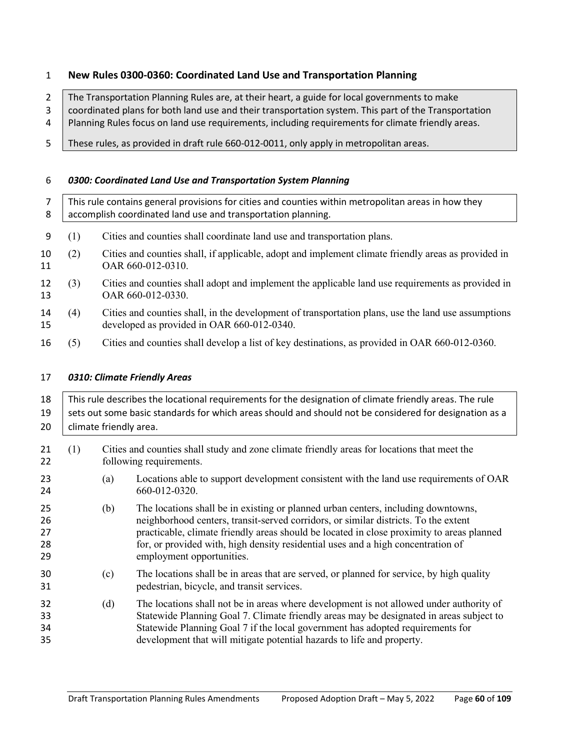# **New Rules 0300-0360: Coordinated Land Use and Transportation Planning**

2 The Transportation Planning Rules are, at their heart, a guide for local governments to make

3 coordinated plans for both land use and their transportation system. This part of the Transportation

4 Planning Rules focus on land use requirements, including requirements for climate friendly areas.

These rules, as provided in draft rule 660-012-0011, only apply in metropolitan areas.

# *0300: Coordinated Land Use and Transportation System Planning*

| 8        | This rule contains general provisions for cities and counties within metropolitan areas in how they<br>accomplish coordinated land use and transportation planning. |                                                                                                                                                   |  |  |  |
|----------|---------------------------------------------------------------------------------------------------------------------------------------------------------------------|---------------------------------------------------------------------------------------------------------------------------------------------------|--|--|--|
| 9        | $\left(1\right)$                                                                                                                                                    | Cities and counties shall coordinate land use and transportation plans.                                                                           |  |  |  |
| 10<br>11 | (2)                                                                                                                                                                 | Cities and counties shall, if applicable, adopt and implement climate friendly areas as provided in<br>OAR 660-012-0310.                          |  |  |  |
| 12<br>13 | (3)                                                                                                                                                                 | Cities and counties shall adopt and implement the applicable land use requirements as provided in<br>OAR 660-012-0330.                            |  |  |  |
| 14<br>15 | (4)                                                                                                                                                                 | Cities and counties shall, in the development of transportation plans, use the land use assumptions<br>developed as provided in OAR 660-012-0340. |  |  |  |
| 16       | (5)                                                                                                                                                                 | Cities and counties shall develop a list of key destinations, as provided in OAR 660-012-0360.                                                    |  |  |  |

## *0310: Climate Friendly Areas*

| 18<br>19<br>20             | This rule describes the locational requirements for the designation of climate friendly areas. The rule<br>sets out some basic standards for which areas should and should not be considered for designation as a<br>climate friendly area. |     |                                                                                                                                                                                                                                                                                                                                                                                        |  |  |  |  |
|----------------------------|---------------------------------------------------------------------------------------------------------------------------------------------------------------------------------------------------------------------------------------------|-----|----------------------------------------------------------------------------------------------------------------------------------------------------------------------------------------------------------------------------------------------------------------------------------------------------------------------------------------------------------------------------------------|--|--|--|--|
| 21<br>22                   | (1)                                                                                                                                                                                                                                         |     | Cities and counties shall study and zone climate friendly areas for locations that meet the<br>following requirements.                                                                                                                                                                                                                                                                 |  |  |  |  |
| 23<br>24                   |                                                                                                                                                                                                                                             | (a) | Locations able to support development consistent with the land use requirements of OAR<br>660-012-0320.                                                                                                                                                                                                                                                                                |  |  |  |  |
| 25<br>26<br>27<br>28<br>29 |                                                                                                                                                                                                                                             | (b) | The locations shall be in existing or planned urban centers, including downtowns,<br>neighborhood centers, transit-served corridors, or similar districts. To the extent<br>practicable, climate friendly areas should be located in close proximity to areas planned<br>for, or provided with, high density residential uses and a high concentration of<br>employment opportunities. |  |  |  |  |
| 30<br>31                   |                                                                                                                                                                                                                                             | (c) | The locations shall be in areas that are served, or planned for service, by high quality<br>pedestrian, bicycle, and transit services.                                                                                                                                                                                                                                                 |  |  |  |  |
| 32<br>33<br>34<br>35       |                                                                                                                                                                                                                                             | (d) | The locations shall not be in areas where development is not allowed under authority of<br>Statewide Planning Goal 7. Climate friendly areas may be designated in areas subject to<br>Statewide Planning Goal 7 if the local government has adopted requirements for<br>development that will mitigate potential hazards to life and property.                                         |  |  |  |  |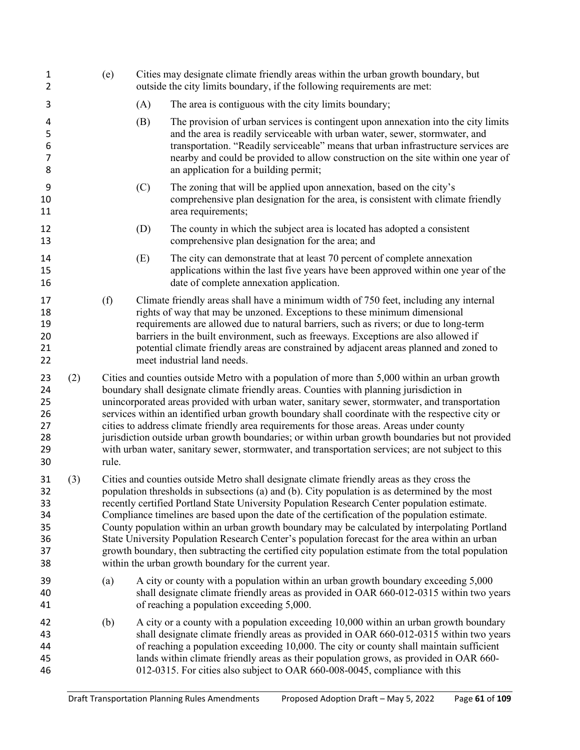| 1<br>2                                       |     | (e)                                                                                                                                                                                                                                                                                                                                                                                                                                                                                                                                                                                                                                                                                                                                                              | Cities may designate climate friendly areas within the urban growth boundary, but<br>outside the city limits boundary, if the following requirements are met:                                                                                                                                                                                                                                                                                                                                                                                                                                                                                                                                        |                                                                                                                                                                                                                                                                                                                                                                                                                                                                               |  |  |
|----------------------------------------------|-----|------------------------------------------------------------------------------------------------------------------------------------------------------------------------------------------------------------------------------------------------------------------------------------------------------------------------------------------------------------------------------------------------------------------------------------------------------------------------------------------------------------------------------------------------------------------------------------------------------------------------------------------------------------------------------------------------------------------------------------------------------------------|------------------------------------------------------------------------------------------------------------------------------------------------------------------------------------------------------------------------------------------------------------------------------------------------------------------------------------------------------------------------------------------------------------------------------------------------------------------------------------------------------------------------------------------------------------------------------------------------------------------------------------------------------------------------------------------------------|-------------------------------------------------------------------------------------------------------------------------------------------------------------------------------------------------------------------------------------------------------------------------------------------------------------------------------------------------------------------------------------------------------------------------------------------------------------------------------|--|--|
| 3                                            |     |                                                                                                                                                                                                                                                                                                                                                                                                                                                                                                                                                                                                                                                                                                                                                                  | (A)                                                                                                                                                                                                                                                                                                                                                                                                                                                                                                                                                                                                                                                                                                  | The area is contiguous with the city limits boundary;                                                                                                                                                                                                                                                                                                                                                                                                                         |  |  |
| 4<br>5<br>6<br>$\overline{7}$<br>8           |     |                                                                                                                                                                                                                                                                                                                                                                                                                                                                                                                                                                                                                                                                                                                                                                  | (B)                                                                                                                                                                                                                                                                                                                                                                                                                                                                                                                                                                                                                                                                                                  | The provision of urban services is contingent upon annexation into the city limits<br>and the area is readily serviceable with urban water, sewer, stormwater, and<br>transportation. "Readily serviceable" means that urban infrastructure services are<br>nearby and could be provided to allow construction on the site within one year of<br>an application for a building permit;                                                                                        |  |  |
| 9<br>10<br>11                                |     |                                                                                                                                                                                                                                                                                                                                                                                                                                                                                                                                                                                                                                                                                                                                                                  | (C)                                                                                                                                                                                                                                                                                                                                                                                                                                                                                                                                                                                                                                                                                                  | The zoning that will be applied upon annexation, based on the city's<br>comprehensive plan designation for the area, is consistent with climate friendly<br>area requirements;                                                                                                                                                                                                                                                                                                |  |  |
| 12<br>13                                     |     |                                                                                                                                                                                                                                                                                                                                                                                                                                                                                                                                                                                                                                                                                                                                                                  | (D)                                                                                                                                                                                                                                                                                                                                                                                                                                                                                                                                                                                                                                                                                                  | The county in which the subject area is located has adopted a consistent<br>comprehensive plan designation for the area; and                                                                                                                                                                                                                                                                                                                                                  |  |  |
| 14<br>15<br>16                               |     |                                                                                                                                                                                                                                                                                                                                                                                                                                                                                                                                                                                                                                                                                                                                                                  | (E)                                                                                                                                                                                                                                                                                                                                                                                                                                                                                                                                                                                                                                                                                                  | The city can demonstrate that at least 70 percent of complete annexation<br>applications within the last five years have been approved within one year of the<br>date of complete annexation application.                                                                                                                                                                                                                                                                     |  |  |
| 17<br>18<br>19<br>20<br>21<br>22             |     | (f)                                                                                                                                                                                                                                                                                                                                                                                                                                                                                                                                                                                                                                                                                                                                                              |                                                                                                                                                                                                                                                                                                                                                                                                                                                                                                                                                                                                                                                                                                      | Climate friendly areas shall have a minimum width of 750 feet, including any internal<br>rights of way that may be unzoned. Exceptions to these minimum dimensional<br>requirements are allowed due to natural barriers, such as rivers; or due to long-term<br>barriers in the built environment, such as freeways. Exceptions are also allowed if<br>potential climate friendly areas are constrained by adjacent areas planned and zoned to<br>meet industrial land needs. |  |  |
| 23<br>24<br>25<br>26<br>27<br>28<br>29<br>30 | (2) | rule.                                                                                                                                                                                                                                                                                                                                                                                                                                                                                                                                                                                                                                                                                                                                                            | Cities and counties outside Metro with a population of more than 5,000 within an urban growth<br>boundary shall designate climate friendly areas. Counties with planning jurisdiction in<br>unincorporated areas provided with urban water, sanitary sewer, stormwater, and transportation<br>services within an identified urban growth boundary shall coordinate with the respective city or<br>cities to address climate friendly area requirements for those areas. Areas under county<br>jurisdiction outside urban growth boundaries; or within urban growth boundaries but not provided<br>with urban water, sanitary sewer, stormwater, and transportation services; are not subject to this |                                                                                                                                                                                                                                                                                                                                                                                                                                                                               |  |  |
| 31<br>32<br>33<br>34<br>35<br>36<br>37<br>38 | (3) | Cities and counties outside Metro shall designate climate friendly areas as they cross the<br>population thresholds in subsections (a) and (b). City population is as determined by the most<br>recently certified Portland State University Population Research Center population estimate.<br>Compliance timelines are based upon the date of the certification of the population estimate.<br>County population within an urban growth boundary may be calculated by interpolating Portland<br>State University Population Research Center's population forecast for the area within an urban<br>growth boundary, then subtracting the certified city population estimate from the total population<br>within the urban growth boundary for the current year. |                                                                                                                                                                                                                                                                                                                                                                                                                                                                                                                                                                                                                                                                                                      |                                                                                                                                                                                                                                                                                                                                                                                                                                                                               |  |  |
| 39<br>40<br>41                               |     | (a)                                                                                                                                                                                                                                                                                                                                                                                                                                                                                                                                                                                                                                                                                                                                                              |                                                                                                                                                                                                                                                                                                                                                                                                                                                                                                                                                                                                                                                                                                      | A city or county with a population within an urban growth boundary exceeding 5,000<br>shall designate climate friendly areas as provided in OAR 660-012-0315 within two years<br>of reaching a population exceeding 5,000.                                                                                                                                                                                                                                                    |  |  |
| 42<br>43<br>44<br>45<br>46                   |     | (b)                                                                                                                                                                                                                                                                                                                                                                                                                                                                                                                                                                                                                                                                                                                                                              |                                                                                                                                                                                                                                                                                                                                                                                                                                                                                                                                                                                                                                                                                                      | A city or a county with a population exceeding 10,000 within an urban growth boundary<br>shall designate climate friendly areas as provided in OAR 660-012-0315 within two years<br>of reaching a population exceeding 10,000. The city or county shall maintain sufficient<br>lands within climate friendly areas as their population grows, as provided in OAR 660-<br>012-0315. For cities also subject to OAR 660-008-0045, compliance with this                          |  |  |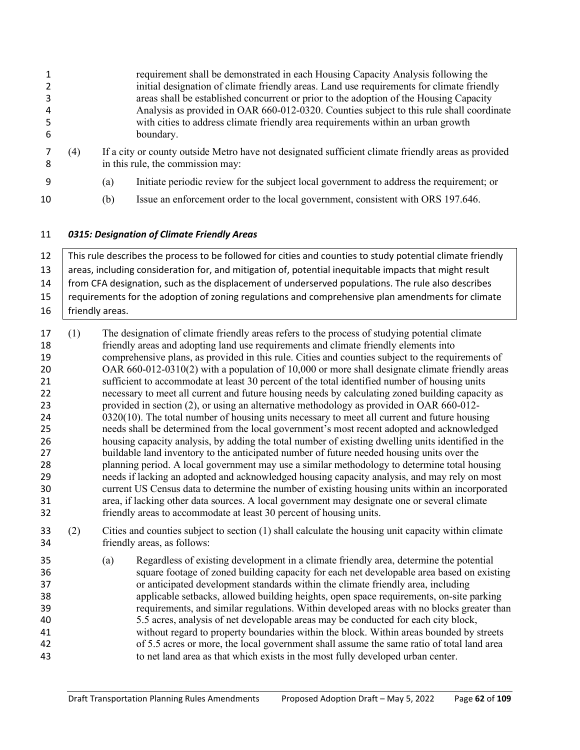|    |     | requirement shall be demonstrated in each Housing Capacity Analysis following the                                                        |
|----|-----|------------------------------------------------------------------------------------------------------------------------------------------|
|    |     | initial designation of climate friendly areas. Land use requirements for climate friendly                                                |
|    |     | areas shall be established concurrent or prior to the adoption of the Housing Capacity                                                   |
| 4  |     | Analysis as provided in OAR 660-012-0320. Counties subject to this rule shall coordinate                                                 |
|    |     | with cities to address climate friendly area requirements within an urban growth                                                         |
| -6 |     | boundary.                                                                                                                                |
| -8 | (4) | If a city or county outside Metro have not designated sufficient climate friendly areas as provided<br>in this rule, the commission may: |
| q  |     | Initiate periodic review for the subject local government to address the requirement; or<br>(a)                                          |

(b) Issue an enforcement order to the local government, consistent with ORS 197.646.

# *0315: Designation of Climate Friendly Areas*

 This rule describes the process to be followed for cities and counties to study potential climate friendly areas, including consideration for, and mitigation of, potential inequitable impacts that might result from CFA designation, such as the displacement of underserved populations. The rule also describes 15 | requirements for the adoption of zoning regulations and comprehensive plan amendments for climate 16 | friendly areas.

- (1) The designation of climate friendly areas refers to the process of studying potential climate friendly areas and adopting land use requirements and climate friendly elements into comprehensive plans, as provided in this rule. Cities and counties subject to the requirements of OAR 660-012-0310(2) with a population of 10,000 or more shall designate climate friendly areas sufficient to accommodate at least 30 percent of the total identified number of housing units necessary to meet all current and future housing needs by calculating zoned building capacity as provided in section (2), or using an alternative methodology as provided in OAR 660-012- 24 0320(10). The total number of housing units necessary to meet all current and future housing needs shall be determined from the local government's most recent adopted and acknowledged housing capacity analysis, by adding the total number of existing dwelling units identified in the buildable land inventory to the anticipated number of future needed housing units over the planning period. A local government may use a similar methodology to determine total housing needs if lacking an adopted and acknowledged housing capacity analysis, and may rely on most current US Census data to determine the number of existing housing units within an incorporated area, if lacking other data sources. A local government may designate one or several climate friendly areas to accommodate at least 30 percent of housing units.
- (2) Cities and counties subject to section (1) shall calculate the housing unit capacity within climate friendly areas, as follows:
- (a) Regardless of existing development in a climate friendly area, determine the potential square footage of zoned building capacity for each net developable area based on existing or anticipated development standards within the climate friendly area, including applicable setbacks, allowed building heights, open space requirements, on-site parking requirements, and similar regulations. Within developed areas with no blocks greater than 5.5 acres, analysis of net developable areas may be conducted for each city block, without regard to property boundaries within the block. Within areas bounded by streets of 5.5 acres or more, the local government shall assume the same ratio of total land area to net land area as that which exists in the most fully developed urban center.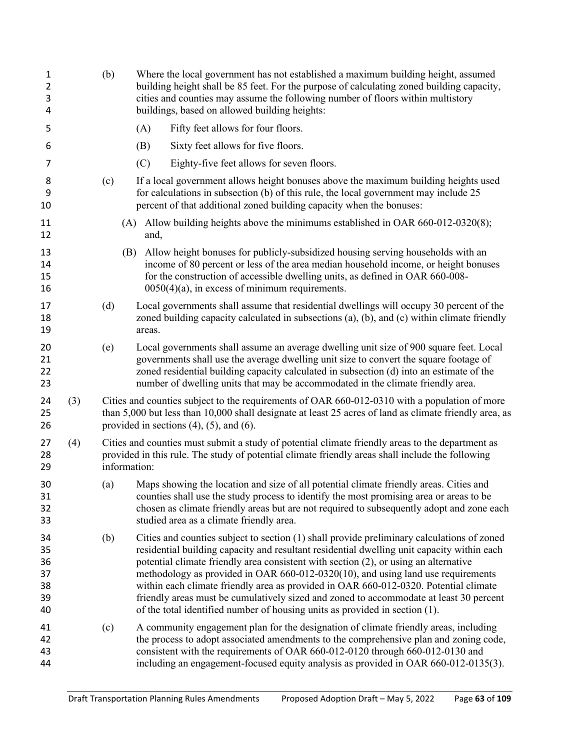| $\mathbf{1}$<br>$\overline{2}$<br>3<br>4 |     | (b)          | Where the local government has not established a maximum building height, assumed<br>building height shall be 85 feet. For the purpose of calculating zoned building capacity,<br>cities and counties may assume the following number of floors within multistory<br>buildings, based on allowed building heights:                                                                                                                                                                                                                                                                                                                    |
|------------------------------------------|-----|--------------|---------------------------------------------------------------------------------------------------------------------------------------------------------------------------------------------------------------------------------------------------------------------------------------------------------------------------------------------------------------------------------------------------------------------------------------------------------------------------------------------------------------------------------------------------------------------------------------------------------------------------------------|
| 5                                        |     |              | Fifty feet allows for four floors.<br>(A)                                                                                                                                                                                                                                                                                                                                                                                                                                                                                                                                                                                             |
| 6                                        |     |              | Sixty feet allows for five floors.<br>(B)                                                                                                                                                                                                                                                                                                                                                                                                                                                                                                                                                                                             |
| 7                                        |     |              | (C)<br>Eighty-five feet allows for seven floors.                                                                                                                                                                                                                                                                                                                                                                                                                                                                                                                                                                                      |
| 8<br>9<br>10                             |     | (c)          | If a local government allows height bonuses above the maximum building heights used<br>for calculations in subsection (b) of this rule, the local government may include 25<br>percent of that additional zoned building capacity when the bonuses:                                                                                                                                                                                                                                                                                                                                                                                   |
| 11<br>12                                 |     | (A)          | Allow building heights above the minimums established in OAR 660-012-0320(8);<br>and,                                                                                                                                                                                                                                                                                                                                                                                                                                                                                                                                                 |
| 13<br>14<br>15<br>16                     |     | (B)          | Allow height bonuses for publicly-subsidized housing serving households with an<br>income of 80 percent or less of the area median household income, or height bonuses<br>for the construction of accessible dwelling units, as defined in OAR 660-008-<br>$0050(4)(a)$ , in excess of minimum requirements.                                                                                                                                                                                                                                                                                                                          |
| 17<br>18<br>19                           |     | (d)          | Local governments shall assume that residential dwellings will occupy 30 percent of the<br>zoned building capacity calculated in subsections (a), (b), and (c) within climate friendly<br>areas.                                                                                                                                                                                                                                                                                                                                                                                                                                      |
| 20<br>21<br>22<br>23                     |     | (e)          | Local governments shall assume an average dwelling unit size of 900 square feet. Local<br>governments shall use the average dwelling unit size to convert the square footage of<br>zoned residential building capacity calculated in subsection (d) into an estimate of the<br>number of dwelling units that may be accommodated in the climate friendly area.                                                                                                                                                                                                                                                                        |
| 24<br>25<br>26                           | (3) |              | Cities and counties subject to the requirements of OAR 660-012-0310 with a population of more<br>than 5,000 but less than 10,000 shall designate at least 25 acres of land as climate friendly area, as<br>provided in sections $(4)$ , $(5)$ , and $(6)$ .                                                                                                                                                                                                                                                                                                                                                                           |
| 27<br>28<br>29                           | (4) | information: | Cities and counties must submit a study of potential climate friendly areas to the department as<br>provided in this rule. The study of potential climate friendly areas shall include the following                                                                                                                                                                                                                                                                                                                                                                                                                                  |
| 30<br>31<br>32<br>33                     |     | (a)          | Maps showing the location and size of all potential climate friendly areas. Cities and<br>counties shall use the study process to identify the most promising area or areas to be<br>chosen as climate friendly areas but are not required to subsequently adopt and zone each<br>studied area as a climate friendly area.                                                                                                                                                                                                                                                                                                            |
| 34<br>35<br>36<br>37<br>38<br>39<br>40   |     | (b)          | Cities and counties subject to section (1) shall provide preliminary calculations of zoned<br>residential building capacity and resultant residential dwelling unit capacity within each<br>potential climate friendly area consistent with section (2), or using an alternative<br>methodology as provided in OAR 660-012-0320(10), and using land use requirements<br>within each climate friendly area as provided in OAR 660-012-0320. Potential climate<br>friendly areas must be cumulatively sized and zoned to accommodate at least 30 percent<br>of the total identified number of housing units as provided in section (1). |
| 41<br>42<br>43<br>44                     |     | (c)          | A community engagement plan for the designation of climate friendly areas, including<br>the process to adopt associated amendments to the comprehensive plan and zoning code,<br>consistent with the requirements of OAR 660-012-0120 through 660-012-0130 and<br>including an engagement-focused equity analysis as provided in OAR 660-012-0135(3).                                                                                                                                                                                                                                                                                 |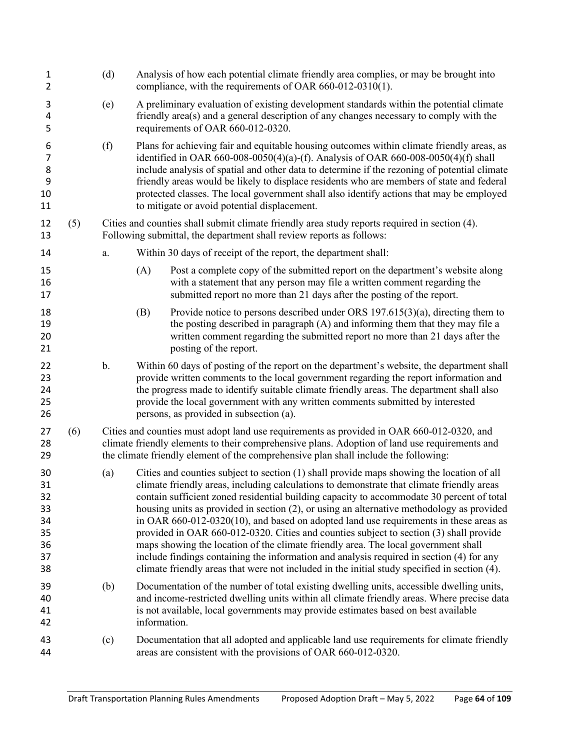| $\mathbf{1}$<br>$\overline{2}$                     |     | (d) | Analysis of how each potential climate friendly area complies, or may be brought into<br>compliance, with the requirements of OAR 660-012-0310(1).                                                                                                                                                                                                                                                                                                                                                                                                                                                                                                                                                                                                                                                                                                       |
|----------------------------------------------------|-----|-----|----------------------------------------------------------------------------------------------------------------------------------------------------------------------------------------------------------------------------------------------------------------------------------------------------------------------------------------------------------------------------------------------------------------------------------------------------------------------------------------------------------------------------------------------------------------------------------------------------------------------------------------------------------------------------------------------------------------------------------------------------------------------------------------------------------------------------------------------------------|
| 3<br>4<br>5                                        |     | (e) | A preliminary evaluation of existing development standards within the potential climate<br>friendly area(s) and a general description of any changes necessary to comply with the<br>requirements of OAR 660-012-0320.                                                                                                                                                                                                                                                                                                                                                                                                                                                                                                                                                                                                                                   |
| 6<br>$\overline{7}$<br>8<br>9<br>10<br>11          |     | (f) | Plans for achieving fair and equitable housing outcomes within climate friendly areas, as<br>identified in OAR 660-008-0050(4)(a)-(f). Analysis of OAR 660-008-0050(4)(f) shall<br>include analysis of spatial and other data to determine if the rezoning of potential climate<br>friendly areas would be likely to displace residents who are members of state and federal<br>protected classes. The local government shall also identify actions that may be employed<br>to mitigate or avoid potential displacement.                                                                                                                                                                                                                                                                                                                                 |
| 12<br>13                                           | (5) |     | Cities and counties shall submit climate friendly area study reports required in section (4).<br>Following submittal, the department shall review reports as follows:                                                                                                                                                                                                                                                                                                                                                                                                                                                                                                                                                                                                                                                                                    |
| 14                                                 |     | a.  | Within 30 days of receipt of the report, the department shall:                                                                                                                                                                                                                                                                                                                                                                                                                                                                                                                                                                                                                                                                                                                                                                                           |
| 15<br>16<br>17                                     |     |     | (A)<br>Post a complete copy of the submitted report on the department's website along<br>with a statement that any person may file a written comment regarding the<br>submitted report no more than 21 days after the posting of the report.                                                                                                                                                                                                                                                                                                                                                                                                                                                                                                                                                                                                             |
| 18<br>19<br>20<br>21                               |     |     | Provide notice to persons described under ORS $197.615(3)(a)$ , directing them to<br>(B)<br>the posting described in paragraph (A) and informing them that they may file a<br>written comment regarding the submitted report no more than 21 days after the<br>posting of the report.                                                                                                                                                                                                                                                                                                                                                                                                                                                                                                                                                                    |
| 22<br>23<br>24<br>25<br>26                         |     | b.  | Within 60 days of posting of the report on the department's website, the department shall<br>provide written comments to the local government regarding the report information and<br>the progress made to identify suitable climate friendly areas. The department shall also<br>provide the local government with any written comments submitted by interested<br>persons, as provided in subsection (a).                                                                                                                                                                                                                                                                                                                                                                                                                                              |
| 27<br>28<br>29                                     | (6) |     | Cities and counties must adopt land use requirements as provided in OAR 660-012-0320, and<br>climate friendly elements to their comprehensive plans. Adoption of land use requirements and<br>the climate friendly element of the comprehensive plan shall include the following:                                                                                                                                                                                                                                                                                                                                                                                                                                                                                                                                                                        |
| 30<br>31<br>32<br>33<br>34<br>35<br>36<br>37<br>38 |     | (a) | Cities and counties subject to section (1) shall provide maps showing the location of all<br>climate friendly areas, including calculations to demonstrate that climate friendly areas<br>contain sufficient zoned residential building capacity to accommodate 30 percent of total<br>housing units as provided in section (2), or using an alternative methodology as provided<br>in OAR $660-012-0320(10)$ , and based on adopted land use requirements in these areas as<br>provided in OAR 660-012-0320. Cities and counties subject to section (3) shall provide<br>maps showing the location of the climate friendly area. The local government shall<br>include findings containing the information and analysis required in section (4) for any<br>climate friendly areas that were not included in the initial study specified in section (4). |
| 39<br>40<br>41<br>42                               |     | (b) | Documentation of the number of total existing dwelling units, accessible dwelling units,<br>and income-restricted dwelling units within all climate friendly areas. Where precise data<br>is not available, local governments may provide estimates based on best available<br>information.                                                                                                                                                                                                                                                                                                                                                                                                                                                                                                                                                              |
| 43<br>44                                           |     | (c) | Documentation that all adopted and applicable land use requirements for climate friendly<br>areas are consistent with the provisions of OAR 660-012-0320.                                                                                                                                                                                                                                                                                                                                                                                                                                                                                                                                                                                                                                                                                                |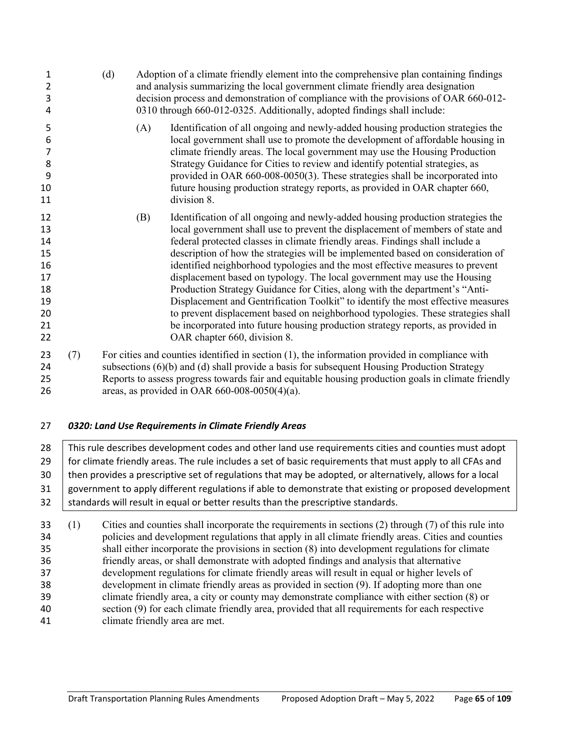| 1<br>2<br>3<br>4                                               |     | (d) |     | Adoption of a climate friendly element into the comprehensive plan containing findings<br>and analysis summarizing the local government climate friendly area designation<br>decision process and demonstration of compliance with the provisions of OAR 660-012-<br>0310 through 660-012-0325. Additionally, adopted findings shall include:                                                                                                                                                                                                                                                                                                                                                                                                                                                                                                                                |
|----------------------------------------------------------------|-----|-----|-----|------------------------------------------------------------------------------------------------------------------------------------------------------------------------------------------------------------------------------------------------------------------------------------------------------------------------------------------------------------------------------------------------------------------------------------------------------------------------------------------------------------------------------------------------------------------------------------------------------------------------------------------------------------------------------------------------------------------------------------------------------------------------------------------------------------------------------------------------------------------------------|
| 5<br>6<br>$\overline{7}$<br>8<br>9<br>10<br>11                 |     |     | (A) | Identification of all ongoing and newly-added housing production strategies the<br>local government shall use to promote the development of affordable housing in<br>climate friendly areas. The local government may use the Housing Production<br>Strategy Guidance for Cities to review and identify potential strategies, as<br>provided in OAR 660-008-0050(3). These strategies shall be incorporated into<br>future housing production strategy reports, as provided in OAR chapter 660,<br>division 8.                                                                                                                                                                                                                                                                                                                                                               |
| 12<br>13<br>14<br>15<br>16<br>17<br>18<br>19<br>20<br>21<br>22 |     |     | (B) | Identification of all ongoing and newly-added housing production strategies the<br>local government shall use to prevent the displacement of members of state and<br>federal protected classes in climate friendly areas. Findings shall include a<br>description of how the strategies will be implemented based on consideration of<br>identified neighborhood typologies and the most effective measures to prevent<br>displacement based on typology. The local government may use the Housing<br>Production Strategy Guidance for Cities, along with the department's "Anti-<br>Displacement and Gentrification Toolkit" to identify the most effective measures<br>to prevent displacement based on neighborhood typologies. These strategies shall<br>be incorporated into future housing production strategy reports, as provided in<br>OAR chapter 660, division 8. |
| 23<br>24<br>25                                                 | (7) |     |     | For cities and counties identified in section $(1)$ , the information provided in compliance with<br>subsections (6)(b) and (d) shall provide a basis for subsequent Housing Production Strategy<br>Reports to assess progress towards fair and equitable housing production goals in climate friendly                                                                                                                                                                                                                                                                                                                                                                                                                                                                                                                                                                       |

- areas, as provided in OAR 660-008-0050(4)(a).
- *0320: Land Use Requirements in Climate Friendly Areas*

28 This rule describes development codes and other land use requirements cities and counties must adopt 29 for climate friendly areas. The rule includes a set of basic requirements that must apply to all CFAs and then provides a prescriptive set of regulations that may be adopted, or alternatively, allows for a local government to apply different regulations if able to demonstrate that existing or proposed development standards will result in equal or better results than the prescriptive standards.

 (1) Cities and counties shall incorporate the requirements in sections (2) through (7) of this rule into policies and development regulations that apply in all climate friendly areas. Cities and counties shall either incorporate the provisions in section (8) into development regulations for climate friendly areas, or shall demonstrate with adopted findings and analysis that alternative development regulations for climate friendly areas will result in equal or higher levels of development in climate friendly areas as provided in section (9). If adopting more than one climate friendly area, a city or county may demonstrate compliance with either section (8) or section (9) for each climate friendly area, provided that all requirements for each respective climate friendly area are met.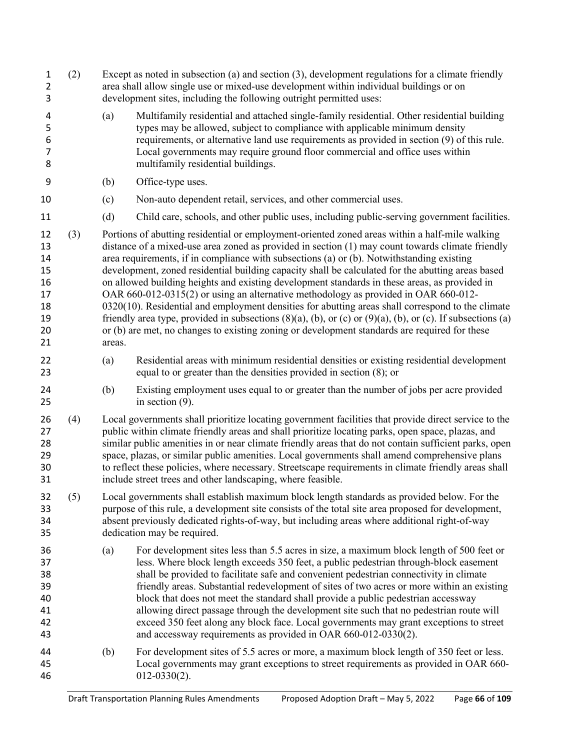|     | area shall allow single use or mixed-use development within individual buildings or on<br>development sites, including the following outright permitted uses:                                                                                                                                                                                                                                                                                                                                                                                                                                                                                                                                                                                                                                                                                                                                                             |
|-----|---------------------------------------------------------------------------------------------------------------------------------------------------------------------------------------------------------------------------------------------------------------------------------------------------------------------------------------------------------------------------------------------------------------------------------------------------------------------------------------------------------------------------------------------------------------------------------------------------------------------------------------------------------------------------------------------------------------------------------------------------------------------------------------------------------------------------------------------------------------------------------------------------------------------------|
|     | Multifamily residential and attached single-family residential. Other residential building<br>types may be allowed, subject to compliance with applicable minimum density<br>requirements, or alternative land use requirements as provided in section (9) of this rule.<br>Local governments may require ground floor commercial and office uses within<br>multifamily residential buildings.                                                                                                                                                                                                                                                                                                                                                                                                                                                                                                                            |
|     | Office-type uses.                                                                                                                                                                                                                                                                                                                                                                                                                                                                                                                                                                                                                                                                                                                                                                                                                                                                                                         |
|     | Non-auto dependent retail, services, and other commercial uses.                                                                                                                                                                                                                                                                                                                                                                                                                                                                                                                                                                                                                                                                                                                                                                                                                                                           |
|     | Child care, schools, and other public uses, including public-serving government facilities.                                                                                                                                                                                                                                                                                                                                                                                                                                                                                                                                                                                                                                                                                                                                                                                                                               |
|     | Portions of abutting residential or employment-oriented zoned areas within a half-mile walking<br>distance of a mixed-use area zoned as provided in section (1) may count towards climate friendly<br>area requirements, if in compliance with subsections (a) or (b). Notwithstanding existing<br>development, zoned residential building capacity shall be calculated for the abutting areas based<br>on allowed building heights and existing development standards in these areas, as provided in<br>OAR 660-012-0315(2) or using an alternative methodology as provided in OAR 660-012-<br>$0320(10)$ . Residential and employment densities for abutting areas shall correspond to the climate<br>friendly area type, provided in subsections $(8)(a)$ , (b), or (c) or $(9)(a)$ , (b), or (c). If subsections (a)<br>or (b) are met, no changes to existing zoning or development standards are required for these |
|     | Residential areas with minimum residential densities or existing residential development<br>equal to or greater than the densities provided in section (8); or                                                                                                                                                                                                                                                                                                                                                                                                                                                                                                                                                                                                                                                                                                                                                            |
|     | Existing employment uses equal to or greater than the number of jobs per acre provided<br>in section $(9)$ .                                                                                                                                                                                                                                                                                                                                                                                                                                                                                                                                                                                                                                                                                                                                                                                                              |
|     | Local governments shall prioritize locating government facilities that provide direct service to the<br>public within climate friendly areas and shall prioritize locating parks, open space, plazas, and<br>similar public amenities in or near climate friendly areas that do not contain sufficient parks, open<br>space, plazas, or similar public amenities. Local governments shall amend comprehensive plans<br>to reflect these policies, where necessary. Streetscape requirements in climate friendly areas shall<br>include street trees and other landscaping, where feasible.                                                                                                                                                                                                                                                                                                                                |
|     | Local governments shall establish maximum block length standards as provided below. For the<br>purpose of this rule, a development site consists of the total site area proposed for development,<br>absent previously dedicated rights-of-way, but including areas where additional right-of-way<br>dedication may be required.                                                                                                                                                                                                                                                                                                                                                                                                                                                                                                                                                                                          |
|     | For development sites less than 5.5 acres in size, a maximum block length of 500 feet or<br>less. Where block length exceeds 350 feet, a public pedestrian through-block easement<br>shall be provided to facilitate safe and convenient pedestrian connectivity in climate<br>friendly areas. Substantial redevelopment of sites of two acres or more within an existing<br>block that does not meet the standard shall provide a public pedestrian accessway<br>allowing direct passage through the development site such that no pedestrian route will<br>exceed 350 feet along any block face. Local governments may grant exceptions to street<br>and accessway requirements as provided in OAR 660-012-0330(2).                                                                                                                                                                                                     |
|     | For development sites of 5.5 acres or more, a maximum block length of 350 feet or less.<br>Local governments may grant exceptions to street requirements as provided in OAR 660-<br>$012 - 0330(2)$ .                                                                                                                                                                                                                                                                                                                                                                                                                                                                                                                                                                                                                                                                                                                     |
| (4) | (a)<br>(b)<br>(c)<br>(d)<br>areas.<br>(a)<br>(b)<br>(a)<br>(b)                                                                                                                                                                                                                                                                                                                                                                                                                                                                                                                                                                                                                                                                                                                                                                                                                                                            |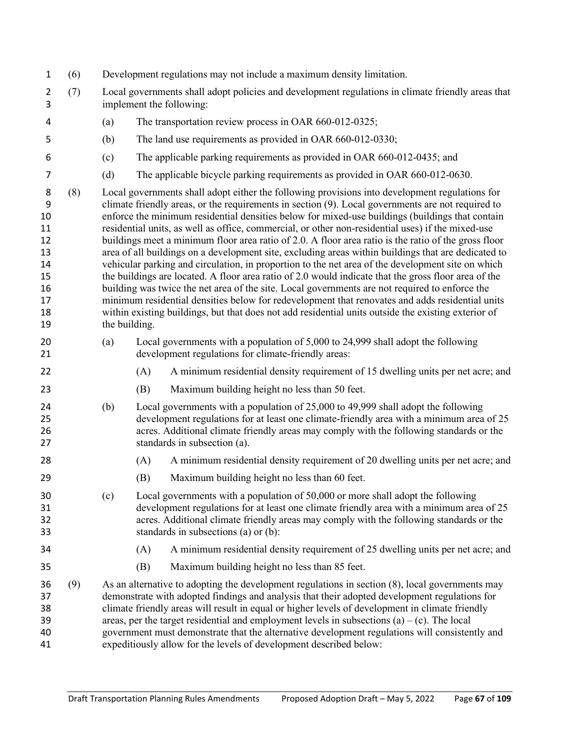|  |  |  | Development regulations may not include a maximum density limitation. |
|--|--|--|-----------------------------------------------------------------------|
|  |  |  |                                                                       |
|  |  |  |                                                                       |

- (7) Local governments shall adopt policies and development regulations in climate friendly areas that implement the following:
- (a) The transportation review process in OAR 660-012-0325;
- (b) The land use requirements as provided in OAR 660-012-0330;
- (c) The applicable parking requirements as provided in OAR 660-012-0435; and
- (d) The applicable bicycle parking requirements as provided in OAR 660-012-0630.
- (8) Local governments shall adopt either the following provisions into development regulations for climate friendly areas, or the requirements in section (9). Local governments are not required to enforce the minimum residential densities below for mixed-use buildings (buildings that contain residential units, as well as office, commercial, or other non-residential uses) if the mixed-use buildings meet a minimum floor area ratio of 2.0. A floor area ratio is the ratio of the gross floor area of all buildings on a development site, excluding areas within buildings that are dedicated to vehicular parking and circulation, in proportion to the net area of the development site on which the buildings are located. A floor area ratio of 2.0 would indicate that the gross floor area of the building was twice the net area of the site. Local governments are not required to enforce the minimum residential densities below for redevelopment that renovates and adds residential units within existing buildings, but that does not add residential units outside the existing exterior of the building.
- (a) Local governments with a population of 5,000 to 24,999 shall adopt the following development regulations for climate-friendly areas:
- (A) A minimum residential density requirement of 15 dwelling units per net acre; and
- (B) Maximum building height no less than 50 feet.
- (b) Local governments with a population of 25,000 to 49,999 shall adopt the following development regulations for at least one climate-friendly area with a minimum area of 25 acres. Additional climate friendly areas may comply with the following standards or the standards in subsection (a).
- (A) A minimum residential density requirement of 20 dwelling units per net acre; and
- (B) Maximum building height no less than 60 feet.
- (c) Local governments with a population of 50,000 or more shall adopt the following development regulations for at least one climate friendly area with a minimum area of 25 acres. Additional climate friendly areas may comply with the following standards or the standards in subsections (a) or (b):
- 
- (A) A minimum residential density requirement of 25 dwelling units per net acre; and
- (B) Maximum building height no less than 85 feet.
- (9) As an alternative to adopting the development regulations in section (8), local governments may demonstrate with adopted findings and analysis that their adopted development regulations for climate friendly areas will result in equal or higher levels of development in climate friendly areas, per the target residential and employment levels in subsections (a) – (c). The local government must demonstrate that the alternative development regulations will consistently and expeditiously allow for the levels of development described below: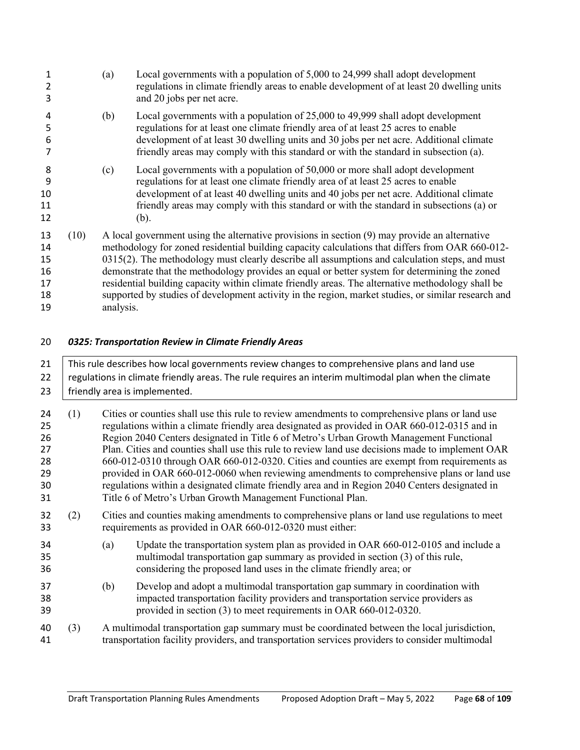| 3                                      |      | (a)       | Local governments with a population of 5,000 to 24,999 shall adopt development<br>regulations in climate friendly areas to enable development of at least 20 dwelling units<br>and 20 jobs per net acre.                                                                                                                                                                                                                                                                                                                                                                                                           |
|----------------------------------------|------|-----------|--------------------------------------------------------------------------------------------------------------------------------------------------------------------------------------------------------------------------------------------------------------------------------------------------------------------------------------------------------------------------------------------------------------------------------------------------------------------------------------------------------------------------------------------------------------------------------------------------------------------|
| 4<br>5<br>6                            |      | (b)       | Local governments with a population of 25,000 to 49,999 shall adopt development<br>regulations for at least one climate friendly area of at least 25 acres to enable<br>development of at least 30 dwelling units and 30 jobs per net acre. Additional climate<br>friendly areas may comply with this standard or with the standard in subsection (a).                                                                                                                                                                                                                                                             |
| 8<br>9<br>10<br>11<br>12               |      | (c)       | Local governments with a population of 50,000 or more shall adopt development<br>regulations for at least one climate friendly area of at least 25 acres to enable<br>development of at least 40 dwelling units and 40 jobs per net acre. Additional climate<br>friendly areas may comply with this standard or with the standard in subsections (a) or<br>(b).                                                                                                                                                                                                                                                    |
| 13<br>14<br>15<br>16<br>17<br>18<br>19 | (10) | analysis. | A local government using the alternative provisions in section (9) may provide an alternative<br>methodology for zoned residential building capacity calculations that differs from OAR 660-012-<br>$0315(2)$ . The methodology must clearly describe all assumptions and calculation steps, and must<br>demonstrate that the methodology provides an equal or better system for determining the zoned<br>residential building capacity within climate friendly areas. The alternative methodology shall be<br>supported by studies of development activity in the region, market studies, or similar research and |

*0325: Transportation Review in Climate Friendly Areas*

| 21                                           | This rule describes how local governments review changes to comprehensive plans and land use         |                                                                                                                                                           |                                                                                                                                                                                                                                                                                                                                                                                                                                                                                                                                                                                                                                                                                                                                                           |  |  |
|----------------------------------------------|------------------------------------------------------------------------------------------------------|-----------------------------------------------------------------------------------------------------------------------------------------------------------|-----------------------------------------------------------------------------------------------------------------------------------------------------------------------------------------------------------------------------------------------------------------------------------------------------------------------------------------------------------------------------------------------------------------------------------------------------------------------------------------------------------------------------------------------------------------------------------------------------------------------------------------------------------------------------------------------------------------------------------------------------------|--|--|
| 22                                           | regulations in climate friendly areas. The rule requires an interim multimodal plan when the climate |                                                                                                                                                           |                                                                                                                                                                                                                                                                                                                                                                                                                                                                                                                                                                                                                                                                                                                                                           |  |  |
| 23                                           |                                                                                                      |                                                                                                                                                           | friendly area is implemented.                                                                                                                                                                                                                                                                                                                                                                                                                                                                                                                                                                                                                                                                                                                             |  |  |
| 24<br>25<br>26<br>27<br>28<br>29<br>30<br>31 | (1)                                                                                                  |                                                                                                                                                           | Cities or counties shall use this rule to review amendments to comprehensive plans or land use<br>regulations within a climate friendly area designated as provided in OAR 660-012-0315 and in<br>Region 2040 Centers designated in Title 6 of Metro's Urban Growth Management Functional<br>Plan. Cities and counties shall use this rule to review land use decisions made to implement OAR<br>660-012-0310 through OAR 660-012-0320. Cities and counties are exempt from requirements as<br>provided in OAR 660-012-0060 when reviewing amendments to comprehensive plans or land use<br>regulations within a designated climate friendly area and in Region 2040 Centers designated in<br>Title 6 of Metro's Urban Growth Management Functional Plan. |  |  |
| 32<br>33                                     | (2)                                                                                                  | Cities and counties making amendments to comprehensive plans or land use regulations to meet<br>requirements as provided in OAR 660-012-0320 must either: |                                                                                                                                                                                                                                                                                                                                                                                                                                                                                                                                                                                                                                                                                                                                                           |  |  |
| 34<br>35<br>36                               |                                                                                                      | (a)                                                                                                                                                       | Update the transportation system plan as provided in OAR 660-012-0105 and include a<br>multimodal transportation gap summary as provided in section (3) of this rule,<br>considering the proposed land uses in the climate friendly area; or                                                                                                                                                                                                                                                                                                                                                                                                                                                                                                              |  |  |
| 37<br>38<br>39                               |                                                                                                      | (b)                                                                                                                                                       | Develop and adopt a multimodal transportation gap summary in coordination with<br>impacted transportation facility providers and transportation service providers as<br>provided in section (3) to meet requirements in OAR 660-012-0320.                                                                                                                                                                                                                                                                                                                                                                                                                                                                                                                 |  |  |
| 40<br>41                                     | (3)                                                                                                  |                                                                                                                                                           | A multimodal transportation gap summary must be coordinated between the local jurisdiction,<br>transportation facility providers, and transportation services providers to consider multimodal                                                                                                                                                                                                                                                                                                                                                                                                                                                                                                                                                            |  |  |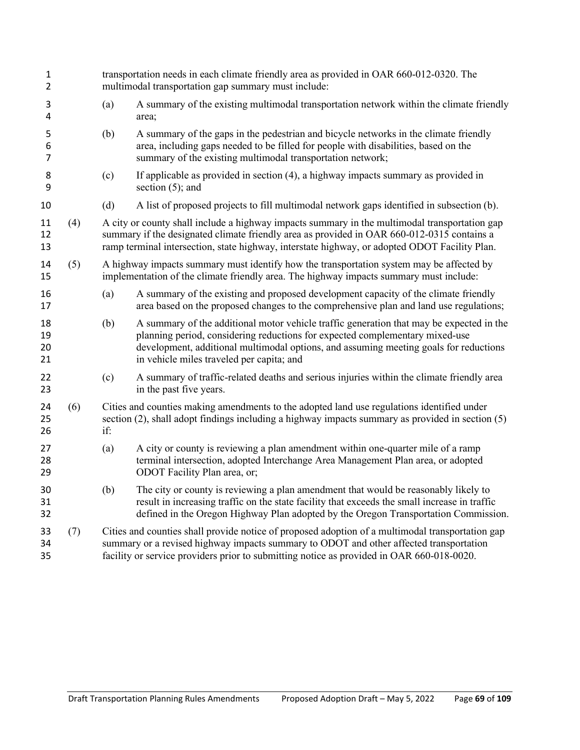| 1<br>2                   |     |     | transportation needs in each climate friendly area as provided in OAR 660-012-0320. The<br>multimodal transportation gap summary must include:                                                                                                                                                                 |  |  |  |
|--------------------------|-----|-----|----------------------------------------------------------------------------------------------------------------------------------------------------------------------------------------------------------------------------------------------------------------------------------------------------------------|--|--|--|
| 3<br>4                   |     | (a) | A summary of the existing multimodal transportation network within the climate friendly<br>area;                                                                                                                                                                                                               |  |  |  |
| 5<br>6<br>$\overline{7}$ |     | (b) | A summary of the gaps in the pedestrian and bicycle networks in the climate friendly<br>area, including gaps needed to be filled for people with disabilities, based on the<br>summary of the existing multimodal transportation network;                                                                      |  |  |  |
| 8<br>9                   |     | (c) | If applicable as provided in section (4), a highway impacts summary as provided in<br>section $(5)$ ; and                                                                                                                                                                                                      |  |  |  |
| 10                       |     | (d) | A list of proposed projects to fill multimodal network gaps identified in subsection (b).                                                                                                                                                                                                                      |  |  |  |
| 11<br>12<br>13           | (4) |     | A city or county shall include a highway impacts summary in the multimodal transportation gap<br>summary if the designated climate friendly area as provided in OAR 660-012-0315 contains a<br>ramp terminal intersection, state highway, interstate highway, or adopted ODOT Facility Plan.                   |  |  |  |
| 14<br>15                 | (5) |     | A highway impacts summary must identify how the transportation system may be affected by<br>implementation of the climate friendly area. The highway impacts summary must include:                                                                                                                             |  |  |  |
| 16<br>17                 |     | (a) | A summary of the existing and proposed development capacity of the climate friendly<br>area based on the proposed changes to the comprehensive plan and land use regulations;                                                                                                                                  |  |  |  |
| 18<br>19<br>20<br>21     |     | (b) | A summary of the additional motor vehicle traffic generation that may be expected in the<br>planning period, considering reductions for expected complementary mixed-use<br>development, additional multimodal options, and assuming meeting goals for reductions<br>in vehicle miles traveled per capita; and |  |  |  |
| 22<br>23                 |     | (c) | A summary of traffic-related deaths and serious injuries within the climate friendly area<br>in the past five years.                                                                                                                                                                                           |  |  |  |
| 24<br>25<br>26           | (6) | if: | Cities and counties making amendments to the adopted land use regulations identified under<br>section (2), shall adopt findings including a highway impacts summary as provided in section (5)                                                                                                                 |  |  |  |
| 27<br>28<br>29           |     | (a) | A city or county is reviewing a plan amendment within one-quarter mile of a ramp<br>terminal intersection, adopted Interchange Area Management Plan area, or adopted<br>ODOT Facility Plan area, or;                                                                                                           |  |  |  |
| 30<br>31<br>32           |     | (b) | The city or county is reviewing a plan amendment that would be reasonably likely to<br>result in increasing traffic on the state facility that exceeds the small increase in traffic<br>defined in the Oregon Highway Plan adopted by the Oregon Transportation Commission.                                    |  |  |  |
| 33<br>34<br>35           | (7) |     | Cities and counties shall provide notice of proposed adoption of a multimodal transportation gap<br>summary or a revised highway impacts summary to ODOT and other affected transportation<br>facility or service providers prior to submitting notice as provided in OAR 660-018-0020.                        |  |  |  |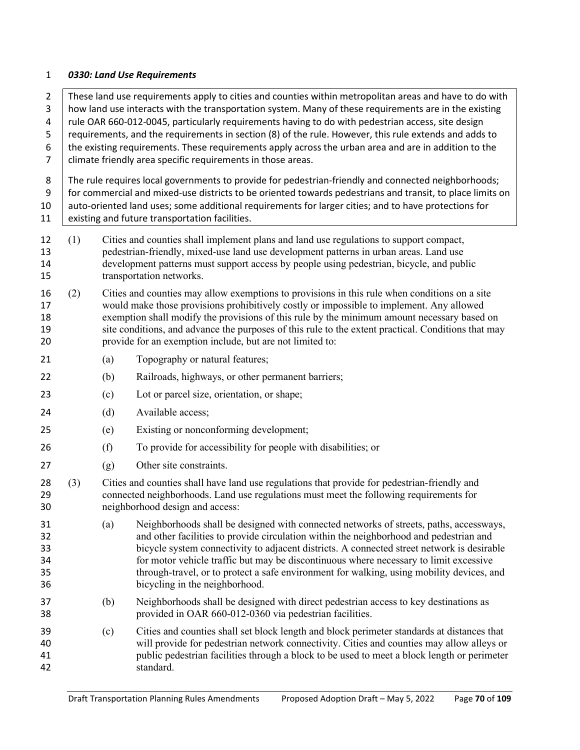#### *0330: Land Use Requirements*

2 These land use requirements apply to cities and counties within metropolitan areas and have to do with how land use interacts with the transportation system. Many of these requirements are in the existing  $\parallel$  rule OAR 660-012-0045, particularly requirements having to do with pedestrian access, site design 5 | requirements, and the requirements in section (8) of the rule. However, this rule extends and adds to the existing requirements. These requirements apply across the urban area and are in addition to the 7 | climate friendly area specific requirements in those areas. 8 The rule requires local governments to provide for pedestrian-friendly and connected neighborhoods; 9 for commercial and mixed-use districts to be oriented towards pedestrians and transit, to place limits on 10 | auto-oriented land uses; some additional requirements for larger cities; and to have protections for 11 existing and future transportation facilities. (1) Cities and counties shall implement plans and land use regulations to support compact, pedestrian-friendly, mixed-use land use development patterns in urban areas. Land use development patterns must support access by people using pedestrian, bicycle, and public transportation networks. (2) Cities and counties may allow exemptions to provisions in this rule when conditions on a site would make those provisions prohibitively costly or impossible to implement. Any allowed exemption shall modify the provisions of this rule by the minimum amount necessary based on site conditions, and advance the purposes of this rule to the extent practical. Conditions that may provide for an exemption include, but are not limited to: 21 (a) Topography or natural features; (b) Railroads, highways, or other permanent barriers; (c) Lot or parcel size, orientation, or shape; 24 (d) Available access; (e) Existing or nonconforming development; (f) To provide for accessibility for people with disabilities; or (g) Other site constraints. (3) Cities and counties shall have land use regulations that provide for pedestrian-friendly and connected neighborhoods. Land use regulations must meet the following requirements for neighborhood design and access: (a) Neighborhoods shall be designed with connected networks of streets, paths, accessways, and other facilities to provide circulation within the neighborhood and pedestrian and bicycle system connectivity to adjacent districts. A connected street network is desirable for motor vehicle traffic but may be discontinuous where necessary to limit excessive through-travel, or to protect a safe environment for walking, using mobility devices, and bicycling in the neighborhood. (b) Neighborhoods shall be designed with direct pedestrian access to key destinations as provided in OAR 660-012-0360 via pedestrian facilities. (c) Cities and counties shall set block length and block perimeter standards at distances that will provide for pedestrian network connectivity. Cities and counties may allow alleys or public pedestrian facilities through a block to be used to meet a block length or perimeter standard.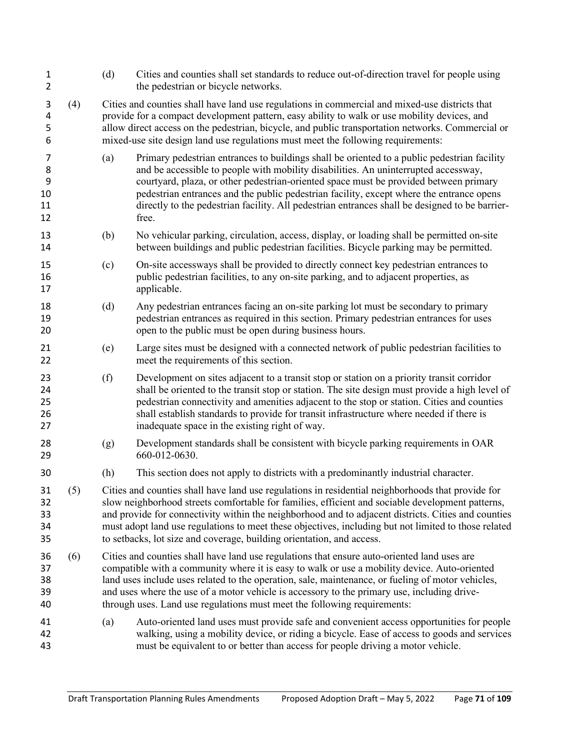| $\mathbf 1$<br>$\overline{2}$ |     | (d)                                                                                                                                                                                                                                                                                                                                                                                                                                                                                           | Cities and counties shall set standards to reduce out-of-direction travel for people using<br>the pedestrian or bicycle networks.                                                                                                                                                                                                                                                                                                                                                  |
|-------------------------------|-----|-----------------------------------------------------------------------------------------------------------------------------------------------------------------------------------------------------------------------------------------------------------------------------------------------------------------------------------------------------------------------------------------------------------------------------------------------------------------------------------------------|------------------------------------------------------------------------------------------------------------------------------------------------------------------------------------------------------------------------------------------------------------------------------------------------------------------------------------------------------------------------------------------------------------------------------------------------------------------------------------|
| 3<br>4<br>5<br>6              | (4) |                                                                                                                                                                                                                                                                                                                                                                                                                                                                                               | Cities and counties shall have land use regulations in commercial and mixed-use districts that<br>provide for a compact development pattern, easy ability to walk or use mobility devices, and<br>allow direct access on the pedestrian, bicycle, and public transportation networks. Commercial or<br>mixed-use site design land use regulations must meet the following requirements:                                                                                            |
| 7<br>8<br>9<br>10<br>11<br>12 |     | (a)                                                                                                                                                                                                                                                                                                                                                                                                                                                                                           | Primary pedestrian entrances to buildings shall be oriented to a public pedestrian facility<br>and be accessible to people with mobility disabilities. An uninterrupted accessway,<br>courtyard, plaza, or other pedestrian-oriented space must be provided between primary<br>pedestrian entrances and the public pedestrian facility, except where the entrance opens<br>directly to the pedestrian facility. All pedestrian entrances shall be designed to be barrier-<br>free. |
| 13<br>14                      |     | (b)                                                                                                                                                                                                                                                                                                                                                                                                                                                                                           | No vehicular parking, circulation, access, display, or loading shall be permitted on-site<br>between buildings and public pedestrian facilities. Bicycle parking may be permitted.                                                                                                                                                                                                                                                                                                 |
| 15<br>16<br>17                |     | (c)                                                                                                                                                                                                                                                                                                                                                                                                                                                                                           | On-site accessways shall be provided to directly connect key pedestrian entrances to<br>public pedestrian facilities, to any on-site parking, and to adjacent properties, as<br>applicable.                                                                                                                                                                                                                                                                                        |
| 18<br>19<br>20                |     | (d)                                                                                                                                                                                                                                                                                                                                                                                                                                                                                           | Any pedestrian entrances facing an on-site parking lot must be secondary to primary<br>pedestrian entrances as required in this section. Primary pedestrian entrances for uses<br>open to the public must be open during business hours.                                                                                                                                                                                                                                           |
| 21<br>22                      |     | (e)                                                                                                                                                                                                                                                                                                                                                                                                                                                                                           | Large sites must be designed with a connected network of public pedestrian facilities to<br>meet the requirements of this section.                                                                                                                                                                                                                                                                                                                                                 |
| 23<br>24<br>25<br>26<br>27    |     | (f)                                                                                                                                                                                                                                                                                                                                                                                                                                                                                           | Development on sites adjacent to a transit stop or station on a priority transit corridor<br>shall be oriented to the transit stop or station. The site design must provide a high level of<br>pedestrian connectivity and amenities adjacent to the stop or station. Cities and counties<br>shall establish standards to provide for transit infrastructure where needed if there is<br>inadequate space in the existing right of way.                                            |
| 28<br>29                      |     | (g)                                                                                                                                                                                                                                                                                                                                                                                                                                                                                           | Development standards shall be consistent with bicycle parking requirements in OAR<br>660-012-0630.                                                                                                                                                                                                                                                                                                                                                                                |
| 30                            |     | (h)                                                                                                                                                                                                                                                                                                                                                                                                                                                                                           | This section does not apply to districts with a predominantly industrial character.                                                                                                                                                                                                                                                                                                                                                                                                |
| 31<br>32<br>33<br>34<br>35    | (5) | Cities and counties shall have land use regulations in residential neighborhoods that provide for<br>slow neighborhood streets comfortable for families, efficient and sociable development patterns,<br>and provide for connectivity within the neighborhood and to adjacent districts. Cities and counties<br>must adopt land use regulations to meet these objectives, including but not limited to those related<br>to setbacks, lot size and coverage, building orientation, and access. |                                                                                                                                                                                                                                                                                                                                                                                                                                                                                    |
| 36<br>37<br>38<br>39<br>40    | (6) | Cities and counties shall have land use regulations that ensure auto-oriented land uses are<br>compatible with a community where it is easy to walk or use a mobility device. Auto-oriented<br>land uses include uses related to the operation, sale, maintenance, or fueling of motor vehicles,<br>and uses where the use of a motor vehicle is accessory to the primary use, including drive-<br>through uses. Land use regulations must meet the following requirements:                   |                                                                                                                                                                                                                                                                                                                                                                                                                                                                                    |
| 41<br>42<br>43                |     | (a)                                                                                                                                                                                                                                                                                                                                                                                                                                                                                           | Auto-oriented land uses must provide safe and convenient access opportunities for people<br>walking, using a mobility device, or riding a bicycle. Ease of access to goods and services<br>must be equivalent to or better than access for people driving a motor vehicle.                                                                                                                                                                                                         |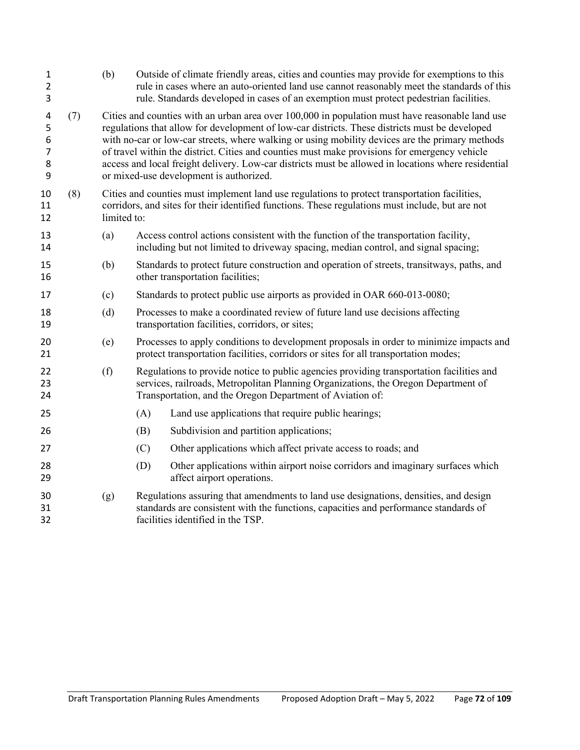| $\mathbf{1}$<br>$\overline{2}$<br>3     |     | (b)         | Outside of climate friendly areas, cities and counties may provide for exemptions to this<br>rule in cases where an auto-oriented land use cannot reasonably meet the standards of this<br>rule. Standards developed in cases of an exemption must protect pedestrian facilities.                                                                                                                                                                                                                                                                       |
|-----------------------------------------|-----|-------------|---------------------------------------------------------------------------------------------------------------------------------------------------------------------------------------------------------------------------------------------------------------------------------------------------------------------------------------------------------------------------------------------------------------------------------------------------------------------------------------------------------------------------------------------------------|
| 4<br>5<br>6<br>$\overline{7}$<br>8<br>9 | (7) |             | Cities and counties with an urban area over 100,000 in population must have reasonable land use<br>regulations that allow for development of low-car districts. These districts must be developed<br>with no-car or low-car streets, where walking or using mobility devices are the primary methods<br>of travel within the district. Cities and counties must make provisions for emergency vehicle<br>access and local freight delivery. Low-car districts must be allowed in locations where residential<br>or mixed-use development is authorized. |
| 10<br>11<br>12                          | (8) | limited to: | Cities and counties must implement land use regulations to protect transportation facilities,<br>corridors, and sites for their identified functions. These regulations must include, but are not                                                                                                                                                                                                                                                                                                                                                       |
| 13<br>14                                |     | (a)         | Access control actions consistent with the function of the transportation facility,<br>including but not limited to driveway spacing, median control, and signal spacing;                                                                                                                                                                                                                                                                                                                                                                               |
| 15<br>16                                |     | (b)         | Standards to protect future construction and operation of streets, transitways, paths, and<br>other transportation facilities;                                                                                                                                                                                                                                                                                                                                                                                                                          |
| 17                                      |     | (c)         | Standards to protect public use airports as provided in OAR 660-013-0080;                                                                                                                                                                                                                                                                                                                                                                                                                                                                               |
| 18<br>19                                |     | (d)         | Processes to make a coordinated review of future land use decisions affecting<br>transportation facilities, corridors, or sites;                                                                                                                                                                                                                                                                                                                                                                                                                        |
| 20<br>21                                |     | (e)         | Processes to apply conditions to development proposals in order to minimize impacts and<br>protect transportation facilities, corridors or sites for all transportation modes;                                                                                                                                                                                                                                                                                                                                                                          |
| 22<br>23<br>24                          |     | (f)         | Regulations to provide notice to public agencies providing transportation facilities and<br>services, railroads, Metropolitan Planning Organizations, the Oregon Department of<br>Transportation, and the Oregon Department of Aviation of:                                                                                                                                                                                                                                                                                                             |
| 25                                      |     |             | Land use applications that require public hearings;<br>(A)                                                                                                                                                                                                                                                                                                                                                                                                                                                                                              |
| 26                                      |     |             | Subdivision and partition applications;<br>(B)                                                                                                                                                                                                                                                                                                                                                                                                                                                                                                          |
| 27                                      |     |             | (C)<br>Other applications which affect private access to roads; and                                                                                                                                                                                                                                                                                                                                                                                                                                                                                     |
| 28<br>29                                |     |             | Other applications within airport noise corridors and imaginary surfaces which<br>(D)<br>affect airport operations.                                                                                                                                                                                                                                                                                                                                                                                                                                     |
| 30<br>31<br>32                          |     | (g)         | Regulations assuring that amendments to land use designations, densities, and design<br>standards are consistent with the functions, capacities and performance standards of<br>facilities identified in the TSP.                                                                                                                                                                                                                                                                                                                                       |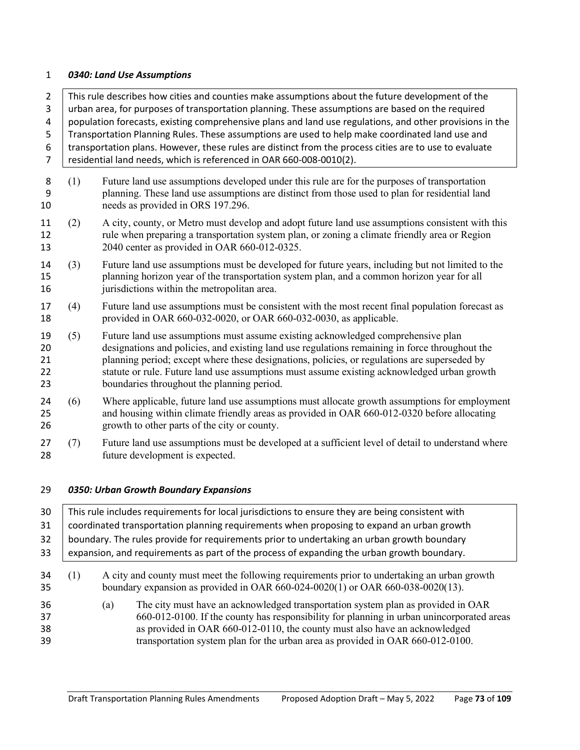#### *0340: Land Use Assumptions*

2 This rule describes how cities and counties make assumptions about the future development of the 3 urban area, for purposes of transportation planning. These assumptions are based on the required population forecasts, existing comprehensive plans and land use regulations, and other provisions in the Transportation Planning Rules. These assumptions are used to help make coordinated land use and transportation plans. However, these rules are distinct from the process cities are to use to evaluate residential land needs, which is referenced in OAR 660-008-0010(2). (1) Future land use assumptions developed under this rule are for the purposes of transportation planning. These land use assumptions are distinct from those used to plan for residential land 10 needs as provided in ORS 197.296. (2) A city, county, or Metro must develop and adopt future land use assumptions consistent with this

- rule when preparing a transportation system plan, or zoning a climate friendly area or Region 2040 center as provided in OAR 660-012-0325.
- (3) Future land use assumptions must be developed for future years, including but not limited to the planning horizon year of the transportation system plan, and a common horizon year for all **jurisdictions** within the metropolitan area.
- (4) Future land use assumptions must be consistent with the most recent final population forecast as provided in OAR 660-032-0020, or OAR 660-032-0030, as applicable.
- (5) Future land use assumptions must assume existing acknowledged comprehensive plan designations and policies, and existing land use regulations remaining in force throughout the planning period; except where these designations, policies, or regulations are superseded by statute or rule. Future land use assumptions must assume existing acknowledged urban growth boundaries throughout the planning period.
- 24 (6) Where applicable, future land use assumptions must allocate growth assumptions for employment and housing within climate friendly areas as provided in OAR 660-012-0320 before allocating growth to other parts of the city or county.
- (7) Future land use assumptions must be developed at a sufficient level of detail to understand where future development is expected.

## *0350: Urban Growth Boundary Expansions*

| 30                   | This rule includes requirements for local jurisdictions to ensure they are being consistent with |     |                                                                                                                                                                                                                                                                                                                                               |  |  |  |
|----------------------|--------------------------------------------------------------------------------------------------|-----|-----------------------------------------------------------------------------------------------------------------------------------------------------------------------------------------------------------------------------------------------------------------------------------------------------------------------------------------------|--|--|--|
| 31                   | coordinated transportation planning requirements when proposing to expand an urban growth        |     |                                                                                                                                                                                                                                                                                                                                               |  |  |  |
| 32                   |                                                                                                  |     | boundary. The rules provide for requirements prior to undertaking an urban growth boundary                                                                                                                                                                                                                                                    |  |  |  |
| 33                   | expansion, and requirements as part of the process of expanding the urban growth boundary.       |     |                                                                                                                                                                                                                                                                                                                                               |  |  |  |
| 34<br>35             | (1)                                                                                              |     | A city and county must meet the following requirements prior to undertaking an urban growth<br>boundary expansion as provided in OAR $660-024-0020(1)$ or OAR $660-038-0020(13)$ .                                                                                                                                                            |  |  |  |
| 36<br>37<br>38<br>39 |                                                                                                  | (a) | The city must have an acknowledged transportation system plan as provided in OAR<br>660-012-0100. If the county has responsibility for planning in urban unincorporated areas<br>as provided in OAR 660-012-0110, the county must also have an acknowledged<br>transportation system plan for the urban area as provided in OAR 660-012-0100. |  |  |  |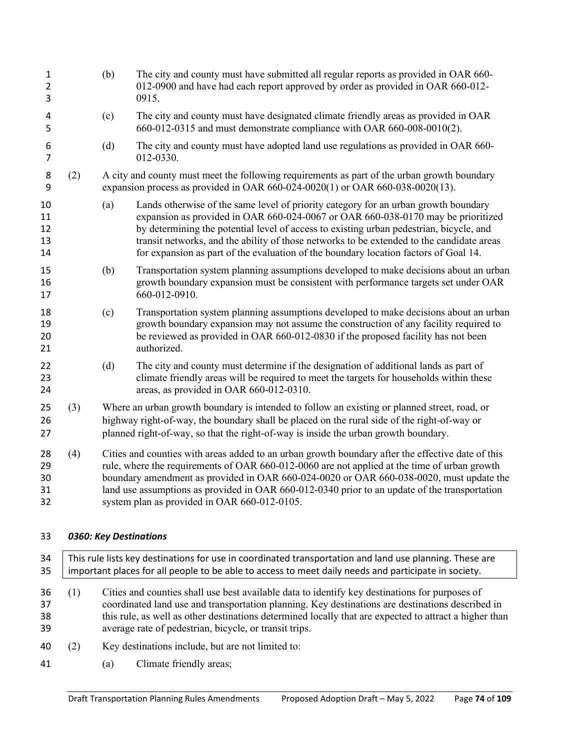| $\mathbf 1$<br>$\overline{2}$<br>3 |     | (b) | The city and county must have submitted all regular reports as provided in OAR 660-<br>012-0900 and have had each report approved by order as provided in OAR 660-012-<br>0915.                                                                                                                                                                                                                                                                         |
|------------------------------------|-----|-----|---------------------------------------------------------------------------------------------------------------------------------------------------------------------------------------------------------------------------------------------------------------------------------------------------------------------------------------------------------------------------------------------------------------------------------------------------------|
| 4<br>5                             |     | (c) | The city and county must have designated climate friendly areas as provided in OAR<br>660-012-0315 and must demonstrate compliance with OAR 660-008-0010(2).                                                                                                                                                                                                                                                                                            |
| 6<br>$\overline{7}$                |     | (d) | The city and county must have adopted land use regulations as provided in OAR 660-<br>012-0330.                                                                                                                                                                                                                                                                                                                                                         |
| 8<br>9                             | (2) |     | A city and county must meet the following requirements as part of the urban growth boundary<br>expansion process as provided in OAR 660-024-0020(1) or OAR 660-038-0020(13).                                                                                                                                                                                                                                                                            |
| 10<br>11<br>12<br>13<br>14         |     | (a) | Lands otherwise of the same level of priority category for an urban growth boundary<br>expansion as provided in OAR 660-024-0067 or OAR 660-038-0170 may be prioritized<br>by determining the potential level of access to existing urban pedestrian, bicycle, and<br>transit networks, and the ability of those networks to be extended to the candidate areas<br>for expansion as part of the evaluation of the boundary location factors of Goal 14. |
| 15<br>16<br>17                     |     | (b) | Transportation system planning assumptions developed to make decisions about an urban<br>growth boundary expansion must be consistent with performance targets set under OAR<br>660-012-0910.                                                                                                                                                                                                                                                           |
| 18<br>19<br>20<br>21               |     | (c) | Transportation system planning assumptions developed to make decisions about an urban<br>growth boundary expansion may not assume the construction of any facility required to<br>be reviewed as provided in OAR 660-012-0830 if the proposed facility has not been<br>authorized.                                                                                                                                                                      |
| 22<br>23<br>24                     |     | (d) | The city and county must determine if the designation of additional lands as part of<br>climate friendly areas will be required to meet the targets for households within these<br>areas, as provided in OAR 660-012-0310.                                                                                                                                                                                                                              |
| 25<br>26<br>27                     | (3) |     | Where an urban growth boundary is intended to follow an existing or planned street, road, or<br>highway right-of-way, the boundary shall be placed on the rural side of the right-of-way or<br>planned right-of-way, so that the right-of-way is inside the urban growth boundary.                                                                                                                                                                      |
| 28<br>29<br>30<br>31<br>32         | (4) |     | Cities and counties with areas added to an urban growth boundary after the effective date of this<br>rule, where the requirements of OAR 660-012-0060 are not applied at the time of urban growth<br>boundary amendment as provided in OAR 660-024-0020 or OAR 660-038-0020, must update the<br>land use assumptions as provided in OAR 660-012-0340 prior to an update of the transportation<br>system plan as provided in OAR 660-012-0105.           |

# *0360: Key Destinations*

| 34<br>35             | This rule lists key destinations for use in coordinated transportation and land use planning. These are<br>important places for all people to be able to access to meet daily needs and participate in society. |                                                                                                                                                                                                                                                                                                                                                                        |  |  |  |
|----------------------|-----------------------------------------------------------------------------------------------------------------------------------------------------------------------------------------------------------------|------------------------------------------------------------------------------------------------------------------------------------------------------------------------------------------------------------------------------------------------------------------------------------------------------------------------------------------------------------------------|--|--|--|
| 36<br>37<br>38<br>39 | (1)                                                                                                                                                                                                             | Cities and counties shall use best available data to identify key destinations for purposes of<br>coordinated land use and transportation planning. Key destinations are destinations described in<br>this rule, as well as other destinations determined locally that are expected to attract a higher than<br>average rate of pedestrian, bicycle, or transit trips. |  |  |  |
| 40                   | (2)                                                                                                                                                                                                             | Key destinations include, but are not limited to:                                                                                                                                                                                                                                                                                                                      |  |  |  |
| 41                   |                                                                                                                                                                                                                 | Climate friendly areas;<br>(a)                                                                                                                                                                                                                                                                                                                                         |  |  |  |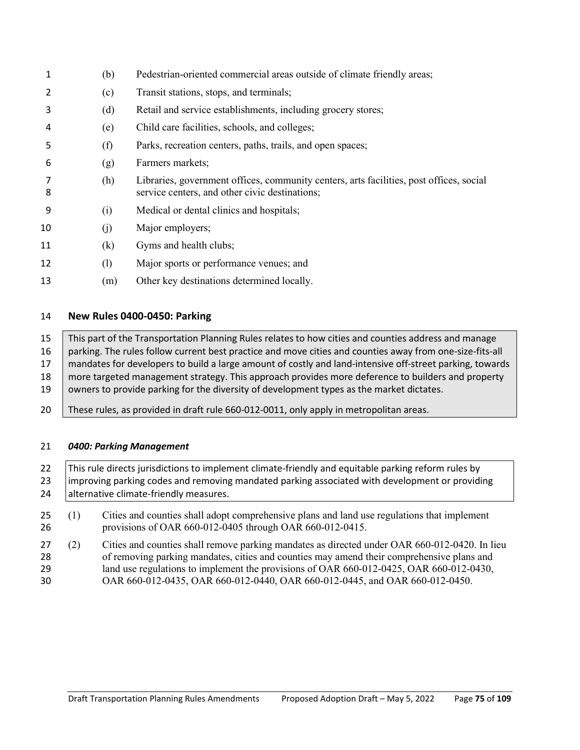| 1  | (b) | Pedestrian-oriented commercial areas outside of climate friendly areas;                                                                   |
|----|-----|-------------------------------------------------------------------------------------------------------------------------------------------|
| 2  | (c) | Transit stations, stops, and terminals;                                                                                                   |
| 3  | (d) | Retail and service establishments, including grocery stores;                                                                              |
| 4  | (e) | Child care facilities, schools, and colleges;                                                                                             |
| 5  | (f) | Parks, recreation centers, paths, trails, and open spaces;                                                                                |
| 6  | (g) | Farmers markets;                                                                                                                          |
| 8  | (h) | Libraries, government offices, community centers, arts facilities, post offices, social<br>service centers, and other civic destinations; |
| 9  | (i) | Medical or dental clinics and hospitals;                                                                                                  |
| 10 | (j) | Major employers;                                                                                                                          |
| 11 | (k) | Gyms and health clubs;                                                                                                                    |
| 12 | (1) | Major sports or performance venues; and                                                                                                   |
| 13 | (m) | Other key destinations determined locally.                                                                                                |

## **New Rules 0400-0450: Parking**

 This part of the Transportation Planning Rules relates to how cities and counties address and manage parking. The rules follow current best practice and move cities and counties away from one-size-fits-all 17 mandates for developers to build a large amount of costly and land-intensive off-street parking, towards 18 more targeted management strategy. This approach provides more deference to builders and property 19 owners to provide parking for the diversity of development types as the market dictates.

These rules, as provided in draft rule 660-012-0011, only apply in metropolitan areas.

## *0400: Parking Management*

22 | This rule directs jurisdictions to implement climate-friendly and equitable parking reform rules by 23 limproving parking codes and removing mandated parking associated with development or providing **alternative climate-friendly measures.** 

- (1) Cities and counties shall adopt comprehensive plans and land use regulations that implement provisions of OAR 660-012-0405 through OAR 660-012-0415.
- (2) Cities and counties shall remove parking mandates as directed under OAR 660-012-0420. In lieu of removing parking mandates, cities and counties may amend their comprehensive plans and land use regulations to implement the provisions of OAR 660-012-0425, OAR 660-012-0430, OAR 660-012-0435, OAR 660-012-0440, OAR 660-012-0445, and OAR 660-012-0450.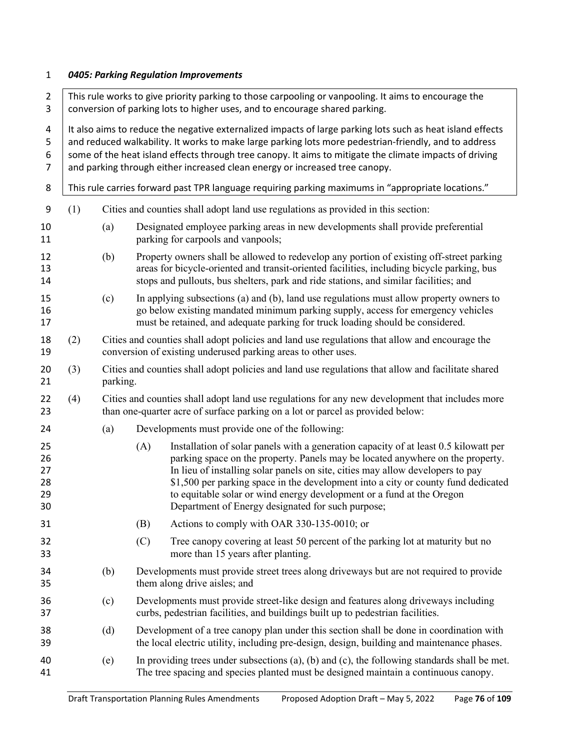# *0405: Parking Regulation Improvements*

| $\overline{2}$<br>3                | This rule works to give priority parking to those carpooling or vanpooling. It aims to encourage the<br>conversion of parking lots to higher uses, and to encourage shared parking.                                                                                                                                                                                                                                                                                                                                 |          |                                                                                                                                                                                             |                                                                                                                                                                                                                                                                                                                                                                                                                                                                             |  |  |
|------------------------------------|---------------------------------------------------------------------------------------------------------------------------------------------------------------------------------------------------------------------------------------------------------------------------------------------------------------------------------------------------------------------------------------------------------------------------------------------------------------------------------------------------------------------|----------|---------------------------------------------------------------------------------------------------------------------------------------------------------------------------------------------|-----------------------------------------------------------------------------------------------------------------------------------------------------------------------------------------------------------------------------------------------------------------------------------------------------------------------------------------------------------------------------------------------------------------------------------------------------------------------------|--|--|
| 4<br>5<br>6<br>$\overline{7}$<br>8 | It also aims to reduce the negative externalized impacts of large parking lots such as heat island effects<br>and reduced walkability. It works to make large parking lots more pedestrian-friendly, and to address<br>some of the heat island effects through tree canopy. It aims to mitigate the climate impacts of driving<br>and parking through either increased clean energy or increased tree canopy.<br>This rule carries forward past TPR language requiring parking maximums in "appropriate locations." |          |                                                                                                                                                                                             |                                                                                                                                                                                                                                                                                                                                                                                                                                                                             |  |  |
| 9                                  | (1)                                                                                                                                                                                                                                                                                                                                                                                                                                                                                                                 |          |                                                                                                                                                                                             | Cities and counties shall adopt land use regulations as provided in this section:                                                                                                                                                                                                                                                                                                                                                                                           |  |  |
| 10<br>11                           |                                                                                                                                                                                                                                                                                                                                                                                                                                                                                                                     | (a)      |                                                                                                                                                                                             | Designated employee parking areas in new developments shall provide preferential<br>parking for carpools and vanpools;                                                                                                                                                                                                                                                                                                                                                      |  |  |
| 12<br>13<br>14                     |                                                                                                                                                                                                                                                                                                                                                                                                                                                                                                                     | (b)      |                                                                                                                                                                                             | Property owners shall be allowed to redevelop any portion of existing off-street parking<br>areas for bicycle-oriented and transit-oriented facilities, including bicycle parking, bus<br>stops and pullouts, bus shelters, park and ride stations, and similar facilities; and                                                                                                                                                                                             |  |  |
| 15<br>16<br>17                     |                                                                                                                                                                                                                                                                                                                                                                                                                                                                                                                     | (c)      |                                                                                                                                                                                             | In applying subsections (a) and (b), land use regulations must allow property owners to<br>go below existing mandated minimum parking supply, access for emergency vehicles<br>must be retained, and adequate parking for truck loading should be considered.                                                                                                                                                                                                               |  |  |
| 18<br>19                           | (2)                                                                                                                                                                                                                                                                                                                                                                                                                                                                                                                 |          | Cities and counties shall adopt policies and land use regulations that allow and encourage the<br>conversion of existing underused parking areas to other uses.                             |                                                                                                                                                                                                                                                                                                                                                                                                                                                                             |  |  |
| 20<br>21                           | (3)                                                                                                                                                                                                                                                                                                                                                                                                                                                                                                                 | parking. | Cities and counties shall adopt policies and land use regulations that allow and facilitate shared                                                                                          |                                                                                                                                                                                                                                                                                                                                                                                                                                                                             |  |  |
| 22<br>23                           | (4)                                                                                                                                                                                                                                                                                                                                                                                                                                                                                                                 |          | Cities and counties shall adopt land use regulations for any new development that includes more<br>than one-quarter acre of surface parking on a lot or parcel as provided below:           |                                                                                                                                                                                                                                                                                                                                                                                                                                                                             |  |  |
| 24                                 |                                                                                                                                                                                                                                                                                                                                                                                                                                                                                                                     | (a)      | Developments must provide one of the following:                                                                                                                                             |                                                                                                                                                                                                                                                                                                                                                                                                                                                                             |  |  |
| 25<br>26<br>27<br>28<br>29<br>30   |                                                                                                                                                                                                                                                                                                                                                                                                                                                                                                                     |          | (A)                                                                                                                                                                                         | Installation of solar panels with a generation capacity of at least 0.5 kilowatt per<br>parking space on the property. Panels may be located anywhere on the property.<br>In lieu of installing solar panels on site, cities may allow developers to pay<br>\$1,500 per parking space in the development into a city or county fund dedicated<br>to equitable solar or wind energy development or a fund at the Oregon<br>Department of Energy designated for such purpose; |  |  |
| 31                                 |                                                                                                                                                                                                                                                                                                                                                                                                                                                                                                                     |          | (B)                                                                                                                                                                                         | Actions to comply with OAR 330-135-0010; or                                                                                                                                                                                                                                                                                                                                                                                                                                 |  |  |
| 32<br>33                           |                                                                                                                                                                                                                                                                                                                                                                                                                                                                                                                     |          | (C)                                                                                                                                                                                         | Tree canopy covering at least 50 percent of the parking lot at maturity but no<br>more than 15 years after planting.                                                                                                                                                                                                                                                                                                                                                        |  |  |
| 34<br>35                           |                                                                                                                                                                                                                                                                                                                                                                                                                                                                                                                     | (b)      |                                                                                                                                                                                             | Developments must provide street trees along driveways but are not required to provide<br>them along drive aisles; and                                                                                                                                                                                                                                                                                                                                                      |  |  |
| 36<br>37                           |                                                                                                                                                                                                                                                                                                                                                                                                                                                                                                                     | (c)      |                                                                                                                                                                                             | Developments must provide street-like design and features along driveways including<br>curbs, pedestrian facilities, and buildings built up to pedestrian facilities.                                                                                                                                                                                                                                                                                                       |  |  |
| 38<br>39                           |                                                                                                                                                                                                                                                                                                                                                                                                                                                                                                                     | (d)      |                                                                                                                                                                                             | Development of a tree canopy plan under this section shall be done in coordination with<br>the local electric utility, including pre-design, design, building and maintenance phases.                                                                                                                                                                                                                                                                                       |  |  |
| 40<br>41                           |                                                                                                                                                                                                                                                                                                                                                                                                                                                                                                                     | (e)      | In providing trees under subsections $(a)$ , $(b)$ and $(c)$ , the following standards shall be met.<br>The tree spacing and species planted must be designed maintain a continuous canopy. |                                                                                                                                                                                                                                                                                                                                                                                                                                                                             |  |  |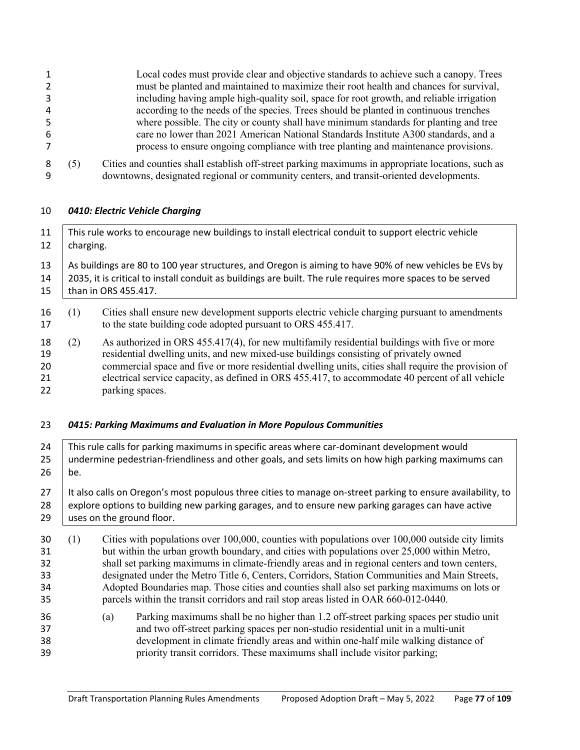|        |     | Local codes must provide clear and objective standards to achieve such a canopy. Trees                                                                                                       |
|--------|-----|----------------------------------------------------------------------------------------------------------------------------------------------------------------------------------------------|
| 2      |     | must be planted and maintained to maximize their root health and chances for survival,                                                                                                       |
| 3      |     | including having ample high-quality soil, space for root growth, and reliable irrigation                                                                                                     |
| 4      |     | according to the needs of the species. Trees should be planted in continuous trenches                                                                                                        |
| 5      |     | where possible. The city or county shall have minimum standards for planting and tree                                                                                                        |
| 6      |     | care no lower than 2021 American National Standards Institute A300 standards, and a                                                                                                          |
|        |     | process to ensure ongoing compliance with tree planting and maintenance provisions.                                                                                                          |
| 8<br>q | (5) | Cities and counties shall establish off-street parking maximums in appropriate locations, such as<br>downtowns, designated regional or community centers, and transit-oriented developments. |

# *0410: Electric Vehicle Charging*

| 11<br>12                         | This rule works to encourage new buildings to install electrical conduit to support electric vehicle<br>charging.                                                                                                                                                                                                                                                                                                                                                                                                                                                                                 |                                                                                                                                                                                                                                                                                                                                                                                                                     |  |  |  |  |
|----------------------------------|---------------------------------------------------------------------------------------------------------------------------------------------------------------------------------------------------------------------------------------------------------------------------------------------------------------------------------------------------------------------------------------------------------------------------------------------------------------------------------------------------------------------------------------------------------------------------------------------------|---------------------------------------------------------------------------------------------------------------------------------------------------------------------------------------------------------------------------------------------------------------------------------------------------------------------------------------------------------------------------------------------------------------------|--|--|--|--|
| 13<br>14<br>15                   | As buildings are 80 to 100 year structures, and Oregon is aiming to have 90% of new vehicles be EVs by<br>2035, it is critical to install conduit as buildings are built. The rule requires more spaces to be served<br>than in ORS 455.417.                                                                                                                                                                                                                                                                                                                                                      |                                                                                                                                                                                                                                                                                                                                                                                                                     |  |  |  |  |
| 16<br>17                         | (1)                                                                                                                                                                                                                                                                                                                                                                                                                                                                                                                                                                                               | Cities shall ensure new development supports electric vehicle charging pursuant to amendments<br>to the state building code adopted pursuant to ORS 455.417.                                                                                                                                                                                                                                                        |  |  |  |  |
| 18<br>19<br>20<br>21<br>22       | (2)                                                                                                                                                                                                                                                                                                                                                                                                                                                                                                                                                                                               | As authorized in ORS 455.417(4), for new multifamily residential buildings with five or more<br>residential dwelling units, and new mixed-use buildings consisting of privately owned<br>commercial space and five or more residential dwelling units, cities shall require the provision of<br>electrical service capacity, as defined in ORS 455.417, to accommodate 40 percent of all vehicle<br>parking spaces. |  |  |  |  |
| 23                               |                                                                                                                                                                                                                                                                                                                                                                                                                                                                                                                                                                                                   | 0415: Parking Maximums and Evaluation in More Populous Communities                                                                                                                                                                                                                                                                                                                                                  |  |  |  |  |
| 24<br>25<br>26                   | This rule calls for parking maximums in specific areas where car-dominant development would<br>undermine pedestrian-friendliness and other goals, and sets limits on how high parking maximums can<br>be.                                                                                                                                                                                                                                                                                                                                                                                         |                                                                                                                                                                                                                                                                                                                                                                                                                     |  |  |  |  |
| 27<br>28<br>29                   | It also calls on Oregon's most populous three cities to manage on-street parking to ensure availability, to<br>explore options to building new parking garages, and to ensure new parking garages can have active<br>uses on the ground floor.                                                                                                                                                                                                                                                                                                                                                    |                                                                                                                                                                                                                                                                                                                                                                                                                     |  |  |  |  |
| 30<br>31<br>32<br>33<br>34<br>35 | Cities with populations over 100,000, counties with populations over 100,000 outside city limits<br>(1)<br>but within the urban growth boundary, and cities with populations over 25,000 within Metro,<br>shall set parking maximums in climate-friendly areas and in regional centers and town centers,<br>designated under the Metro Title 6, Centers, Corridors, Station Communities and Main Streets,<br>Adopted Boundaries map. Those cities and counties shall also set parking maximums on lots or<br>parcels within the transit corridors and rail stop areas listed in OAR 660-012-0440. |                                                                                                                                                                                                                                                                                                                                                                                                                     |  |  |  |  |
| 36<br>37<br>38<br>39             |                                                                                                                                                                                                                                                                                                                                                                                                                                                                                                                                                                                                   | Parking maximums shall be no higher than 1.2 off-street parking spaces per studio unit<br>(a)<br>and two off-street parking spaces per non-studio residential unit in a multi-unit<br>development in climate friendly areas and within one-half mile walking distance of<br>priority transit corridors. These maximums shall include visitor parking;                                                               |  |  |  |  |
|                                  |                                                                                                                                                                                                                                                                                                                                                                                                                                                                                                                                                                                                   |                                                                                                                                                                                                                                                                                                                                                                                                                     |  |  |  |  |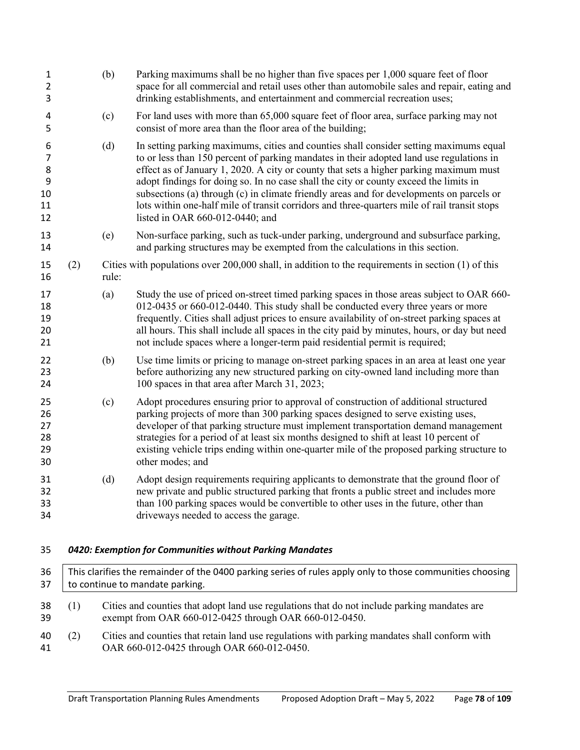| 3                                               |     |       | Parking maximums shall be no higher than five spaces per 1,000 square feet of floor<br>space for all commercial and retail uses other than automobile sales and repair, eating and<br>drinking establishments, and entertainment and commercial recreation uses;                                                                                                                                                                                                                                                                                                                                        |
|-------------------------------------------------|-----|-------|---------------------------------------------------------------------------------------------------------------------------------------------------------------------------------------------------------------------------------------------------------------------------------------------------------------------------------------------------------------------------------------------------------------------------------------------------------------------------------------------------------------------------------------------------------------------------------------------------------|
| 4<br>5                                          |     | (c)   | For land uses with more than 65,000 square feet of floor area, surface parking may not<br>consist of more area than the floor area of the building;                                                                                                                                                                                                                                                                                                                                                                                                                                                     |
| 6<br>$\overline{7}$<br>8<br>9<br>10<br>11<br>12 |     | (d)   | In setting parking maximums, cities and counties shall consider setting maximums equal<br>to or less than 150 percent of parking mandates in their adopted land use regulations in<br>effect as of January 1, 2020. A city or county that sets a higher parking maximum must<br>adopt findings for doing so. In no case shall the city or county exceed the limits in<br>subsections (a) through (c) in climate friendly areas and for developments on parcels or<br>lots within one-half mile of transit corridors and three-quarters mile of rail transit stops<br>listed in OAR $660-012-0440$ ; and |
| 13<br>14                                        |     | (e)   | Non-surface parking, such as tuck-under parking, underground and subsurface parking,<br>and parking structures may be exempted from the calculations in this section.                                                                                                                                                                                                                                                                                                                                                                                                                                   |
| 15<br>16                                        | (2) | rule: | Cities with populations over $200,000$ shall, in addition to the requirements in section $(1)$ of this                                                                                                                                                                                                                                                                                                                                                                                                                                                                                                  |
| 17<br>18<br>19<br>20<br>21                      |     | (a)   | Study the use of priced on-street timed parking spaces in those areas subject to OAR 660-<br>012-0435 or 660-012-0440. This study shall be conducted every three years or more<br>frequently. Cities shall adjust prices to ensure availability of on-street parking spaces at<br>all hours. This shall include all spaces in the city paid by minutes, hours, or day but need<br>not include spaces where a longer-term paid residential permit is required;                                                                                                                                           |
| 22<br>23<br>24                                  |     | (b)   | Use time limits or pricing to manage on-street parking spaces in an area at least one year<br>before authorizing any new structured parking on city-owned land including more than<br>100 spaces in that area after March 31, 2023;                                                                                                                                                                                                                                                                                                                                                                     |
| 25<br>26<br>27<br>28<br>29<br>30                |     | (c)   | Adopt procedures ensuring prior to approval of construction of additional structured<br>parking projects of more than 300 parking spaces designed to serve existing uses,<br>developer of that parking structure must implement transportation demand management<br>strategies for a period of at least six months designed to shift at least 10 percent of<br>existing vehicle trips ending within one-quarter mile of the proposed parking structure to<br>other modes; and                                                                                                                           |
| 31<br>32<br>33<br>34                            |     | (d)   | Adopt design requirements requiring applicants to demonstrate that the ground floor of<br>new private and public structured parking that fronts a public street and includes more<br>than 100 parking spaces would be convertible to other uses in the future, other than<br>driveways needed to access the garage.                                                                                                                                                                                                                                                                                     |
| 35                                              |     |       | 0420: Exemption for Communities without Parking Mandates                                                                                                                                                                                                                                                                                                                                                                                                                                                                                                                                                |
| 36<br>37                                        |     |       | This clarifies the remainder of the 0400 parking series of rules apply only to those communities choosing<br>to continue to mandate parking.                                                                                                                                                                                                                                                                                                                                                                                                                                                            |

- (1) Cities and counties that adopt land use regulations that do not include parking mandates are exempt from OAR 660-012-0425 through OAR 660-012-0450.
- (2) Cities and counties that retain land use regulations with parking mandates shall conform with 41 OAR 660-012-0425 through OAR 660-012-0450.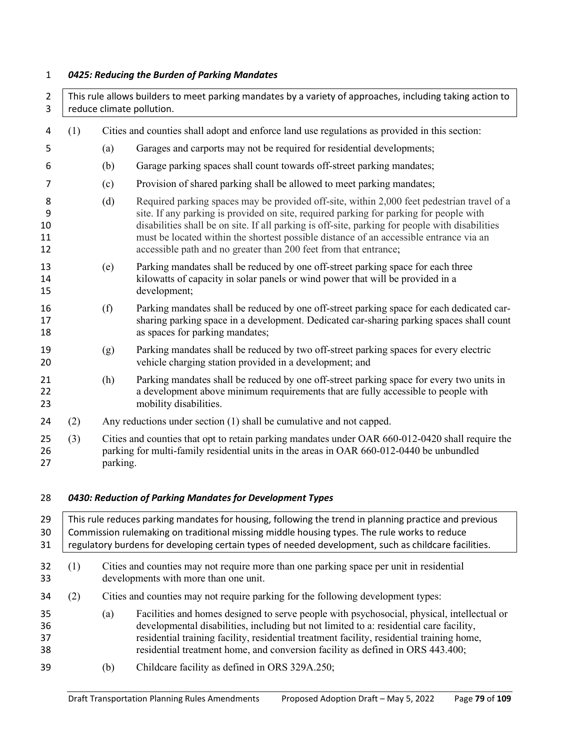# *0425: Reducing the Burden of Parking Mandates*

| $\overline{2}$<br>3      |     | This rule allows builders to meet parking mandates by a variety of approaches, including taking action to<br>reduce climate pollution.                                                                   |                                                                                                                                                                                                                                                                                                                                                                                                                                                       |  |  |
|--------------------------|-----|----------------------------------------------------------------------------------------------------------------------------------------------------------------------------------------------------------|-------------------------------------------------------------------------------------------------------------------------------------------------------------------------------------------------------------------------------------------------------------------------------------------------------------------------------------------------------------------------------------------------------------------------------------------------------|--|--|
| 4                        | (1) | Cities and counties shall adopt and enforce land use regulations as provided in this section:                                                                                                            |                                                                                                                                                                                                                                                                                                                                                                                                                                                       |  |  |
| 5                        |     | (a)                                                                                                                                                                                                      | Garages and carports may not be required for residential developments;                                                                                                                                                                                                                                                                                                                                                                                |  |  |
| 6                        |     | (b)                                                                                                                                                                                                      | Garage parking spaces shall count towards off-street parking mandates;                                                                                                                                                                                                                                                                                                                                                                                |  |  |
| 7                        |     | (c)                                                                                                                                                                                                      | Provision of shared parking shall be allowed to meet parking mandates;                                                                                                                                                                                                                                                                                                                                                                                |  |  |
| 8<br>9<br>10<br>11<br>12 |     | (d)                                                                                                                                                                                                      | Required parking spaces may be provided off-site, within 2,000 feet pedestrian travel of a<br>site. If any parking is provided on site, required parking for parking for people with<br>disabilities shall be on site. If all parking is off-site, parking for people with disabilities<br>must be located within the shortest possible distance of an accessible entrance via an<br>accessible path and no greater than 200 feet from that entrance; |  |  |
| 13<br>14<br>15           |     | (e)                                                                                                                                                                                                      | Parking mandates shall be reduced by one off-street parking space for each three<br>kilowatts of capacity in solar panels or wind power that will be provided in a<br>development;                                                                                                                                                                                                                                                                    |  |  |
| 16<br>17<br>18           |     | (f)                                                                                                                                                                                                      | Parking mandates shall be reduced by one off-street parking space for each dedicated car-<br>sharing parking space in a development. Dedicated car-sharing parking spaces shall count<br>as spaces for parking mandates;                                                                                                                                                                                                                              |  |  |
| 19<br>20                 |     | (g)                                                                                                                                                                                                      | Parking mandates shall be reduced by two off-street parking spaces for every electric<br>vehicle charging station provided in a development; and                                                                                                                                                                                                                                                                                                      |  |  |
| 21<br>22<br>23           |     | (h)                                                                                                                                                                                                      | Parking mandates shall be reduced by one off-street parking space for every two units in<br>a development above minimum requirements that are fully accessible to people with<br>mobility disabilities.                                                                                                                                                                                                                                               |  |  |
| 24                       | (2) |                                                                                                                                                                                                          | Any reductions under section (1) shall be cumulative and not capped.                                                                                                                                                                                                                                                                                                                                                                                  |  |  |
| 25<br>26<br>27           | (3) | Cities and counties that opt to retain parking mandates under OAR 660-012-0420 shall require the<br>parking for multi-family residential units in the areas in OAR 660-012-0440 be unbundled<br>parking. |                                                                                                                                                                                                                                                                                                                                                                                                                                                       |  |  |
| 28                       |     |                                                                                                                                                                                                          | 0430: Reduction of Parking Mandates for Development Types                                                                                                                                                                                                                                                                                                                                                                                             |  |  |
| 29<br>30<br>31           |     |                                                                                                                                                                                                          | This rule reduces parking mandates for housing, following the trend in planning practice and previous<br>Commission rulemaking on traditional missing middle housing types. The rule works to reduce<br>regulatory burdens for developing certain types of needed development, such as childcare facilities.                                                                                                                                          |  |  |
| 32<br>33                 | (1) |                                                                                                                                                                                                          | Cities and counties may not require more than one parking space per unit in residential<br>developments with more than one unit.                                                                                                                                                                                                                                                                                                                      |  |  |
| 34                       | (2) |                                                                                                                                                                                                          | Cities and counties may not require parking for the following development types:                                                                                                                                                                                                                                                                                                                                                                      |  |  |
| 35<br>36<br>37<br>38     |     | (a)                                                                                                                                                                                                      | Facilities and homes designed to serve people with psychosocial, physical, intellectual or<br>developmental disabilities, including but not limited to a: residential care facility,<br>residential training facility, residential treatment facility, residential training home,<br>residential treatment home, and conversion facility as defined in ORS 443.400;                                                                                   |  |  |
| 39                       |     | (b)                                                                                                                                                                                                      | Childcare facility as defined in ORS 329A.250;                                                                                                                                                                                                                                                                                                                                                                                                        |  |  |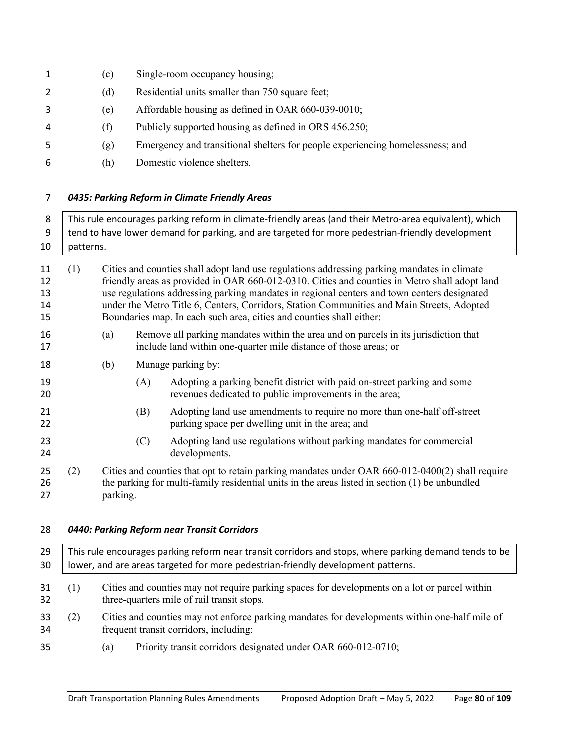| 1  | (c)  | Single-room occupancy housing;                                                |
|----|------|-------------------------------------------------------------------------------|
|    | (d)  | Residential units smaller than 750 square feet;                               |
| 3  | (e)  | Affordable housing as defined in OAR 660-039-0010;                            |
| 4  | († ) | Publicly supported housing as defined in ORS 456.250;                         |
| .5 | (Զ)  | Emergency and transitional shelters for people experiencing homelessness; and |
| -6 | (h)  | Domestic violence shelters.                                                   |
|    |      |                                                                               |

## *0435: Parking Reform in Climate Friendly Areas*

| 8<br>9<br>10               |                                                                                                                                                                                                                                                                                                                                                                                                                                                                          | This rule encourages parking reform in climate-friendly areas (and their Metro-area equivalent), which<br>tend to have lower demand for parking, and are targeted for more pedestrian-friendly development<br>patterns. |     |                                                                                                                                                                                                     |  |  |
|----------------------------|--------------------------------------------------------------------------------------------------------------------------------------------------------------------------------------------------------------------------------------------------------------------------------------------------------------------------------------------------------------------------------------------------------------------------------------------------------------------------|-------------------------------------------------------------------------------------------------------------------------------------------------------------------------------------------------------------------------|-----|-----------------------------------------------------------------------------------------------------------------------------------------------------------------------------------------------------|--|--|
| 11<br>12<br>13<br>14<br>15 | Cities and counties shall adopt land use regulations addressing parking mandates in climate<br>(1)<br>friendly areas as provided in OAR 660-012-0310. Cities and counties in Metro shall adopt land<br>use regulations addressing parking mandates in regional centers and town centers designated<br>under the Metro Title 6, Centers, Corridors, Station Communities and Main Streets, Adopted<br>Boundaries map. In each such area, cities and counties shall either: |                                                                                                                                                                                                                         |     |                                                                                                                                                                                                     |  |  |
| 16<br>17                   |                                                                                                                                                                                                                                                                                                                                                                                                                                                                          | (a)                                                                                                                                                                                                                     |     | Remove all parking mandates within the area and on parcels in its jurisdiction that<br>include land within one-quarter mile distance of those areas; or                                             |  |  |
| 18                         |                                                                                                                                                                                                                                                                                                                                                                                                                                                                          | (b)                                                                                                                                                                                                                     |     | Manage parking by:                                                                                                                                                                                  |  |  |
| 19<br>20                   |                                                                                                                                                                                                                                                                                                                                                                                                                                                                          |                                                                                                                                                                                                                         | (A) | Adopting a parking benefit district with paid on-street parking and some<br>revenues dedicated to public improvements in the area;                                                                  |  |  |
| 21<br>22                   |                                                                                                                                                                                                                                                                                                                                                                                                                                                                          |                                                                                                                                                                                                                         | (B) | Adopting land use amendments to require no more than one-half off-street<br>parking space per dwelling unit in the area; and                                                                        |  |  |
| 23<br>24                   |                                                                                                                                                                                                                                                                                                                                                                                                                                                                          |                                                                                                                                                                                                                         | (C) | Adopting land use regulations without parking mandates for commercial<br>developments.                                                                                                              |  |  |
| 25<br>26<br>27             | (2)                                                                                                                                                                                                                                                                                                                                                                                                                                                                      | parking.                                                                                                                                                                                                                |     | Cities and counties that opt to retain parking mandates under OAR 660-012-0400(2) shall require<br>the parking for multi-family residential units in the areas listed in section $(1)$ be unbundled |  |  |
| 28                         |                                                                                                                                                                                                                                                                                                                                                                                                                                                                          |                                                                                                                                                                                                                         |     | 0440: Parking Reform near Transit Corridors                                                                                                                                                         |  |  |
| 29<br>30                   |                                                                                                                                                                                                                                                                                                                                                                                                                                                                          |                                                                                                                                                                                                                         |     | This rule encourages parking reform near transit corridors and stops, where parking demand tends to be<br>lower, and are areas targeted for more pedestrian-friendly development patterns.          |  |  |
| 31<br>32                   | Cities and counties may not require parking spaces for developments on a lot or parcel within<br>(1)<br>three-quarters mile of rail transit stops.                                                                                                                                                                                                                                                                                                                       |                                                                                                                                                                                                                         |     |                                                                                                                                                                                                     |  |  |
| າາ                         | (2)                                                                                                                                                                                                                                                                                                                                                                                                                                                                      |                                                                                                                                                                                                                         |     | Citizen and counting move not on force negling mondates for developments within and holf mile of                                                                                                    |  |  |

 (2) Cities and counties may not enforce parking mandates for developments within one-half mile of frequent transit corridors, including:

(a) Priority transit corridors designated under OAR 660-012-0710;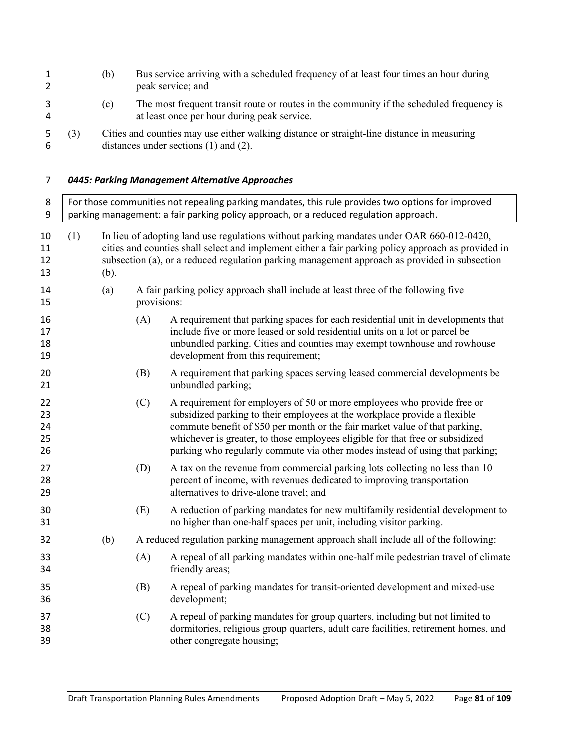| 1<br>$\overline{2}$        |     | (b)  |             | Bus service arriving with a scheduled frequency of at least four times an hour during<br>peak service; and                                                                                                                                                                                                                                                                                           |
|----------------------------|-----|------|-------------|------------------------------------------------------------------------------------------------------------------------------------------------------------------------------------------------------------------------------------------------------------------------------------------------------------------------------------------------------------------------------------------------------|
| 3<br>4                     |     | (c)  |             | The most frequent transit route or routes in the community if the scheduled frequency is<br>at least once per hour during peak service.                                                                                                                                                                                                                                                              |
| 5<br>6                     | (3) |      |             | Cities and counties may use either walking distance or straight-line distance in measuring<br>distances under sections $(1)$ and $(2)$ .                                                                                                                                                                                                                                                             |
| 7                          |     |      |             | 0445: Parking Management Alternative Approaches                                                                                                                                                                                                                                                                                                                                                      |
|                            |     |      |             |                                                                                                                                                                                                                                                                                                                                                                                                      |
| 8<br>9                     |     |      |             | For those communities not repealing parking mandates, this rule provides two options for improved<br>parking management: a fair parking policy approach, or a reduced regulation approach.                                                                                                                                                                                                           |
| 10<br>11<br>12<br>13       | (1) | (b). |             | In lieu of adopting land use regulations without parking mandates under OAR 660-012-0420,<br>cities and counties shall select and implement either a fair parking policy approach as provided in<br>subsection (a), or a reduced regulation parking management approach as provided in subsection                                                                                                    |
| 14<br>15                   |     | (a)  | provisions: | A fair parking policy approach shall include at least three of the following five                                                                                                                                                                                                                                                                                                                    |
| 16<br>17<br>18<br>19       |     |      | (A)         | A requirement that parking spaces for each residential unit in developments that<br>include five or more leased or sold residential units on a lot or parcel be<br>unbundled parking. Cities and counties may exempt townhouse and rowhouse<br>development from this requirement;                                                                                                                    |
| 20<br>21                   |     |      | (B)         | A requirement that parking spaces serving leased commercial developments be<br>unbundled parking;                                                                                                                                                                                                                                                                                                    |
| 22<br>23<br>24<br>25<br>26 |     |      | (C)         | A requirement for employers of 50 or more employees who provide free or<br>subsidized parking to their employees at the workplace provide a flexible<br>commute benefit of \$50 per month or the fair market value of that parking,<br>whichever is greater, to those employees eligible for that free or subsidized<br>parking who regularly commute via other modes instead of using that parking; |
| 27<br>28<br>29             |     |      | (D)         | A tax on the revenue from commercial parking lots collecting no less than 10<br>percent of income, with revenues dedicated to improving transportation<br>alternatives to drive-alone travel; and                                                                                                                                                                                                    |
| 30<br>31                   |     |      | (E)         | A reduction of parking mandates for new multifamily residential development to<br>no higher than one-half spaces per unit, including visitor parking.                                                                                                                                                                                                                                                |
| 32                         |     | (b)  |             | A reduced regulation parking management approach shall include all of the following:                                                                                                                                                                                                                                                                                                                 |
| 33<br>34                   |     |      | (A)         | A repeal of all parking mandates within one-half mile pedestrian travel of climate<br>friendly areas;                                                                                                                                                                                                                                                                                                |
| 35<br>36                   |     |      | (B)         | A repeal of parking mandates for transit-oriented development and mixed-use<br>development;                                                                                                                                                                                                                                                                                                          |
| 37<br>38<br>39             |     |      | (C)         | A repeal of parking mandates for group quarters, including but not limited to<br>dormitories, religious group quarters, adult care facilities, retirement homes, and<br>other congregate housing;                                                                                                                                                                                                    |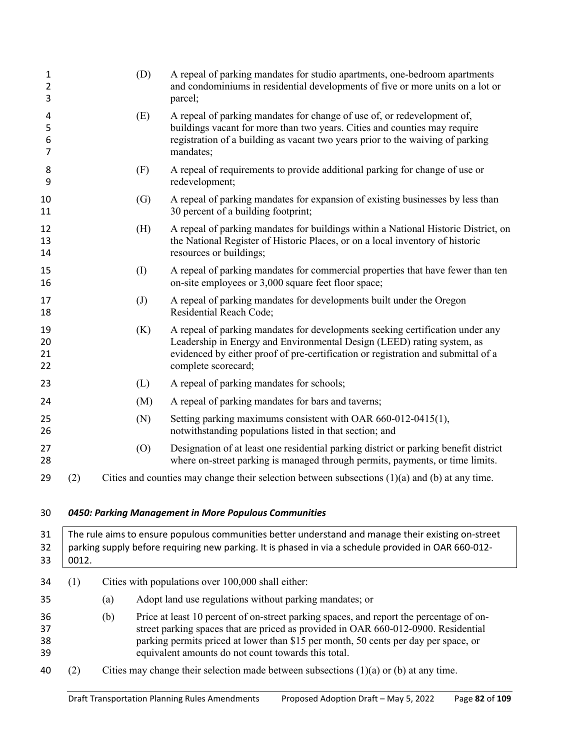| $\mathbf{1}$<br>$\overline{2}$<br>3 |       | (D)               | A repeal of parking mandates for studio apartments, one-bedroom apartments<br>and condominiums in residential developments of five or more units on a lot or<br>parcel;                                                                                                                                                     |
|-------------------------------------|-------|-------------------|-----------------------------------------------------------------------------------------------------------------------------------------------------------------------------------------------------------------------------------------------------------------------------------------------------------------------------|
| 4<br>5<br>6<br>7                    |       | (E)               | A repeal of parking mandates for change of use of, or redevelopment of,<br>buildings vacant for more than two years. Cities and counties may require<br>registration of a building as vacant two years prior to the waiving of parking<br>mandates;                                                                         |
| 8<br>9                              |       | (F)               | A repeal of requirements to provide additional parking for change of use or<br>redevelopment;                                                                                                                                                                                                                               |
| 10<br>11                            |       | (G)               | A repeal of parking mandates for expansion of existing businesses by less than<br>30 percent of a building footprint;                                                                                                                                                                                                       |
| 12<br>13<br>14                      |       | (H)               | A repeal of parking mandates for buildings within a National Historic District, on<br>the National Register of Historic Places, or on a local inventory of historic<br>resources or buildings;                                                                                                                              |
| 15<br>16                            |       | (I)               | A repeal of parking mandates for commercial properties that have fewer than ten<br>on-site employees or 3,000 square feet floor space;                                                                                                                                                                                      |
| 17<br>18                            |       | $\left( J\right)$ | A repeal of parking mandates for developments built under the Oregon<br>Residential Reach Code;                                                                                                                                                                                                                             |
| 19<br>20<br>21<br>22                |       | (K)               | A repeal of parking mandates for developments seeking certification under any<br>Leadership in Energy and Environmental Design (LEED) rating system, as<br>evidenced by either proof of pre-certification or registration and submittal of a<br>complete scorecard;                                                         |
| 23                                  |       | (L)               | A repeal of parking mandates for schools;                                                                                                                                                                                                                                                                                   |
| 24                                  |       | (M)               | A repeal of parking mandates for bars and taverns;                                                                                                                                                                                                                                                                          |
| 25<br>26                            |       | (N)               | Setting parking maximums consistent with OAR 660-012-0415(1),<br>notwithstanding populations listed in that section; and                                                                                                                                                                                                    |
| 27<br>28                            |       | (0)               | Designation of at least one residential parking district or parking benefit district<br>where on-street parking is managed through permits, payments, or time limits.                                                                                                                                                       |
| 29                                  | (2)   |                   | Cities and counties may change their selection between subsections $(1)(a)$ and $(b)$ at any time.                                                                                                                                                                                                                          |
| 30                                  |       |                   | 0450: Parking Management in More Populous Communities                                                                                                                                                                                                                                                                       |
| 31<br>32<br>33                      | 0012. |                   | The rule aims to ensure populous communities better understand and manage their existing on-street<br>parking supply before requiring new parking. It is phased in via a schedule provided in OAR 660-012-                                                                                                                  |
| 34                                  | (1)   |                   | Cities with populations over 100,000 shall either:                                                                                                                                                                                                                                                                          |
| 35                                  |       | (a)               | Adopt land use regulations without parking mandates; or                                                                                                                                                                                                                                                                     |
| 36<br>37<br>38<br>39                |       | (b)               | Price at least 10 percent of on-street parking spaces, and report the percentage of on-<br>street parking spaces that are priced as provided in OAR 660-012-0900. Residential<br>parking permits priced at lower than \$15 per month, 50 cents per day per space, or<br>equivalent amounts do not count towards this total. |
| 40                                  | (2)   |                   | Cities may change their selection made between subsections $(1)(a)$ or $(b)$ at any time.                                                                                                                                                                                                                                   |
|                                     |       |                   |                                                                                                                                                                                                                                                                                                                             |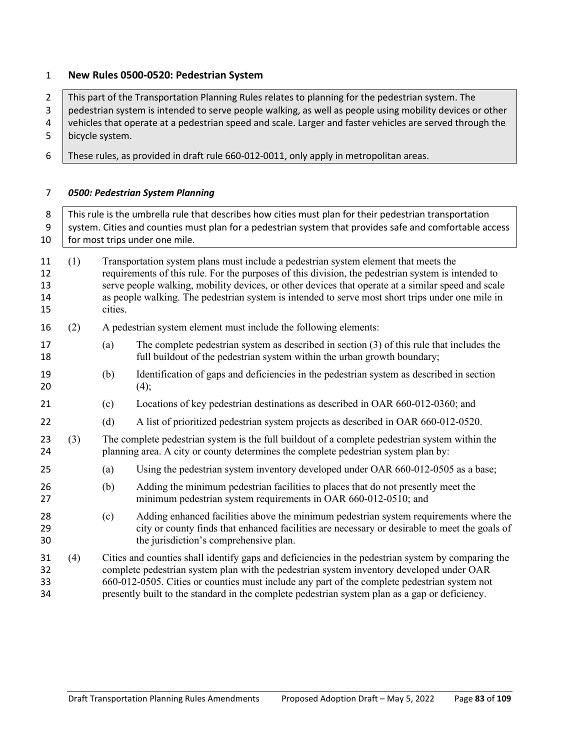## **New Rules 0500-0520: Pedestrian System**

| $\overline{2}$<br>3<br>4<br>5 | This part of the Transportation Planning Rules relates to planning for the pedestrian system. The<br>pedestrian system is intended to serve people walking, as well as people using mobility devices or other<br>vehicles that operate at a pedestrian speed and scale. Larger and faster vehicles are served through the<br>bicycle system. |                                                                                                                                                                                                                                                                                                                                                                                                                |                                                                                                                                                                                      |  |  |
|-------------------------------|----------------------------------------------------------------------------------------------------------------------------------------------------------------------------------------------------------------------------------------------------------------------------------------------------------------------------------------------|----------------------------------------------------------------------------------------------------------------------------------------------------------------------------------------------------------------------------------------------------------------------------------------------------------------------------------------------------------------------------------------------------------------|--------------------------------------------------------------------------------------------------------------------------------------------------------------------------------------|--|--|
| 6                             |                                                                                                                                                                                                                                                                                                                                              |                                                                                                                                                                                                                                                                                                                                                                                                                | These rules, as provided in draft rule 660-012-0011, only apply in metropolitan areas.                                                                                               |  |  |
| 7                             |                                                                                                                                                                                                                                                                                                                                              |                                                                                                                                                                                                                                                                                                                                                                                                                | 0500: Pedestrian System Planning                                                                                                                                                     |  |  |
| 8<br>9<br>10                  | This rule is the umbrella rule that describes how cities must plan for their pedestrian transportation<br>system. Cities and counties must plan for a pedestrian system that provides safe and comfortable access<br>for most trips under one mile.                                                                                          |                                                                                                                                                                                                                                                                                                                                                                                                                |                                                                                                                                                                                      |  |  |
| 11<br>12<br>13<br>14<br>15    | (1)                                                                                                                                                                                                                                                                                                                                          | Transportation system plans must include a pedestrian system element that meets the<br>requirements of this rule. For the purposes of this division, the pedestrian system is intended to<br>serve people walking, mobility devices, or other devices that operate at a similar speed and scale<br>as people walking. The pedestrian system is intended to serve most short trips under one mile in<br>cities. |                                                                                                                                                                                      |  |  |
| 16                            | (2)                                                                                                                                                                                                                                                                                                                                          |                                                                                                                                                                                                                                                                                                                                                                                                                | A pedestrian system element must include the following elements:                                                                                                                     |  |  |
| 17<br>18                      |                                                                                                                                                                                                                                                                                                                                              | (a)                                                                                                                                                                                                                                                                                                                                                                                                            | The complete pedestrian system as described in section (3) of this rule that includes the<br>full buildout of the pedestrian system within the urban growth boundary;                |  |  |
| 19<br>20                      |                                                                                                                                                                                                                                                                                                                                              | (b)                                                                                                                                                                                                                                                                                                                                                                                                            | Identification of gaps and deficiencies in the pedestrian system as described in section<br>(4);                                                                                     |  |  |
| 21                            |                                                                                                                                                                                                                                                                                                                                              | (c)                                                                                                                                                                                                                                                                                                                                                                                                            | Locations of key pedestrian destinations as described in OAR 660-012-0360; and                                                                                                       |  |  |
| 22                            |                                                                                                                                                                                                                                                                                                                                              | (d)                                                                                                                                                                                                                                                                                                                                                                                                            | A list of prioritized pedestrian system projects as described in OAR 660-012-0520.                                                                                                   |  |  |
| 23<br>24                      | (3)                                                                                                                                                                                                                                                                                                                                          |                                                                                                                                                                                                                                                                                                                                                                                                                | The complete pedestrian system is the full buildout of a complete pedestrian system within the<br>planning area. A city or county determines the complete pedestrian system plan by: |  |  |
| 25                            |                                                                                                                                                                                                                                                                                                                                              | (a)                                                                                                                                                                                                                                                                                                                                                                                                            | Using the pedestrian system inventory developed under OAR 660-012-0505 as a base;                                                                                                    |  |  |
| 26<br>27                      |                                                                                                                                                                                                                                                                                                                                              | (b)                                                                                                                                                                                                                                                                                                                                                                                                            | Adding the minimum pedestrian facilities to places that do not presently meet the<br>minimum pedestrian system requirements in OAR 660-012-0510; and                                 |  |  |

- (c) Adding enhanced facilities above the minimum pedestrian system requirements where the city or county finds that enhanced facilities are necessary or desirable to meet the goals of the jurisdiction's comprehensive plan.
- (4) Cities and counties shall identify gaps and deficiencies in the pedestrian system by comparing the complete pedestrian system plan with the pedestrian system inventory developed under OAR 660-012-0505. Cities or counties must include any part of the complete pedestrian system not presently built to the standard in the complete pedestrian system plan as a gap or deficiency.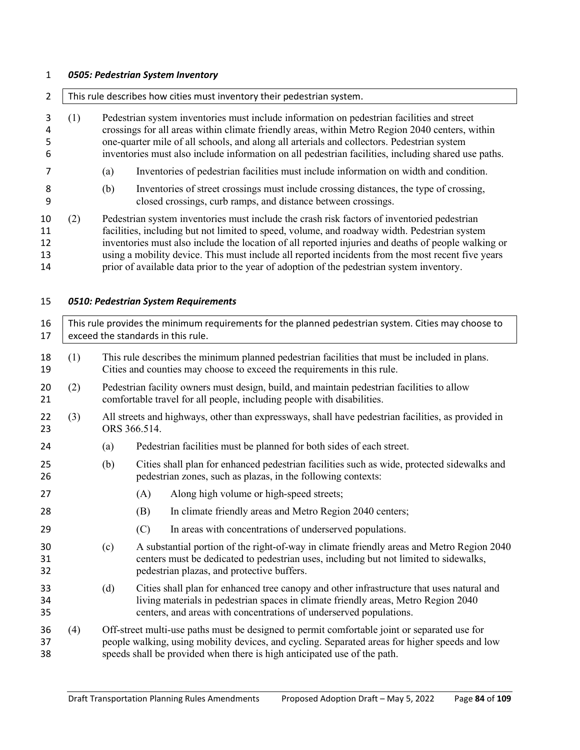# *0505: Pedestrian System Inventory*

| $\overline{2}$             | This rule describes how cities must inventory their pedestrian system. |                                                                                                                                                                                                                                                                                                                                                                                                                                                                                                      |                                                                                                                                                                                                                                                       |  |  |
|----------------------------|------------------------------------------------------------------------|------------------------------------------------------------------------------------------------------------------------------------------------------------------------------------------------------------------------------------------------------------------------------------------------------------------------------------------------------------------------------------------------------------------------------------------------------------------------------------------------------|-------------------------------------------------------------------------------------------------------------------------------------------------------------------------------------------------------------------------------------------------------|--|--|
| 3<br>4<br>5<br>6           | (1)                                                                    | Pedestrian system inventories must include information on pedestrian facilities and street<br>crossings for all areas within climate friendly areas, within Metro Region 2040 centers, within<br>one-quarter mile of all schools, and along all arterials and collectors. Pedestrian system<br>inventories must also include information on all pedestrian facilities, including shared use paths.                                                                                                   |                                                                                                                                                                                                                                                       |  |  |
| 7                          |                                                                        | (a)                                                                                                                                                                                                                                                                                                                                                                                                                                                                                                  | Inventories of pedestrian facilities must include information on width and condition.                                                                                                                                                                 |  |  |
| 8<br>9                     |                                                                        | (b)                                                                                                                                                                                                                                                                                                                                                                                                                                                                                                  | Inventories of street crossings must include crossing distances, the type of crossing,<br>closed crossings, curb ramps, and distance between crossings.                                                                                               |  |  |
| 10<br>11<br>12<br>13<br>14 | (2)                                                                    | Pedestrian system inventories must include the crash risk factors of inventoried pedestrian<br>facilities, including but not limited to speed, volume, and roadway width. Pedestrian system<br>inventories must also include the location of all reported injuries and deaths of people walking or<br>using a mobility device. This must include all reported incidents from the most recent five years<br>prior of available data prior to the year of adoption of the pedestrian system inventory. |                                                                                                                                                                                                                                                       |  |  |
| 15                         |                                                                        |                                                                                                                                                                                                                                                                                                                                                                                                                                                                                                      | 0510: Pedestrian System Requirements                                                                                                                                                                                                                  |  |  |
| 16<br>17                   |                                                                        |                                                                                                                                                                                                                                                                                                                                                                                                                                                                                                      | This rule provides the minimum requirements for the planned pedestrian system. Cities may choose to<br>exceed the standards in this rule.                                                                                                             |  |  |
| 18<br>19                   | (1)                                                                    |                                                                                                                                                                                                                                                                                                                                                                                                                                                                                                      | This rule describes the minimum planned pedestrian facilities that must be included in plans.<br>Cities and counties may choose to exceed the requirements in this rule.                                                                              |  |  |
| 20<br>21                   | (2)                                                                    |                                                                                                                                                                                                                                                                                                                                                                                                                                                                                                      | Pedestrian facility owners must design, build, and maintain pedestrian facilities to allow<br>comfortable travel for all people, including people with disabilities.                                                                                  |  |  |
| 22<br>23                   | (3)                                                                    |                                                                                                                                                                                                                                                                                                                                                                                                                                                                                                      | All streets and highways, other than expressways, shall have pedestrian facilities, as provided in<br>ORS 366.514.                                                                                                                                    |  |  |
| 24                         |                                                                        | (a)                                                                                                                                                                                                                                                                                                                                                                                                                                                                                                  | Pedestrian facilities must be planned for both sides of each street.                                                                                                                                                                                  |  |  |
| 25<br>26                   |                                                                        | (b)                                                                                                                                                                                                                                                                                                                                                                                                                                                                                                  | Cities shall plan for enhanced pedestrian facilities such as wide, protected sidewalks and<br>pedestrian zones, such as plazas, in the following contexts:                                                                                            |  |  |
| 27                         |                                                                        |                                                                                                                                                                                                                                                                                                                                                                                                                                                                                                      | Along high volume or high-speed streets;<br>(A)                                                                                                                                                                                                       |  |  |
| 28                         |                                                                        |                                                                                                                                                                                                                                                                                                                                                                                                                                                                                                      | (B) In climate friendly areas and Metro Region 2040 centers;                                                                                                                                                                                          |  |  |
| 29                         |                                                                        |                                                                                                                                                                                                                                                                                                                                                                                                                                                                                                      | (C)<br>In areas with concentrations of underserved populations.                                                                                                                                                                                       |  |  |
| 30<br>31<br>32             |                                                                        | (c)                                                                                                                                                                                                                                                                                                                                                                                                                                                                                                  | A substantial portion of the right-of-way in climate friendly areas and Metro Region 2040<br>centers must be dedicated to pedestrian uses, including but not limited to sidewalks,<br>pedestrian plazas, and protective buffers.                      |  |  |
| 33<br>34<br>35             |                                                                        | (d)                                                                                                                                                                                                                                                                                                                                                                                                                                                                                                  | Cities shall plan for enhanced tree canopy and other infrastructure that uses natural and<br>living materials in pedestrian spaces in climate friendly areas, Metro Region 2040<br>centers, and areas with concentrations of underserved populations. |  |  |
| 36<br>37<br>38             | (4)                                                                    | Off-street multi-use paths must be designed to permit comfortable joint or separated use for<br>people walking, using mobility devices, and cycling. Separated areas for higher speeds and low<br>speeds shall be provided when there is high anticipated use of the path.                                                                                                                                                                                                                           |                                                                                                                                                                                                                                                       |  |  |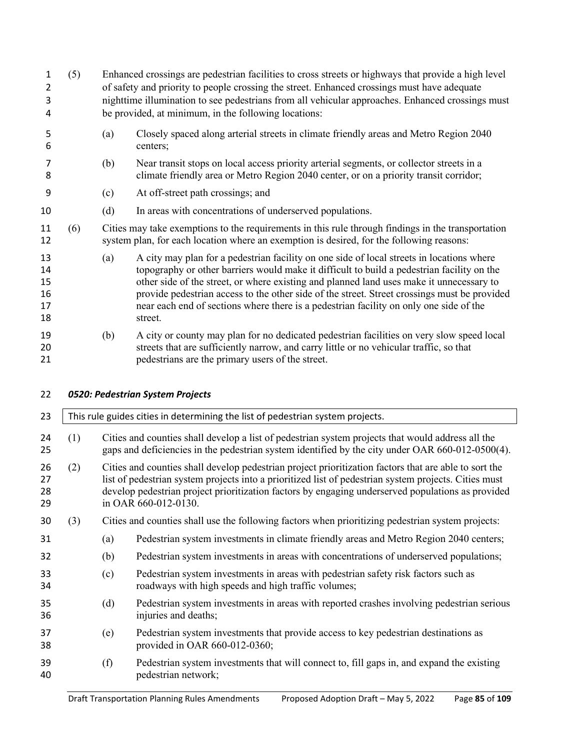| 1<br>$\overline{2}$<br>3<br>4    | (5) |     | Enhanced crossings are pedestrian facilities to cross streets or highways that provide a high level<br>of safety and priority to people crossing the street. Enhanced crossings must have adequate<br>nighttime illumination to see pedestrians from all vehicular approaches. Enhanced crossings must<br>be provided, at minimum, in the following locations:                                                                                                                           |
|----------------------------------|-----|-----|------------------------------------------------------------------------------------------------------------------------------------------------------------------------------------------------------------------------------------------------------------------------------------------------------------------------------------------------------------------------------------------------------------------------------------------------------------------------------------------|
| 5<br>6                           |     | (a) | Closely spaced along arterial streets in climate friendly areas and Metro Region 2040<br>centers;                                                                                                                                                                                                                                                                                                                                                                                        |
| 7<br>8                           |     | (b) | Near transit stops on local access priority arterial segments, or collector streets in a<br>climate friendly area or Metro Region 2040 center, or on a priority transit corridor;                                                                                                                                                                                                                                                                                                        |
| 9                                |     | (c) | At off-street path crossings; and                                                                                                                                                                                                                                                                                                                                                                                                                                                        |
| 10                               |     | (d) | In areas with concentrations of underserved populations.                                                                                                                                                                                                                                                                                                                                                                                                                                 |
| 11<br>12                         | (6) |     | Cities may take exemptions to the requirements in this rule through findings in the transportation<br>system plan, for each location where an exemption is desired, for the following reasons:                                                                                                                                                                                                                                                                                           |
| 13<br>14<br>15<br>16<br>17<br>18 |     | (a) | A city may plan for a pedestrian facility on one side of local streets in locations where<br>topography or other barriers would make it difficult to build a pedestrian facility on the<br>other side of the street, or where existing and planned land uses make it unnecessary to<br>provide pedestrian access to the other side of the street. Street crossings must be provided<br>near each end of sections where there is a pedestrian facility on only one side of the<br>street. |
| 19<br>20<br>21                   |     | (b) | A city or county may plan for no dedicated pedestrian facilities on very slow speed local<br>streets that are sufficiently narrow, and carry little or no vehicular traffic, so that<br>pedestrians are the primary users of the street.                                                                                                                                                                                                                                                 |

*0520: Pedestrian System Projects*

| 23                   |     | This rule guides cities in determining the list of pedestrian system projects.                                                                                                                                                                                                                                                              |                                                                                                                                                                                                       |  |  |
|----------------------|-----|---------------------------------------------------------------------------------------------------------------------------------------------------------------------------------------------------------------------------------------------------------------------------------------------------------------------------------------------|-------------------------------------------------------------------------------------------------------------------------------------------------------------------------------------------------------|--|--|
| 24<br>25             | (1) |                                                                                                                                                                                                                                                                                                                                             | Cities and counties shall develop a list of pedestrian system projects that would address all the<br>gaps and deficiencies in the pedestrian system identified by the city under OAR 660-012-0500(4). |  |  |
| 26<br>27<br>28<br>29 | (2) | Cities and counties shall develop pedestrian project prioritization factors that are able to sort the<br>list of pedestrian system projects into a prioritized list of pedestrian system projects. Cities must<br>develop pedestrian project prioritization factors by engaging underserved populations as provided<br>in OAR 660-012-0130. |                                                                                                                                                                                                       |  |  |
| 30                   | (3) |                                                                                                                                                                                                                                                                                                                                             | Cities and counties shall use the following factors when prioritizing pedestrian system projects:                                                                                                     |  |  |
| 31                   |     | (a)                                                                                                                                                                                                                                                                                                                                         | Pedestrian system investments in climate friendly areas and Metro Region 2040 centers;                                                                                                                |  |  |
| 32                   |     | (b)                                                                                                                                                                                                                                                                                                                                         | Pedestrian system investments in areas with concentrations of underserved populations;                                                                                                                |  |  |
| 33<br>34             |     | (c)                                                                                                                                                                                                                                                                                                                                         | Pedestrian system investments in areas with pedestrian safety risk factors such as<br>roadways with high speeds and high traffic volumes;                                                             |  |  |
| 35<br>36             |     | (d)                                                                                                                                                                                                                                                                                                                                         | Pedestrian system investments in areas with reported crashes involving pedestrian serious<br>injuries and deaths;                                                                                     |  |  |
| 37<br>38             |     | (e)                                                                                                                                                                                                                                                                                                                                         | Pedestrian system investments that provide access to key pedestrian destinations as<br>provided in OAR 660-012-0360;                                                                                  |  |  |
| 39<br>40             |     | (f)                                                                                                                                                                                                                                                                                                                                         | Pedestrian system investments that will connect to, fill gaps in, and expand the existing<br>pedestrian network;                                                                                      |  |  |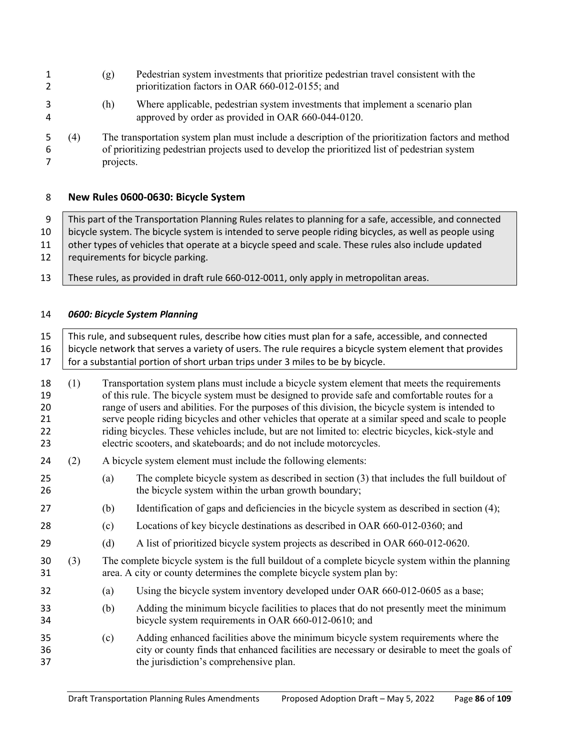- (g) Pedestrian system investments that prioritize pedestrian travel consistent with the prioritization factors in OAR 660-012-0155; and
- (h) Where applicable, pedestrian system investments that implement a scenario plan approved by order as provided in OAR 660-044-0120.
- (4) The transportation system plan must include a description of the prioritization factors and method of prioritizing pedestrian projects used to develop the prioritized list of pedestrian system projects.

# **New Rules 0600-0630: Bicycle System**

9 This part of the Transportation Planning Rules relates to planning for a safe, accessible, and connected bicycle system. The bicycle system is intended to serve people riding bicycles, as well as people using 11 other types of vehicles that operate at a bicycle speed and scale. These rules also include updated 12 | requirements for bicycle parking.

- 
- These rules, as provided in draft rule 660-012-0011, only apply in metropolitan areas.

# *0600: Bicycle System Planning*

| 15<br>16<br>17                   | This rule, and subsequent rules, describe how cities must plan for a safe, accessible, and connected<br>bicycle network that serves a variety of users. The rule requires a bicycle system element that provides<br>for a substantial portion of short urban trips under 3 miles to be by bicycle. |                                                                                                                                                                                                                                                                                                                                                                                                                                                                                                                                                                                           |                                                                                                                                                                                                                               |  |
|----------------------------------|----------------------------------------------------------------------------------------------------------------------------------------------------------------------------------------------------------------------------------------------------------------------------------------------------|-------------------------------------------------------------------------------------------------------------------------------------------------------------------------------------------------------------------------------------------------------------------------------------------------------------------------------------------------------------------------------------------------------------------------------------------------------------------------------------------------------------------------------------------------------------------------------------------|-------------------------------------------------------------------------------------------------------------------------------------------------------------------------------------------------------------------------------|--|
| 18<br>19<br>20<br>21<br>22<br>23 | (1)                                                                                                                                                                                                                                                                                                | Transportation system plans must include a bicycle system element that meets the requirements<br>of this rule. The bicycle system must be designed to provide safe and comfortable routes for a<br>range of users and abilities. For the purposes of this division, the bicycle system is intended to<br>serve people riding bicycles and other vehicles that operate at a similar speed and scale to people<br>riding bicycles. These vehicles include, but are not limited to: electric bicycles, kick-style and<br>electric scooters, and skateboards; and do not include motorcycles. |                                                                                                                                                                                                                               |  |
| 24                               | (2)                                                                                                                                                                                                                                                                                                | A bicycle system element must include the following elements:                                                                                                                                                                                                                                                                                                                                                                                                                                                                                                                             |                                                                                                                                                                                                                               |  |
| 25<br>26                         |                                                                                                                                                                                                                                                                                                    | (a)                                                                                                                                                                                                                                                                                                                                                                                                                                                                                                                                                                                       | The complete bicycle system as described in section (3) that includes the full buildout of<br>the bicycle system within the urban growth boundary;                                                                            |  |
| 27                               |                                                                                                                                                                                                                                                                                                    | (b)                                                                                                                                                                                                                                                                                                                                                                                                                                                                                                                                                                                       | Identification of gaps and deficiencies in the bicycle system as described in section (4);                                                                                                                                    |  |
| 28                               |                                                                                                                                                                                                                                                                                                    | (c)                                                                                                                                                                                                                                                                                                                                                                                                                                                                                                                                                                                       | Locations of key bicycle destinations as described in OAR 660-012-0360; and                                                                                                                                                   |  |
| 29                               |                                                                                                                                                                                                                                                                                                    | (d)                                                                                                                                                                                                                                                                                                                                                                                                                                                                                                                                                                                       | A list of prioritized bicycle system projects as described in OAR 660-012-0620.                                                                                                                                               |  |
| 30<br>31                         | (3)                                                                                                                                                                                                                                                                                                |                                                                                                                                                                                                                                                                                                                                                                                                                                                                                                                                                                                           | The complete bicycle system is the full buildout of a complete bicycle system within the planning<br>area. A city or county determines the complete bicycle system plan by:                                                   |  |
| 32                               |                                                                                                                                                                                                                                                                                                    | (a)                                                                                                                                                                                                                                                                                                                                                                                                                                                                                                                                                                                       | Using the bicycle system inventory developed under OAR 660-012-0605 as a base;                                                                                                                                                |  |
| 33<br>34                         |                                                                                                                                                                                                                                                                                                    | (b)                                                                                                                                                                                                                                                                                                                                                                                                                                                                                                                                                                                       | Adding the minimum bicycle facilities to places that do not presently meet the minimum<br>bicycle system requirements in OAR 660-012-0610; and                                                                                |  |
| 35<br>36<br>37                   |                                                                                                                                                                                                                                                                                                    | (c)                                                                                                                                                                                                                                                                                                                                                                                                                                                                                                                                                                                       | Adding enhanced facilities above the minimum bicycle system requirements where the<br>city or county finds that enhanced facilities are necessary or desirable to meet the goals of<br>the jurisdiction's comprehensive plan. |  |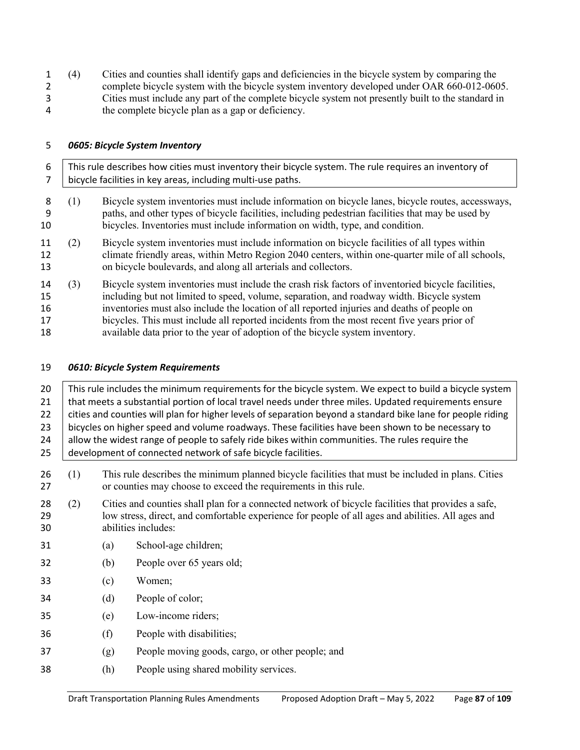(4) Cities and counties shall identify gaps and deficiencies in the bicycle system by comparing the complete bicycle system with the bicycle system inventory developed under OAR 660-012-0605. Cities must include any part of the complete bicycle system not presently built to the standard in the complete bicycle plan as a gap or deficiency.

### *0605: Bicycle System Inventory*

 This rule describes how cities must inventory their bicycle system. The rule requires an inventory of bicycle facilities in key areas, including multi-use paths. (1) Bicycle system inventories must include information on bicycle lanes, bicycle routes, accessways, paths, and other types of bicycle facilities, including pedestrian facilities that may be used by bicycles. Inventories must include information on width, type, and condition. (2) Bicycle system inventories must include information on bicycle facilities of all types within climate friendly areas, within Metro Region 2040 centers, within one-quarter mile of all schools, on bicycle boulevards, and along all arterials and collectors. (3) Bicycle system inventories must include the crash risk factors of inventoried bicycle facilities, including but not limited to speed, volume, separation, and roadway width. Bicycle system inventories must also include the location of all reported injuries and deaths of people on bicycles. This must include all reported incidents from the most recent five years prior of available data prior to the year of adoption of the bicycle system inventory.

#### *0610: Bicycle System Requirements*

| 20             |                                                                                                                                                                             | This rule includes the minimum requirements for the bicycle system. We expect to build a bicycle system |                                                                                                                                                                                                                                |  |  |
|----------------|-----------------------------------------------------------------------------------------------------------------------------------------------------------------------------|---------------------------------------------------------------------------------------------------------|--------------------------------------------------------------------------------------------------------------------------------------------------------------------------------------------------------------------------------|--|--|
| 21             |                                                                                                                                                                             | that meets a substantial portion of local travel needs under three miles. Updated requirements ensure   |                                                                                                                                                                                                                                |  |  |
| 22             |                                                                                                                                                                             |                                                                                                         | cities and counties will plan for higher levels of separation beyond a standard bike lane for people riding                                                                                                                    |  |  |
| 23             |                                                                                                                                                                             |                                                                                                         | bicycles on higher speed and volume roadways. These facilities have been shown to be necessary to                                                                                                                              |  |  |
| 24             |                                                                                                                                                                             |                                                                                                         | allow the widest range of people to safely ride bikes within communities. The rules require the                                                                                                                                |  |  |
| 25             |                                                                                                                                                                             |                                                                                                         | development of connected network of safe bicycle facilities.                                                                                                                                                                   |  |  |
| 26<br>27       | (1)<br>This rule describes the minimum planned bicycle facilities that must be included in plans. Cities<br>or counties may choose to exceed the requirements in this rule. |                                                                                                         |                                                                                                                                                                                                                                |  |  |
| 28<br>29<br>30 | (2)                                                                                                                                                                         |                                                                                                         | Cities and counties shall plan for a connected network of bicycle facilities that provides a safe,<br>low stress, direct, and comfortable experience for people of all ages and abilities. All ages and<br>abilities includes: |  |  |
| 31             |                                                                                                                                                                             | (a)                                                                                                     | School-age children;                                                                                                                                                                                                           |  |  |
| 32             |                                                                                                                                                                             | (b)                                                                                                     | People over 65 years old;                                                                                                                                                                                                      |  |  |
| 33             |                                                                                                                                                                             | (c)                                                                                                     | Women;                                                                                                                                                                                                                         |  |  |
| 34             |                                                                                                                                                                             | (d)                                                                                                     | People of color;                                                                                                                                                                                                               |  |  |
| 35             |                                                                                                                                                                             | (e)                                                                                                     | Low-income riders;                                                                                                                                                                                                             |  |  |
| 36             |                                                                                                                                                                             | (f)                                                                                                     | People with disabilities;                                                                                                                                                                                                      |  |  |
| 37             |                                                                                                                                                                             | (g)                                                                                                     | People moving goods, cargo, or other people; and                                                                                                                                                                               |  |  |
| 38             |                                                                                                                                                                             | (h)                                                                                                     | People using shared mobility services.                                                                                                                                                                                         |  |  |
|                |                                                                                                                                                                             |                                                                                                         |                                                                                                                                                                                                                                |  |  |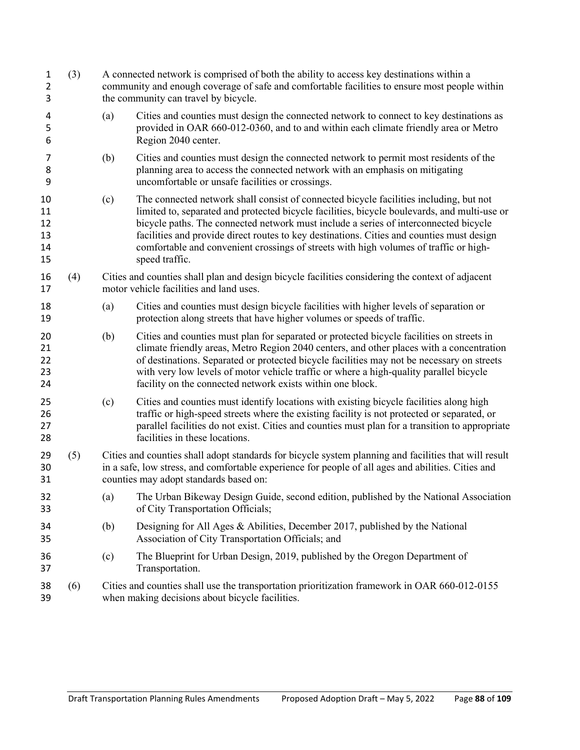| 1<br>$\overline{2}$<br>3         | (3) |     | A connected network is comprised of both the ability to access key destinations within a<br>community and enough coverage of safe and comfortable facilities to ensure most people within<br>the community can travel by bicycle.                                                                                                                                                                                                                                                      |
|----------------------------------|-----|-----|----------------------------------------------------------------------------------------------------------------------------------------------------------------------------------------------------------------------------------------------------------------------------------------------------------------------------------------------------------------------------------------------------------------------------------------------------------------------------------------|
| 4<br>5<br>6                      |     | (a) | Cities and counties must design the connected network to connect to key destinations as<br>provided in OAR 660-012-0360, and to and within each climate friendly area or Metro<br>Region 2040 center.                                                                                                                                                                                                                                                                                  |
| 7<br>8<br>9                      |     | (b) | Cities and counties must design the connected network to permit most residents of the<br>planning area to access the connected network with an emphasis on mitigating<br>uncomfortable or unsafe facilities or crossings.                                                                                                                                                                                                                                                              |
| 10<br>11<br>12<br>13<br>14<br>15 |     | (c) | The connected network shall consist of connected bicycle facilities including, but not<br>limited to, separated and protected bicycle facilities, bicycle boulevards, and multi-use or<br>bicycle paths. The connected network must include a series of interconnected bicycle<br>facilities and provide direct routes to key destinations. Cities and counties must design<br>comfortable and convenient crossings of streets with high volumes of traffic or high-<br>speed traffic. |
| 16<br>17                         | (4) |     | Cities and counties shall plan and design bicycle facilities considering the context of adjacent<br>motor vehicle facilities and land uses.                                                                                                                                                                                                                                                                                                                                            |
| 18<br>19                         |     | (a) | Cities and counties must design bicycle facilities with higher levels of separation or<br>protection along streets that have higher volumes or speeds of traffic.                                                                                                                                                                                                                                                                                                                      |
| 20<br>21<br>22<br>23<br>24       |     | (b) | Cities and counties must plan for separated or protected bicycle facilities on streets in<br>climate friendly areas, Metro Region 2040 centers, and other places with a concentration<br>of destinations. Separated or protected bicycle facilities may not be necessary on streets<br>with very low levels of motor vehicle traffic or where a high-quality parallel bicycle<br>facility on the connected network exists within one block.                                            |
| 25<br>26<br>27<br>28             |     | (c) | Cities and counties must identify locations with existing bicycle facilities along high<br>traffic or high-speed streets where the existing facility is not protected or separated, or<br>parallel facilities do not exist. Cities and counties must plan for a transition to appropriate<br>facilities in these locations.                                                                                                                                                            |
| 29<br>30<br>31                   | (5) |     | Cities and counties shall adopt standards for bicycle system planning and facilities that will result<br>in a safe, low stress, and comfortable experience for people of all ages and abilities. Cities and<br>counties may adopt standards based on:                                                                                                                                                                                                                                  |
| 32<br>33                         |     |     | (a) The Urban Bikeway Design Guide, second edition, published by the National Association<br>of City Transportation Officials;                                                                                                                                                                                                                                                                                                                                                         |
| 34<br>35                         |     | (b) | Designing for All Ages & Abilities, December 2017, published by the National<br>Association of City Transportation Officials; and                                                                                                                                                                                                                                                                                                                                                      |
| 36<br>37                         |     | (c) | The Blueprint for Urban Design, 2019, published by the Oregon Department of<br>Transportation.                                                                                                                                                                                                                                                                                                                                                                                         |
| 38<br>39                         | (6) |     | Cities and counties shall use the transportation prioritization framework in OAR 660-012-0155<br>when making decisions about bicycle facilities.                                                                                                                                                                                                                                                                                                                                       |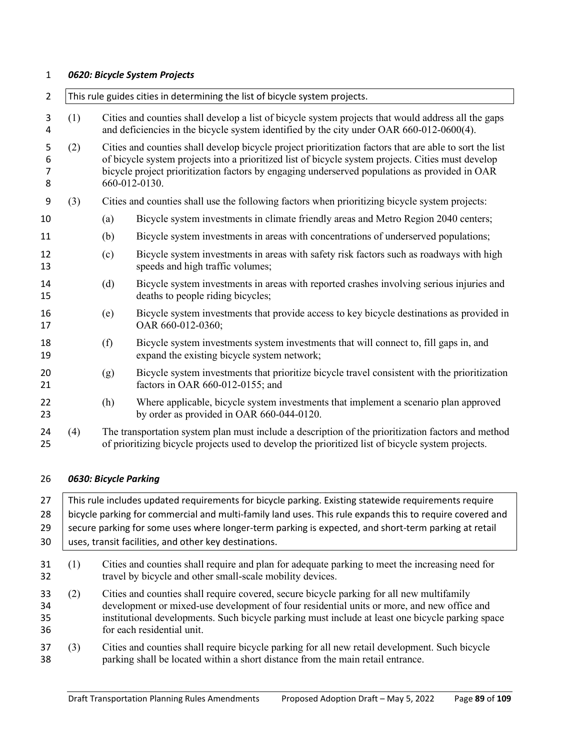#### *0620: Bicycle System Projects*

| $\overline{2}$                |     | This rule guides cities in determining the list of bicycle system projects.                                                                                                                             |                                                                                                                                                                                                                                                                                                                                 |  |  |  |
|-------------------------------|-----|---------------------------------------------------------------------------------------------------------------------------------------------------------------------------------------------------------|---------------------------------------------------------------------------------------------------------------------------------------------------------------------------------------------------------------------------------------------------------------------------------------------------------------------------------|--|--|--|
| 3<br>4                        | (1) |                                                                                                                                                                                                         | Cities and counties shall develop a list of bicycle system projects that would address all the gaps<br>and deficiencies in the bicycle system identified by the city under OAR 660-012-0600(4).                                                                                                                                 |  |  |  |
| 5<br>6<br>$\overline{7}$<br>8 | (2) |                                                                                                                                                                                                         | Cities and counties shall develop bicycle project prioritization factors that are able to sort the list<br>of bicycle system projects into a prioritized list of bicycle system projects. Cities must develop<br>bicycle project prioritization factors by engaging underserved populations as provided in OAR<br>660-012-0130. |  |  |  |
| 9                             | (3) |                                                                                                                                                                                                         | Cities and counties shall use the following factors when prioritizing bicycle system projects:                                                                                                                                                                                                                                  |  |  |  |
| 10                            |     | (a)                                                                                                                                                                                                     | Bicycle system investments in climate friendly areas and Metro Region 2040 centers;                                                                                                                                                                                                                                             |  |  |  |
| 11                            |     | (b)                                                                                                                                                                                                     | Bicycle system investments in areas with concentrations of underserved populations;                                                                                                                                                                                                                                             |  |  |  |
| 12<br>13                      |     | (c)                                                                                                                                                                                                     | Bicycle system investments in areas with safety risk factors such as roadways with high<br>speeds and high traffic volumes;                                                                                                                                                                                                     |  |  |  |
| 14<br>15                      |     | (d)                                                                                                                                                                                                     | Bicycle system investments in areas with reported crashes involving serious injuries and<br>deaths to people riding bicycles;                                                                                                                                                                                                   |  |  |  |
| 16<br>17                      |     | (e)                                                                                                                                                                                                     | Bicycle system investments that provide access to key bicycle destinations as provided in<br>OAR 660-012-0360;                                                                                                                                                                                                                  |  |  |  |
| 18<br>19                      |     | (f)                                                                                                                                                                                                     | Bicycle system investments system investments that will connect to, fill gaps in, and<br>expand the existing bicycle system network;                                                                                                                                                                                            |  |  |  |
| 20<br>21                      |     | (g)                                                                                                                                                                                                     | Bicycle system investments that prioritize bicycle travel consistent with the prioritization<br>factors in OAR 660-012-0155; and                                                                                                                                                                                                |  |  |  |
| 22<br>23                      |     | (h)                                                                                                                                                                                                     | Where applicable, bicycle system investments that implement a scenario plan approved<br>by order as provided in OAR 660-044-0120.                                                                                                                                                                                               |  |  |  |
| 24<br>25                      | (4) | The transportation system plan must include a description of the prioritization factors and method<br>of prioritizing bicycle projects used to develop the prioritized list of bicycle system projects. |                                                                                                                                                                                                                                                                                                                                 |  |  |  |

## *0630: Bicycle Parking*

27 This rule includes updated requirements for bicycle parking. Existing statewide requirements require 28 bicycle parking for commercial and multi-family land uses. This rule expands this to require covered and 29 secure parking for some uses where longer-term parking is expected, and short-term parking at retail 30 | uses, transit facilities, and other key destinations. (1) Cities and counties shall require and plan for adequate parking to meet the increasing need for travel by bicycle and other small-scale mobility devices. (2) Cities and counties shall require covered, secure bicycle parking for all new multifamily development or mixed-use development of four residential units or more, and new office and institutional developments. Such bicycle parking must include at least one bicycle parking space for each residential unit.

 (3) Cities and counties shall require bicycle parking for all new retail development. Such bicycle parking shall be located within a short distance from the main retail entrance.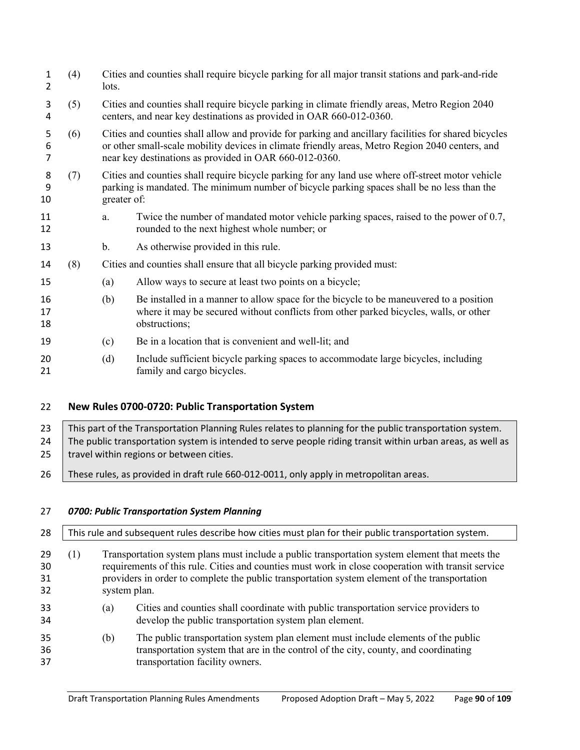| 1<br>2                   | (4) | lots.                                                                                                                                                                                                           | Cities and counties shall require bicycle parking for all major transit stations and park-and-ride                                                                                                                                                                |  |  |
|--------------------------|-----|-----------------------------------------------------------------------------------------------------------------------------------------------------------------------------------------------------------------|-------------------------------------------------------------------------------------------------------------------------------------------------------------------------------------------------------------------------------------------------------------------|--|--|
| 3<br>4                   | (5) | Cities and counties shall require bicycle parking in climate friendly areas, Metro Region 2040<br>centers, and near key destinations as provided in OAR 660-012-0360.                                           |                                                                                                                                                                                                                                                                   |  |  |
| 5<br>6<br>$\overline{7}$ | (6) |                                                                                                                                                                                                                 | Cities and counties shall allow and provide for parking and ancillary facilities for shared bicycles<br>or other small-scale mobility devices in climate friendly areas, Metro Region 2040 centers, and<br>near key destinations as provided in OAR 660-012-0360. |  |  |
| 8<br>9<br>10             | (7) | Cities and counties shall require bicycle parking for any land use where off-street motor vehicle<br>parking is mandated. The minimum number of bicycle parking spaces shall be no less than the<br>greater of: |                                                                                                                                                                                                                                                                   |  |  |
| 11<br>12                 |     | a.                                                                                                                                                                                                              | Twice the number of mandated motor vehicle parking spaces, raised to the power of 0.7,<br>rounded to the next highest whole number; or                                                                                                                            |  |  |
| 13                       |     | b.                                                                                                                                                                                                              | As otherwise provided in this rule.                                                                                                                                                                                                                               |  |  |
| 14                       | (8) |                                                                                                                                                                                                                 | Cities and counties shall ensure that all bicycle parking provided must:                                                                                                                                                                                          |  |  |
| 15                       |     | (a)                                                                                                                                                                                                             | Allow ways to secure at least two points on a bicycle;                                                                                                                                                                                                            |  |  |
| 16<br>17<br>18           |     | (b)                                                                                                                                                                                                             | Be installed in a manner to allow space for the bicycle to be maneuvered to a position<br>where it may be secured without conflicts from other parked bicycles, walls, or other<br>obstructions;                                                                  |  |  |
| 19                       |     | (c)                                                                                                                                                                                                             | Be in a location that is convenient and well-lit; and                                                                                                                                                                                                             |  |  |
| 20<br>21                 |     | (d)                                                                                                                                                                                                             | Include sufficient bicycle parking spaces to accommodate large bicycles, including<br>family and cargo bicycles.                                                                                                                                                  |  |  |

# **New Rules 0700-0720: Public Transportation System**

23 This part of the Transportation Planning Rules relates to planning for the public transportation system. 24 The public transportation system is intended to serve people riding transit within urban areas, as well as 25  $\parallel$  travel within regions or between cities.

26 | These rules, as provided in draft rule 660-012-0011, only apply in metropolitan areas.

## *0700: Public Transportation System Planning*

28 This rule and subsequent rules describe how cities must plan for their public transportation system. (1) Transportation system plans must include a public transportation system element that meets the requirements of this rule. Cities and counties must work in close cooperation with transit service providers in order to complete the public transportation system element of the transportation system plan.

- (a) Cities and counties shall coordinate with public transportation service providers to develop the public transportation system plan element.
- (b) The public transportation system plan element must include elements of the public transportation system that are in the control of the city, county, and coordinating transportation facility owners.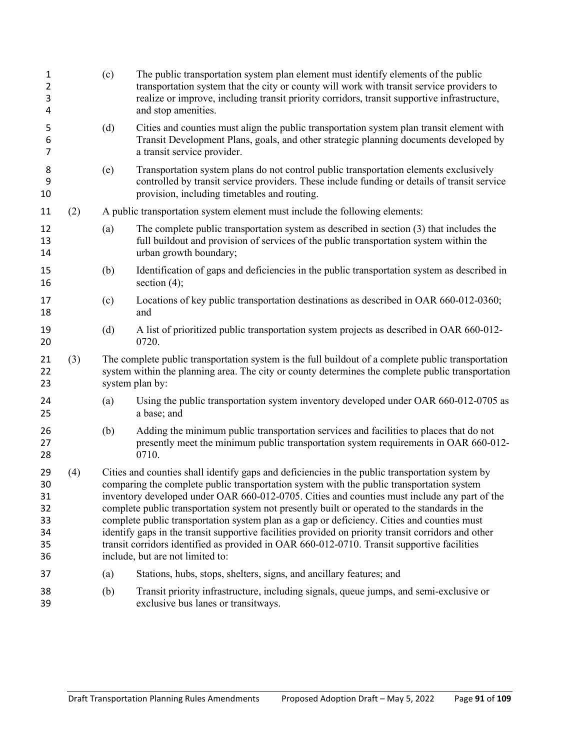| $\mathbf{1}$<br>$\overline{2}$<br>3<br>4     |     | (c) | The public transportation system plan element must identify elements of the public<br>transportation system that the city or county will work with transit service providers to<br>realize or improve, including transit priority corridors, transit supportive infrastructure,<br>and stop amenities.                                                                                                                                                                                                                                                                                                                                                                                                                                 |
|----------------------------------------------|-----|-----|----------------------------------------------------------------------------------------------------------------------------------------------------------------------------------------------------------------------------------------------------------------------------------------------------------------------------------------------------------------------------------------------------------------------------------------------------------------------------------------------------------------------------------------------------------------------------------------------------------------------------------------------------------------------------------------------------------------------------------------|
| 5<br>6<br>7                                  |     | (d) | Cities and counties must align the public transportation system plan transit element with<br>Transit Development Plans, goals, and other strategic planning documents developed by<br>a transit service provider.                                                                                                                                                                                                                                                                                                                                                                                                                                                                                                                      |
| 8<br>9<br>10                                 |     | (e) | Transportation system plans do not control public transportation elements exclusively<br>controlled by transit service providers. These include funding or details of transit service<br>provision, including timetables and routing.                                                                                                                                                                                                                                                                                                                                                                                                                                                                                                  |
| 11                                           | (2) |     | A public transportation system element must include the following elements:                                                                                                                                                                                                                                                                                                                                                                                                                                                                                                                                                                                                                                                            |
| 12<br>13<br>14                               |     | (a) | The complete public transportation system as described in section (3) that includes the<br>full buildout and provision of services of the public transportation system within the<br>urban growth boundary;                                                                                                                                                                                                                                                                                                                                                                                                                                                                                                                            |
| 15<br>16                                     |     | (b) | Identification of gaps and deficiencies in the public transportation system as described in<br>section $(4)$ ;                                                                                                                                                                                                                                                                                                                                                                                                                                                                                                                                                                                                                         |
| 17<br>18                                     |     | (c) | Locations of key public transportation destinations as described in OAR 660-012-0360;<br>and                                                                                                                                                                                                                                                                                                                                                                                                                                                                                                                                                                                                                                           |
| 19<br>20                                     |     | (d) | A list of prioritized public transportation system projects as described in OAR 660-012-<br>0720.                                                                                                                                                                                                                                                                                                                                                                                                                                                                                                                                                                                                                                      |
| 21<br>22<br>23                               | (3) |     | The complete public transportation system is the full buildout of a complete public transportation<br>system within the planning area. The city or county determines the complete public transportation<br>system plan by:                                                                                                                                                                                                                                                                                                                                                                                                                                                                                                             |
| 24<br>25                                     |     | (a) | Using the public transportation system inventory developed under OAR 660-012-0705 as<br>a base; and                                                                                                                                                                                                                                                                                                                                                                                                                                                                                                                                                                                                                                    |
| 26<br>27<br>28                               |     | (b) | Adding the minimum public transportation services and facilities to places that do not<br>presently meet the minimum public transportation system requirements in OAR 660-012-<br>0710.                                                                                                                                                                                                                                                                                                                                                                                                                                                                                                                                                |
| 29<br>30<br>31<br>32<br>33<br>34<br>35<br>36 | (4) |     | Cities and counties shall identify gaps and deficiencies in the public transportation system by<br>comparing the complete public transportation system with the public transportation system<br>inventory developed under OAR 660-012-0705. Cities and counties must include any part of the<br>complete public transportation system not presently built or operated to the standards in the<br>complete public transportation system plan as a gap or deficiency. Cities and counties must<br>identify gaps in the transit supportive facilities provided on priority transit corridors and other<br>transit corridors identified as provided in OAR 660-012-0710. Transit supportive facilities<br>include, but are not limited to: |
| 37                                           |     | (a) | Stations, hubs, stops, shelters, signs, and ancillary features; and                                                                                                                                                                                                                                                                                                                                                                                                                                                                                                                                                                                                                                                                    |
| 38<br>39                                     |     | (b) | Transit priority infrastructure, including signals, queue jumps, and semi-exclusive or<br>exclusive bus lanes or transitways.                                                                                                                                                                                                                                                                                                                                                                                                                                                                                                                                                                                                          |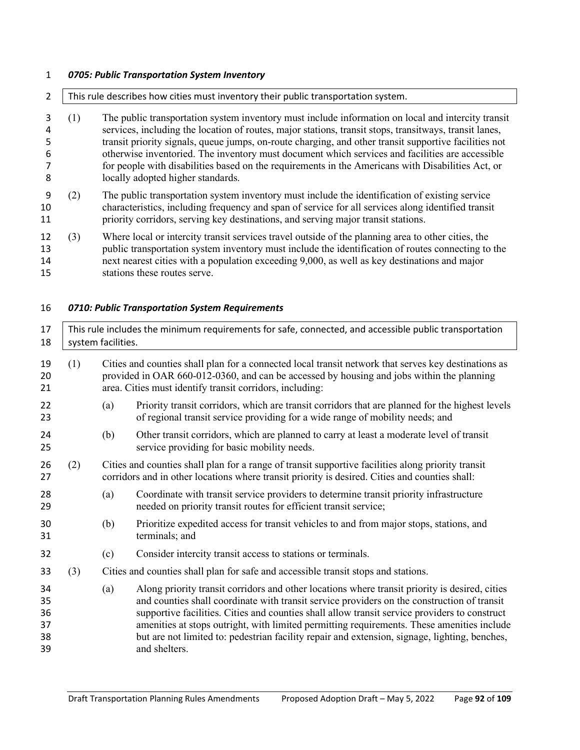# *0705: Public Transportation System Inventory*

| $\overline{2}$                          | This rule describes how cities must inventory their public transportation system. |                                                                                                                                                                                                                                                                                                                                                                                                                                                                                                                                                                    |                                                                                                                                                                                                                                                                                                                                                                                                                                                                                                                |  |  |
|-----------------------------------------|-----------------------------------------------------------------------------------|--------------------------------------------------------------------------------------------------------------------------------------------------------------------------------------------------------------------------------------------------------------------------------------------------------------------------------------------------------------------------------------------------------------------------------------------------------------------------------------------------------------------------------------------------------------------|----------------------------------------------------------------------------------------------------------------------------------------------------------------------------------------------------------------------------------------------------------------------------------------------------------------------------------------------------------------------------------------------------------------------------------------------------------------------------------------------------------------|--|--|
| 3<br>4<br>5<br>6<br>$\overline{7}$<br>8 | (1)                                                                               | The public transportation system inventory must include information on local and intercity transit<br>services, including the location of routes, major stations, transit stops, transitways, transit lanes,<br>transit priority signals, queue jumps, on-route charging, and other transit supportive facilities not<br>otherwise inventoried. The inventory must document which services and facilities are accessible<br>for people with disabilities based on the requirements in the Americans with Disabilities Act, or<br>locally adopted higher standards. |                                                                                                                                                                                                                                                                                                                                                                                                                                                                                                                |  |  |
| 9<br>10<br>11                           | (2)                                                                               | The public transportation system inventory must include the identification of existing service<br>characteristics, including frequency and span of service for all services along identified transit<br>priority corridors, serving key destinations, and serving major transit stations.                                                                                                                                                                                                                                                                          |                                                                                                                                                                                                                                                                                                                                                                                                                                                                                                                |  |  |
| 12<br>13<br>14<br>15                    | (3)                                                                               | Where local or intercity transit services travel outside of the planning area to other cities, the<br>public transportation system inventory must include the identification of routes connecting to the<br>next nearest cities with a population exceeding 9,000, as well as key destinations and major<br>stations these routes serve.                                                                                                                                                                                                                           |                                                                                                                                                                                                                                                                                                                                                                                                                                                                                                                |  |  |
| 16                                      |                                                                                   |                                                                                                                                                                                                                                                                                                                                                                                                                                                                                                                                                                    | 0710: Public Transportation System Requirements                                                                                                                                                                                                                                                                                                                                                                                                                                                                |  |  |
| 17<br>18                                |                                                                                   | This rule includes the minimum requirements for safe, connected, and accessible public transportation<br>system facilities.                                                                                                                                                                                                                                                                                                                                                                                                                                        |                                                                                                                                                                                                                                                                                                                                                                                                                                                                                                                |  |  |
| 19<br>20<br>21                          | (1)                                                                               | Cities and counties shall plan for a connected local transit network that serves key destinations as<br>provided in OAR 660-012-0360, and can be accessed by housing and jobs within the planning<br>area. Cities must identify transit corridors, including:                                                                                                                                                                                                                                                                                                      |                                                                                                                                                                                                                                                                                                                                                                                                                                                                                                                |  |  |
| 22<br>23                                |                                                                                   | (a)                                                                                                                                                                                                                                                                                                                                                                                                                                                                                                                                                                | Priority transit corridors, which are transit corridors that are planned for the highest levels<br>of regional transit service providing for a wide range of mobility needs; and                                                                                                                                                                                                                                                                                                                               |  |  |
| 24<br>25                                |                                                                                   | (b)                                                                                                                                                                                                                                                                                                                                                                                                                                                                                                                                                                | Other transit corridors, which are planned to carry at least a moderate level of transit<br>service providing for basic mobility needs.                                                                                                                                                                                                                                                                                                                                                                        |  |  |
| 26<br>27                                | (2)                                                                               |                                                                                                                                                                                                                                                                                                                                                                                                                                                                                                                                                                    | Cities and counties shall plan for a range of transit supportive facilities along priority transit<br>corridors and in other locations where transit priority is desired. Cities and counties shall:                                                                                                                                                                                                                                                                                                           |  |  |
| 28<br>29                                |                                                                                   | (a)                                                                                                                                                                                                                                                                                                                                                                                                                                                                                                                                                                | Coordinate with transit service providers to determine transit priority infrastructure<br>needed on priority transit routes for efficient transit service;                                                                                                                                                                                                                                                                                                                                                     |  |  |
| 30<br>31                                |                                                                                   | (b)                                                                                                                                                                                                                                                                                                                                                                                                                                                                                                                                                                | Prioritize expedited access for transit vehicles to and from major stops, stations, and<br>terminals; and                                                                                                                                                                                                                                                                                                                                                                                                      |  |  |
| 32                                      |                                                                                   | (c)                                                                                                                                                                                                                                                                                                                                                                                                                                                                                                                                                                | Consider intercity transit access to stations or terminals.                                                                                                                                                                                                                                                                                                                                                                                                                                                    |  |  |
| 33                                      | (3)                                                                               |                                                                                                                                                                                                                                                                                                                                                                                                                                                                                                                                                                    | Cities and counties shall plan for safe and accessible transit stops and stations.                                                                                                                                                                                                                                                                                                                                                                                                                             |  |  |
| 34<br>35<br>36<br>37<br>38<br>39        |                                                                                   | (a)                                                                                                                                                                                                                                                                                                                                                                                                                                                                                                                                                                | Along priority transit corridors and other locations where transit priority is desired, cities<br>and counties shall coordinate with transit service providers on the construction of transit<br>supportive facilities. Cities and counties shall allow transit service providers to construct<br>amenities at stops outright, with limited permitting requirements. These amenities include<br>but are not limited to: pedestrian facility repair and extension, signage, lighting, benches,<br>and shelters. |  |  |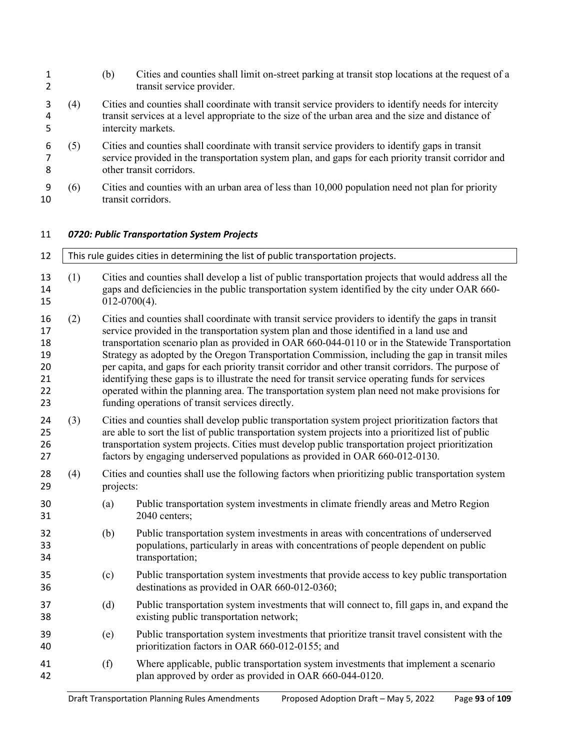|     | (b)             | Cities and counties shall limit on-street parking at transit stop locations at the request of a<br>transit service provider.                                                                                                                                                                                                                                                                                                                                                                                                                                                                                                                                                                                                                                             |  |  |  |  |  |
|-----|-----------------|--------------------------------------------------------------------------------------------------------------------------------------------------------------------------------------------------------------------------------------------------------------------------------------------------------------------------------------------------------------------------------------------------------------------------------------------------------------------------------------------------------------------------------------------------------------------------------------------------------------------------------------------------------------------------------------------------------------------------------------------------------------------------|--|--|--|--|--|
| (4) |                 | Cities and counties shall coordinate with transit service providers to identify needs for intercity<br>transit services at a level appropriate to the size of the urban area and the size and distance of<br>intercity markets.                                                                                                                                                                                                                                                                                                                                                                                                                                                                                                                                          |  |  |  |  |  |
| (5) |                 | Cities and counties shall coordinate with transit service providers to identify gaps in transit<br>service provided in the transportation system plan, and gaps for each priority transit corridor and<br>other transit corridors.                                                                                                                                                                                                                                                                                                                                                                                                                                                                                                                                       |  |  |  |  |  |
| (6) |                 | Cities and counties with an urban area of less than 10,000 population need not plan for priority<br>transit corridors.                                                                                                                                                                                                                                                                                                                                                                                                                                                                                                                                                                                                                                                   |  |  |  |  |  |
|     |                 | 0720: Public Transportation System Projects                                                                                                                                                                                                                                                                                                                                                                                                                                                                                                                                                                                                                                                                                                                              |  |  |  |  |  |
|     |                 | This rule guides cities in determining the list of public transportation projects.                                                                                                                                                                                                                                                                                                                                                                                                                                                                                                                                                                                                                                                                                       |  |  |  |  |  |
| (1) | $012-0700(4)$ . | Cities and counties shall develop a list of public transportation projects that would address all the<br>gaps and deficiencies in the public transportation system identified by the city under OAR 660-                                                                                                                                                                                                                                                                                                                                                                                                                                                                                                                                                                 |  |  |  |  |  |
| (2) |                 | Cities and counties shall coordinate with transit service providers to identify the gaps in transit<br>service provided in the transportation system plan and those identified in a land use and<br>transportation scenario plan as provided in OAR 660-044-0110 or in the Statewide Transportation<br>Strategy as adopted by the Oregon Transportation Commission, including the gap in transit miles<br>per capita, and gaps for each priority transit corridor and other transit corridors. The purpose of<br>identifying these gaps is to illustrate the need for transit service operating funds for services<br>operated within the planning area. The transportation system plan need not make provisions for<br>funding operations of transit services directly. |  |  |  |  |  |
| (3) |                 | Cities and counties shall develop public transportation system project prioritization factors that<br>are able to sort the list of public transportation system projects into a prioritized list of public<br>transportation system projects. Cities must develop public transportation project prioritization<br>factors by engaging underserved populations as provided in OAR 660-012-0130.                                                                                                                                                                                                                                                                                                                                                                           |  |  |  |  |  |
| (4) | projects:       | Cities and counties shall use the following factors when prioritizing public transportation system                                                                                                                                                                                                                                                                                                                                                                                                                                                                                                                                                                                                                                                                       |  |  |  |  |  |
|     | (a)             | Public transportation system investments in climate friendly areas and Metro Region<br>2040 centers;                                                                                                                                                                                                                                                                                                                                                                                                                                                                                                                                                                                                                                                                     |  |  |  |  |  |
|     | (b)             | Public transportation system investments in areas with concentrations of underserved<br>populations, particularly in areas with concentrations of people dependent on public<br>transportation;                                                                                                                                                                                                                                                                                                                                                                                                                                                                                                                                                                          |  |  |  |  |  |
|     | (c)             | Public transportation system investments that provide access to key public transportation<br>destinations as provided in OAR 660-012-0360;                                                                                                                                                                                                                                                                                                                                                                                                                                                                                                                                                                                                                               |  |  |  |  |  |
|     | (d)             | Public transportation system investments that will connect to, fill gaps in, and expand the<br>existing public transportation network;                                                                                                                                                                                                                                                                                                                                                                                                                                                                                                                                                                                                                                   |  |  |  |  |  |
|     | (e)             | Public transportation system investments that prioritize transit travel consistent with the<br>prioritization factors in OAR 660-012-0155; and                                                                                                                                                                                                                                                                                                                                                                                                                                                                                                                                                                                                                           |  |  |  |  |  |
|     | (f)             | Where applicable, public transportation system investments that implement a scenario<br>plan approved by order as provided in OAR 660-044-0120.                                                                                                                                                                                                                                                                                                                                                                                                                                                                                                                                                                                                                          |  |  |  |  |  |
|     |                 |                                                                                                                                                                                                                                                                                                                                                                                                                                                                                                                                                                                                                                                                                                                                                                          |  |  |  |  |  |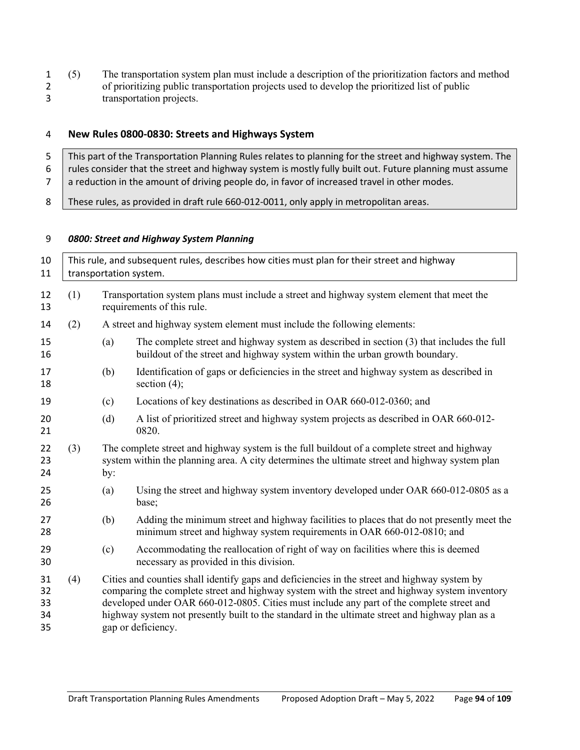1 (5) The transportation system plan must include a description of the prioritization factors and method of prioritizing public transportation projects used to develop the prioritized list of public of prioritizing public transportation projects used to develop the prioritized list of public transportation projects.

## **New Rules 0800-0830: Streets and Highways System**

 This part of the Transportation Planning Rules relates to planning for the street and highway system. The 6 | rules consider that the street and highway system is mostly fully built out. Future planning must assume a reduction in the amount of driving people do, in favor of increased travel in other modes.

8 These rules, as provided in draft rule 660-012-0011, only apply in metropolitan areas.

#### *0800: Street and Highway System Planning*

| 10<br>11                   |     | This rule, and subsequent rules, describes how cities must plan for their street and highway<br>transportation system.                                                                                                                                                                                                                                                                                              |                                                                                                                                                                                                |  |  |  |  |  |
|----------------------------|-----|---------------------------------------------------------------------------------------------------------------------------------------------------------------------------------------------------------------------------------------------------------------------------------------------------------------------------------------------------------------------------------------------------------------------|------------------------------------------------------------------------------------------------------------------------------------------------------------------------------------------------|--|--|--|--|--|
| 12<br>13                   | (1) |                                                                                                                                                                                                                                                                                                                                                                                                                     | Transportation system plans must include a street and highway system element that meet the<br>requirements of this rule.                                                                       |  |  |  |  |  |
| 14                         | (2) |                                                                                                                                                                                                                                                                                                                                                                                                                     | A street and highway system element must include the following elements:                                                                                                                       |  |  |  |  |  |
| 15<br>16                   |     | (a)                                                                                                                                                                                                                                                                                                                                                                                                                 | The complete street and highway system as described in section $(3)$ that includes the full<br>buildout of the street and highway system within the urban growth boundary.                     |  |  |  |  |  |
| 17<br>18                   |     | (b)                                                                                                                                                                                                                                                                                                                                                                                                                 | Identification of gaps or deficiencies in the street and highway system as described in<br>section $(4)$ ;                                                                                     |  |  |  |  |  |
| 19                         |     | (c)                                                                                                                                                                                                                                                                                                                                                                                                                 | Locations of key destinations as described in OAR 660-012-0360; and                                                                                                                            |  |  |  |  |  |
| 20<br>21                   |     | (d)                                                                                                                                                                                                                                                                                                                                                                                                                 | A list of prioritized street and highway system projects as described in OAR 660-012-<br>0820.                                                                                                 |  |  |  |  |  |
| 22<br>23<br>24             | (3) | by:                                                                                                                                                                                                                                                                                                                                                                                                                 | The complete street and highway system is the full buildout of a complete street and highway<br>system within the planning area. A city determines the ultimate street and highway system plan |  |  |  |  |  |
| 25<br>26                   |     | (a)                                                                                                                                                                                                                                                                                                                                                                                                                 | Using the street and highway system inventory developed under OAR 660-012-0805 as a<br>base;                                                                                                   |  |  |  |  |  |
| 27<br>28                   |     | (b)                                                                                                                                                                                                                                                                                                                                                                                                                 | Adding the minimum street and highway facilities to places that do not presently meet the<br>minimum street and highway system requirements in OAR 660-012-0810; and                           |  |  |  |  |  |
| 29<br>30                   |     | (c)                                                                                                                                                                                                                                                                                                                                                                                                                 | Accommodating the reallocation of right of way on facilities where this is deemed<br>necessary as provided in this division.                                                                   |  |  |  |  |  |
| 31<br>32<br>33<br>34<br>35 | (4) | Cities and counties shall identify gaps and deficiencies in the street and highway system by<br>comparing the complete street and highway system with the street and highway system inventory<br>developed under OAR 660-012-0805. Cities must include any part of the complete street and<br>highway system not presently built to the standard in the ultimate street and highway plan as a<br>gap or deficiency. |                                                                                                                                                                                                |  |  |  |  |  |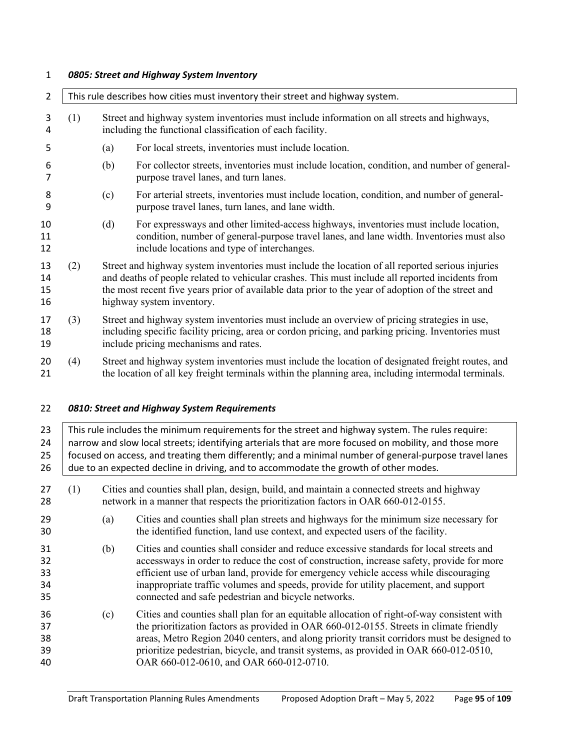#### *0805: Street and Highway System Inventory*

| $\overline{2}$       |     | This rule describes how cities must inventory their street and highway system.                                                                                                                                                                                                                                                          |                                                                                                                                                                                                                                                                                                                                                                                                               |  |  |  |  |
|----------------------|-----|-----------------------------------------------------------------------------------------------------------------------------------------------------------------------------------------------------------------------------------------------------------------------------------------------------------------------------------------|---------------------------------------------------------------------------------------------------------------------------------------------------------------------------------------------------------------------------------------------------------------------------------------------------------------------------------------------------------------------------------------------------------------|--|--|--|--|
| 3<br>4               | (1) | Street and highway system inventories must include information on all streets and highways,<br>including the functional classification of each facility.                                                                                                                                                                                |                                                                                                                                                                                                                                                                                                                                                                                                               |  |  |  |  |
| 5                    |     | (a)                                                                                                                                                                                                                                                                                                                                     | For local streets, inventories must include location.                                                                                                                                                                                                                                                                                                                                                         |  |  |  |  |
| 6<br>$\overline{7}$  |     | (b)                                                                                                                                                                                                                                                                                                                                     | For collector streets, inventories must include location, condition, and number of general-<br>purpose travel lanes, and turn lanes.                                                                                                                                                                                                                                                                          |  |  |  |  |
| 8<br>9               |     | (c)                                                                                                                                                                                                                                                                                                                                     | For arterial streets, inventories must include location, condition, and number of general-<br>purpose travel lanes, turn lanes, and lane width.                                                                                                                                                                                                                                                               |  |  |  |  |
| 10<br>11<br>12       |     | (d)                                                                                                                                                                                                                                                                                                                                     | For expressways and other limited-access highways, inventories must include location,<br>condition, number of general-purpose travel lanes, and lane width. Inventories must also<br>include locations and type of interchanges.                                                                                                                                                                              |  |  |  |  |
| 13<br>14<br>15<br>16 | (2) | Street and highway system inventories must include the location of all reported serious injuries<br>and deaths of people related to vehicular crashes. This must include all reported incidents from<br>the most recent five years prior of available data prior to the year of adoption of the street and<br>highway system inventory. |                                                                                                                                                                                                                                                                                                                                                                                                               |  |  |  |  |
| 17<br>18<br>19       | (3) | Street and highway system inventories must include an overview of pricing strategies in use,<br>including specific facility pricing, area or cordon pricing, and parking pricing. Inventories must<br>include pricing mechanisms and rates.                                                                                             |                                                                                                                                                                                                                                                                                                                                                                                                               |  |  |  |  |
| 20<br>21             | (4) | Street and highway system inventories must include the location of designated freight routes, and<br>the location of all key freight terminals within the planning area, including intermodal terminals.                                                                                                                                |                                                                                                                                                                                                                                                                                                                                                                                                               |  |  |  |  |
| 22                   |     |                                                                                                                                                                                                                                                                                                                                         | 0810: Street and Highway System Requirements                                                                                                                                                                                                                                                                                                                                                                  |  |  |  |  |
| 23<br>24<br>25<br>26 |     |                                                                                                                                                                                                                                                                                                                                         | This rule includes the minimum requirements for the street and highway system. The rules require:<br>narrow and slow local streets; identifying arterials that are more focused on mobility, and those more<br>focused on access, and treating them differently; and a minimal number of general-purpose travel lanes<br>due to an expected decline in driving, and to accommodate the growth of other modes. |  |  |  |  |
| 27<br>28             | (1) |                                                                                                                                                                                                                                                                                                                                         | Cities and counties shall plan, design, build, and maintain a connected streets and highway<br>network in a manner that respects the prioritization factors in OAR 660-012-0155.                                                                                                                                                                                                                              |  |  |  |  |
| 29<br>30             |     | (a)                                                                                                                                                                                                                                                                                                                                     | Cities and counties shall plan streets and highways for the minimum size necessary for<br>the identified function, land use context, and expected users of the facility.                                                                                                                                                                                                                                      |  |  |  |  |
| 31<br>32<br>33       |     | (b)                                                                                                                                                                                                                                                                                                                                     | Cities and counties shall consider and reduce excessive standards for local streets and<br>accessways in order to reduce the cost of construction, increase safety, provide for more<br>efficient use of urban land, provide for emergency vehicle access while discouraging                                                                                                                                  |  |  |  |  |

- inappropriate traffic volumes and speeds, provide for utility placement, and support connected and safe pedestrian and bicycle networks. (c) Cities and counties shall plan for an equitable allocation of right-of-way consistent with the prioritization factors as provided in OAR 660-012-0155. Streets in climate friendly areas, Metro Region 2040 centers, and along priority transit corridors must be designed to prioritize pedestrian, bicycle, and transit systems, as provided in OAR 660-012-0510, OAR 660-012-0610, and OAR 660-012-0710.
	- Draft Transportation Planning Rules Amendments Proposed Adoption Draft May 5, 2022 Page **95** of **109**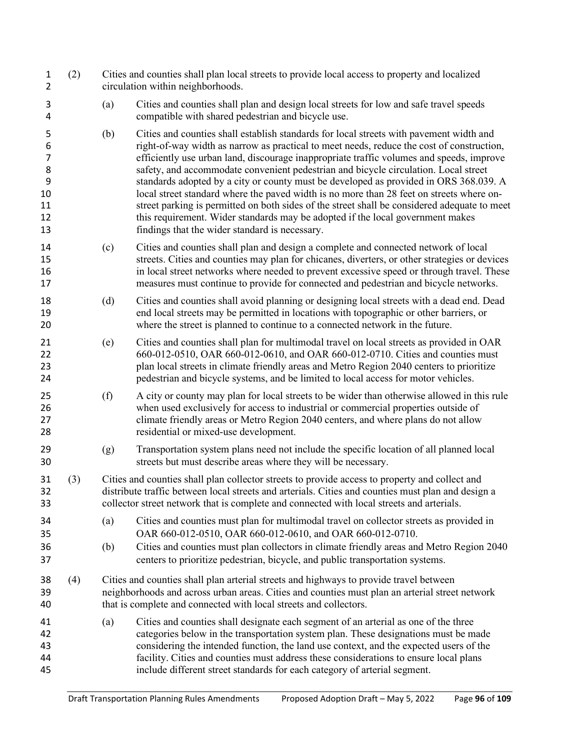| Cities and counties shall plan and design local streets for low and safe travel speeds                                                                                                                                                                                                                                                                                                                                                                                                                                                                                                                                                                                                                                                         |
|------------------------------------------------------------------------------------------------------------------------------------------------------------------------------------------------------------------------------------------------------------------------------------------------------------------------------------------------------------------------------------------------------------------------------------------------------------------------------------------------------------------------------------------------------------------------------------------------------------------------------------------------------------------------------------------------------------------------------------------------|
|                                                                                                                                                                                                                                                                                                                                                                                                                                                                                                                                                                                                                                                                                                                                                |
| Cities and counties shall establish standards for local streets with pavement width and<br>right-of-way width as narrow as practical to meet needs, reduce the cost of construction,<br>efficiently use urban land, discourage inappropriate traffic volumes and speeds, improve<br>safety, and accommodate convenient pedestrian and bicycle circulation. Local street<br>standards adopted by a city or county must be developed as provided in ORS 368.039. A<br>local street standard where the paved width is no more than 28 feet on streets where on-<br>street parking is permitted on both sides of the street shall be considered adequate to meet<br>this requirement. Wider standards may be adopted if the local government makes |
| Cities and counties shall plan and design a complete and connected network of local<br>streets. Cities and counties may plan for chicanes, diverters, or other strategies or devices<br>in local street networks where needed to prevent excessive speed or through travel. These<br>measures must continue to provide for connected and pedestrian and bicycle networks.                                                                                                                                                                                                                                                                                                                                                                      |
| Cities and counties shall avoid planning or designing local streets with a dead end. Dead<br>end local streets may be permitted in locations with topographic or other barriers, or<br>where the street is planned to continue to a connected network in the future.                                                                                                                                                                                                                                                                                                                                                                                                                                                                           |
| Cities and counties shall plan for multimodal travel on local streets as provided in OAR<br>660-012-0510, OAR 660-012-0610, and OAR 660-012-0710. Cities and counties must<br>plan local streets in climate friendly areas and Metro Region 2040 centers to prioritize<br>pedestrian and bicycle systems, and be limited to local access for motor vehicles.                                                                                                                                                                                                                                                                                                                                                                                   |
| A city or county may plan for local streets to be wider than otherwise allowed in this rule<br>when used exclusively for access to industrial or commercial properties outside of<br>climate friendly areas or Metro Region 2040 centers, and where plans do not allow                                                                                                                                                                                                                                                                                                                                                                                                                                                                         |
| Transportation system plans need not include the specific location of all planned local                                                                                                                                                                                                                                                                                                                                                                                                                                                                                                                                                                                                                                                        |
| Cities and counties shall plan collector streets to provide access to property and collect and<br>distribute traffic between local streets and arterials. Cities and counties must plan and design a<br>collector street network that is complete and connected with local streets and arterials.                                                                                                                                                                                                                                                                                                                                                                                                                                              |
| Cities and counties must plan for multimodal travel on collector streets as provided in<br>Cities and counties must plan collectors in climate friendly areas and Metro Region 2040<br>centers to prioritize pedestrian, bicycle, and public transportation systems.                                                                                                                                                                                                                                                                                                                                                                                                                                                                           |
| Cities and counties shall plan arterial streets and highways to provide travel between<br>neighborhoods and across urban areas. Cities and counties must plan an arterial street network                                                                                                                                                                                                                                                                                                                                                                                                                                                                                                                                                       |
| Cities and counties shall designate each segment of an arterial as one of the three<br>categories below in the transportation system plan. These designations must be made<br>considering the intended function, the land use context, and the expected users of the<br>facility. Cities and counties must address these considerations to ensure local plans<br>include different street standards for each category of arterial segment.                                                                                                                                                                                                                                                                                                     |
|                                                                                                                                                                                                                                                                                                                                                                                                                                                                                                                                                                                                                                                                                                                                                |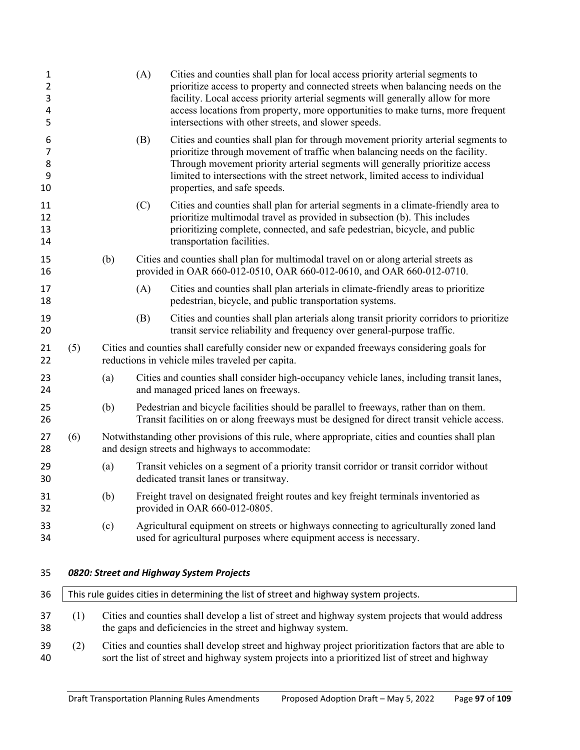| 1<br>2<br>3<br>4<br>5  |     |                                                                                                                                                                                                           | (A) | Cities and counties shall plan for local access priority arterial segments to<br>prioritize access to property and connected streets when balancing needs on the<br>facility. Local access priority arterial segments will generally allow for more<br>access locations from property, more opportunities to make turns, more frequent<br>intersections with other streets, and slower speeds. |  |
|------------------------|-----|-----------------------------------------------------------------------------------------------------------------------------------------------------------------------------------------------------------|-----|------------------------------------------------------------------------------------------------------------------------------------------------------------------------------------------------------------------------------------------------------------------------------------------------------------------------------------------------------------------------------------------------|--|
| 6<br>7<br>8<br>9<br>10 |     |                                                                                                                                                                                                           | (B) | Cities and counties shall plan for through movement priority arterial segments to<br>prioritize through movement of traffic when balancing needs on the facility.<br>Through movement priority arterial segments will generally prioritize access<br>limited to intersections with the street network, limited access to individual<br>properties, and safe speeds.                            |  |
| 11<br>12<br>13<br>14   |     |                                                                                                                                                                                                           | (C) | Cities and counties shall plan for arterial segments in a climate-friendly area to<br>prioritize multimodal travel as provided in subsection (b). This includes<br>prioritizing complete, connected, and safe pedestrian, bicycle, and public<br>transportation facilities.                                                                                                                    |  |
| 15<br>16               |     | (b)                                                                                                                                                                                                       |     | Cities and counties shall plan for multimodal travel on or along arterial streets as<br>provided in OAR 660-012-0510, OAR 660-012-0610, and OAR 660-012-0710.                                                                                                                                                                                                                                  |  |
| 17<br>18               |     |                                                                                                                                                                                                           | (A) | Cities and counties shall plan arterials in climate-friendly areas to prioritize<br>pedestrian, bicycle, and public transportation systems.                                                                                                                                                                                                                                                    |  |
| 19<br>20               |     |                                                                                                                                                                                                           | (B) | Cities and counties shall plan arterials along transit priority corridors to prioritize<br>transit service reliability and frequency over general-purpose traffic.                                                                                                                                                                                                                             |  |
| 21<br>22               | (5) |                                                                                                                                                                                                           |     | Cities and counties shall carefully consider new or expanded freeways considering goals for<br>reductions in vehicle miles traveled per capita.                                                                                                                                                                                                                                                |  |
| 23<br>24               |     | (a)                                                                                                                                                                                                       |     | Cities and counties shall consider high-occupancy vehicle lanes, including transit lanes,<br>and managed priced lanes on freeways.                                                                                                                                                                                                                                                             |  |
| 25<br>26               |     | (b)                                                                                                                                                                                                       |     | Pedestrian and bicycle facilities should be parallel to freeways, rather than on them.<br>Transit facilities on or along freeways must be designed for direct transit vehicle access.                                                                                                                                                                                                          |  |
| 27<br>28               | (6) |                                                                                                                                                                                                           |     | Notwithstanding other provisions of this rule, where appropriate, cities and counties shall plan<br>and design streets and highways to accommodate:                                                                                                                                                                                                                                            |  |
| 29<br>30               |     | (a)                                                                                                                                                                                                       |     | Transit vehicles on a segment of a priority transit corridor or transit corridor without<br>dedicated transit lanes or transitway.                                                                                                                                                                                                                                                             |  |
| 31<br>32               |     | (b)                                                                                                                                                                                                       |     | Freight travel on designated freight routes and key freight terminals inventoried as<br>provided in OAR 660-012-0805.                                                                                                                                                                                                                                                                          |  |
| 33<br>34               |     | (c)                                                                                                                                                                                                       |     | Agricultural equipment on streets or highways connecting to agriculturally zoned land<br>used for agricultural purposes where equipment access is necessary.                                                                                                                                                                                                                                   |  |
| 35                     |     |                                                                                                                                                                                                           |     | 0820: Street and Highway System Projects                                                                                                                                                                                                                                                                                                                                                       |  |
| 36                     |     |                                                                                                                                                                                                           |     | This rule guides cities in determining the list of street and highway system projects.                                                                                                                                                                                                                                                                                                         |  |
| 37<br>38               | (1) | Cities and counties shall develop a list of street and highway system projects that would address<br>the gaps and deficiencies in the street and highway system.                                          |     |                                                                                                                                                                                                                                                                                                                                                                                                |  |
| 39<br>40               | (2) | Cities and counties shall develop street and highway project prioritization factors that are able to<br>sort the list of street and highway system projects into a prioritized list of street and highway |     |                                                                                                                                                                                                                                                                                                                                                                                                |  |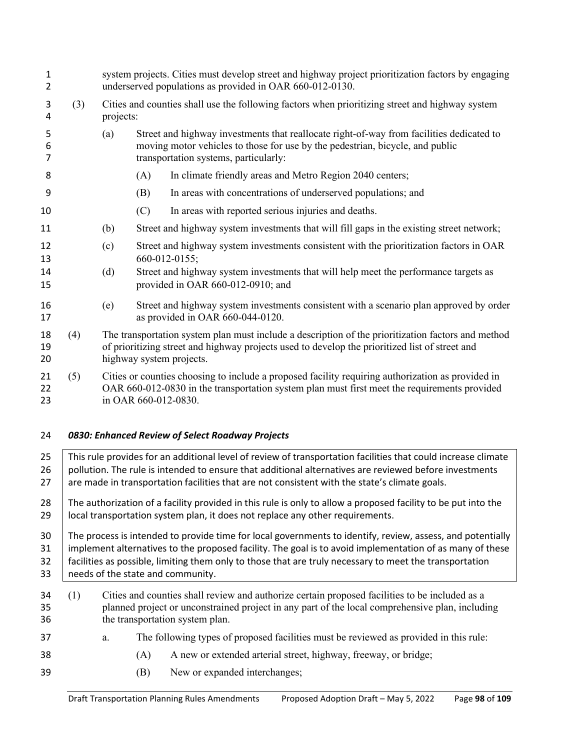| $\mathbf{1}$<br>2 |     |           | system projects. Cities must develop street and highway project prioritization factors by engaging<br>underserved populations as provided in OAR 660-012-0130.                                                                   |  |  |  |  |
|-------------------|-----|-----------|----------------------------------------------------------------------------------------------------------------------------------------------------------------------------------------------------------------------------------|--|--|--|--|
| 3<br>4            | (3) | projects: | Cities and counties shall use the following factors when prioritizing street and highway system                                                                                                                                  |  |  |  |  |
| 5<br>6<br>7       |     | (a)       | Street and highway investments that reallocate right-of-way from facilities dedicated to<br>moving motor vehicles to those for use by the pedestrian, bicycle, and public<br>transportation systems, particularly:               |  |  |  |  |
| 8                 |     |           | In climate friendly areas and Metro Region 2040 centers;<br>(A)                                                                                                                                                                  |  |  |  |  |
| 9                 |     |           | In areas with concentrations of underserved populations; and<br>(B)                                                                                                                                                              |  |  |  |  |
| 10                |     |           | In areas with reported serious injuries and deaths.<br>(C)                                                                                                                                                                       |  |  |  |  |
| 11                |     | (b)       | Street and highway system investments that will fill gaps in the existing street network;                                                                                                                                        |  |  |  |  |
| 12<br>13          |     | (c)       | Street and highway system investments consistent with the prioritization factors in OAR<br>660-012-0155;                                                                                                                         |  |  |  |  |
| 14<br>15          |     | (d)       | Street and highway system investments that will help meet the performance targets as<br>provided in OAR 660-012-0910; and                                                                                                        |  |  |  |  |
| 16<br>17          |     | (e)       | Street and highway system investments consistent with a scenario plan approved by order<br>as provided in OAR 660-044-0120.                                                                                                      |  |  |  |  |
| 18<br>19<br>20    | (4) |           | The transportation system plan must include a description of the prioritization factors and method<br>of prioritizing street and highway projects used to develop the prioritized list of street and<br>highway system projects. |  |  |  |  |
| 21<br>22<br>23    | (5) |           | Cities or counties choosing to include a proposed facility requiring authorization as provided in<br>OAR 660-012-0830 in the transportation system plan must first meet the requirements provided<br>in OAR 660-012-0830.        |  |  |  |  |
| 24                |     |           | 0830: Enhanced Review of Select Roadway Projects                                                                                                                                                                                 |  |  |  |  |
| 25                |     |           | This rule provides for an additional level of review of transportation facilities that could increase climate                                                                                                                    |  |  |  |  |
| 26<br>27          |     |           | pollution. The rule is intended to ensure that additional alternatives are reviewed before investments<br>are made in transportation facilities that are not consistent with the state's climate goals.                          |  |  |  |  |
|                   |     |           |                                                                                                                                                                                                                                  |  |  |  |  |

28 The authorization of a facility provided in this rule is only to allow a proposed facility to be put into the 29 | local transportation system plan, it does not replace any other requirements.

30 The process is intended to provide time for local governments to identify, review, assess, and potentially 31 | implement alternatives to the proposed facility. The goal is to avoid implementation of as many of these 32 facilities as possible, limiting them only to those that are truly necessary to meet the transportation 33 eneeds of the state and community.

- (1) Cities and counties shall review and authorize certain proposed facilities to be included as a planned project or unconstrained project in any part of the local comprehensive plan, including the transportation system plan.
- a. The following types of proposed facilities must be reviewed as provided in this rule:
- (A) A new or extended arterial street, highway, freeway, or bridge;
- 39 (B) New or expanded interchanges;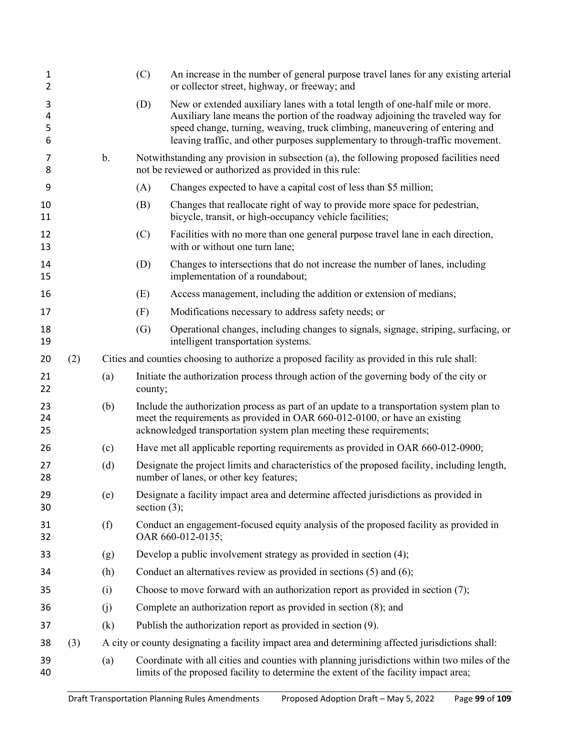| 1<br>2           |     |               | (C)             | An increase in the number of general purpose travel lanes for any existing arterial<br>or collector street, highway, or freeway; and                                                                                                                                                                                             |  |  |  |
|------------------|-----|---------------|-----------------|----------------------------------------------------------------------------------------------------------------------------------------------------------------------------------------------------------------------------------------------------------------------------------------------------------------------------------|--|--|--|
| 3<br>4<br>5<br>6 |     |               | (D)             | New or extended auxiliary lanes with a total length of one-half mile or more.<br>Auxiliary lane means the portion of the roadway adjoining the traveled way for<br>speed change, turning, weaving, truck climbing, maneuvering of entering and<br>leaving traffic, and other purposes supplementary to through-traffic movement. |  |  |  |
| 7<br>8           |     | $\mathbf b$ . |                 | Notwithstanding any provision in subsection (a), the following proposed facilities need<br>not be reviewed or authorized as provided in this rule:                                                                                                                                                                               |  |  |  |
| 9                |     |               | (A)             | Changes expected to have a capital cost of less than \$5 million;                                                                                                                                                                                                                                                                |  |  |  |
| 10<br>11         |     |               | (B)             | Changes that reallocate right of way to provide more space for pedestrian,<br>bicycle, transit, or high-occupancy vehicle facilities;                                                                                                                                                                                            |  |  |  |
| 12<br>13         |     |               | (C)             | Facilities with no more than one general purpose travel lane in each direction,<br>with or without one turn lane;                                                                                                                                                                                                                |  |  |  |
| 14<br>15         |     |               | (D)             | Changes to intersections that do not increase the number of lanes, including<br>implementation of a roundabout;                                                                                                                                                                                                                  |  |  |  |
| 16               |     |               | (E)             | Access management, including the addition or extension of medians;                                                                                                                                                                                                                                                               |  |  |  |
| 17               |     |               | (F)             | Modifications necessary to address safety needs; or                                                                                                                                                                                                                                                                              |  |  |  |
| 18<br>19         |     |               | (G)             | Operational changes, including changes to signals, signage, striping, surfacing, or<br>intelligent transportation systems.                                                                                                                                                                                                       |  |  |  |
| 20               | (2) |               |                 | Cities and counties choosing to authorize a proposed facility as provided in this rule shall:                                                                                                                                                                                                                                    |  |  |  |
| 21<br>22         |     | (a)           | county;         | Initiate the authorization process through action of the governing body of the city or                                                                                                                                                                                                                                           |  |  |  |
| 23<br>24<br>25   |     | (b)           |                 | Include the authorization process as part of an update to a transportation system plan to<br>meet the requirements as provided in OAR 660-012-0100, or have an existing<br>acknowledged transportation system plan meeting these requirements;                                                                                   |  |  |  |
| 26               |     | (c)           |                 | Have met all applicable reporting requirements as provided in OAR 660-012-0900;                                                                                                                                                                                                                                                  |  |  |  |
| 27<br>28         |     | (d)           |                 | Designate the project limits and characteristics of the proposed facility, including length,<br>number of lanes, or other key features;                                                                                                                                                                                          |  |  |  |
| 29<br>30         |     | (e)           | section $(3)$ ; | Designate a facility impact area and determine affected jurisdictions as provided in                                                                                                                                                                                                                                             |  |  |  |
| 31<br>32         |     | (f)           |                 | Conduct an engagement-focused equity analysis of the proposed facility as provided in<br>OAR 660-012-0135;                                                                                                                                                                                                                       |  |  |  |
| 33               |     | (g)           |                 | Develop a public involvement strategy as provided in section (4);                                                                                                                                                                                                                                                                |  |  |  |
| 34               |     | (h)           |                 | Conduct an alternatives review as provided in sections $(5)$ and $(6)$ ;                                                                                                                                                                                                                                                         |  |  |  |
| 35               |     | (i)           |                 | Choose to move forward with an authorization report as provided in section (7);                                                                                                                                                                                                                                                  |  |  |  |
| 36               |     | (j)           |                 | Complete an authorization report as provided in section $(8)$ ; and                                                                                                                                                                                                                                                              |  |  |  |
| 37               |     | (k)           |                 | Publish the authorization report as provided in section (9).                                                                                                                                                                                                                                                                     |  |  |  |
| 38               | (3) |               |                 | A city or county designating a facility impact area and determining affected jurisdictions shall:                                                                                                                                                                                                                                |  |  |  |
| 39<br>40         |     | (a)           |                 | Coordinate with all cities and counties with planning jurisdictions within two miles of the<br>limits of the proposed facility to determine the extent of the facility impact area;                                                                                                                                              |  |  |  |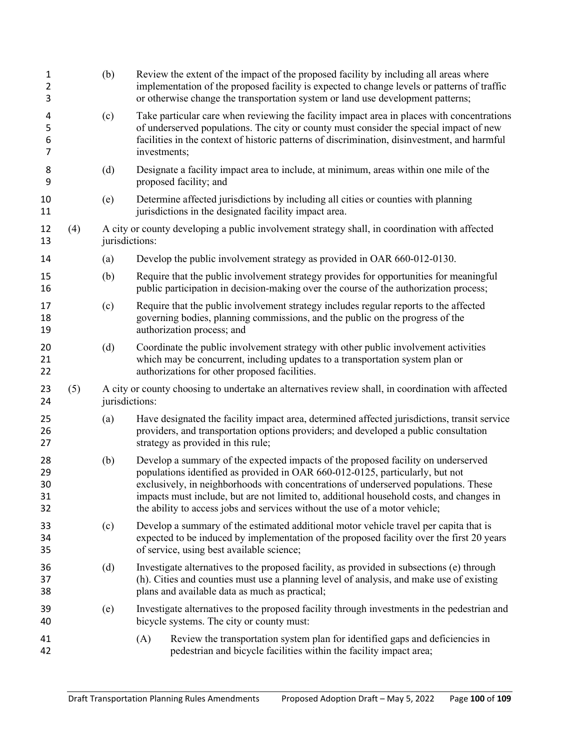| $\mathbf{1}$<br>$\overline{2}$<br>3 |     | (b)            | Review the extent of the impact of the proposed facility by including all areas where<br>implementation of the proposed facility is expected to change levels or patterns of traffic<br>or otherwise change the transportation system or land use development patterns;                                                                                                                                                              |  |  |  |
|-------------------------------------|-----|----------------|--------------------------------------------------------------------------------------------------------------------------------------------------------------------------------------------------------------------------------------------------------------------------------------------------------------------------------------------------------------------------------------------------------------------------------------|--|--|--|
| 4<br>5<br>6<br>7                    |     | (c)            | Take particular care when reviewing the facility impact area in places with concentrations<br>of underserved populations. The city or county must consider the special impact of new<br>facilities in the context of historic patterns of discrimination, disinvestment, and harmful<br>investments;                                                                                                                                 |  |  |  |
| 8<br>9                              |     | (d)            | Designate a facility impact area to include, at minimum, areas within one mile of the<br>proposed facility; and                                                                                                                                                                                                                                                                                                                      |  |  |  |
| 10<br>11                            |     | (e)            | Determine affected jurisdictions by including all cities or counties with planning<br>jurisdictions in the designated facility impact area.                                                                                                                                                                                                                                                                                          |  |  |  |
| 12<br>13                            | (4) | jurisdictions: | A city or county developing a public involvement strategy shall, in coordination with affected                                                                                                                                                                                                                                                                                                                                       |  |  |  |
| 14                                  |     | (a)            | Develop the public involvement strategy as provided in OAR 660-012-0130.                                                                                                                                                                                                                                                                                                                                                             |  |  |  |
| 15<br>16                            |     | (b)            | Require that the public involvement strategy provides for opportunities for meaningful<br>public participation in decision-making over the course of the authorization process;                                                                                                                                                                                                                                                      |  |  |  |
| 17<br>18<br>19                      |     | (c)            | Require that the public involvement strategy includes regular reports to the affected<br>governing bodies, planning commissions, and the public on the progress of the<br>authorization process; and                                                                                                                                                                                                                                 |  |  |  |
| 20<br>21<br>22                      |     | (d)            | Coordinate the public involvement strategy with other public involvement activities<br>which may be concurrent, including updates to a transportation system plan or<br>authorizations for other proposed facilities.                                                                                                                                                                                                                |  |  |  |
| 23<br>24                            | (5) | jurisdictions: | A city or county choosing to undertake an alternatives review shall, in coordination with affected                                                                                                                                                                                                                                                                                                                                   |  |  |  |
| 25<br>26<br>27                      |     | (a)            | Have designated the facility impact area, determined affected jurisdictions, transit service<br>providers, and transportation options providers; and developed a public consultation<br>strategy as provided in this rule;                                                                                                                                                                                                           |  |  |  |
| 28<br>29<br>30<br>31<br>32          |     | (b)            | Develop a summary of the expected impacts of the proposed facility on underserved<br>populations identified as provided in OAR 660-012-0125, particularly, but not<br>exclusively, in neighborhoods with concentrations of underserved populations. These<br>impacts must include, but are not limited to, additional household costs, and changes in<br>the ability to access jobs and services without the use of a motor vehicle; |  |  |  |
| 33<br>34<br>35                      |     | (c)            | Develop a summary of the estimated additional motor vehicle travel per capita that is<br>expected to be induced by implementation of the proposed facility over the first 20 years<br>of service, using best available science;                                                                                                                                                                                                      |  |  |  |
| 36<br>37<br>38                      |     | (d)            | Investigate alternatives to the proposed facility, as provided in subsections (e) through<br>(h). Cities and counties must use a planning level of analysis, and make use of existing<br>plans and available data as much as practical;                                                                                                                                                                                              |  |  |  |
| 39<br>40                            |     | (e)            | Investigate alternatives to the proposed facility through investments in the pedestrian and<br>bicycle systems. The city or county must:                                                                                                                                                                                                                                                                                             |  |  |  |
| 41<br>42                            |     |                | Review the transportation system plan for identified gaps and deficiencies in<br>(A)<br>pedestrian and bicycle facilities within the facility impact area;                                                                                                                                                                                                                                                                           |  |  |  |
|                                     |     |                |                                                                                                                                                                                                                                                                                                                                                                                                                                      |  |  |  |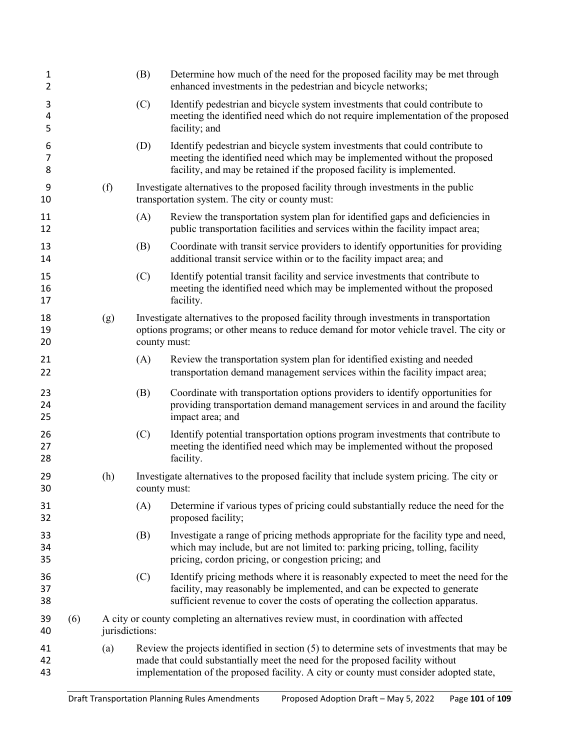| 1<br>$\overline{2}$ |     |                | (B)          | Determine how much of the need for the proposed facility may be met through<br>enhanced investments in the pedestrian and bicycle networks;                                                                                                                           |
|---------------------|-----|----------------|--------------|-----------------------------------------------------------------------------------------------------------------------------------------------------------------------------------------------------------------------------------------------------------------------|
| 3<br>4<br>5         |     |                | (C)          | Identify pedestrian and bicycle system investments that could contribute to<br>meeting the identified need which do not require implementation of the proposed<br>facility; and                                                                                       |
| 6<br>7<br>8         |     |                | (D)          | Identify pedestrian and bicycle system investments that could contribute to<br>meeting the identified need which may be implemented without the proposed<br>facility, and may be retained if the proposed facility is implemented.                                    |
| 9<br>10             |     | (f)            |              | Investigate alternatives to the proposed facility through investments in the public<br>transportation system. The city or county must:                                                                                                                                |
| 11<br>12            |     |                | (A)          | Review the transportation system plan for identified gaps and deficiencies in<br>public transportation facilities and services within the facility impact area;                                                                                                       |
| 13<br>14            |     |                | (B)          | Coordinate with transit service providers to identify opportunities for providing<br>additional transit service within or to the facility impact area; and                                                                                                            |
| 15<br>16<br>17      |     |                | (C)          | Identify potential transit facility and service investments that contribute to<br>meeting the identified need which may be implemented without the proposed<br>facility.                                                                                              |
| 18<br>19<br>20      |     | (g)            | county must: | Investigate alternatives to the proposed facility through investments in transportation<br>options programs; or other means to reduce demand for motor vehicle travel. The city or                                                                                    |
| 21<br>22            |     |                | (A)          | Review the transportation system plan for identified existing and needed<br>transportation demand management services within the facility impact area;                                                                                                                |
| 23<br>24<br>25      |     |                | (B)          | Coordinate with transportation options providers to identify opportunities for<br>providing transportation demand management services in and around the facility<br>impact area; and                                                                                  |
| 26<br>27<br>28      |     |                | (C)          | Identify potential transportation options program investments that contribute to<br>meeting the identified need which may be implemented without the proposed<br>facility.                                                                                            |
| 29<br>30            |     | (h)            | county must: | Investigate alternatives to the proposed facility that include system pricing. The city or                                                                                                                                                                            |
| 31<br>32            |     |                | (A)          | Determine if various types of pricing could substantially reduce the need for the<br>proposed facility;                                                                                                                                                               |
| 33<br>34<br>35      |     |                | (B)          | Investigate a range of pricing methods appropriate for the facility type and need,<br>which may include, but are not limited to: parking pricing, tolling, facility<br>pricing, cordon pricing, or congestion pricing; and                                            |
| 36<br>37<br>38      |     |                | (C)          | Identify pricing methods where it is reasonably expected to meet the need for the<br>facility, may reasonably be implemented, and can be expected to generate<br>sufficient revenue to cover the costs of operating the collection apparatus.                         |
| 39<br>40            | (6) | jurisdictions: |              | A city or county completing an alternatives review must, in coordination with affected                                                                                                                                                                                |
| 41<br>42<br>43      |     | (a)            |              | Review the projects identified in section (5) to determine sets of investments that may be<br>made that could substantially meet the need for the proposed facility without<br>implementation of the proposed facility. A city or county must consider adopted state, |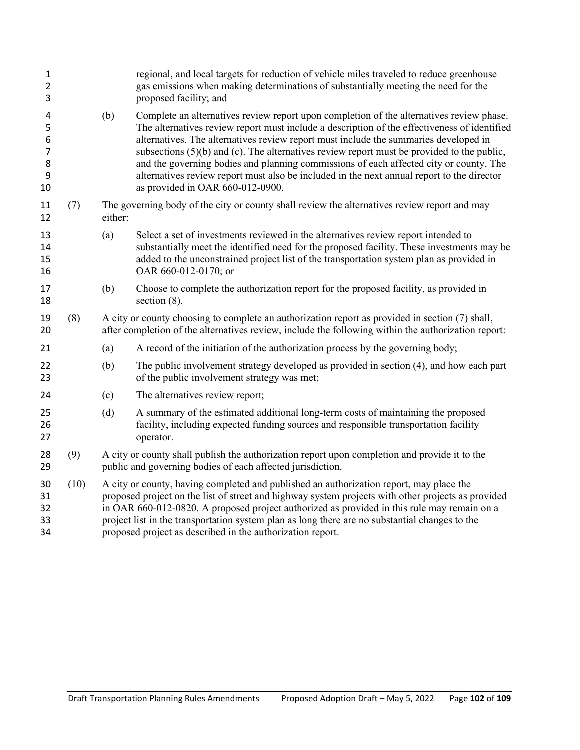| $\mathbf{1}$<br>2<br>3                        |      |                                                                                                                                                                                                                                                                                                                                                                                                                                                              | regional, and local targets for reduction of vehicle miles traveled to reduce greenhouse<br>gas emissions when making determinations of substantially meeting the need for the<br>proposed facility; and                                                                                                                                                                                                                                                                                                                                                                                                        |  |  |  |
|-----------------------------------------------|------|--------------------------------------------------------------------------------------------------------------------------------------------------------------------------------------------------------------------------------------------------------------------------------------------------------------------------------------------------------------------------------------------------------------------------------------------------------------|-----------------------------------------------------------------------------------------------------------------------------------------------------------------------------------------------------------------------------------------------------------------------------------------------------------------------------------------------------------------------------------------------------------------------------------------------------------------------------------------------------------------------------------------------------------------------------------------------------------------|--|--|--|
| 4<br>5<br>6<br>$\overline{7}$<br>8<br>9<br>10 |      | (b)                                                                                                                                                                                                                                                                                                                                                                                                                                                          | Complete an alternatives review report upon completion of the alternatives review phase.<br>The alternatives review report must include a description of the effectiveness of identified<br>alternatives. The alternatives review report must include the summaries developed in<br>subsections $(5)(b)$ and $(c)$ . The alternatives review report must be provided to the public,<br>and the governing bodies and planning commissions of each affected city or county. The<br>alternatives review report must also be included in the next annual report to the director<br>as provided in OAR 660-012-0900. |  |  |  |
| 11<br>12                                      | (7)  | either:                                                                                                                                                                                                                                                                                                                                                                                                                                                      | The governing body of the city or county shall review the alternatives review report and may                                                                                                                                                                                                                                                                                                                                                                                                                                                                                                                    |  |  |  |
| 13<br>14<br>15<br>16                          |      | (a)                                                                                                                                                                                                                                                                                                                                                                                                                                                          | Select a set of investments reviewed in the alternatives review report intended to<br>substantially meet the identified need for the proposed facility. These investments may be<br>added to the unconstrained project list of the transportation system plan as provided in<br>OAR 660-012-0170; or                                                                                                                                                                                                                                                                                                            |  |  |  |
| 17<br>18                                      |      | (b)                                                                                                                                                                                                                                                                                                                                                                                                                                                          | Choose to complete the authorization report for the proposed facility, as provided in<br>section $(8)$ .                                                                                                                                                                                                                                                                                                                                                                                                                                                                                                        |  |  |  |
| 19<br>20                                      | (8)  |                                                                                                                                                                                                                                                                                                                                                                                                                                                              | A city or county choosing to complete an authorization report as provided in section (7) shall,<br>after completion of the alternatives review, include the following within the authorization report:                                                                                                                                                                                                                                                                                                                                                                                                          |  |  |  |
| 21                                            |      | (a)                                                                                                                                                                                                                                                                                                                                                                                                                                                          | A record of the initiation of the authorization process by the governing body;                                                                                                                                                                                                                                                                                                                                                                                                                                                                                                                                  |  |  |  |
| 22<br>23                                      |      | (b)                                                                                                                                                                                                                                                                                                                                                                                                                                                          | The public involvement strategy developed as provided in section (4), and how each part<br>of the public involvement strategy was met;                                                                                                                                                                                                                                                                                                                                                                                                                                                                          |  |  |  |
| 24                                            |      | (c)                                                                                                                                                                                                                                                                                                                                                                                                                                                          | The alternatives review report;                                                                                                                                                                                                                                                                                                                                                                                                                                                                                                                                                                                 |  |  |  |
| 25<br>26<br>27                                |      | (d)                                                                                                                                                                                                                                                                                                                                                                                                                                                          | A summary of the estimated additional long-term costs of maintaining the proposed<br>facility, including expected funding sources and responsible transportation facility<br>operator.                                                                                                                                                                                                                                                                                                                                                                                                                          |  |  |  |
| 28<br>29                                      | (9)  | A city or county shall publish the authorization report upon completion and provide it to the<br>public and governing bodies of each affected jurisdiction.                                                                                                                                                                                                                                                                                                  |                                                                                                                                                                                                                                                                                                                                                                                                                                                                                                                                                                                                                 |  |  |  |
| 30<br>31<br>32<br>33<br>34                    | (10) | A city or county, having completed and published an authorization report, may place the<br>proposed project on the list of street and highway system projects with other projects as provided<br>in OAR 660-012-0820. A proposed project authorized as provided in this rule may remain on a<br>project list in the transportation system plan as long there are no substantial changes to the<br>proposed project as described in the authorization report. |                                                                                                                                                                                                                                                                                                                                                                                                                                                                                                                                                                                                                 |  |  |  |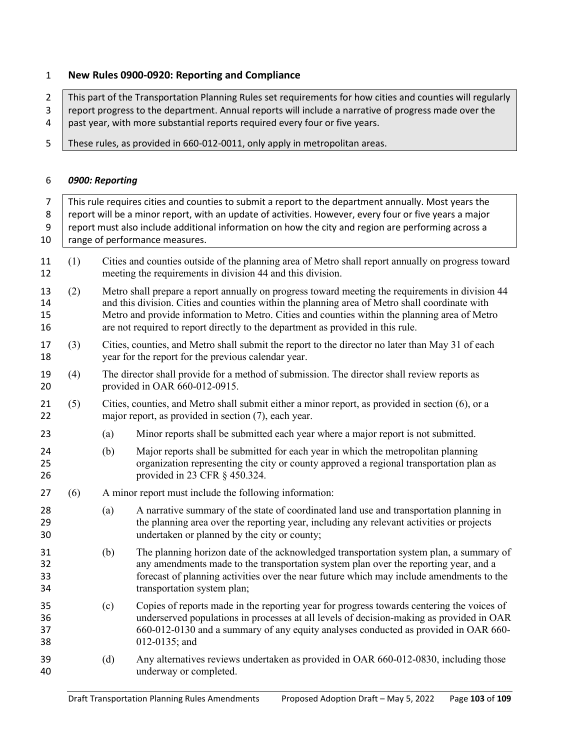## **New Rules 0900-0920: Reporting and Compliance**

2 This part of the Transportation Planning Rules set requirements for how cities and counties will regularly 3 | report progress to the department. Annual reports will include a narrative of progress made over the 4 past year, with more substantial reports required every four or five years.

5 These rules, as provided in 660-012-0011, only apply in metropolitan areas.

#### *0900: Reporting*

| $\overline{7}$<br>8<br>9<br>10 | This rule requires cities and counties to submit a report to the department annually. Most years the<br>report will be a minor report, with an update of activities. However, every four or five years a major<br>report must also include additional information on how the city and region are performing across a<br>range of performance measures. |     |                                                                                                                                                                                                                                                                                                                                                                                        |  |  |  |  |
|--------------------------------|--------------------------------------------------------------------------------------------------------------------------------------------------------------------------------------------------------------------------------------------------------------------------------------------------------------------------------------------------------|-----|----------------------------------------------------------------------------------------------------------------------------------------------------------------------------------------------------------------------------------------------------------------------------------------------------------------------------------------------------------------------------------------|--|--|--|--|
| 11<br>12                       | (1)                                                                                                                                                                                                                                                                                                                                                    |     | Cities and counties outside of the planning area of Metro shall report annually on progress toward<br>meeting the requirements in division 44 and this division.                                                                                                                                                                                                                       |  |  |  |  |
| 13<br>14<br>15<br>16           | (2)                                                                                                                                                                                                                                                                                                                                                    |     | Metro shall prepare a report annually on progress toward meeting the requirements in division 44<br>and this division. Cities and counties within the planning area of Metro shall coordinate with<br>Metro and provide information to Metro. Cities and counties within the planning area of Metro<br>are not required to report directly to the department as provided in this rule. |  |  |  |  |
| 17<br>18                       | (3)                                                                                                                                                                                                                                                                                                                                                    |     | Cities, counties, and Metro shall submit the report to the director no later than May 31 of each<br>year for the report for the previous calendar year.                                                                                                                                                                                                                                |  |  |  |  |
| 19<br>20                       | (4)                                                                                                                                                                                                                                                                                                                                                    |     | The director shall provide for a method of submission. The director shall review reports as<br>provided in OAR 660-012-0915.                                                                                                                                                                                                                                                           |  |  |  |  |
| 21<br>22                       | (5)                                                                                                                                                                                                                                                                                                                                                    |     | Cities, counties, and Metro shall submit either a minor report, as provided in section (6), or a<br>major report, as provided in section (7), each year.                                                                                                                                                                                                                               |  |  |  |  |
| 23                             |                                                                                                                                                                                                                                                                                                                                                        | (a) | Minor reports shall be submitted each year where a major report is not submitted.                                                                                                                                                                                                                                                                                                      |  |  |  |  |
| 24<br>25<br>26                 |                                                                                                                                                                                                                                                                                                                                                        | (b) | Major reports shall be submitted for each year in which the metropolitan planning<br>organization representing the city or county approved a regional transportation plan as<br>provided in 23 CFR § 450.324.                                                                                                                                                                          |  |  |  |  |
| 27                             | (6)                                                                                                                                                                                                                                                                                                                                                    |     | A minor report must include the following information:                                                                                                                                                                                                                                                                                                                                 |  |  |  |  |
| 28<br>29<br>30                 |                                                                                                                                                                                                                                                                                                                                                        | (a) | A narrative summary of the state of coordinated land use and transportation planning in<br>the planning area over the reporting year, including any relevant activities or projects<br>undertaken or planned by the city or county;                                                                                                                                                    |  |  |  |  |
| 31<br>32<br>33<br>34           |                                                                                                                                                                                                                                                                                                                                                        | (b) | The planning horizon date of the acknowledged transportation system plan, a summary of<br>any amendments made to the transportation system plan over the reporting year, and a<br>forecast of planning activities over the near future which may include amendments to the<br>transportation system plan;                                                                              |  |  |  |  |
| 35<br>36<br>37<br>38           |                                                                                                                                                                                                                                                                                                                                                        | (c) | Copies of reports made in the reporting year for progress towards centering the voices of<br>underserved populations in processes at all levels of decision-making as provided in OAR<br>660-012-0130 and a summary of any equity analyses conducted as provided in OAR 660-<br>012-0135; and                                                                                          |  |  |  |  |
| 39<br>40                       |                                                                                                                                                                                                                                                                                                                                                        | (d) | Any alternatives reviews undertaken as provided in OAR 660-012-0830, including those<br>underway or completed.                                                                                                                                                                                                                                                                         |  |  |  |  |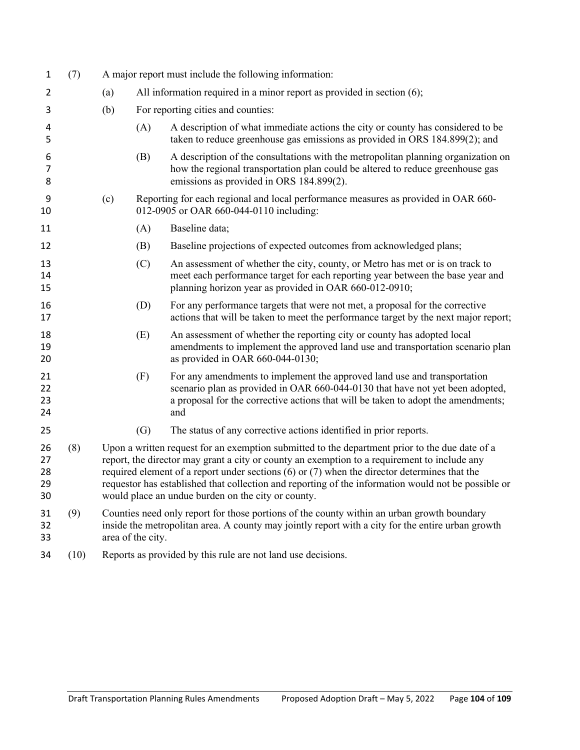| 1                          | (7)  |     | A major report must include the following information:                                                                                                                                                                                                                                                                                                                                                                                                          |                                                                                                                                                                                                                                                       |  |  |
|----------------------------|------|-----|-----------------------------------------------------------------------------------------------------------------------------------------------------------------------------------------------------------------------------------------------------------------------------------------------------------------------------------------------------------------------------------------------------------------------------------------------------------------|-------------------------------------------------------------------------------------------------------------------------------------------------------------------------------------------------------------------------------------------------------|--|--|
| 2                          |      | (a) |                                                                                                                                                                                                                                                                                                                                                                                                                                                                 | All information required in a minor report as provided in section (6);                                                                                                                                                                                |  |  |
| 3                          |      | (b) |                                                                                                                                                                                                                                                                                                                                                                                                                                                                 | For reporting cities and counties:                                                                                                                                                                                                                    |  |  |
| 4<br>5                     |      |     | (A)                                                                                                                                                                                                                                                                                                                                                                                                                                                             | A description of what immediate actions the city or county has considered to be<br>taken to reduce greenhouse gas emissions as provided in ORS 184.899(2); and                                                                                        |  |  |
| 6<br>7<br>8                |      |     | (B)                                                                                                                                                                                                                                                                                                                                                                                                                                                             | A description of the consultations with the metropolitan planning organization on<br>how the regional transportation plan could be altered to reduce greenhouse gas<br>emissions as provided in ORS 184.899(2).                                       |  |  |
| 9<br>10                    |      | (c) |                                                                                                                                                                                                                                                                                                                                                                                                                                                                 | Reporting for each regional and local performance measures as provided in OAR 660-<br>012-0905 or OAR 660-044-0110 including:                                                                                                                         |  |  |
| 11                         |      |     | (A)                                                                                                                                                                                                                                                                                                                                                                                                                                                             | Baseline data;                                                                                                                                                                                                                                        |  |  |
| 12                         |      |     | (B)                                                                                                                                                                                                                                                                                                                                                                                                                                                             | Baseline projections of expected outcomes from acknowledged plans;                                                                                                                                                                                    |  |  |
| 13<br>14<br>15             |      |     | (C)                                                                                                                                                                                                                                                                                                                                                                                                                                                             | An assessment of whether the city, county, or Metro has met or is on track to<br>meet each performance target for each reporting year between the base year and<br>planning horizon year as provided in OAR 660-012-0910;                             |  |  |
| 16<br>17                   |      |     | (D)                                                                                                                                                                                                                                                                                                                                                                                                                                                             | For any performance targets that were not met, a proposal for the corrective<br>actions that will be taken to meet the performance target by the next major report;                                                                                   |  |  |
| 18<br>19<br>20             |      |     | (E)                                                                                                                                                                                                                                                                                                                                                                                                                                                             | An assessment of whether the reporting city or county has adopted local<br>amendments to implement the approved land use and transportation scenario plan<br>as provided in OAR 660-044-0130;                                                         |  |  |
| 21<br>22<br>23<br>24       |      |     | (F)                                                                                                                                                                                                                                                                                                                                                                                                                                                             | For any amendments to implement the approved land use and transportation<br>scenario plan as provided in OAR 660-044-0130 that have not yet been adopted,<br>a proposal for the corrective actions that will be taken to adopt the amendments;<br>and |  |  |
| 25                         |      |     | (G)                                                                                                                                                                                                                                                                                                                                                                                                                                                             | The status of any corrective actions identified in prior reports.                                                                                                                                                                                     |  |  |
| 26<br>27<br>28<br>29<br>30 | (8)  |     | Upon a written request for an exemption submitted to the department prior to the due date of a<br>report, the director may grant a city or county an exemption to a requirement to include any<br>required element of a report under sections $(6)$ or $(7)$ when the director determines that the<br>requestor has established that collection and reporting of the information would not be possible or<br>would place an undue burden on the city or county. |                                                                                                                                                                                                                                                       |  |  |
| 31<br>32<br>33             | (9)  |     | Counties need only report for those portions of the county within an urban growth boundary<br>inside the metropolitan area. A county may jointly report with a city for the entire urban growth<br>area of the city.                                                                                                                                                                                                                                            |                                                                                                                                                                                                                                                       |  |  |
| 34                         | (10) |     | Reports as provided by this rule are not land use decisions.                                                                                                                                                                                                                                                                                                                                                                                                    |                                                                                                                                                                                                                                                       |  |  |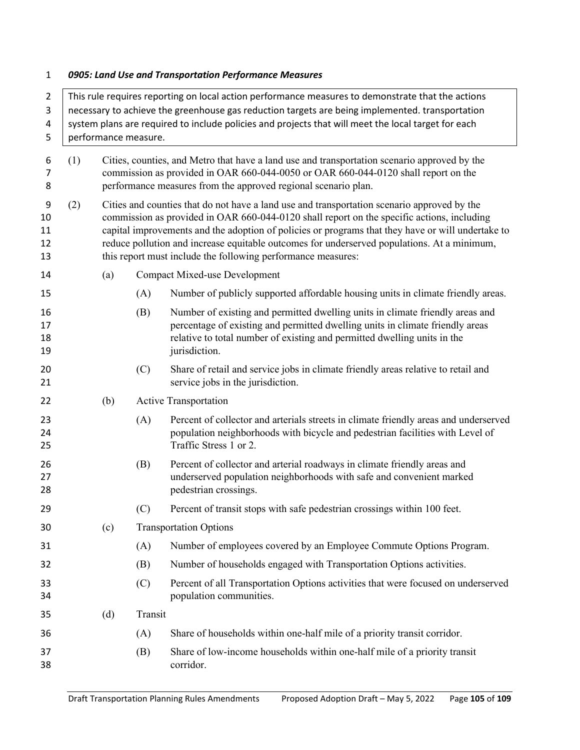# *0905: Land Use and Transportation Performance Measures*

| $\overline{2}$            | This rule requires reporting on local action performance measures to demonstrate that the actions |                                                                                                                                                                                                                                                      |                                                                                                                                                                                                                                                                                                                                                                                                                                                               |                                                                                                                                                                                                                                                             |  |  |  |  |
|---------------------------|---------------------------------------------------------------------------------------------------|------------------------------------------------------------------------------------------------------------------------------------------------------------------------------------------------------------------------------------------------------|---------------------------------------------------------------------------------------------------------------------------------------------------------------------------------------------------------------------------------------------------------------------------------------------------------------------------------------------------------------------------------------------------------------------------------------------------------------|-------------------------------------------------------------------------------------------------------------------------------------------------------------------------------------------------------------------------------------------------------------|--|--|--|--|
| 3                         | necessary to achieve the greenhouse gas reduction targets are being implemented. transportation   |                                                                                                                                                                                                                                                      |                                                                                                                                                                                                                                                                                                                                                                                                                                                               |                                                                                                                                                                                                                                                             |  |  |  |  |
| 4                         |                                                                                                   | system plans are required to include policies and projects that will meet the local target for each                                                                                                                                                  |                                                                                                                                                                                                                                                                                                                                                                                                                                                               |                                                                                                                                                                                                                                                             |  |  |  |  |
| 5                         |                                                                                                   | performance measure.                                                                                                                                                                                                                                 |                                                                                                                                                                                                                                                                                                                                                                                                                                                               |                                                                                                                                                                                                                                                             |  |  |  |  |
| 6<br>7<br>8               | (1)                                                                                               | Cities, counties, and Metro that have a land use and transportation scenario approved by the<br>commission as provided in OAR 660-044-0050 or OAR 660-044-0120 shall report on the<br>performance measures from the approved regional scenario plan. |                                                                                                                                                                                                                                                                                                                                                                                                                                                               |                                                                                                                                                                                                                                                             |  |  |  |  |
| 9<br>10<br>11<br>12<br>13 | (2)                                                                                               |                                                                                                                                                                                                                                                      | Cities and counties that do not have a land use and transportation scenario approved by the<br>commission as provided in OAR 660-044-0120 shall report on the specific actions, including<br>capital improvements and the adoption of policies or programs that they have or will undertake to<br>reduce pollution and increase equitable outcomes for underserved populations. At a minimum,<br>this report must include the following performance measures: |                                                                                                                                                                                                                                                             |  |  |  |  |
| 14                        |                                                                                                   | (a)                                                                                                                                                                                                                                                  |                                                                                                                                                                                                                                                                                                                                                                                                                                                               | <b>Compact Mixed-use Development</b>                                                                                                                                                                                                                        |  |  |  |  |
| 15                        |                                                                                                   |                                                                                                                                                                                                                                                      | (A)                                                                                                                                                                                                                                                                                                                                                                                                                                                           | Number of publicly supported affordable housing units in climate friendly areas.                                                                                                                                                                            |  |  |  |  |
| 16<br>17<br>18<br>19      |                                                                                                   |                                                                                                                                                                                                                                                      | (B)                                                                                                                                                                                                                                                                                                                                                                                                                                                           | Number of existing and permitted dwelling units in climate friendly areas and<br>percentage of existing and permitted dwelling units in climate friendly areas<br>relative to total number of existing and permitted dwelling units in the<br>jurisdiction. |  |  |  |  |
| 20<br>21                  |                                                                                                   |                                                                                                                                                                                                                                                      | (C)                                                                                                                                                                                                                                                                                                                                                                                                                                                           | Share of retail and service jobs in climate friendly areas relative to retail and<br>service jobs in the jurisdiction.                                                                                                                                      |  |  |  |  |
| 22                        |                                                                                                   | (b)                                                                                                                                                                                                                                                  |                                                                                                                                                                                                                                                                                                                                                                                                                                                               | <b>Active Transportation</b>                                                                                                                                                                                                                                |  |  |  |  |
| 23<br>24<br>25            |                                                                                                   |                                                                                                                                                                                                                                                      | (A)                                                                                                                                                                                                                                                                                                                                                                                                                                                           | Percent of collector and arterials streets in climate friendly areas and underserved<br>population neighborhoods with bicycle and pedestrian facilities with Level of<br>Traffic Stress 1 or 2.                                                             |  |  |  |  |
| 26<br>27<br>28            |                                                                                                   |                                                                                                                                                                                                                                                      | (B)                                                                                                                                                                                                                                                                                                                                                                                                                                                           | Percent of collector and arterial roadways in climate friendly areas and<br>underserved population neighborhoods with safe and convenient marked<br>pedestrian crossings.                                                                                   |  |  |  |  |
| 29                        |                                                                                                   |                                                                                                                                                                                                                                                      | (C)                                                                                                                                                                                                                                                                                                                                                                                                                                                           | Percent of transit stops with safe pedestrian crossings within 100 feet.                                                                                                                                                                                    |  |  |  |  |
| 30                        |                                                                                                   | (c)                                                                                                                                                                                                                                                  |                                                                                                                                                                                                                                                                                                                                                                                                                                                               | <b>Transportation Options</b>                                                                                                                                                                                                                               |  |  |  |  |
| 31                        |                                                                                                   |                                                                                                                                                                                                                                                      | (A)                                                                                                                                                                                                                                                                                                                                                                                                                                                           | Number of employees covered by an Employee Commute Options Program.                                                                                                                                                                                         |  |  |  |  |
| 32                        |                                                                                                   |                                                                                                                                                                                                                                                      | (B)                                                                                                                                                                                                                                                                                                                                                                                                                                                           | Number of households engaged with Transportation Options activities.                                                                                                                                                                                        |  |  |  |  |
| 33<br>34                  |                                                                                                   |                                                                                                                                                                                                                                                      | (C)                                                                                                                                                                                                                                                                                                                                                                                                                                                           | Percent of all Transportation Options activities that were focused on underserved<br>population communities.                                                                                                                                                |  |  |  |  |
| 35                        |                                                                                                   | (d)                                                                                                                                                                                                                                                  | Transit                                                                                                                                                                                                                                                                                                                                                                                                                                                       |                                                                                                                                                                                                                                                             |  |  |  |  |
| 36                        |                                                                                                   |                                                                                                                                                                                                                                                      | (A)                                                                                                                                                                                                                                                                                                                                                                                                                                                           | Share of households within one-half mile of a priority transit corridor.                                                                                                                                                                                    |  |  |  |  |
| 37<br>38                  |                                                                                                   |                                                                                                                                                                                                                                                      | (B)                                                                                                                                                                                                                                                                                                                                                                                                                                                           | Share of low-income households within one-half mile of a priority transit<br>corridor.                                                                                                                                                                      |  |  |  |  |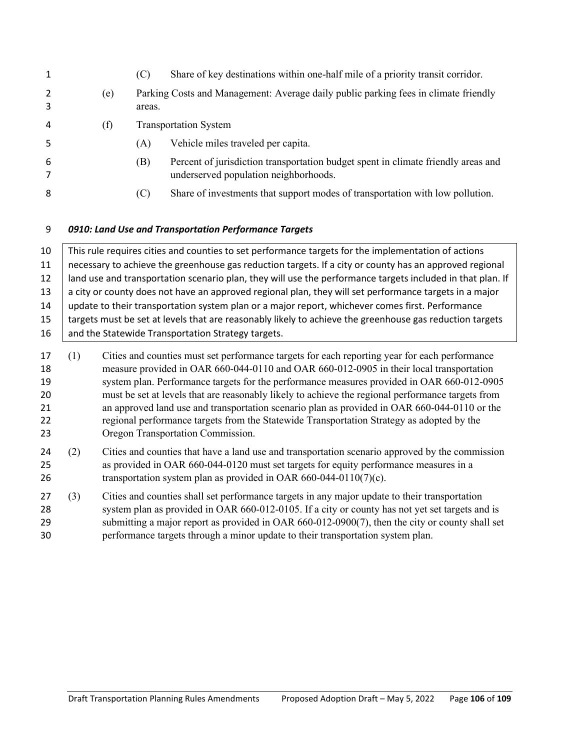| 1                                      |                                                                                                                                                                                                                                                                                                                                                                                                                                                                                                                                                                                                                                      |     | (C)    | Share of key destinations within one-half mile of a priority transit corridor.                                                                                                                                                                                   |  |  |
|----------------------------------------|--------------------------------------------------------------------------------------------------------------------------------------------------------------------------------------------------------------------------------------------------------------------------------------------------------------------------------------------------------------------------------------------------------------------------------------------------------------------------------------------------------------------------------------------------------------------------------------------------------------------------------------|-----|--------|------------------------------------------------------------------------------------------------------------------------------------------------------------------------------------------------------------------------------------------------------------------|--|--|
| 2<br>3                                 |                                                                                                                                                                                                                                                                                                                                                                                                                                                                                                                                                                                                                                      | (e) | areas. | Parking Costs and Management: Average daily public parking fees in climate friendly                                                                                                                                                                              |  |  |
| 4                                      |                                                                                                                                                                                                                                                                                                                                                                                                                                                                                                                                                                                                                                      | (f) |        | <b>Transportation System</b>                                                                                                                                                                                                                                     |  |  |
| 5                                      |                                                                                                                                                                                                                                                                                                                                                                                                                                                                                                                                                                                                                                      |     | (A)    | Vehicle miles traveled per capita.                                                                                                                                                                                                                               |  |  |
| 6<br>7                                 |                                                                                                                                                                                                                                                                                                                                                                                                                                                                                                                                                                                                                                      |     | (B)    | Percent of jurisdiction transportation budget spent in climate friendly areas and<br>underserved population neighborhoods.                                                                                                                                       |  |  |
| 8                                      |                                                                                                                                                                                                                                                                                                                                                                                                                                                                                                                                                                                                                                      |     | (C)    | Share of investments that support modes of transportation with low pollution.                                                                                                                                                                                    |  |  |
| 9                                      | 0910: Land Use and Transportation Performance Targets                                                                                                                                                                                                                                                                                                                                                                                                                                                                                                                                                                                |     |        |                                                                                                                                                                                                                                                                  |  |  |
| 10                                     |                                                                                                                                                                                                                                                                                                                                                                                                                                                                                                                                                                                                                                      |     |        | This rule requires cities and counties to set performance targets for the implementation of actions                                                                                                                                                              |  |  |
| 11                                     | necessary to achieve the greenhouse gas reduction targets. If a city or county has an approved regional                                                                                                                                                                                                                                                                                                                                                                                                                                                                                                                              |     |        |                                                                                                                                                                                                                                                                  |  |  |
| 12<br>13                               |                                                                                                                                                                                                                                                                                                                                                                                                                                                                                                                                                                                                                                      |     |        | land use and transportation scenario plan, they will use the performance targets included in that plan. If<br>a city or county does not have an approved regional plan, they will set performance targets in a major                                             |  |  |
| 14                                     |                                                                                                                                                                                                                                                                                                                                                                                                                                                                                                                                                                                                                                      |     |        | update to their transportation system plan or a major report, whichever comes first. Performance                                                                                                                                                                 |  |  |
| 15                                     |                                                                                                                                                                                                                                                                                                                                                                                                                                                                                                                                                                                                                                      |     |        | targets must be set at levels that are reasonably likely to achieve the greenhouse gas reduction targets                                                                                                                                                         |  |  |
| 16                                     |                                                                                                                                                                                                                                                                                                                                                                                                                                                                                                                                                                                                                                      |     |        | and the Statewide Transportation Strategy targets.                                                                                                                                                                                                               |  |  |
| 17<br>18<br>19<br>20<br>21<br>22<br>23 | Cities and counties must set performance targets for each reporting year for each performance<br>(1)<br>measure provided in OAR 660-044-0110 and OAR 660-012-0905 in their local transportation<br>system plan. Performance targets for the performance measures provided in OAR 660-012-0905<br>must be set at levels that are reasonably likely to achieve the regional performance targets from<br>an approved land use and transportation scenario plan as provided in OAR 660-044-0110 or the<br>regional performance targets from the Statewide Transportation Strategy as adopted by the<br>Oregon Transportation Commission. |     |        |                                                                                                                                                                                                                                                                  |  |  |
| 24<br>25<br>26                         | (2)                                                                                                                                                                                                                                                                                                                                                                                                                                                                                                                                                                                                                                  |     |        | Cities and counties that have a land use and transportation scenario approved by the commission<br>as provided in OAR 660-044-0120 must set targets for equity performance measures in a<br>transportation system plan as provided in OAR $660-044-0110(7)(c)$ . |  |  |
| 27                                     | (3)                                                                                                                                                                                                                                                                                                                                                                                                                                                                                                                                                                                                                                  |     |        | Cities and counties shall set performance targets in any major update to their transportation                                                                                                                                                                    |  |  |
|                                        |                                                                                                                                                                                                                                                                                                                                                                                                                                                                                                                                                                                                                                      |     |        |                                                                                                                                                                                                                                                                  |  |  |

 system plan as provided in OAR 660-012-0105. If a city or county has not yet set targets and is 29 submitting a major report as provided in OAR 660-012-0900(7), then the city or county shall set performance targets through a minor update to their transportation system plan.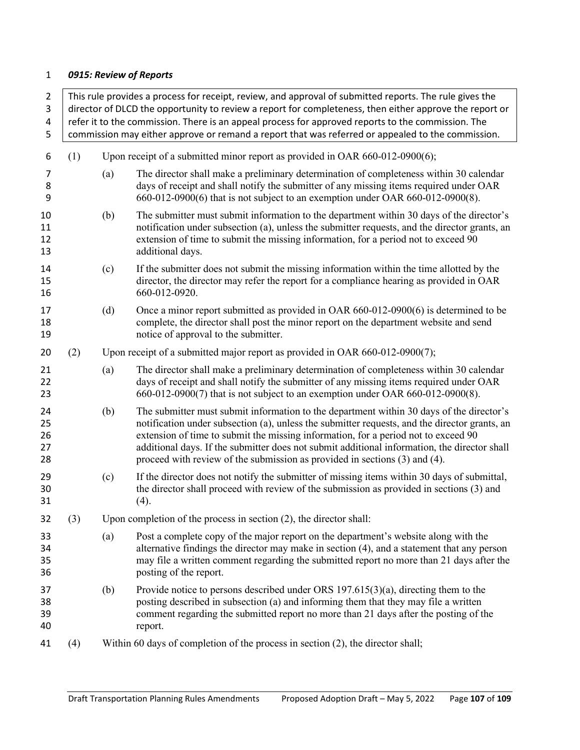# *0915: Review of Reports*

|     |                                                                                                                                                                                                         | director of DLCD the opportunity to review a report for completeness, then either approve the report or                                                                                                                                                                                                                                                                                                                                                       |  |  |  |  |  |
|-----|---------------------------------------------------------------------------------------------------------------------------------------------------------------------------------------------------------|---------------------------------------------------------------------------------------------------------------------------------------------------------------------------------------------------------------------------------------------------------------------------------------------------------------------------------------------------------------------------------------------------------------------------------------------------------------|--|--|--|--|--|
|     | refer it to the commission. There is an appeal process for approved reports to the commission. The<br>commission may either approve or remand a report that was referred or appealed to the commission. |                                                                                                                                                                                                                                                                                                                                                                                                                                                               |  |  |  |  |  |
| (1) | Upon receipt of a submitted minor report as provided in OAR 660-012-0900(6);                                                                                                                            |                                                                                                                                                                                                                                                                                                                                                                                                                                                               |  |  |  |  |  |
|     | (a)                                                                                                                                                                                                     | The director shall make a preliminary determination of completeness within 30 calendar<br>days of receipt and shall notify the submitter of any missing items required under OAR<br>660-012-0900(6) that is not subject to an exemption under OAR 660-012-0900(8).                                                                                                                                                                                            |  |  |  |  |  |
|     | (b)                                                                                                                                                                                                     | The submitter must submit information to the department within 30 days of the director's<br>notification under subsection (a), unless the submitter requests, and the director grants, an<br>extension of time to submit the missing information, for a period not to exceed 90<br>additional days.                                                                                                                                                           |  |  |  |  |  |
|     | (c)                                                                                                                                                                                                     | If the submitter does not submit the missing information within the time allotted by the<br>director, the director may refer the report for a compliance hearing as provided in OAR<br>660-012-0920.                                                                                                                                                                                                                                                          |  |  |  |  |  |
|     | (d)                                                                                                                                                                                                     | Once a minor report submitted as provided in OAR $660-012-0900(6)$ is determined to be<br>complete, the director shall post the minor report on the department website and send<br>notice of approval to the submitter.                                                                                                                                                                                                                                       |  |  |  |  |  |
| (2) | Upon receipt of a submitted major report as provided in OAR 660-012-0900(7);                                                                                                                            |                                                                                                                                                                                                                                                                                                                                                                                                                                                               |  |  |  |  |  |
|     | (a)                                                                                                                                                                                                     | The director shall make a preliminary determination of completeness within 30 calendar<br>days of receipt and shall notify the submitter of any missing items required under OAR<br>660-012-0900(7) that is not subject to an exemption under OAR 660-012-0900(8).                                                                                                                                                                                            |  |  |  |  |  |
|     | (b)                                                                                                                                                                                                     | The submitter must submit information to the department within 30 days of the director's<br>notification under subsection (a), unless the submitter requests, and the director grants, an<br>extension of time to submit the missing information, for a period not to exceed 90<br>additional days. If the submitter does not submit additional information, the director shall<br>proceed with review of the submission as provided in sections (3) and (4). |  |  |  |  |  |
|     | (c)                                                                                                                                                                                                     | If the director does not notify the submitter of missing items within 30 days of submittal,<br>the director shall proceed with review of the submission as provided in sections (3) and<br>(4).                                                                                                                                                                                                                                                               |  |  |  |  |  |
| (3) |                                                                                                                                                                                                         | Upon completion of the process in section $(2)$ , the director shall:                                                                                                                                                                                                                                                                                                                                                                                         |  |  |  |  |  |
|     | (a)                                                                                                                                                                                                     | Post a complete copy of the major report on the department's website along with the<br>alternative findings the director may make in section (4), and a statement that any person<br>may file a written comment regarding the submitted report no more than 21 days after the<br>posting of the report.                                                                                                                                                       |  |  |  |  |  |
|     | (b)                                                                                                                                                                                                     | Provide notice to persons described under ORS $197.615(3)(a)$ , directing them to the<br>posting described in subsection (a) and informing them that they may file a written<br>comment regarding the submitted report no more than 21 days after the posting of the<br>report.                                                                                                                                                                               |  |  |  |  |  |
| (4) |                                                                                                                                                                                                         | Within 60 days of completion of the process in section $(2)$ , the director shall;                                                                                                                                                                                                                                                                                                                                                                            |  |  |  |  |  |
|     |                                                                                                                                                                                                         |                                                                                                                                                                                                                                                                                                                                                                                                                                                               |  |  |  |  |  |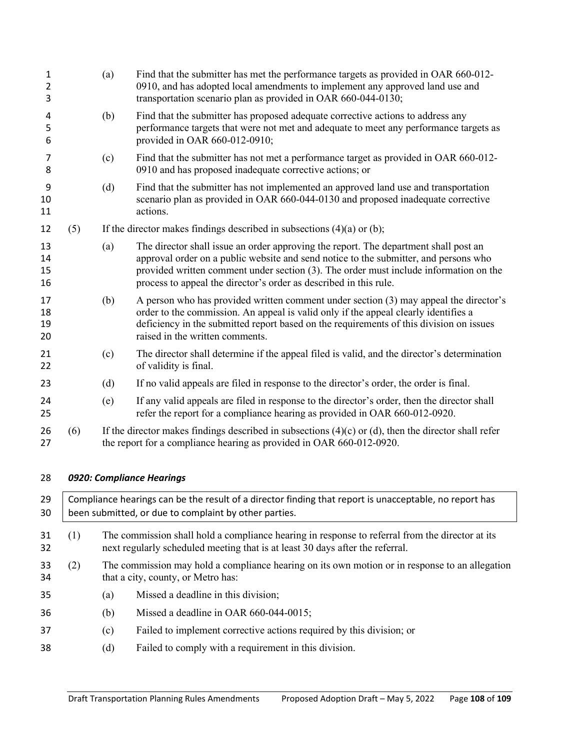| $\mathbf{1}$<br>$\overline{2}$<br>3 |     | (a)                                                                                                                                                             | Find that the submitter has met the performance targets as provided in OAR 660-012-<br>0910, and has adopted local amendments to implement any approved land use and<br>transportation scenario plan as provided in OAR 660-044-0130;                                                                                                      |  |  |  |  |
|-------------------------------------|-----|-----------------------------------------------------------------------------------------------------------------------------------------------------------------|--------------------------------------------------------------------------------------------------------------------------------------------------------------------------------------------------------------------------------------------------------------------------------------------------------------------------------------------|--|--|--|--|
| 4<br>5<br>6                         |     | (b)                                                                                                                                                             | Find that the submitter has proposed adequate corrective actions to address any<br>performance targets that were not met and adequate to meet any performance targets as<br>provided in OAR 660-012-0910;                                                                                                                                  |  |  |  |  |
| 7<br>8                              |     | (c)                                                                                                                                                             | Find that the submitter has not met a performance target as provided in OAR 660-012-<br>0910 and has proposed inadequate corrective actions; or                                                                                                                                                                                            |  |  |  |  |
| 9<br>10<br>11                       |     | (d)                                                                                                                                                             | Find that the submitter has not implemented an approved land use and transportation<br>scenario plan as provided in OAR 660-044-0130 and proposed inadequate corrective<br>actions.                                                                                                                                                        |  |  |  |  |
| 12                                  | (5) |                                                                                                                                                                 | If the director makes findings described in subsections $(4)(a)$ or $(b)$ ;                                                                                                                                                                                                                                                                |  |  |  |  |
| 13<br>14<br>15<br>16                |     | (a)                                                                                                                                                             | The director shall issue an order approving the report. The department shall post an<br>approval order on a public website and send notice to the submitter, and persons who<br>provided written comment under section (3). The order must include information on the<br>process to appeal the director's order as described in this rule. |  |  |  |  |
| 17<br>18<br>19<br>20                |     | (b)                                                                                                                                                             | A person who has provided written comment under section (3) may appeal the director's<br>order to the commission. An appeal is valid only if the appeal clearly identifies a<br>deficiency in the submitted report based on the requirements of this division on issues<br>raised in the written comments.                                 |  |  |  |  |
| 21<br>22                            |     | (c)                                                                                                                                                             | The director shall determine if the appeal filed is valid, and the director's determination<br>of validity is final.                                                                                                                                                                                                                       |  |  |  |  |
| 23                                  |     | (d)                                                                                                                                                             | If no valid appeals are filed in response to the director's order, the order is final.                                                                                                                                                                                                                                                     |  |  |  |  |
| 24<br>25                            |     | (e)                                                                                                                                                             | If any valid appeals are filed in response to the director's order, then the director shall<br>refer the report for a compliance hearing as provided in OAR 660-012-0920.                                                                                                                                                                  |  |  |  |  |
| 26<br>27                            | (6) |                                                                                                                                                                 | If the director makes findings described in subsections $(4)(c)$ or $(d)$ , then the director shall refer<br>the report for a compliance hearing as provided in OAR 660-012-0920.                                                                                                                                                          |  |  |  |  |
| 28                                  |     |                                                                                                                                                                 | 0920: Compliance Hearings                                                                                                                                                                                                                                                                                                                  |  |  |  |  |
| 29<br>30                            |     | Compliance hearings can be the result of a director finding that report is unacceptable, no report has<br>been submitted, or due to complaint by other parties. |                                                                                                                                                                                                                                                                                                                                            |  |  |  |  |
| 31<br>32                            | (1) |                                                                                                                                                                 | The commission shall hold a compliance hearing in response to referral from the director at its<br>next regularly scheduled meeting that is at least 30 days after the referral.                                                                                                                                                           |  |  |  |  |
| 33<br>34                            | (2) |                                                                                                                                                                 | The commission may hold a compliance hearing on its own motion or in response to an allegation<br>that a city, county, or Metro has:                                                                                                                                                                                                       |  |  |  |  |
| 35                                  |     | (a)                                                                                                                                                             | Missed a deadline in this division;                                                                                                                                                                                                                                                                                                        |  |  |  |  |
| 36                                  |     | (b)                                                                                                                                                             | Missed a deadline in OAR 660-044-0015;                                                                                                                                                                                                                                                                                                     |  |  |  |  |
| 37                                  |     | (c)                                                                                                                                                             | Failed to implement corrective actions required by this division; or                                                                                                                                                                                                                                                                       |  |  |  |  |
| 38                                  |     | (d)                                                                                                                                                             | Failed to comply with a requirement in this division.                                                                                                                                                                                                                                                                                      |  |  |  |  |